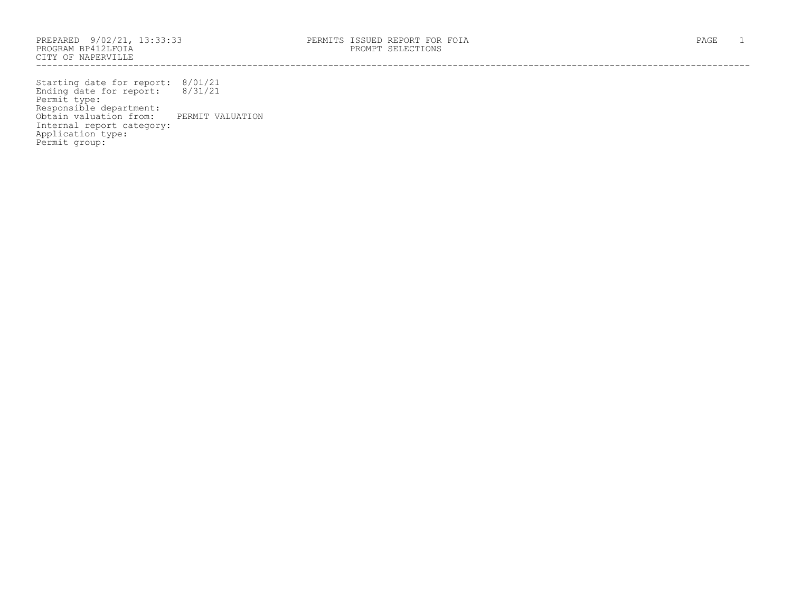PROGRAM BP412LFOIA PROMPT SELECTIONS CITY OF NAPERVILLE ------------------------------------------------------------------------------------------------------------------------------------

Starting date for report: 8/01/21 Ending date for report: 8/31/21 Permit type: Responsible department: Obtain valuation from: PERMIT VALUATION Internal report category: Application type: Permit group: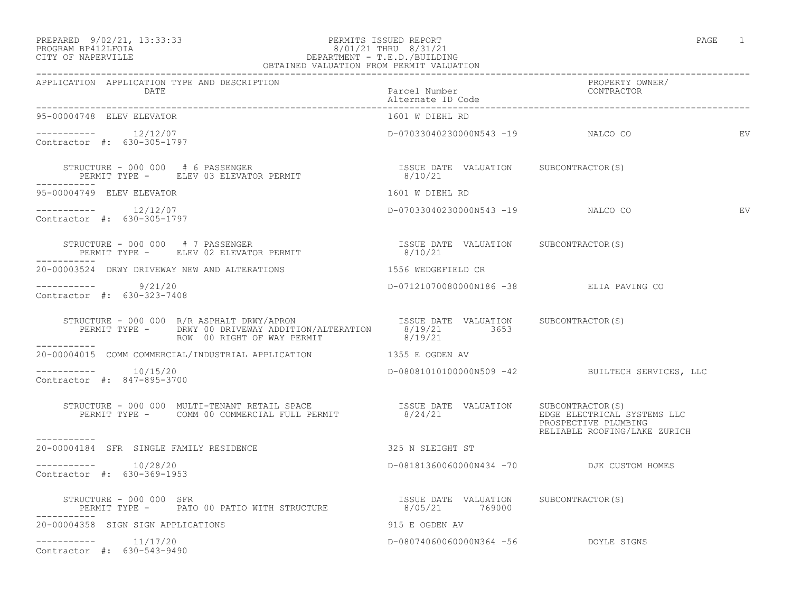PREPARED 9/02/21, 13:33:33 PERMITS ISSUED REPORT PAGE 1

## PROGRAM BP412LFOIA 8/01/21 THRU 8/31/21 CITY OF NAPERVILLE DEPARTMENT - T.E.D./BUILDING

| OBTAINED VALUATION FROM PERMIT VALUATION                                                                                                                                                                                                                                           |                                                  |                                                                                     |
|------------------------------------------------------------------------------------------------------------------------------------------------------------------------------------------------------------------------------------------------------------------------------------|--------------------------------------------------|-------------------------------------------------------------------------------------|
| APPLICATION APPLICATION TYPE AND DESCRIPTION<br>DATE                                                                                                                                                                                                                               | Parcel Number<br>Alternate ID Code               | PROPERTY OWNER/<br>CONTRACTOR                                                       |
| 95-00004748 ELEV ELEVATOR                                                                                                                                                                                                                                                          | 1601 W DIEHL RD                                  |                                                                                     |
| $--------- 12/12/07$<br>Contractor #: 630-305-1797                                                                                                                                                                                                                                 | D-07033040230000N543 -19 NALCO CO                | EV                                                                                  |
| $\begin{tabular}{lllllllllll} \texttt{STRUCTURE} & - & 000 & 000 & \# & 6 & \texttt{PASSENGER} \\ & & & & & & & \texttt{ISSUE} & \texttt{DATE} & \texttt{VALUATION} & & \texttt{SUBCONTRACTOR(S)} \\ & & & & & \texttt{PERMIT} & \texttt{S/10/21} & \end{tabular}$<br>------------ |                                                  |                                                                                     |
| 95-00004749 ELEV ELEVATOR                                                                                                                                                                                                                                                          | 1601 W DIEHL RD                                  |                                                                                     |
| $--------- 12/12/07$<br>Contractor #: 630-305-1797                                                                                                                                                                                                                                 | D-07033040230000N543 -19 NALCO CO                | EV                                                                                  |
| STRUCTURE - 000 000 # 7 PASSENGER<br>PERMIT TYPE - ELEV 02 ELEVATOR PERMIT<br>--------<br>-------                                                                                                                                                                                  | ISSUE DATE VALUATION SUBCONTRACTOR(S)<br>8/10/21 |                                                                                     |
| 20-00003524 DRWY DRIVEWAY NEW AND ALTERATIONS THE RESERVED ON THE SERVICE OR                                                                                                                                                                                                       |                                                  |                                                                                     |
| $--------- 9/21/20$<br>Contractor #: 630-323-7408                                                                                                                                                                                                                                  | D-07121070080000N186 -38 ELIA PAVING CO          |                                                                                     |
| STRUCTURE - 000 000 R/R ASPHALT DRWY/APRON ISSUE DATE VALUATION SUBCONTRACTOR(S)<br>PERMIT TYPE - DRWY 00 DRIVEWAY ADDITION/ALTERATION 8/19/21 3653<br>ROW 00 RIGHT OF WAY PERMIT 8/19/21<br>------------                                                                          |                                                  |                                                                                     |
| 20-00004015 COMM COMMERCIAL/INDUSTRIAL APPLICATION 1355 E OGDEN AV                                                                                                                                                                                                                 |                                                  |                                                                                     |
| $--------- 10/15/20$<br>Contractor #: 847-895-3700                                                                                                                                                                                                                                 |                                                  | D-08081010100000N509 -42 BUILTECH SERVICES, LLC                                     |
| STRUCTURE - 000 000 MULTI-TENANT RETAIL SPACE<br>PERMIT TYPE - COMM 00 COMMERCIAL FULL PERMIT<br>BERMIT TYPE - COMM 00 COMMERCIAL FULL PERMIT                                                                                                                                      |                                                  | EDGE ELECTRICAL SYSTEMS LLC<br>PROSPECTIVE PLUMBING<br>RELIABLE ROOFING/LAKE ZURICH |
| 325 N SLEIGHT ST<br>20-00004184 SFR SINGLE FAMILY RESIDENCE                                                                                                                                                                                                                        |                                                  |                                                                                     |
| $--------- 10/28/20$<br>Contractor #: 630-369-1953                                                                                                                                                                                                                                 | D-08181360060000N434 -70 DJK CUSTOM HOMES        |                                                                                     |
| STRUCTURE - 000 000 SFR<br>PERMIT TYPE -     PATO 00 PATIO WITH STRUCTURE                     8/05/21      769000                                                                                                                                                                  |                                                  |                                                                                     |
| 20-00004358 SIGN SIGN APPLICATIONS                                                                                                                                                                                                                                                 | 915 E OGDEN AV                                   |                                                                                     |
| $---------$ 11/17/20<br>Contractor #: 630-543-9490                                                                                                                                                                                                                                 | D-08074060060000N364 -56 DOYLE SIGNS             |                                                                                     |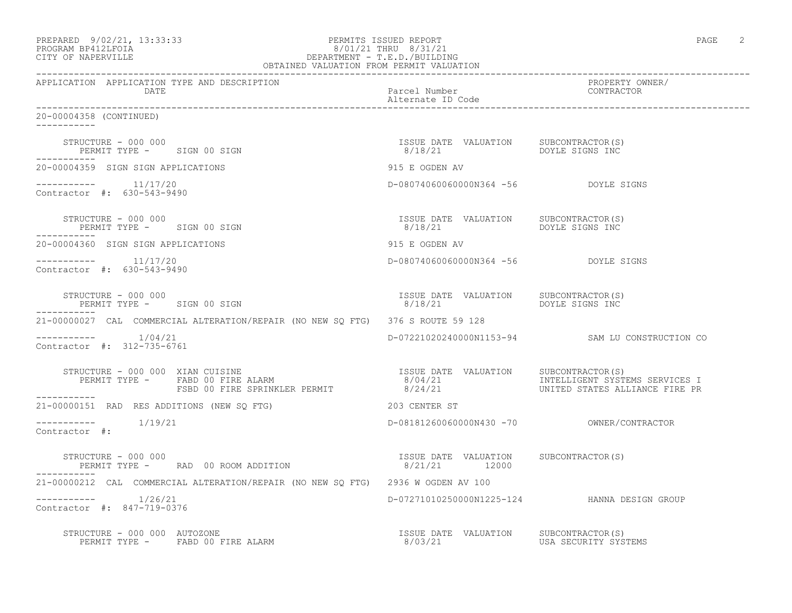|                   | PREPARED 9/02/21, 13:33:33 | PERMITS ISSUED REPORT         | PAGE | $\sim$ |
|-------------------|----------------------------|-------------------------------|------|--------|
| PROGRAM PRACTROTA |                            | $0.101.101$ munts $0.101.101$ |      |        |

## PROGRAM BP412LFOIA 8/01/21 THRU 8/31/21 CITY OF NAPERVILLE CHARGES OF DEPARTMENT - T.E.D./BUILDING

|                                                                                                                                                                                                                                  | OBTAINED VALUATION FROM PERMIT VALUATION |                                                        |                                                 |  |
|----------------------------------------------------------------------------------------------------------------------------------------------------------------------------------------------------------------------------------|------------------------------------------|--------------------------------------------------------|-------------------------------------------------|--|
| APPLICATION APPLICATION TYPE AND DESCRIPTION<br>DATE                                                                                                                                                                             |                                          | Parcel Number<br>Alternate ID Code                     | PROPERTY OWNER/<br>CONTRACTOR                   |  |
| 20-00004358 (CONTINUED)                                                                                                                                                                                                          |                                          |                                                        |                                                 |  |
| STRUCTURE – 000 000<br>PERMIT TYPE – SIGN 00 SIGN 1999 – 1999 – 1999 – 1999 – 1999 – 1999 – 1999 – 1999 – 1999 – 1999 – 1999 – 1999 –                                                                                            |                                          |                                                        |                                                 |  |
| 20-00004359 SIGN SIGN APPLICATIONS                                                                                                                                                                                               |                                          | 915 E OGDEN AV                                         |                                                 |  |
| $--------- 11/17/20$<br>Contractor #: 630-543-9490                                                                                                                                                                               |                                          | D-08074060060000N364 -56 DOYLE SIGNS                   |                                                 |  |
| ------------                                                                                                                                                                                                                     |                                          |                                                        |                                                 |  |
| 20-00004360 SIGN SIGN APPLICATIONS                                                                                                                                                                                               |                                          | 915 E OGDEN AV                                         |                                                 |  |
| $--------- 11/17/20$<br>Contractor #: 630-543-9490                                                                                                                                                                               |                                          | D-08074060060000N364 -56 DOYLE SIGNS                   |                                                 |  |
| STRUCTURE - 000 000<br>PERMIT TYPE - SIGN 00 SIGN                                                                                                                                                                                |                                          |                                                        |                                                 |  |
| 21-00000027 CAL COMMERCIAL ALTERATION/REPAIR (NO NEW SO FTG) 376 S ROUTE 59 128                                                                                                                                                  |                                          |                                                        |                                                 |  |
| $--------- 1/04/21$<br>Contractor #: 312-735-6761                                                                                                                                                                                |                                          |                                                        | D-07221020240000N1153-94 SAM LU CONSTRUCTION CO |  |
| STRUCTURE - 000 000 XIAN CUISINE<br>PERMIT TYPE - FABD 00 FIRE ALARM                              8/04/21                 INTELLIGENT SYSTEMS SERVICES I<br>FSBD 00 FIRE SPRINKLER PERMIT                 8/24/21<br>----------- |                                          |                                                        |                                                 |  |
| 21-00000151 RAD RES ADDITIONS (NEW SO FTG)                                                                                                                                                                                       |                                          | 203 CENTER ST                                          |                                                 |  |
| $--------$ 1/19/21<br>Contractor #:                                                                                                                                                                                              |                                          |                                                        |                                                 |  |
| STRUCTURE - 000 000<br>PERMIT TYPE - RAD 00 ROOM ADDITION<br>------------                                                                                                                                                        |                                          | ISSUE DATE VALUATION SUBCONTRACTOR(S)<br>8/21/21 12000 |                                                 |  |
| 21-00000212 CAL COMMERCIAL ALTERATION/REPAIR (NO NEW SQ FTG) 2936 W OGDEN AV 100                                                                                                                                                 |                                          |                                                        |                                                 |  |
| $--------- 1/26/21$<br>Contractor #: 847-719-0376                                                                                                                                                                                |                                          |                                                        | D-07271010250000N1225-124 HANNA DESIGN GROUP    |  |
| STRUCTURE - 000 000 AUTOZONE<br>PERMIT TYPE - FABD 00 FIRE ALARM - 1980 - 1980 1991 - 1980 1992<br>BERMIT TYPE - FABD 00 FIRE ALARM - 1980 1991 1992                                                                             |                                          |                                                        |                                                 |  |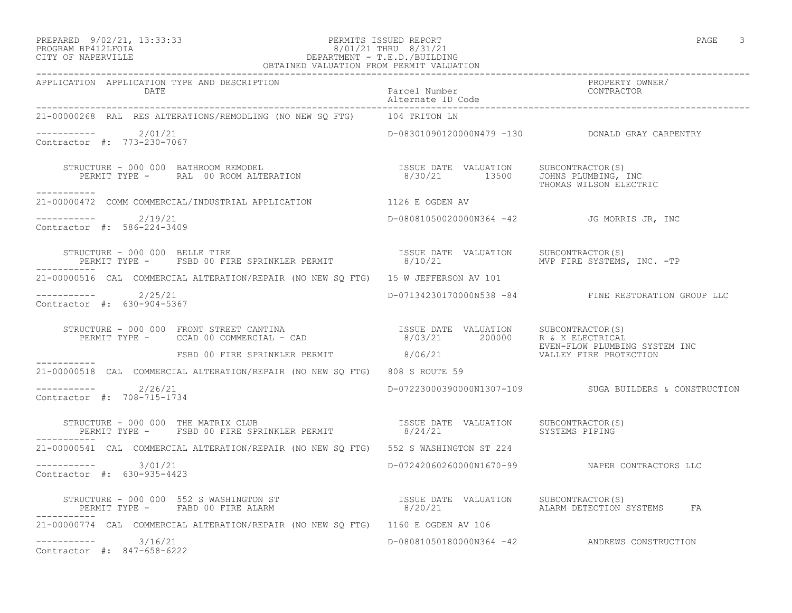#### PREPARED 9/02/21, 13:33:33 PERMITS ISSUED REPORT PAGE 3 PROGRAM BP412LFOIA 8/01/21 THRU 8/31/21 CITY OF NAPERVILLE DEPARTMENT - T.E.D./BUILDING OBTAINED VALUATION FROM PERMIT VALUATION

| APPLICATION APPLICATION TYPE AND DESCRIPTION                                                                                                                                                                                                   |                                            |                                                        |  |
|------------------------------------------------------------------------------------------------------------------------------------------------------------------------------------------------------------------------------------------------|--------------------------------------------|--------------------------------------------------------|--|
| 21-00000268 RAL RES ALTERATIONS/REMODLING (NO NEW SQ FTG) 104 TRITON LN                                                                                                                                                                        |                                            |                                                        |  |
| $---------2/01/21$<br>Contractor #: 773-230-7067                                                                                                                                                                                               |                                            | D-08301090120000N479 -130    DONALD GRAY CARPENTRY     |  |
| STRUCTURE - 000 000 BATHROOM REMODEL<br>PERMIT TYPE -     RAL 00 ROOM ALTERATION                             8/30/21         13500    JOHNS PLUMBING, INC<br>___________                                                                       |                                            | THOMAS WILSON ELECTRIC                                 |  |
| 21-00000472 COMM COMMERCIAL/INDUSTRIAL APPLICATION 1126 E OGDEN AV                                                                                                                                                                             |                                            |                                                        |  |
| $---------2/19/21$<br>Contractor #: 586-224-3409                                                                                                                                                                                               | D-08081050020000N364 -42 JG MORRIS JR, INC |                                                        |  |
| STRUCTURE - 000 000 BELLE TIRE<br>PERMIT TYPE - FSBD 00 FIRE SPRINKLER PERMIT - 8/10/21 MVP FIRE SYSTEMS, INC. -TP<br>___________                                                                                                              |                                            |                                                        |  |
| 21-00000516 CAL COMMERCIAL ALTERATION/REPAIR (NO NEW SQ FTG) 15 W JEFFERSON AV 101                                                                                                                                                             |                                            |                                                        |  |
| $---------2$ 2/25/21<br>Contractor #: 630-904-5367                                                                                                                                                                                             |                                            | D-07134230170000N538 -84 FINE RESTORATION GROUP LLC    |  |
| STRUCTURE - 000 000 FRONT STREET CANTINA<br>PERMIT TYPE - CCAD 00 COMMERCIAL - CAD<br>FSBD 00 FIRE SPRINKLER PERMIT 8/06/21 200000 R & K ELECTRICAL<br>FSBD 00 FIRE SPRINKLER PERMIT 8/06/21 VALLEY FIRE PROTECTION                            |                                            |                                                        |  |
|                                                                                                                                                                                                                                                |                                            |                                                        |  |
| 21-00000518 CAL COMMERCIAL ALTERATION/REPAIR (NO NEW SO FTG) 808 S ROUTE 59                                                                                                                                                                    |                                            |                                                        |  |
| $--------$ 2/26/21<br>Contractor #: 708-715-1734                                                                                                                                                                                               |                                            | D-07223000390000N1307-109 SUGA BUILDERS & CONSTRUCTION |  |
| STRUCTURE - 000 000 THE MATRIX CLUB (SPRINKLER PERMIT ) TSSUE DATE VALUATION SUBCONTRACTOR<br>PERMIT TYPE - FSBD 00 FIRE SPRINKLER PERMIT (SPANIT) 8/24/21 (SYSTEMS PIPING                                                                     |                                            |                                                        |  |
| 21-00000541 CAL COMMERCIAL ALTERATION/REPAIR (NO NEW SO FTG) 552 S WASHINGTON ST 224                                                                                                                                                           |                                            |                                                        |  |
| $--------- 3/01/21$<br>Contractor #: 630-935-4423                                                                                                                                                                                              |                                            | D-07242060260000N1670-99 NAPER CONTRACTORS LLC         |  |
| STRUCTURE – 000 000 552 SWASHINGTON ST                           ISSUE DATE VALUATION     SUBCONTRACTOR(S)<br>PERMIT TYPE –     FABD 00 FIRE ALARM                            8/20/21                  ALARM DETECTION SYSTEMS<br>------------ |                                            |                                                        |  |
| 21-00000774 CAL COMMERCIAL ALTERATION/REPAIR (NO NEW SQ FTG) 1160 E OGDEN AV 106                                                                                                                                                               |                                            |                                                        |  |
| $--------- 3/16/21$<br>Contractor #: 847-658-6222                                                                                                                                                                                              |                                            | D-08081050180000N364 -42 ANDREWS CONSTRUCTION          |  |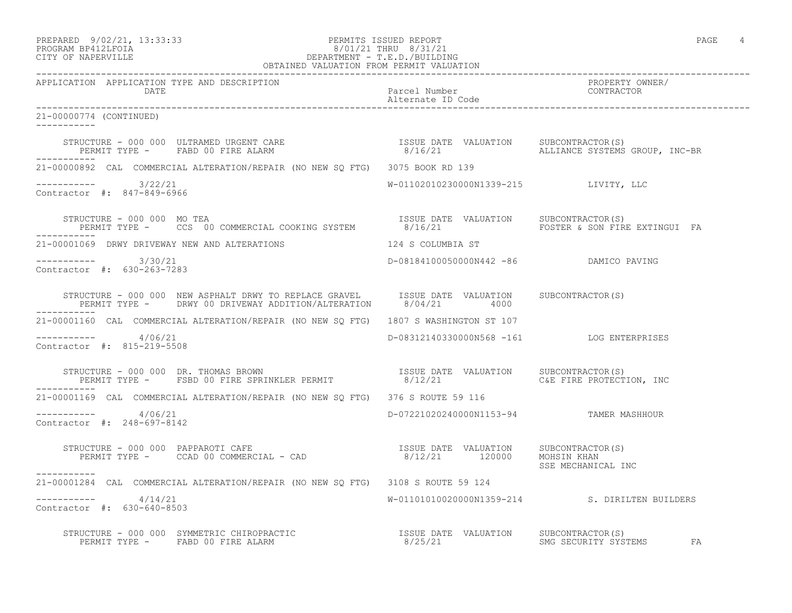## PREPARED 9/02/21, 13:33:33 PERMITS ISSUED REPORT PAGE 4 PROGRAM BP412LFOIA 8/01/21 THRU 8/31/21 CITY OF NAPERVILLE DEPARTMENT - T.E.D./BUILDING

|                                                      | OBTAINED VALUATION FROM PERMIT VALUATION                                                                                                                                                                                          |                                           |                                                |
|------------------------------------------------------|-----------------------------------------------------------------------------------------------------------------------------------------------------------------------------------------------------------------------------------|-------------------------------------------|------------------------------------------------|
| APPLICATION APPLICATION TYPE AND DESCRIPTION<br>DATE |                                                                                                                                                                                                                                   | Parcel Number<br>Alternate ID Code        | PROPERTY OWNER/<br>CONTRACTOR                  |
| 21-00000774 (CONTINUED)                              |                                                                                                                                                                                                                                   |                                           |                                                |
|                                                      | STRUCTURE – 000 000 ULTRAMED URGENT CARE                          ISSUE DATE VALUATION    SUBCONTRACTOR(S)<br>PERMIT TYPE –     FABD 00 FIRE ALARM                          8/16/21                  ALLIANCE SYSTEMS GROUP, INC- |                                           |                                                |
|                                                      | 21-00000892 CAL COMMERCIAL ALTERATION/REPAIR (NO NEW SO FTG) 3075 BOOK RD 139                                                                                                                                                     |                                           |                                                |
| $--------- 3/22/21$<br>Contractor #: 847-849-6966    |                                                                                                                                                                                                                                   | W-01102010230000N1339-215 LIVITY, LLC     |                                                |
| ------------                                         |                                                                                                                                                                                                                                   |                                           |                                                |
|                                                      | 21-00001069 DRWY DRIVEWAY NEW AND ALTERATIONS TERM NEW 124 S COLUMBIA ST                                                                                                                                                          |                                           |                                                |
| ----------- 3/30/21<br>Contractor #: 630-263-7283    |                                                                                                                                                                                                                                   | D-08184100050000N442 -86 DAMICO PAVING    |                                                |
|                                                      | STRUCTURE - 000 000 NEW ASPHALT DRWY TO REPLACE GRAVEL ISSUE DATE VALUATION SUBCONTRACTOR(S)<br>PERMIT TYPE - DRWY 00 DRIVEWAY ADDITION/ALTERATION 8/04/21 4000                                                                   |                                           |                                                |
|                                                      | 21-00001160 CAL COMMERCIAL ALTERATION/REPAIR (NO NEW SO FTG) 1807 S WASHINGTON ST 107                                                                                                                                             |                                           |                                                |
| $--------- 4/06/21$<br>Contractor #: 815-219-5508    |                                                                                                                                                                                                                                   | D-08312140330000N568 -161 LOG ENTERPRISES |                                                |
| ___________                                          |                                                                                                                                                                                                                                   |                                           |                                                |
|                                                      | 21-00001169 CAL COMMERCIAL ALTERATION/REPAIR (NO NEW SO FTG) 376 S ROUTE 59 116                                                                                                                                                   |                                           |                                                |
| $--------- 4/06/21$<br>Contractor #: 248-697-8142    |                                                                                                                                                                                                                                   | D-07221020240000N1153-94 TAMER MASHHOUR   |                                                |
| ------------                                         | STRUCTURE - 000 000 PAPPAROTI CAFE<br>PERMIT TYPE - CCAD 00 COMMERCIAL - CAD                                 8/12/21      120000   MOHSIN KHAN                                                                                    |                                           | SSE MECHANICAL INC                             |
|                                                      | 21-00001284 CAL COMMERCIAL ALTERATION/REPAIR (NO NEW SQ FTG) 3108 S ROUTE 59 124                                                                                                                                                  |                                           |                                                |
| $--------- 4/14/21$<br>Contractor #: 630-640-8503    |                                                                                                                                                                                                                                   |                                           | W-01101010020000N1359-214 S. DIRILTEN BUILDERS |
|                                                      | STRUCTURE - 000 000 SYMMETRIC CHIROPRACTIC                                                                                                                                                                                        |                                           |                                                |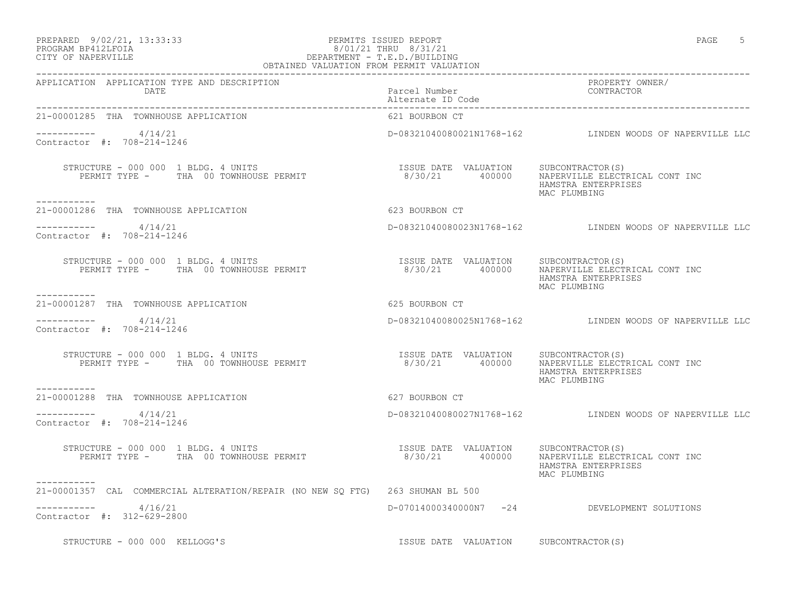### PREPARED 9/02/21, 13:33:33 PERMITS ISSUED REPORT<br>PROGRAM BP412LFOIA PAGE 5 PROGRAM BP412LFOIA  $8/01/21$  THRU  $8/31/21$ <br>CITY OF NAPERVILLE DEPARTMENT - T.E.D./BUILDIN CITY OF NAPERVILLE DEPARTMENT - T.E.D./BUILDING OBTAINED VALUATION FROM PERMIT VALUATION

| APPLICATION APPLICATION TYPE AND DESCRIPTION<br>DATE                                                                                                                                                                                                                                                                                                                                                              | Parcel Number<br>Alternate ID Code    | PROPERTY OWNER/<br>CONTRACTOR                                                        |
|-------------------------------------------------------------------------------------------------------------------------------------------------------------------------------------------------------------------------------------------------------------------------------------------------------------------------------------------------------------------------------------------------------------------|---------------------------------------|--------------------------------------------------------------------------------------|
| 21-00001285 THA TOWNHOUSE APPLICATION                                                                                                                                                                                                                                                                                                                                                                             | 621 BOURBON CT                        |                                                                                      |
| $--------- 4/14/21$<br>Contractor #: 708-214-1246                                                                                                                                                                                                                                                                                                                                                                 |                                       |                                                                                      |
| $\begin{array}{cccccc} \texttt{STRUCTURE} & - & 000 & 000 & 1 & \texttt{BLDG.} & 4 & \texttt{UNITS} & \texttt{TSSUE} & \texttt{DATE} & \texttt{VALUATION} & & \texttt{SUBCONTRACTOR(S)}\\ & & \texttt{PERMIT TYPE} & - & \texttt{THA} & 00 & \texttt{TOWNHOUSE} & \texttt{PERMIT} & & & \\ & & & & & & & 8/30/21 & & 400000 & & \texttt{NAPERVILLE ELECTRICAL CONT INC} & \texttt{C.} \end{array}$<br>----------- |                                       | HAMSTRA ENTERPRISES<br>MAC PLUMBING                                                  |
| 21-00001286 THA TOWNHOUSE APPLICATION                                                                                                                                                                                                                                                                                                                                                                             | 623 BOURBON CT                        |                                                                                      |
| $--------- 4/14/21$<br>Contractor #: 708-214-1246                                                                                                                                                                                                                                                                                                                                                                 |                                       | D-08321040080023N1768-162 LINDEN WOODS OF NAPERVILLE LLC                             |
| STRUCTURE - 000 000 1 BLDG. 4 UNITS<br>PERMIT TYPE - THA 00 TOWNHOUSE PERMIT                                                                                                                                                                                                                                                                                                                                      | ISSUE DATE VALUATION SUBCONTRACTOR(S) | 8/30/21 400000 NAPERVILLE ELECTRICAL CONT INC<br>HAMSTRA ENTERPRISES<br>MAC PLUMBING |
| -----------<br>21-00001287 THA TOWNHOUSE APPLICATION                                                                                                                                                                                                                                                                                                                                                              | 625 BOURBON CT                        |                                                                                      |
| $--------- 4/14/21$<br>Contractor #: 708-214-1246                                                                                                                                                                                                                                                                                                                                                                 |                                       | D-08321040080025N1768-162 LINDEN WOODS OF NAPERVILLE LLC                             |
| STRUCTURE - 000 000 1 BLDG. 4 UNITS<br>PERMIT TYPE - THA 00 TOWNHOUSE PERMIT                                                                                                                                                                                                                                                                                                                                      |                                       | HAMSTRA ENTERPRISES<br>MAC PLUMBING                                                  |
| 21-00001288 THA TOWNHOUSE APPLICATION                                                                                                                                                                                                                                                                                                                                                                             | 627 BOURBON CT                        |                                                                                      |
| $--------- 4/14/21$<br>Contractor #: 708-214-1246                                                                                                                                                                                                                                                                                                                                                                 |                                       | D-08321040080027N1768-162 LINDEN WOODS OF NAPERVILLE LLC                             |
| STRUCTURE - 000 000 1 BLDG. 4 UNITS<br>PERMIT TYPE - THA 00 TOWNHOUSE PERMIT                                                                                                                                                                                                                                                                                                                                      | ISSUE DATE VALUATION SUBCONTRACTOR(S) | 8/30/21 400000 NAPERVILLE ELECTRICAL CONT INC<br>HAMSTRA ENTERPRISES<br>MAC PLUMBING |
| -----------<br>21-00001357 CAL COMMERCIAL ALTERATION/REPAIR (NO NEW SQ FTG) 263 SHUMAN BL 500                                                                                                                                                                                                                                                                                                                     |                                       |                                                                                      |
| $--------- 4/16/21$<br>Contractor #: 312-629-2800                                                                                                                                                                                                                                                                                                                                                                 |                                       | D-07014000340000N7 -24 DEVELOPMENT SOLUTIONS                                         |

STRUCTURE - 000 000 KELLOGG'S **ISSUE DATE VALUATION** SUBCONTRACTOR(S)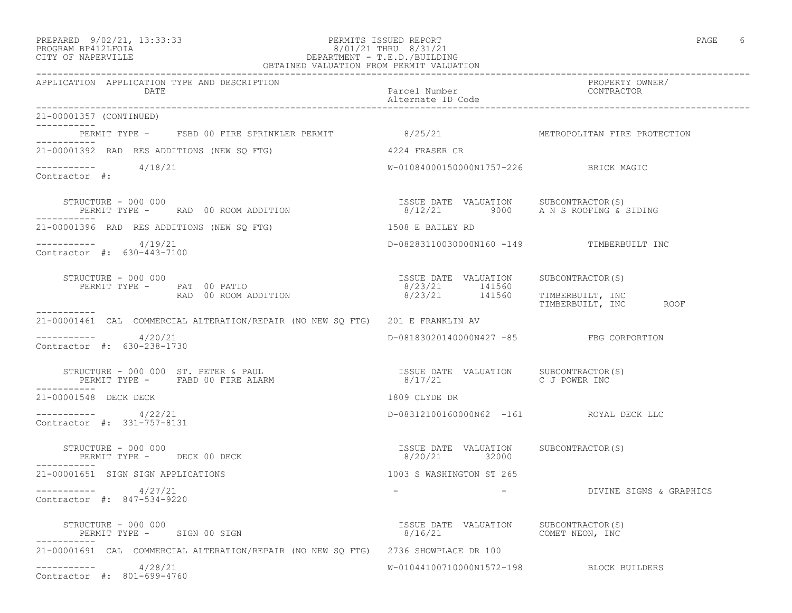#### PREPARED 9/02/21, 13:33:33 PERMITS ISSUED REPORT PAGE 6 PROGRAM BP412LFOIA 8/01/21 THRU 8/31/21 CITY OF NAPERVILLE DEPARTMENT - T.E.D./BUILDING OBTAINED VALUATION FROM PERMIT VALUATION

------------------------------------------------------------------------------------------------------------------------------------

APPLICATION APPLICATION TYPE AND DESCRIPTION PROPERTY OWNER/ DATE PARTICLE IN THE PARTICLE OF THE PARTICLE NUMBER OF THE PARTICLE IN THE PARTICLE IN THE PARTICLE IN THE PARTICLE IN THE PARTICLE IN THE PARTICLE IN THE PARTICLE IN THE PARTICLE IN THE PARTICLE IN THE PARTICLE IN THE PA Alternate ID Code ------------------------------------------------------------------------------------------------------------------------------------ 21-00001357 (CONTINUED) ----------- PERMIT TYPE - FSBD 00 FIRE SPRINKLER PERMIT 8/25/21 METROPOLITAN FIRE PROTECTION ----------- 21-00001392 RAD RES ADDITIONS (NEW SQ FTG) 4224 FRASER CR  $--------$  4/18/21 W-01084000150000N1757-226 BRICK MAGIC Contractor #: STRUCTURE - 000 000 ISSUE DATE VALUATION SUBCONTRACTOR(S) PERMIT TYPE - RAD 00 ROOM ADDITION 8/12/21 9000 A N S ROOFING & SIDING ----------- 21-00001396 RAD RES ADDITIONS (NEW SQ FTG) 1508 E BAILEY RD ----------- 4/19/21 D-08283110030000N160 -149 TIMBERBUILT INC Contractor #: 630-443-7100 STRUCTURE - 000 000 ISSUE DATE VALUATION SUBCONTRACTOR(S) PERMIT TYPE - PAT 00 PATIO 141560 8/23/21 141560 RAD 00 ROOM ADDITION 8/23/21 141560 TIMBERBUILT, INC TIMBERBUILT, INC ROOF ----------- 21-00001461 CAL COMMERCIAL ALTERATION/REPAIR (NO NEW SQ FTG) 201 E FRANKLIN AV  $--------- 4/20/21$ ----------- 4/20/21 D-08183020140000N427 -85 FBG CORPORTION Contractor #: 630-238-1730 STRUCTURE – 000 000 ST. PETER & PAUL ISSUE ISSUE DATE VALUATION SUBCONTRACTOR(S)<br>PERMIT TYPE – FABD 00 FIRE ALARM 1999 – 1999 – 1999 – 1999 – 1999 – 1999 – 1999 – 1999 – 1999 – 1999 – 1999 – 8/17/21 C J POWER INC ----------- 21-00001548 DECK DECK 1809 CLYDE DR ----------- 4/22/21 D-08312100160000N62 -161 ROYAL DECK LLC Contractor #: 331-757-8131 STRUCTURE - 000 000 ISSUE DATE VALUATION SUBCONTRACTOR(S) PERMIT TYPE - DECK 00 DECK ----------- 21-00001651 SIGN SIGN APPLICATIONS 1003 S WASHINGTON ST 265 ----------- 4/27/21 - - DIVINE SIGNS & GRAPHICS Contractor #: 847-534-9220 STRUCTURE – 000 000<br>
STRUCTURE – 000 000 SIGN 1999 SIGN 1999 SALUATION SUBCONTRACTOR(S) 8/16/21 COMET NEON, INC ----------- 21-00001691 CAL COMMERCIAL ALTERATION/REPAIR (NO NEW SQ FTG) 2736 SHOWPLACE DR 100 ----------- 4/28/21 W-01044100710000N1572-198 BLOCK BUILDERS Contractor #: 801-699-4760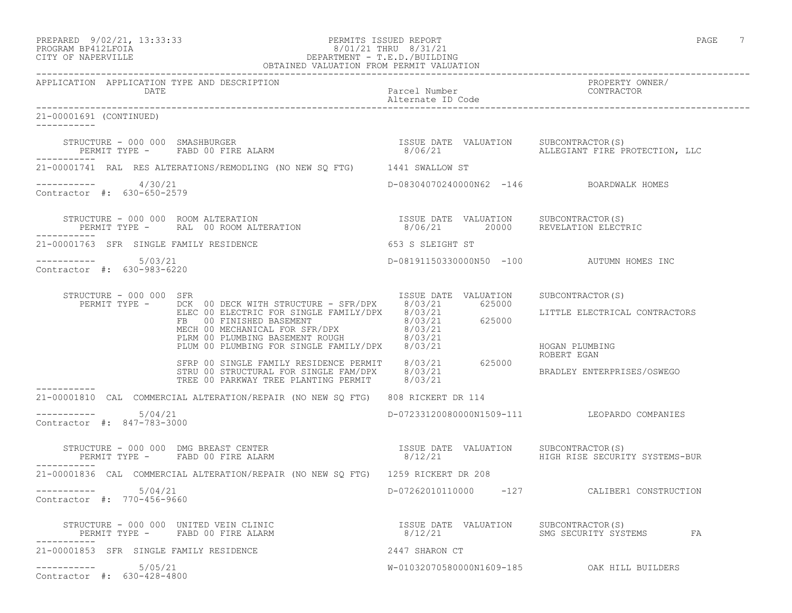## PREPARED 9/02/21, 13:33:33 PERMITS ISSUED REPORT PAGE 7 PROGRAM BP412LFOIA 8/01/21 THRU 8/31/21 CITY OF NAPERVILLE DEPARTMENT - T.E.D./BUILDING

| OBTAINED VALUATION FROM PERMIT VALUATION             |                                                                                                                                                                                                                                                                                                             |                                           |                                              |
|------------------------------------------------------|-------------------------------------------------------------------------------------------------------------------------------------------------------------------------------------------------------------------------------------------------------------------------------------------------------------|-------------------------------------------|----------------------------------------------|
| APPLICATION APPLICATION TYPE AND DESCRIPTION<br>DATE |                                                                                                                                                                                                                                                                                                             | Parcel Number<br>Alternate ID Code        | PROPERTY OWNER/<br>CONTRACTOR                |
| 21-00001691 (CONTINUED)<br><u> Liberalis Libe</u>    |                                                                                                                                                                                                                                                                                                             |                                           |                                              |
|                                                      | STRUCTURE - 000 000 SMASHBURGER<br>PERMIT TYPE - FABD 00 FIRE ALARM                                                                                                                                                                                                                                         | ISSUE DATE VALUATION SUBCONTRACTOR(S)     | 8/06/21 ALLEGIANT FIRE PROTECTION, LLC       |
|                                                      | 21-00001741 RAL RES ALTERATIONS/REMODLING (NO NEW SQ FTG) 1441 SWALLOW ST                                                                                                                                                                                                                                   |                                           |                                              |
| $--------- 4/30/21$<br>Contractor #: 630-650-2579    |                                                                                                                                                                                                                                                                                                             | D-08304070240000N62 -146 BOARDWALK HOMES  |                                              |
|                                                      |                                                                                                                                                                                                                                                                                                             |                                           |                                              |
| 21-00001763 SFR SINGLE FAMILY RESIDENCE              |                                                                                                                                                                                                                                                                                                             | 653 S SLEIGHT ST                          |                                              |
| -----------    5/03/21<br>Contractor #: 630-983-6220 |                                                                                                                                                                                                                                                                                                             | D-08191150330000N50 -100 AUTUMN HOMES INC |                                              |
| STRUCTURE - 000 000 SFR                              | PERMIT TYPE - DCK 00 DECK WITH STRUCTURE - SFR/DPX 8/03/21 625000<br>ELEC 00 ELECTRIC FOR SINGLIGHT FAMILY/DPX 8/03/21<br>FB 00 EIECTRIC FOR SINGLE FAMILY/DPX 8/03/21<br>MECH 00 MECHANICAL FOR SFR/DPX 8/03/21<br>PLUM 00 PLUMBING BASEMENT ROUGH 8/03/21<br>PLUM 00 PLUMBING FOR SINGLE FAMILY/DPX 8/03/ | ISSUE DATE VALUATION SUBCONTRACTOR(S)     | LITTLE ELECTRICAL CONTRACTORS                |
|                                                      |                                                                                                                                                                                                                                                                                                             |                                           | HOGAN PLUMBING<br>ROBERT EGAN                |
|                                                      | SFRP 00 SINGLE FAMILY RESIDENCE PERMIT 8/03/21 625000<br>STRU 00 STRUCTURAL FOR SINGLE FAM/DRY 8/03/33<br>STRU 00 STRUCTURAL FOR SINGLE FAM/DPX 8/03/21<br>TREE 00 PARKWAY TREE PLANTING PERMIT 8/03/21                                                                                                     |                                           | BRADLEY ENTERPRISES/OSWEGO                   |
|                                                      | 21-00001810 CAL COMMERCIAL ALTERATION/REPAIR (NO NEW SQ FTG) 808 RICKERT DR 114                                                                                                                                                                                                                             |                                           |                                              |
| 5/04/21<br>Contractor #: 847-783-3000                |                                                                                                                                                                                                                                                                                                             |                                           | D-07233120080000N1509-111 LEOPARDO COMPANIES |
| PERMIT TYPE - FABD 00 FIRE ALARM<br>-----------      | STRUCTURE - 000 000 DMG BREAST CENTER<br>PERMIT TYPE - FABD 00 FIRE ALARM                              8/12/21                     HIGH RISE SECURIT                                                                                                                                                        | 8/12/21                                   | HIGH RISE SECURITY SYSTEMS-BUR               |
|                                                      | 21-00001836 CAL COMMERCIAL ALTERATION/REPAIR (NO NEW SO FTG) 1259 RICKERT DR 208                                                                                                                                                                                                                            |                                           |                                              |
| $--------$ 5/04/21<br>Contractor #: 770-456-9660     |                                                                                                                                                                                                                                                                                                             |                                           | D-07262010110000 -127 CALIBER1 CONSTRUCTION  |
|                                                      | STRUCTURE – 000 000 UNITED VEIN CLINIC                             ISSUE DATE VALUATION     SUBCONTRACTOR(S)<br>PERMIT TYPE –     FABD 00 FIRE ALARM                               8/12/21                        SMG SECURITY SY                                                                           |                                           |                                              |
| 21-00001853 SFR SINGLE FAMILY RESIDENCE              |                                                                                                                                                                                                                                                                                                             | 2447 SHARON CT                            |                                              |
| $--------- 5/05/21$<br>Contractor #: 630-428-4800    |                                                                                                                                                                                                                                                                                                             |                                           | W-01032070580000N1609-185 OAK HILL BUILDERS  |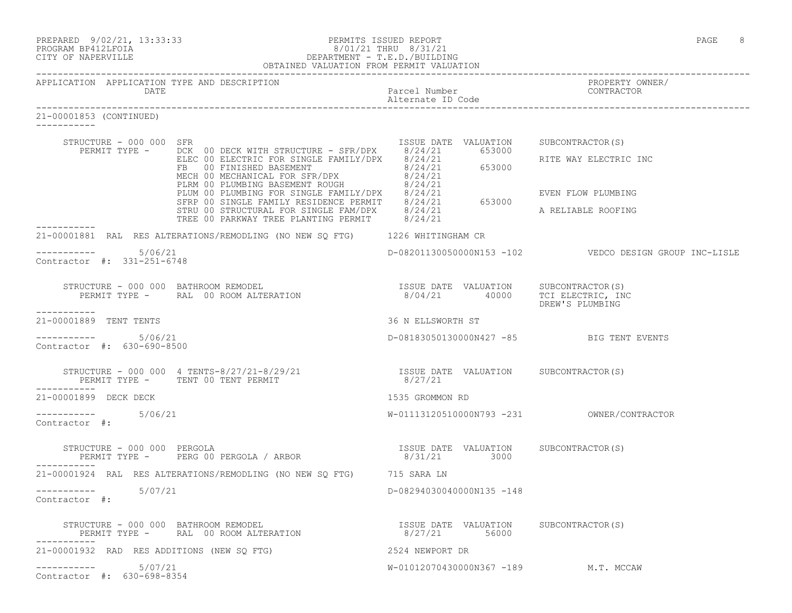| PREPARED | $9/02/21$ , | 13:33:33 |
|----------|-------------|----------|
|          |             |          |

## PREPARED 9/02/21, 13:33:33 PERMITS ISSUED REPORT<br>PROGRAM BP412LFOIA PAGE 8 8/01/21 THRU 8/31/21 PROGRAM BP412LFOIA  $8/01/21$  THRU  $8/31/21$ <br>CITY OF NAPERVILLE DEPARTMENT - T.E.D./BUILDII CITY OF NAPERVILLE DEPARTMENT - T.E.D./BUILDING

|                                        |                                                      | OBTAINED VALUATION FROM PERMIT VALUATION                                                                                                                                                                                                                                                                                           |                                    |                                                                |
|----------------------------------------|------------------------------------------------------|------------------------------------------------------------------------------------------------------------------------------------------------------------------------------------------------------------------------------------------------------------------------------------------------------------------------------------|------------------------------------|----------------------------------------------------------------|
|                                        | DATE                                                 | APPLICATION APPLICATION TYPE AND DESCRIPTION                                                                                                                                                                                                                                                                                       | Parcel Number<br>Alternate ID Code | PROPERTY OWNER/<br>CONTRACTOR                                  |
| 21-00001853 (CONTINUED)<br>----------- |                                                      |                                                                                                                                                                                                                                                                                                                                    |                                    |                                                                |
|                                        | STRUCTURE - 000 000 SFR                              | PERMIT TYPE - DCK 00 DECK WITH STRUCTURE - SFR/DPX 8/24/21 653000                                                                                                                                                                                                                                                                  |                                    | ISSUE DATE VALUATION SUBCONTRACTOR(S)<br>RITE WAY ELECTRIC INC |
|                                        |                                                      | DCK OO DECK WITH STRUCTURE - SFR/DPX 8/24/21 653000<br>ELEC OO ELECTRIC FOR SINGLE FAMILY/DPX 8/24/21 653000<br>FB OO FINISHED BASEMENT<br>MECH OO MECHANICAL FOR SFR/DPX 8/24/21 653000<br>PLIM OO PLUMBING BASEMENT ROUGH 8/24/21<br>P                                                                                           |                                    | EVEN FLOW PLUMBING<br>A RELIABLE ROOFING                       |
|                                        |                                                      | 21-00001881 RAL RES ALTERATIONS/REMODLING (NO NEW SQ FTG) 1226 WHITINGHAM CR                                                                                                                                                                                                                                                       |                                    |                                                                |
|                                        | $--------- 5/06/21$<br>Contractor #: 331-251-6748    |                                                                                                                                                                                                                                                                                                                                    |                                    | D-08201130050000N153 -102    VEDCO DESIGN GROUP INC-LISLE      |
|                                        |                                                      | STRUCTURE - 000 000 BATHROOM REMODEL<br>PERMIT TYPE - RAL 00 ROOM ALTERATION 1999 - 1999 - 1999 104/21<br>PERMIT TYPE - RAL 00 ROOM ALTERATION 1999 1999 1000 100 PREMIS PLIMETNC                                                                                                                                                  |                                    | DREW'S PLUMBING                                                |
| -----------<br>21-00001889 TENT TENTS  |                                                      |                                                                                                                                                                                                                                                                                                                                    | 36 N ELLSWORTH ST                  |                                                                |
|                                        | ---------    5/06/21<br>Contractor #: 630-690-8500   |                                                                                                                                                                                                                                                                                                                                    |                                    | D-08183050130000N427 -85 BIG TENT EVENTS                       |
|                                        |                                                      | STRUCTURE – 000 000   4 TENTS-8/27/21-8/29/21                      ISSUE DATE VALUATION     SUBCONTRACTOR(S)<br>PERMIT TYPE –      TENT 00 TENT PERMIT                                8/27/21                                                                                                                                      |                                    |                                                                |
| 21-00001899 DECK DECK                  |                                                      |                                                                                                                                                                                                                                                                                                                                    | 1535 GROMMON RD                    |                                                                |
| Contractor #:                          | ----------- 5/06/21                                  |                                                                                                                                                                                                                                                                                                                                    |                                    |                                                                |
| ----------                             |                                                      | $\begin{tabular}{lllllllllll} \texttt{STRUCTURE} & - & 000 & 000 & PERGOLA \\ & & & & & & & \texttt{ESUE} & \texttt{DATE} & \texttt{VALUATION} & & \texttt{SUBCONTRACTOR(S)} \\ \texttt{PERMIT TYPE} & - & & & & \texttt{PERG 00 PERGOLA} & / & \texttt{ARBOR} & & & & & \texttt{8/31/21} & & & \texttt{3000} & & & \end{tabular}$ |                                    |                                                                |
|                                        |                                                      | 21-00001924 RAL RES ALTERATIONS/REMODLING (NO NEW SQ FTG) 715 SARA LN                                                                                                                                                                                                                                                              |                                    |                                                                |
| Contractor #:                          | -----------    5/07/21                               |                                                                                                                                                                                                                                                                                                                                    | D-08294030040000N135 -148          |                                                                |
|                                        |                                                      | STRUCTURE – 000 000 BATHROOM REMODEL (S) TSSUE DATE VALUATION SUBCONTRACTOR (S) SUBCONTRACTOR (S)                                                                                                                                                                                                                                  |                                    |                                                                |
|                                        |                                                      | 21-00001932 RAD RES ADDITIONS (NEW SO FTG)                                                                                                                                                                                                                                                                                         | 2524 NEWPORT DR                    |                                                                |
|                                        | -----------    5/07/21<br>Contractor #: 630-698-8354 |                                                                                                                                                                                                                                                                                                                                    |                                    | W-01012070430000N367 -189 M.T. MCCAW                           |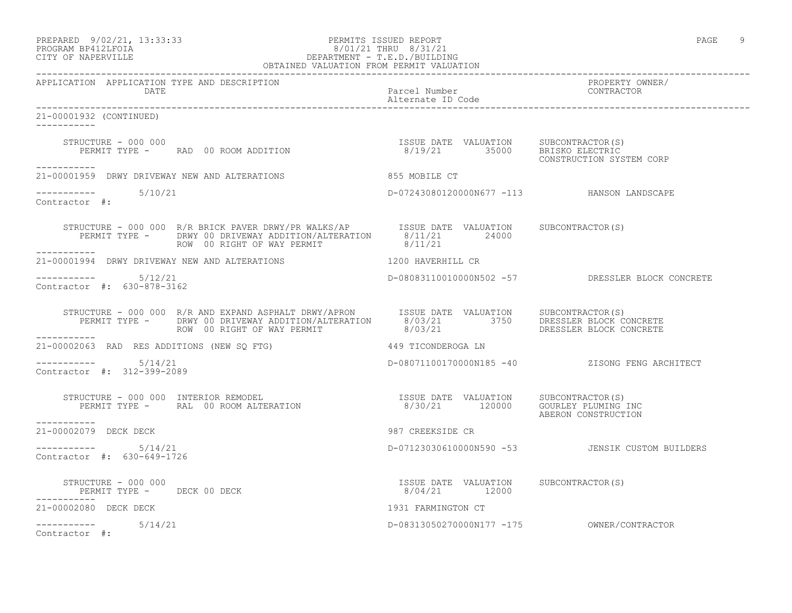|                    | PREPARED 9/02/21, 13:33:33 | PERMITS ISSUED REPORT | PAGE |  |
|--------------------|----------------------------|-----------------------|------|--|
| PROGRAM PRATOTROTA |                            | $0/01/01$ $m$         |      |  |

### PROGRAM BP412LFOIA 8/01/21 THRU 8/31/21 CITY OF NAPERVILLE DEPARTMENT - T.E.D./BUILDING OBTAINED VALUATION FROM PERMIT VALUATION

------------------------------------------------------------------------------------------------------------------------------------ APPLICATION APPLICATION TYPE AND DESCRIPTION PROPERTY OWNER/ Parcel Number<br>Alternate ID Code Alternate ID Code ------------------------------------------------------------------------------------------------------------------------------------ 21-00001932 (CONTINUED) ----------- STRUCTURE - 000 000 ISSUE DATE VALUATION SUBCONTRACTOR(S) PERMIT TYPE - RAD 00 ROOM ADDITION 8/19/21 35000 BRISKO ELECTRIC CONSTRUCTION SYSTEM CORP ----------- 21-00001959 DRWY DRIVEWAY NEW AND ALTERATIONS 855 MOBILE CT ----------- 5/10/21 D-07243080120000N677 -113 HANSON LANDSCAPE Contractor #: STRUCTURE - 000 000 R/R BRICK PAVER DRWY/PR WALKS/AP ISSUE DATE VALUATION SUBCONTRACTOR(S) PERMIT TYPE - DRWY 00 DRIVEWAY ADDITION/ALTERATION 8/11/21 24000 ROW 00 RIGHT OF WAY PERMIT 8/11/21 ----------- 21-00001994 DRWY DRIVEWAY NEW AND ALTERATIONS 1200 HAVERHILL CR \_\_\_\_\_\_\_\_\_\_\_ ----------- 5/12/21 D-08083110010000N502 -57 DRESSLER BLOCK CONCRETE Contractor #: 630-878-3162 STRUCTURE - 000 000 R/R AND EXPAND ASPHALT DRWY/APRON ISSUE DATE VALUATION SUBCONTRACTOR(S) PERMIT TYPE - DRWY 00 DRIVEWAY ADDITION/ALTERATION 8/03/21 3750 DRESSLER BLOCK CONCRETE ROW 00 RIGHT OF WAY PERMIT 8/03/21 DRESSLER BLOCK CONCRETE ----------- 21-00002063 RAD RES ADDITIONS (NEW SQ FTG) 449 TICONDEROGA LN  $--------- 5/14/21$ ----------- 5/14/21 D-08071100170000N185 -40 ZISONG FENG ARCHITECT Contractor #: 312-399-2089 STRUCTURE - 000 000 INTERIOR REMODEL ISSUE DATE VALUATION SUBCONTRACTOR(S) PERMIT TYPE - RAL 00 ROOM ALTERATION 8/30/21 120000 GOURLEY PLUMING INC ISSUE DATE VALUATION SUBCONTRACTOR(S)<br>8/30/21 120000 GOURLEY PLUMING INC ----------- 21-00002079 DECK DECK 987 CREEKSIDE CR \_\_\_\_\_\_\_\_\_\_\_ ----------- 5/14/21 D-07123030610000N590 -53 JENSIK CUSTOM BUILDERS Contractor #: 630-649-1726 STRUCTURE - 000 000 ISSUE DATE VALUATION SUBCONTRACTOR(S) PERMIT TYPE - DECK 00 DECK ----------- 21-00002080 DECK DECK 1931 FARMINGTON CT ----------- 5/14/21 D-08313050270000N177 -175 OWNER/CONTRACTOR Contractor #: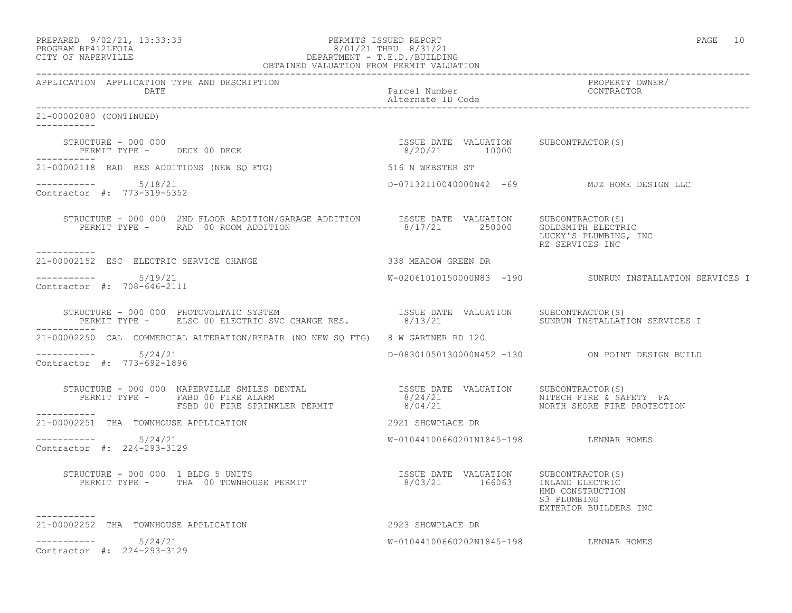| PREPARED             | $9/02/21$ , $13:33:33$ |  |
|----------------------|------------------------|--|
| גדמת זרונתם וגנסמספם |                        |  |

## PREPARED 9/02/21, 13:33:33 PERMITS ISSUED REPORT<br>PROGRAM BP412LFOIA PAGE 10<br>
8/01/21 THRU 8/31/21 PROGRAM BP412LFOIA  $8/01/21$  THRU  $8/31/21$ <br>CITY OF NAPERVILLE DEPARTMENT - T.E.D./BUILDII DEPARTMENT - T.E.D./BUILDING

| OBTAINED VALUATION FROM PERMIT VALUATION                    |                                                                                                                                                                                                                                   |                                        |                                                          |
|-------------------------------------------------------------|-----------------------------------------------------------------------------------------------------------------------------------------------------------------------------------------------------------------------------------|----------------------------------------|----------------------------------------------------------|
| APPLICATION APPLICATION TYPE AND DESCRIPTION<br><b>DATE</b> |                                                                                                                                                                                                                                   | Parcel Number<br>Alternate ID Code     | PROPERTY OWNER/<br>CONTRACTOR<br>CONTRACTOR              |
| 21-00002080 (CONTINUED)<br>------------                     |                                                                                                                                                                                                                                   |                                        |                                                          |
| -----------                                                 | $\begin{array}{cccccccccc} \texttt{STRUCTURE} & - & 000 & 000 & & & & & & & \\ \texttt{PERMIT TYPE} & - & & & & & & & & \\ \texttt{PERMIT TYPE} & - & & & & & & & \\ \end{array}$                                                 |                                        |                                                          |
|                                                             | 21-00002118 RAD RES ADDITIONS (NEW SQ FTG) 516 N WEBSTER ST                                                                                                                                                                       |                                        |                                                          |
| $--------- 5/18/21$<br>Contractor #: 773-319-5352           |                                                                                                                                                                                                                                   |                                        | D-07132110040000N42 -69 MJZ HOME DESIGN LLC              |
| -----------                                                 | STRUCTURE - 000 000 2ND FLOOR ADDITION/GARAGE ADDITION 1SSUE DATE VALUATION SUBCONTRACTOR(S)<br>PERMIT TYPE - RAD 00 ROOM ADDITION 8/17/21 250000 GOLDSMITH ELECTRIC                                                              |                                        | LUCKY'S PLUMBING, INC<br>RZ SERVICES INC                 |
| 21-00002152 ESC ELECTRIC SERVICE CHANGE                     |                                                                                                                                                                                                                                   | 338 MEADOW GREEN DR                    |                                                          |
| Contractor #: 708-646-2111                                  |                                                                                                                                                                                                                                   |                                        | W-02061010150000N83 -190 SUNRUN INSTALLATION SERVICES I  |
| ------------                                                | STRUCTURE - 000 000 PHOTOVOLTAIC SYSTEM                           ISSUE DATE VALUATION    SUBCONTRACTOR(S)<br>PERMIT TYPE -     ELSC 00 ELECTRIC SVC CHANGE RES.            8/13/21                 SUNRUN INSTALLATION SERVICES  |                                        |                                                          |
|                                                             | 21-00002250 CAL COMMERCIAL ALTERATION/REPAIR (NO NEW SO FTG) 8 W GARTNER RD 120                                                                                                                                                   |                                        |                                                          |
| $--------$ 5/24/21<br>Contractor #: 773-692-1896            |                                                                                                                                                                                                                                   |                                        | D-08301050130000N452 -130 ON POINT DESIGN BUILD          |
| ___________                                                 | STRUCTURE - 000 000 NAPERVILLE SMILES DENTAL                           ISSUE DATE VALUATION    SUBCONTRACTOR(S)<br>PERMIT TYPE -     FABD 00 FIRE ALARM                           8/24/21                      NITECH FIRE & SAFE |                                        |                                                          |
| 21-00002251 THA TOWNHOUSE APPLICATION                       |                                                                                                                                                                                                                                   | 2921 SHOWPLACE DR                      |                                                          |
| $--------- 5/24/21$<br>Contractor #: 224-293-3129           |                                                                                                                                                                                                                                   | W-01044100660201N1845-198 LENNAR HOMES |                                                          |
|                                                             | STRUCTURE - 000 000 1 BLDG 5 UNITS<br>PERMIT TYPE - THA 00 TOWNHOUSE PERMIT<br>PERMIT TYPE - THA 00 TOWNHOUSE PERMIT 16003/21 166063 INLAND ELECTRICY                                                                             |                                        | HMD CONSTRUCTION<br>S3 PLUMBING<br>EXTERIOR BUILDERS INC |
| -----------<br>21-00002252 THA TOWNHOUSE APPLICATION        | 2923 SHOWPLACE DR                                                                                                                                                                                                                 |                                        |                                                          |
| $--------- 5/24/21$<br>Contractor #: 224-293-3129           |                                                                                                                                                                                                                                   | W-01044100660202N1845-198 LENNAR HOMES |                                                          |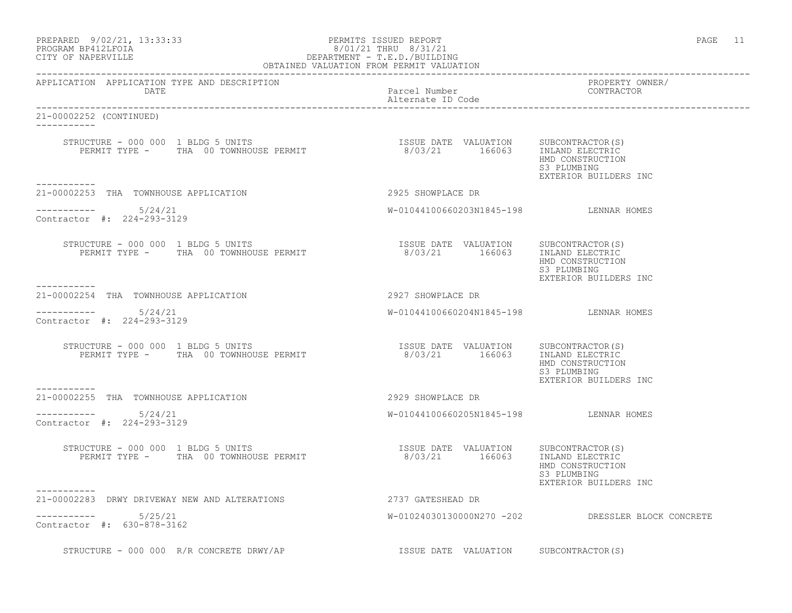| PREPARED | $9/02/21$ , $13:33:33$ |  |
|----------|------------------------|--|
|          | PROGRAM RP412LFOIA     |  |

## PERMITS ISSUED REPORT AND REPORT AND REPORT AND REPORT AND REPORT OF PAGE 11 PROGRAM BP412LFOIA  $8/01/21$  THRU  $8/31/21$ <br>CITY OF NAPERVILLE DEPARTMENT - T.E.D./BUILDII CITY OF NAPERVILLE DEPARTMENT - T.E.D./BUILDING

| OBTAINED VALUATION FROM PERMIT VALUATION                                                                                                                                                                                                                                    |                                        |                                                          |  |
|-----------------------------------------------------------------------------------------------------------------------------------------------------------------------------------------------------------------------------------------------------------------------------|----------------------------------------|----------------------------------------------------------|--|
| APPLICATION APPLICATION TYPE AND DESCRIPTION<br>DATE                                                                                                                                                                                                                        | Parcel Number<br>Alternate ID Code     | PROPERTY OWNER/<br>CONTRACTOR                            |  |
| 21-00002252 (CONTINUED)<br>------------                                                                                                                                                                                                                                     |                                        |                                                          |  |
| ___________                                                                                                                                                                                                                                                                 |                                        | HMD CONSTRUCTION<br>S3 PLUMBING<br>EXTERIOR BUILDERS INC |  |
| 21-00002253 THA TOWNHOUSE APPLICATION                                                                                                                                                                                                                                       | 2925 SHOWPLACE DR                      |                                                          |  |
| $--------- 5/24/21$<br>Contractor #: 224-293-3129                                                                                                                                                                                                                           | W-01044100660203N1845-198 LENNAR HOMES |                                                          |  |
| $\begin{tabular}{lcccccc} \texttt{STRUCTURE} & - & 000 & 000 & 1 & \texttt{BLDG} & 5 & \texttt{UNITS} & & & & & & & & \\ & & & & & & & & & & & & & \\ \texttt{PERMIT TYPE} & - & & \texttt{THA} & 00 & \texttt{TOWNHOUSE} & \texttt{PERMIT} & & & & & & & \\ \end{tabular}$ |                                        | HMD CONSTRUCTION<br>S3 PLUMBING<br>EXTERIOR BUILDERS INC |  |
| 21-00002254 THA TOWNHOUSE APPLICATION                                                                                                                                                                                                                                       | 2927 SHOWPLACE DR                      |                                                          |  |
| $--------- 5/24/21$<br>Contractor #: 224-293-3129                                                                                                                                                                                                                           | W-01044100660204N1845-198 LENNAR HOMES |                                                          |  |
| $\begin{tabular}{lcccccc} \texttt{STRUCTURE} & - & 000 & 000 & 1 & \texttt{BLDG} & 5 & \texttt{UNITS} & & & & & & & & \\ & & & & & & & & & & & & & \\ \texttt{PERMIT TYPE} & - & & \texttt{TRA} & 00 & \texttt{TOWNHOUSE} & \texttt{PERMIT} & & & & & & \\ \end{tabular}$   |                                        | HMD CONSTRUCTION<br>S3 PLUMBING<br>EXTERIOR BUILDERS INC |  |
| . _ _ _ _ _ _ _ _ _ _<br>21-00002255 THA TOWNHOUSE APPLICATION                                                                                                                                                                                                              | 2929 SHOWPLACE DR                      |                                                          |  |
| $--------- 5/24/21$<br>Contractor #: 224-293-3129                                                                                                                                                                                                                           | W-01044100660205N1845-198 LENNAR HOMES |                                                          |  |
| STRUCTURE – 000 000 1 BLDG 5 UNITS<br>PERMIT TYPE – THA 00 TOWNHOUSE PERMIT                          8/03/21       166063     INLAND ELECTRIC                                                                                                                               |                                        | HMD CONSTRUCTION<br>S3 PLUMBING<br>EXTERIOR BUILDERS INC |  |
| ----------<br>21-00002283 DRWY DRIVEWAY NEW AND ALTERATIONS                                                                                                                                                                                                                 | 2737 GATESHEAD DR                      |                                                          |  |
| -----------    5/25/21<br>Contractor #: 630-878-3162                                                                                                                                                                                                                        |                                        | W-01024030130000N270 -202 DRESSLER BLOCK CONCRETE        |  |
| STRUCTURE - 000 000 R/R CONCRETE DRWY/AP                                                                                                                                                                                                                                    | ISSUE DATE VALUATION SUBCONTRACTOR(S)  |                                                          |  |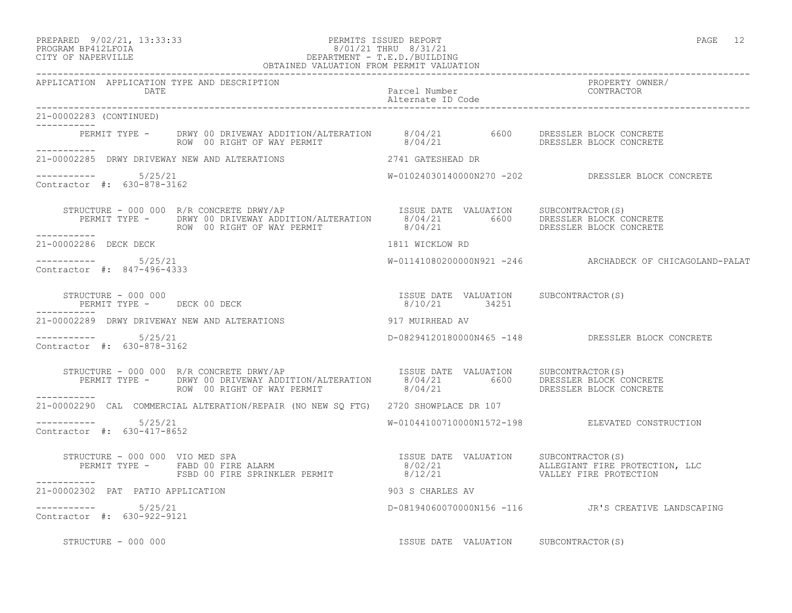### PREPARED 9/02/21, 13:33:33 PERMITS ISSUED REPORT PAGE 12 PROGRAM BP412LFOIA 8/01/21 THRU 8/31/21 CITY OF NAPERVILLE **EXECUTE A REPORT OF SECULIAR SERVILLE** DEPARTMENT - T.E.D./BUILDING

|                                                      | OBTAINED VALUATION FROM PERMIT VALUATION                                                                                                                   |                                       |                                                          |
|------------------------------------------------------|------------------------------------------------------------------------------------------------------------------------------------------------------------|---------------------------------------|----------------------------------------------------------|
| APPLICATION APPLICATION TYPE AND DESCRIPTION<br>DATE |                                                                                                                                                            | Parcel Number<br>Alternate ID Code    | PROPERTY OWNER/<br>CONTRACTOR                            |
| 21-00002283 (CONTINUED)                              |                                                                                                                                                            |                                       |                                                          |
|                                                      | PERMIT TYPE - DRWY 00 DRIVEWAY ADDITION/ALTERATION  8/04/21  6600 DRESSLER BLOCK CONCRETE<br>ROW 00 RIGHT OF WAY PERMIT  8/04/21  BORESSLER BLOCK CONCRETE |                                       |                                                          |
|                                                      |                                                                                                                                                            |                                       |                                                          |
| $--------- 5/25/21$<br>Contractor #: 630-878-3162    |                                                                                                                                                            |                                       | W-01024030140000N270 -202 DRESSLER BLOCK CONCRETE        |
|                                                      |                                                                                                                                                            |                                       |                                                          |
| 21-00002286 DECK DECK                                |                                                                                                                                                            | 1811 WICKLOW RD                       |                                                          |
| $--------- 5/25/21$<br>Contractor #: 847-496-4333    |                                                                                                                                                            |                                       | W-01141080200000N921 -246 ARCHADECK OF CHICAGOLAND-PALAT |
|                                                      | $\begin{array}{cccc} \texttt{STRUCTURE} & - & 000 & 000 \\ \texttt{PERMIT TYPE} & - & - & - \\ \texttt{PERMIT TYPE} & - & - \\ \end{array}$                |                                       |                                                          |
|                                                      |                                                                                                                                                            |                                       |                                                          |
| $--------- 5/25/21$<br>Contractor #: 630-878-3162    |                                                                                                                                                            |                                       | D-08294120180000N465 -148 DRESSLER BLOCK CONCRETE        |
|                                                      |                                                                                                                                                            |                                       |                                                          |
|                                                      | 21-00002290 CAL COMMERCIAL ALTERATION/REPAIR (NO NEW SQ FTG) 2720 SHOWPLACE DR 107                                                                         |                                       |                                                          |
| $--------- 5/25/21$<br>Contractor #: 630-417-8652    |                                                                                                                                                            |                                       | W-01044100710000N1572-198 ELEVATED CONSTRUCTION          |
|                                                      |                                                                                                                                                            |                                       |                                                          |
| ___________                                          | 21-00002302 PAT PATIO APPLICATION                                                                                                                          | 903 S CHARLES AV                      |                                                          |
| $--------- 5/25/21$<br>Contractor #: 630-922-9121    |                                                                                                                                                            |                                       | D-08194060070000N156 -116 JR'S CREATIVE LANDSCAPING      |
| STRUCTURE - 000 000                                  |                                                                                                                                                            | ISSUE DATE VALUATION SUBCONTRACTOR(S) |                                                          |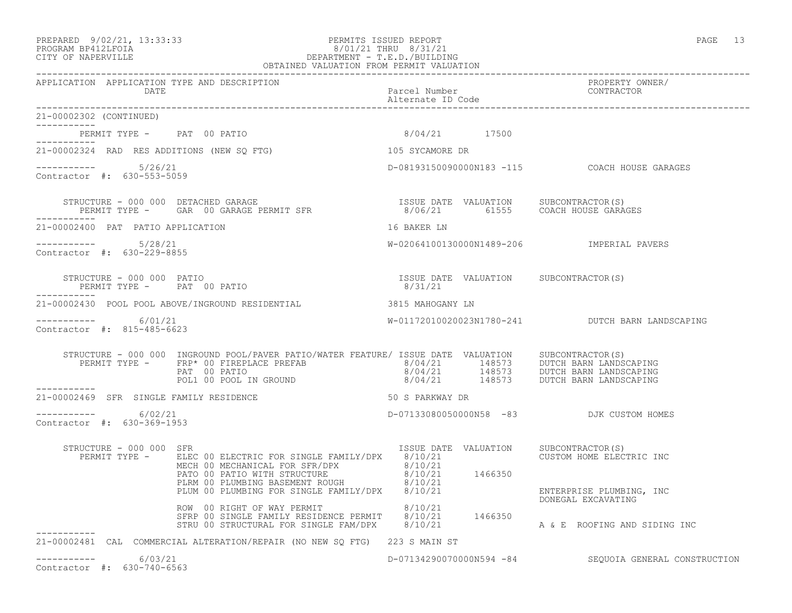## PREPARED 9/02/21, 13:33:33 PERMITS ISSUED REPORT PAGE 13 PROGRAM BP412LFOIA 8/01/21 THRU 8/31/21 CITY OF NAPERVILLE DEPARTMENT - T.E.D./BUILDING

|                                                      | OBTAINED VALUATION FROM PERMIT VALUATION                                                                                                                                                                                                                                                                                                                                                                                                                                                      |                                       |                                                       |  |
|------------------------------------------------------|-----------------------------------------------------------------------------------------------------------------------------------------------------------------------------------------------------------------------------------------------------------------------------------------------------------------------------------------------------------------------------------------------------------------------------------------------------------------------------------------------|---------------------------------------|-------------------------------------------------------|--|
| APPLICATION APPLICATION TYPE AND DESCRIPTION<br>DATE |                                                                                                                                                                                                                                                                                                                                                                                                                                                                                               | Parcel Number<br>Alternate ID Code    | PROPERTY OWNER/<br>CONTRACTOR                         |  |
| 21-00002302 (CONTINUED)<br>___________               |                                                                                                                                                                                                                                                                                                                                                                                                                                                                                               |                                       |                                                       |  |
|                                                      | PERMIT TYPE - PAT 00 PATIO 6/04/21 17500                                                                                                                                                                                                                                                                                                                                                                                                                                                      |                                       |                                                       |  |
| -----------                                          | 21-00002324 RAD RES ADDITIONS (NEW SQ FTG)                                                                                                                                                                                                                                                                                                                                                                                                                                                    | 105 SYCAMORE DR                       |                                                       |  |
| $--------- 5/26/21$<br>Contractor #: 630-553-5059    |                                                                                                                                                                                                                                                                                                                                                                                                                                                                                               |                                       | D-08193150090000N183 -115 COACH HOUSE GARAGES         |  |
|                                                      | STRUCTURE – 000 000 DETACHED GARAGE<br>PERMIT TYPE – GAR 00 GARAGE PERMIT SFR                   8/06/21       61555   COACH HOUSE GARAGES                                                                                                                                                                                                                                                                                                                                                     |                                       |                                                       |  |
| 21-00002400 PAT PATIO APPLICATION                    |                                                                                                                                                                                                                                                                                                                                                                                                                                                                                               | 16 BAKER LN                           |                                                       |  |
| ----------- 5/28/21<br>Contractor #: 630-229-8855    |                                                                                                                                                                                                                                                                                                                                                                                                                                                                                               |                                       |                                                       |  |
|                                                      | $\begin{array}{cccc} \texttt{STRUCTURE} & - & 000 & 000 & \texttt{PATIO} \\ \texttt{PERMIT TYPE} & - & \texttt{PAT} & 00 & \texttt{PATIO} \\ \end{array} \qquad \begin{array}{cccc} \texttt{TSSUE} & \texttt{DATE} & \texttt{VALUATION} & \texttt{SUBCONTRACTOR(S)} \\ \texttt{8/31/21} & \texttt{9/31/21} & \texttt{10/31/21} \\ \end{array}$                                                                                                                                                |                                       |                                                       |  |
|                                                      | 21-00002430 POOL POOL ABOVE/INGROUND RESIDENTIAL 3815 MAHOGANY LN                                                                                                                                                                                                                                                                                                                                                                                                                             |                                       |                                                       |  |
| ------------ 6/01/21<br>Contractor #: 815-485-6623   |                                                                                                                                                                                                                                                                                                                                                                                                                                                                                               |                                       | W-01172010020023N1780-241 DUTCH BARN LANDSCAPING      |  |
| -----------                                          | ${\small \begin{tabular}{l} \multicolumn{2}{c}{\textbf{STRUCTURE} \multicolumn{2}{c}{-0.00 000}} {\begin{tabular}{c} \multicolumn{2}{c}{\textbf{INGROUND POOL/PAVER PATIO/WATER FEATURE} \end{tabular} }} {\begin{tabular}{c} \multicolumn{2}{c}{\textbf{PRE}}\end{tabular} }} \begin{tabular}{c} \multicolumn{2}{c}{\textbf{S}}\end{tabular} } \begin{tabular}{c} \multicolumn{2}{c}{\textbf{S}}\end{tabular} } \begin{tabular}{c} \multicolumn{2}{c}{\textbf{S}}\end{tabular} } \begin{tab$ |                                       |                                                       |  |
| 21-00002469 SFR SINGLE FAMILY RESIDENCE              | 50 S PARKWAY DR                                                                                                                                                                                                                                                                                                                                                                                                                                                                               |                                       |                                                       |  |
| $--------- 6/02/21$<br>Contractor #: 630-369-1953    |                                                                                                                                                                                                                                                                                                                                                                                                                                                                                               |                                       | D-07133080050000N58 -83 DJK CUSTOM HOMES              |  |
| STRUCTURE - 000 000 SFR                              | PERMIT TYPE - ELEC 00 ELECTRIC FOR SINGLE FAMILY/DPX 8/10/21 CUSTOM HOME ELECTRIC INC                                                                                                                                                                                                                                                                                                                                                                                                         | ISSUE DATE VALUATION SUBCONTRACTOR(S) |                                                       |  |
|                                                      |                                                                                                                                                                                                                                                                                                                                                                                                                                                                                               |                                       |                                                       |  |
|                                                      | ELECH OU ELECTRIC FOR SINGLE FAMILY/DPX 8/10/21<br>MECH OO PATIO WITH STRUCTURE 8/10/21<br>PLUM OO PLUMBING BASEMENT ROUGH 8/10/21<br>PLUM OO PLUMBING FOR SINGLE FAMILY/DPX 8/10/21<br>ROW OO RIGHT OF WAY PERMIT 8/10/21<br>STRP OO SI                                                                                                                                                                                                                                                      |                                       |                                                       |  |
|                                                      | 21-00002481 CAL COMMERCIAL ALTERATION/REPAIR (NO NEW SO FTG) 223 S MAIN ST                                                                                                                                                                                                                                                                                                                                                                                                                    |                                       |                                                       |  |
| -----------    6/03/21<br>Contractor #: 630-740-6563 |                                                                                                                                                                                                                                                                                                                                                                                                                                                                                               |                                       | D-071342900700000594 -84 SEQUOIA GENERAL CONSTRUCTION |  |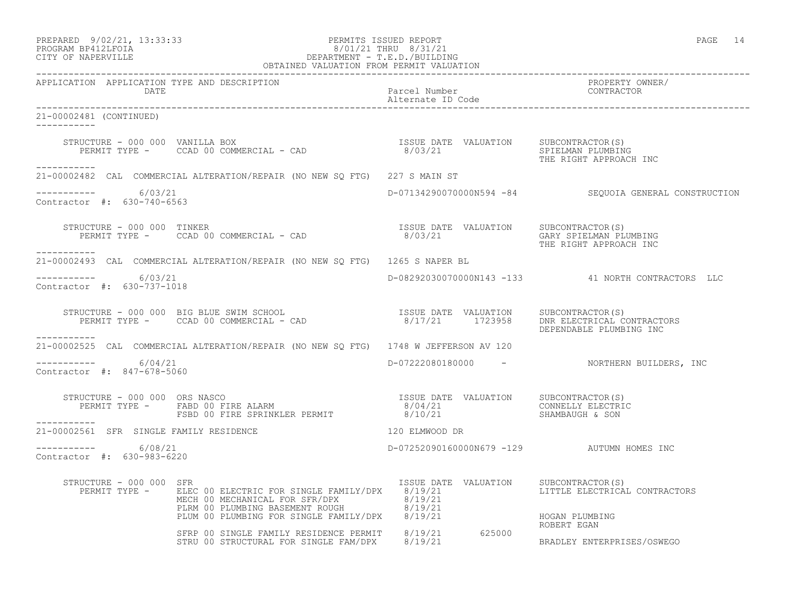| PREPARED            | $9/02/21$ , 13:33:33 |
|---------------------|----------------------|
| DDOCD3M DD410T DOT3 |                      |

## PREPARED 9/02/21, 13:33:33 PERMITS ISSUED REPORT<br>PROGRAM BP412LFOIA PROGRAM BP412LFOIA PROGRAM PROGRAM BP412LFOIA PROGRAM BP412LFOIA  $8/01/21$  THRU  $8/31/21$ <br>CITY OF NAPERVILLE DEPARTMENT - T.E.D./BUILDIN CITY OF NAPERVILLE DEPARTMENT - T.E.D./BUILDING

|                                                       | OBTAINED VALUATION FROM PERMIT VALUATION                                                                                                                                                                                                           |                                                     |                                                                                    |
|-------------------------------------------------------|----------------------------------------------------------------------------------------------------------------------------------------------------------------------------------------------------------------------------------------------------|-----------------------------------------------------|------------------------------------------------------------------------------------|
| APPLICATION APPLICATION TYPE AND DESCRIPTION<br>DATE  |                                                                                                                                                                                                                                                    | Parcel Number<br>Alternate ID Code                  | PROPERTY OWNER/<br>CONTRACTOR                                                      |
| 21-00002481 (CONTINUED)<br>___________                |                                                                                                                                                                                                                                                    |                                                     |                                                                                    |
|                                                       | STRUCTURE – 000 000 VANILLA BOX<br>PERMIT TYPE – CCAD 00 COMMERCIAL – CAD (2010) SERMIT TYPE – CCAD 00 COMMERCIAL – CAD                                                                                                                            |                                                     | THE RIGHT APPROACH INC                                                             |
| -----------                                           | 21-00002482 CAL COMMERCIAL ALTERATION/REPAIR (NO NEW SQ FTG) 227 S MAIN ST                                                                                                                                                                         |                                                     |                                                                                    |
| -----------     6/03/21<br>Contractor #: 630-740-6563 |                                                                                                                                                                                                                                                    |                                                     | D-07134290070000N594 -84 SEQUOIA GENERAL CONSTRUCTION                              |
| STRUCTURE - 000 000 TINKER<br>___________             |                                                                                                                                                                                                                                                    |                                                     | GARY SPIELMAN PLUMBING<br>THE RIGHT APPROACH INC                                   |
|                                                       | 21-00002493 CAL COMMERCIAL ALTERATION/REPAIR (NO NEW SQ FTG) 1265 S NAPER BL                                                                                                                                                                       |                                                     |                                                                                    |
| $--------- 6/03/21$<br>Contractor #: 630-737-1018     |                                                                                                                                                                                                                                                    |                                                     | D-08292030070000N143 -133 41 NORTH CONTRACTORS LLC                                 |
| ___________                                           | STRUCTURE - 000 000 BIG BLUE SWIM SCHOOL [ISSUE DATE VALUATION SUBCONTRACTOR(S)<br>PERMIT TYPE - CCAD 00 COMMERCIAL - CAD [201] [201] 2023958 [201] PERMIT TYPE - CCAD 00 COMMERCIAL - CAD                                                         |                                                     | DNR ELECTRICAL CONTRACTORS<br>DEPENDABLE PLUMBING INC                              |
|                                                       | 21-00002525 CAL COMMERCIAL ALTERATION/REPAIR (NO NEW SO FTG) 1748 W JEFFERSON AV 120                                                                                                                                                               |                                                     |                                                                                    |
| $--------- 6/04/21$<br>Contractor #: 847-678-5060     |                                                                                                                                                                                                                                                    |                                                     | D-07222080180000 - NORTHERN BUILDERS, INC                                          |
| STRUCTURE - 000 000 ORS NASCO<br>------------         |                                                                                                                                                                                                                                                    |                                                     | SHAMBAUGH & SON                                                                    |
| 21-00002561 SFR SINGLE FAMILY RESIDENCE               | 120 ELMWOOD DR                                                                                                                                                                                                                                     |                                                     |                                                                                    |
| $--------- 6/08/21$<br>Contractor #: 630-983-6220     |                                                                                                                                                                                                                                                    | D-07252090160000N679 -129 AUTUMN HOMES INC          |                                                                                    |
| STRUCTURE - 000 000 SFR<br>PERMIT TYPE -              | ELEC 00 ELECTRIC FOR SINGLE FAMILY/DPX 8/19/21<br>ELEC 00 ELECTRIC FOR SINGLE FATILIZION OF STR/DEN 8/19/21<br>MECH 00 MECHANICAL FOR SFR/DPX 8/19/21<br>PLRM 00 PLUMBING BASEMENT ROUGH 8/19/21<br>PLUM 00 PLUMBING FOR SINGLE FAMILY/DPX 8/19/21 | ISSUE DATE VALUATION<br>an an Aonaichte<br>Bailtean | SUBCONTRACTOR(S)<br>LITTLE ELECTRICAL CONTRACTORS<br>HOGAN PLUMBING<br>ROBERT EGAN |
|                                                       | SFRP 00 SINGLE FAMILY RESIDENCE PERMIT 8/19/21 625000<br>STRU 00 STRUCTURAL FOR SINGLE FAM/DPX 8/19/21                                                                                                                                             |                                                     | BRADLEY ENTERPRISES/OSWEGO                                                         |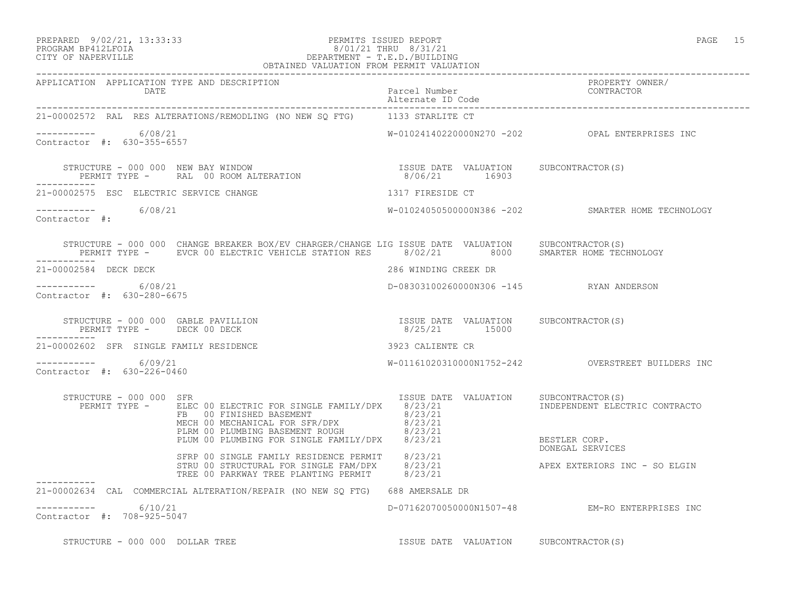#### PREPARED 9/02/21, 13:33:33 PERMITS ISSUED REPORT PAGE 15 PROGRAM BP412LFOIA 8/01/21 THRU 8/31/21 CITY OF NAPERVILLE DEPARTMENT - T.E.D./BUILDING OBTAINED VALUATION FROM PERMIT VALUATION

| APPLICATION APPLICATION TYPE AND DESCRIPTION<br>DATE                                                                                                                                                                                                                                                 |                                                        |                                                   |
|------------------------------------------------------------------------------------------------------------------------------------------------------------------------------------------------------------------------------------------------------------------------------------------------------|--------------------------------------------------------|---------------------------------------------------|
| 21-00002572 RAL RES ALTERATIONS/REMODLING (NO NEW SQ FTG) 1133 STARLITE CT                                                                                                                                                                                                                           |                                                        |                                                   |
| $--------- 6/08/21$<br>Contractor #: 630-355-6557                                                                                                                                                                                                                                                    |                                                        |                                                   |
| STRUCTURE - 000 000 NEW BAY WINDOW                                                                                                                                                                                                                                                                   |                                                        |                                                   |
| 21-00002575 ESC ELECTRIC SERVICE CHANGE<br>1317 FIRESIDE CT                                                                                                                                                                                                                                          |                                                        |                                                   |
| $--------- 6/08/21$<br>Contractor #:                                                                                                                                                                                                                                                                 |                                                        | W-01024050500000N386 -202 SMARTER HOME TECHNOLOGY |
| STRUCTURE - 000 000 CHANGE BREAKER BOX/EV CHARGER/CHANGE LIG ISSUE DATE VALUATION SUBCONTRACTOR(S)<br>PERMIT TYPE - EVCR 00 ELECTRIC VEHICLE STATION RES 8/02/21 8000 SMARTER HOME TECHNOLOGY<br>------------                                                                                        |                                                        |                                                   |
| 21-00002584 DECK DECK                                                                                                                                                                                                                                                                                | 286 WINDING CREEK DR                                   |                                                   |
| ----------- 6/08/21<br>Contractor #: 630-280-6675                                                                                                                                                                                                                                                    | D-08303100260000N306 -145 RYAN ANDERSON                |                                                   |
| STRUCTURE - 000 000 GABLE PAVILLION<br>PERMIT TYPE - DECK 00 DECK<br>------------                                                                                                                                                                                                                    | ISSUE DATE VALUATION SUBCONTRACTOR(S)<br>8/25/21 15000 |                                                   |
| 21-00002602 SFR SINGLE FAMILY RESIDENCE<br>3923 CALIENTE CR                                                                                                                                                                                                                                          |                                                        |                                                   |
| $--------- 6/09/21$<br>Contractor #: 630-226-0460                                                                                                                                                                                                                                                    |                                                        |                                                   |
| STRUCTURE - 000 000 SFR<br>PERMIT TYPE - ELEC 00 ELECTRIC FOR SINGLE FAMILY/DPX 8/23/21<br>FB 00 FINISHED BASEMENT<br>MECH 00 MECHANICAL FOR SFR/DPX 8/23/21<br>PLRM 00 PLUMBING BASEMENT ROUGH 8/23/21<br>PLKM OO PLOMBING BASEMENT ROOGH 6/23/21<br>PLUM 00 PLUMBING FOR SINGLE FAMILY/DPX 8/23/21 | ISSUE DATE VALUATION SUBCONTRACTOR(S)                  | INDEPENDENT ELECTRIC CONTRACTO<br>BESTLER CORP.   |
| SFRP 00 SINGLE FAMILY RESIDENCE PERMIT 8/23/21<br>STRU 00 STRUCTURAL FOR SINGLE FAM/DPX 8/23/21<br>TREE 00 PARKWAY TREE PLANTING PERMIT 8/23/21                                                                                                                                                      |                                                        | DONEGAL SERVICES<br>APEX EXTERIORS INC - SO ELGIN |
| ------------<br>21-00002634 CAL COMMERCIAL ALTERATION/REPAIR (NO NEW SO FTG) 688 AMERSALE DR                                                                                                                                                                                                         |                                                        |                                                   |
| $--------- 6/10/21$<br>Contractor #: 708-925-5047                                                                                                                                                                                                                                                    |                                                        | D-07162070050000N1507-48 EM-RO ENTERPRISES INC    |
| STRUCTURE - 000 000 DOLLAR TREE                                                                                                                                                                                                                                                                      | ISSUE DATE VALUATION SUBCONTRACTOR(S)                  |                                                   |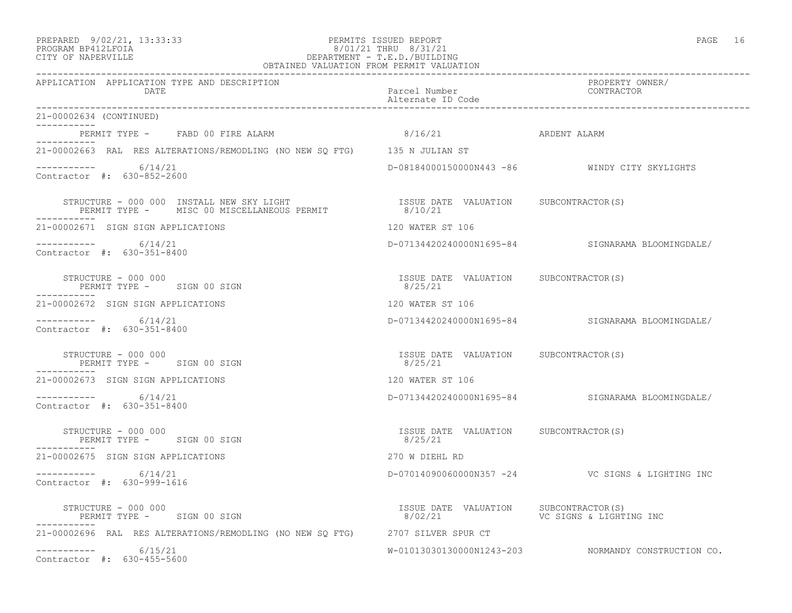#### PREPARED 9/02/21, 13:33:33 PERMITS ISSUED REPORT PAGE 16 PROGRAM BP412LFOIA 8/01/21 THRU 8/31/21 CITY OF NAPERVILLE DEPARTMENT - T.E.D./BUILDING OBTAINED VALUATION FROM PERMIT VALUATION

------------------------------------------------------------------------------------------------------------------------------------ APPLICATION APPLICATION TYPE AND DESCRIPTION PROPERTY OWNER/ DATE Parcel Number Contractor Contractor Contractor Parcel Number Alternate ID Code ------------------------------------------------------------------------------------------------------------------------------------ 21-00002634 (CONTINUED) ----------- PERMIT TYPE - FABD 00 FIRE ALARM  $8/16/21$  8 ARDENT ALARM ----------- 21-00002663 RAL RES ALTERATIONS/REMODLING (NO NEW SQ FTG) 135 N JULIAN ST  $--------- 6/14/21$ ----------- 6/14/21 D-08184000150000N443 -86 WINDY CITY SKYLIGHTS Contractor #: 630-852-2600 STRUCTURE - 000 000 INSTALL NEW SKY LIGHT ISSUE DATE VALUATION SUBCONTRACTOR(S) PERMIT TYPE - MISC 00 MISCELLANEOUS PERMIT 8/10/21 ----------- 21-00002671 SIGN SIGN APPLICATIONS 120 WATER ST 106 ----------- 6/14/21 D-07134420240000N1695-84 SIGNARAMA BLOOMINGDALE/ Contractor #: 630-351-8400 STRUCTURE - 000 000 ISSUE DATE VALUATION SUBCONTRACTOR(S) PERMIT TYPE - SIGN 00 SIGN ----------- 21-00002672 SIGN SIGN APPLICATIONS 120 WATER ST 106 ----------- 6/14/21 D-07134420240000N1695-84 SIGNARAMA BLOOMINGDALE/ Contractor #: 630-351-8400 STRUCTURE - 000 000 ISSUE DATE VALUATION SUBCONTRACTOR(S) PERMIT TYPE - SIGN 00 SIGN ----------- 21-00002673 SIGN SIGN APPLICATIONS 120 WATER ST 106 ----------- 6/14/21 D-07134420240000N1695-84 SIGNARAMA BLOOMINGDALE/ Contractor #: 630-351-8400 STRUCTURE - 000 000 ISSUE DATE VALUATION SUBCONTRACTOR(S) PERMIT TYPE - SIGN 00 SIGN ----------- 21-00002675 SIGN SIGN APPLICATIONS 270 W DIEHL RD ----------- 6/14/21 D-07014090060000N357 -24 VC SIGNS & LIGHTING INC Contractor #: 630-999-1616 STRUCTURE - 000 000<br>
STRUCTURE - 000 000<br>
PERMIT TYPE - SIGN 00 SIGN 61GHT - 1999 STRUCTURE - SIGN 00 SIGN 9766 STRUCTURE - 1999 STRUCTURE - 1999 STRUC PERMIT TYPE - SIGN 00 SIGN ----------- 21-00002696 RAL RES ALTERATIONS/REMODLING (NO NEW SQ FTG) 2707 SILVER SPUR CT ----------- 6/15/21 W-01013030130000N1243-203 NORMANDY CONSTRUCTION CO. Contractor #: 630-455-5600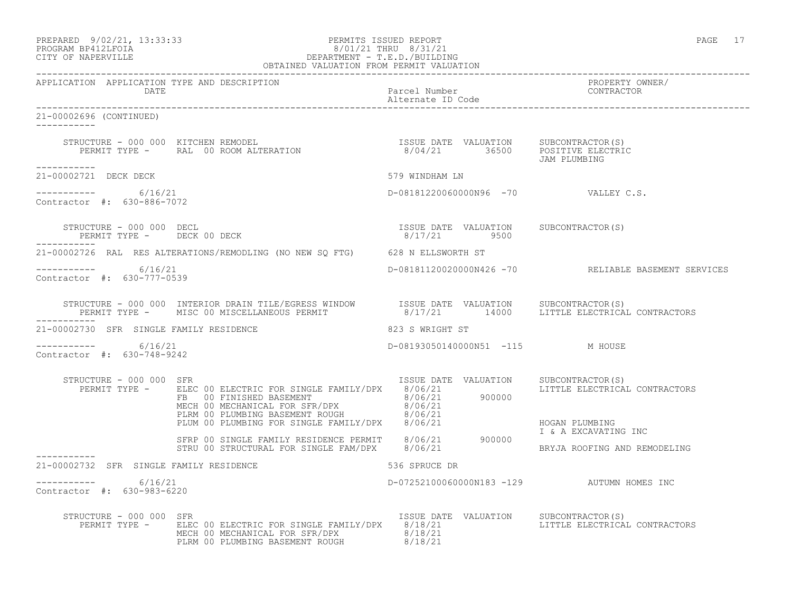| PREPARED           | $9/02/21$ , 13:33:33 |
|--------------------|----------------------|
| PROCRAM RP412LFOIA |                      |

## PERMITS ISSUED REPORT AND SECULIAR SERVICES AND REPORT AND REPORT OF PAGE 17 PROGRAM BP412LFOIA 8/01/21 THRU 8/31/21 CITY OF NAPERVILLE SAMPLE SERVICE SERVICE SERVICE SERVICE SERVICE SERVICE SERVICE SERVICE SERVICE SERVICE SERVICE SERVICE SERVICE SERVICE SERVICE SERVICE SERVICE SERVICE SERVICE SERV CITY OF NAPERVILLE DEPARTMENT - T.E.D./BUILDING

| OBTAINED VALUATION FROM PERMIT VALUATION             |                                                                                                                                                                                                                                                                                                                                                                          |                                                       |                                                     |
|------------------------------------------------------|--------------------------------------------------------------------------------------------------------------------------------------------------------------------------------------------------------------------------------------------------------------------------------------------------------------------------------------------------------------------------|-------------------------------------------------------|-----------------------------------------------------|
| APPLICATION APPLICATION TYPE AND DESCRIPTION<br>DATE |                                                                                                                                                                                                                                                                                                                                                                          | Parcel Number<br>Alternate ID Code                    | PROPERTY OWNER/<br>CONTRACTOR                       |
| 21-00002696 (CONTINUED)                              |                                                                                                                                                                                                                                                                                                                                                                          |                                                       |                                                     |
|                                                      |                                                                                                                                                                                                                                                                                                                                                                          |                                                       |                                                     |
| ___________<br>21-00002721 DECK DECK                 |                                                                                                                                                                                                                                                                                                                                                                          | 579 WINDHAM LN                                        |                                                     |
| $--------$ 6/16/21<br>Contractor #: 630-886-7072     |                                                                                                                                                                                                                                                                                                                                                                          | D-08181220060000N96 -70 VALLEY C.S.                   |                                                     |
| STRUCTURE - 000 000 DECL<br>------------             | STRUCTURE - 000 000 DECL<br>PERMIT TYPE - DECK 00 DECK                                                                                                                                                                                                                                                                                                                   | ISSUE DATE VALUATION SUBCONTRACTOR(S)<br>8/17/21 9500 |                                                     |
|                                                      | 21-00002726 RAL RES ALTERATIONS/REMODLING (NO NEW SQ FTG) 628 N ELLSWORTH ST                                                                                                                                                                                                                                                                                             |                                                       |                                                     |
| ----------- 6/16/21<br>Contractor #: 630-777-0539    |                                                                                                                                                                                                                                                                                                                                                                          |                                                       | D-08181120020000N426 -70 RELIABLE BASEMENT SERVICES |
| ------------                                         | $\begin{array}{cccc} \texttt{STRUCTURE} - 000 000 & \texttt{INTERIOR DRAIN TILE/EGRESS WINDOW} & \texttt{ISSUE DATE} & \texttt{VALUATION} & \texttt{SUBCONTRACTOR(S)} \\ \texttt{PERMIT TYPE -} & \texttt{MISC 00 MISCELLANEOUS PERMIT} & 8/17/21 & 14000 & \texttt{LITILE ELECTRICAL CONTRACTORS} \end{array}$                                                          |                                                       |                                                     |
| 21-00002730 SFR SINGLE FAMILY RESIDENCE              | 823 S WRIGHT ST                                                                                                                                                                                                                                                                                                                                                          |                                                       |                                                     |
| ----------- 6/16/21<br>Contractor #: 630-748-9242    |                                                                                                                                                                                                                                                                                                                                                                          | D-08193050140000N51 -115 M HOUSE                      |                                                     |
| STRUCTURE - 000 000 SFR                              | $\begin{tabular}{l c c c c c c} \texttt{RUCTURE} & 000 000 & SFR & 1830E & DATE & VALUATION & 30EUMINALION\\ \hline PERMIT TYPE & = & ELEC TO ELECTRIC OF SINGLE FAMILY/DFX & 8/06/21 & 900000\\ & FBE & 00 FINISHED BASEMENT & 8/06/21 & 900000\\ & MECH 00 MECHANICAL FOR SFR/DFX & 8/06/21 & 8/06/21 & 8/06/21\\ & FLEM 00 PLUMBING BASEMENT ROUGH & 8/06/21 & 8/06/$ | ISSUE DATE VALUATION SUBCONTRACTOR(S)                 | LITTLE ELECTRICAL CONTRACTORS                       |
|                                                      |                                                                                                                                                                                                                                                                                                                                                                          |                                                       |                                                     |
|                                                      |                                                                                                                                                                                                                                                                                                                                                                          |                                                       |                                                     |
| 21-00002732 SFR SINGLE FAMILY RESIDENCE              | 536 SPRUCE DR                                                                                                                                                                                                                                                                                                                                                            |                                                       |                                                     |
| $--------- 6/16/21$<br>Contractor #: 630-983-6220    |                                                                                                                                                                                                                                                                                                                                                                          |                                                       | D-07252100060000N183 -129 AUTUMN HOMES INC          |
| STRUCTURE - 000 000 SFR                              | PERMIT TYPE - ELEC 00 ELECTRIC FOR SINGLE FAMILY/DPX 8/18/21<br>MECH 00 MECHANICAL FOR SFR/DPX 8/18/21<br>PLRM 00 PLUMBING BASEMENT ROUGH 8/18/21                                                                                                                                                                                                                        | ISSUE DATE VALUATION SUBCONTRACTOR(S)                 | LITTLE ELECTRICAL CONTRACTORS                       |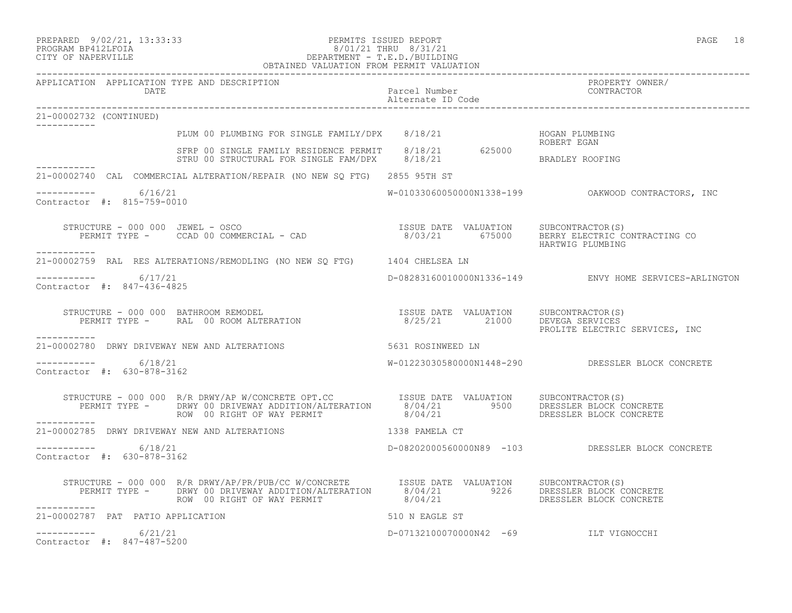#### PREPARED 9/02/21, 13:33:33 PERMITS ISSUED REPORT PAGE 18 PROGRAM BP412LFOIA 8/01/21 THRU 8/31/21 CITY OF NAPERVILLE DEPARTMENT - T.E.D./BUILDING OBTAINED VALUATION FROM PERMIT VALUATION

APPLICATION APPLICATION TYPE AND DESCRIPTION PROPERTY OWNER/ DATE Parcel Number CONTRACTOR

------------------------------------------------------------------------------------------------------------------------------------

 Alternate ID Code ------------------------------------------------------------------------------------------------------------------------------------ 21-00002732 (CONTINUED) ----------- PLUM 00 PLUMBING FOR SINGLE FAMILY/DPX 8/18/21 HOGAN PLUMBING ROBERT EGAN SFRP 00 SINGLE FAMILY RESIDENCE PERMIT 8/18/21 625000 STRU 00 STRUCTURAL FOR SINGLE FAM/DPX  $8/18/21$  BRADLEY ROOFING ----------- 21-00002740 CAL COMMERCIAL ALTERATION/REPAIR (NO NEW SQ FTG) 2855 95TH ST  $--------- 6/16/21$  $W-01033060050000N1338-199$  OAKWOOD CONTRACTORS, INC Contractor #: 815-759-0010 STRUCTURE - 000 000 JEWEL - OSCO ISSUE DATE VALUATION SUBCONTRACTOR(S) PERMIT TYPE - CCAD 00 COMMERCIAL - CAD 8/03/21 675000 BERRY ELECTRIC CONTRACTING CO HARTWIG PLUMBING ----------- 21-00002759 RAL RES ALTERATIONS/REMODLING (NO NEW SQ FTG) 1404 CHELSEA LN  $--------- 6/17/21$ D-08283160010000N1336-149 ENVY HOME SERVICES-ARLINGTON Contractor #: 847-436-4825 STRUCTURE - 000 000 BATHROOM REMODEL ISSUE DATE VALUATION SUBCONTRACTOR(S) PERMIT TYPE - RAL 00 ROOM ALTERATION 8/25/21 21000 DEVEGA SERVICES PROLITE ELECTRIC SERVICES, INC ----------- 21-00002780 DRWY DRIVEWAY NEW AND ALTERATIONS 6531 ROSINWEED LN  $--------- 6/18/21$ W-01223030580000N1448-290 DRESSLER BLOCK CONCRETE Contractor #: 630-878-3162 STRUCTURE - 000 000 R/R DRWY/AP W/CONCRETE OPT.CC ISSUE DATE VALUATION SUBCONTRACTOR(S) PERMIT TYPE - DRWY 00 DRIVEWAY ADDITION/ALTERATION 8/04/21 9500 DRESSLER BLOCK CONCRETE ROW 00 RIGHT OF WAY PERMIT 8/04/21 DRESSLER BLOCK CONCRETE ----------- 21-00002785 DRWY DRIVEWAY NEW AND ALTERATIONS 1338 PAMELA CT \_\_\_\_\_\_\_\_\_\_\_ ----------- 6/18/21 D-08202000560000N89 -103 DRESSLER BLOCK CONCRETE Contractor #: 630-878-3162 STRUCTURE - 000 000 R/R DRWY/AP/PR/PUB/CC W/CONCRETE ISSUE DATE VALUATION SUBCONTRACTOR(S) PERMIT TYPE - DRWY 00 DRIVEWAY ADDITION/ALTERATION 8/04/21 9226 DRESSLER BLOCK CONCRETE<br>ROW 00 RIGHT OF WAY PERMIT 8/04/21 DRESSLER BLOCK CONCRETE ROW 00 RIGHT OF WAY PERMIT ----------- 21-00002787 PAT PATIO APPLICATION 510 N EAGLE ST  $--------- 6/21/21$ ----------- 6/21/21 D-07132100070000N42 -69 ILT VIGNOCCHI

Contractor #: 847-487-5200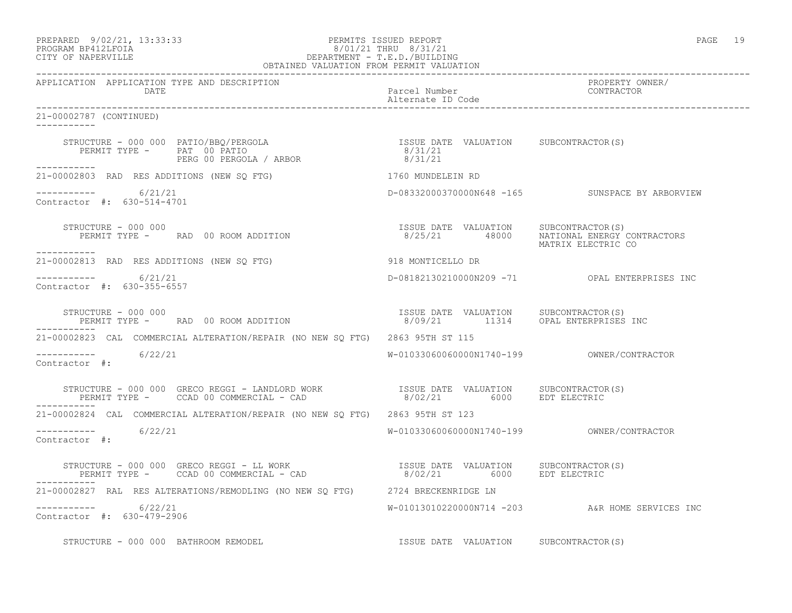PREPARED 9/02/21, 13:33:33 PERMITS ISSUED REPORT PAGE 19

# PROGRAM BP412LFOIA 8/01/21 THRU 8/31/21 CITY OF NAPERVILLE DEPARTMENT - T.E.D./BUILDING

| OBTAINED VALUATION FROM PERMIT VALUATION                                                                                                                                                                                          |                                        |                                                                 |
|-----------------------------------------------------------------------------------------------------------------------------------------------------------------------------------------------------------------------------------|----------------------------------------|-----------------------------------------------------------------|
| APPLICATION APPLICATION TYPE AND DESCRIPTION<br>DATE                                                                                                                                                                              | Parcel Number<br>Alternate ID Code     | PROPERTY OWNER/<br>CONTRACTOR                                   |
| 21-00002787 (CONTINUED)<br>-----------                                                                                                                                                                                            |                                        |                                                                 |
| STRUCTURE - 000 000 PATIO/BBQ/PERGOLA<br>PERMIT TYPE - PAT 00 PATIO<br>PERG 00 PERGOLA / ARBOR 1990/1991/21<br>PERG 00 PERGOLA / ARBOR 1990/1991/21                                                                               |                                        |                                                                 |
| ------------<br>21-00002803 RAD RES ADDITIONS (NEW SQ FTG) 5 1760 MUNDELEIN RD                                                                                                                                                    |                                        |                                                                 |
| -----------     6/21/21<br>Contractor #: 630-514-4701                                                                                                                                                                             |                                        | D-08332000370000N648 -165 SUNSPACE BY ARBORVIEW                 |
| STRUCTURE - 000 000<br>STRUCTURE - 000 000<br>PERMIT TYPE -      RAD  00 ROOM ADDITION<br>___________                                                                                                                             | ISSUE DATE VALUATION SUBCONTRACTOR (S) | 8/25/21 48000 NATIONAL ENERGY CONTRACTORS<br>MATRIX ELECTRIC CO |
| 21-00002813 RAD RES ADDITIONS (NEW SQ FTG) 918 MONTICELLO DR                                                                                                                                                                      |                                        |                                                                 |
| $--------$ 6/21/21<br>Contractor #: 630-355-6557                                                                                                                                                                                  |                                        | D-08182130210000N209 -71 OPAL ENTERPRISES INC                   |
| STRUCTURE - 000 000<br>PERMIT TYPE -       RAD  00 ROOM ADDITION                               8/09/21          11314      OPAL ENTERPRISES INC<br>STRUCTURE - 000 000                                                            |                                        |                                                                 |
| 21-00002823 CAL COMMERCIAL ALTERATION/REPAIR (NO NEW SQ FTG) 2863 95TH ST 115                                                                                                                                                     |                                        |                                                                 |
| -----------    6/22/21<br>Contractor #:                                                                                                                                                                                           |                                        |                                                                 |
| STRUCTURE - 000 000 GRECO REGGI - LANDLORD WORK                   ISSUE DATE VALUATION    SUBCONTRACTOR(S)<br>PERMIT TYPE -     CCAD 00 COMMERCIAL - CAD                          8/02/21          6000      EDT ELECTRIC         |                                        |                                                                 |
| 21-00002824 CAL COMMERCIAL ALTERATION/REPAIR (NO NEW SO FTG) 2863 95TH ST 123                                                                                                                                                     |                                        |                                                                 |
| -----------     6/22/21<br>Contractor #:                                                                                                                                                                                          |                                        |                                                                 |
| STRUCTURE – 000 000 GRECO REGGI – LL WORK                              ISSUE DATE VALUATION     SUBCONTRACTOR(S)<br>PERMIT TYPE –       CCAD 00 COMMERCIAL – CAD                           8/02/21          6000       EDT ELECTR |                                        |                                                                 |
| 21-00002827 RAL RES ALTERATIONS/REMODLING (NO NEW SQ FTG) 2724 BRECKENRIDGE LN                                                                                                                                                    |                                        |                                                                 |
| $--------- 6/22/21$<br>Contractor #: 630-479-2906                                                                                                                                                                                 |                                        | W-01013010220000N714 -203 A&R HOME SERVICES INC                 |
| STRUCTURE - 000 000 BATHROOM REMODEL                                                                                                                                                                                              | ISSUE DATE VALUATION SUBCONTRACTOR(S)  |                                                                 |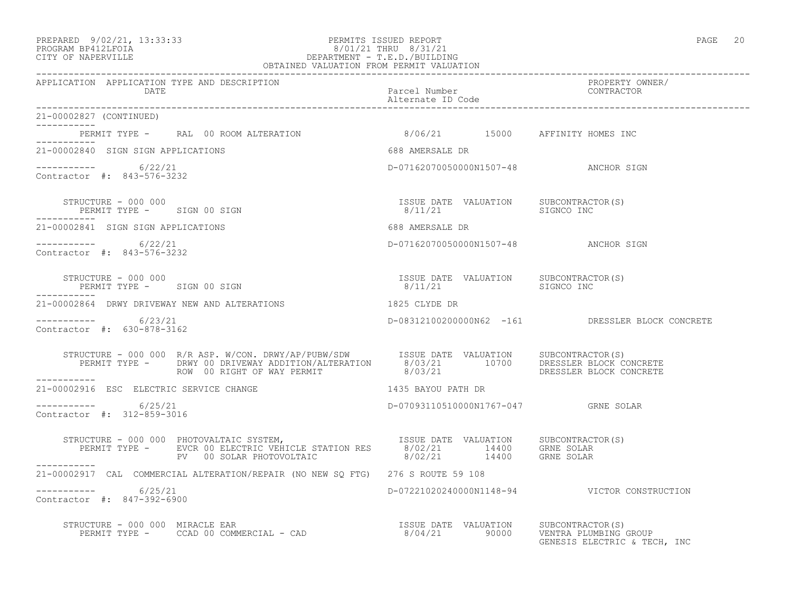#### PREPARED 9/02/21, 13:33:33 PERMITS ISSUED REPORT PAGE 20 PROGRAM BP412LFOIA 8/01/21 THRU 8/31/21 CITY OF NAPERVILLE DEPARTMENT - T.E.D./BUILDING OBTAINED VALUATION FROM PERMIT VALUATION

| APPLICATION APPLICATION TYPE AND DESCRIPTION                                                                                                                                                                       |                    |                    |                                                  |  |
|--------------------------------------------------------------------------------------------------------------------------------------------------------------------------------------------------------------------|--------------------|--------------------|--------------------------------------------------|--|
| 21-00002827 (CONTINUED)                                                                                                                                                                                            |                    |                    |                                                  |  |
| ___________<br>PERMIT TYPE - RAL 00 ROOM ALTERATION                                                                                                                                                                |                    |                    | 8/06/21 15000 AFFINITY HOMES INC                 |  |
| 21-00002840 SIGN SIGN APPLICATIONS                                                                                                                                                                                 |                    | 688 AMERSALE DR    |                                                  |  |
| ----------- 6/22/21<br>Contractor #: 843-576-3232                                                                                                                                                                  |                    |                    | D-07162070050000N1507-48 ANCHOR SIGN             |  |
| STRUCTURE - 000 000<br>PERMIT TYPE - SIGN 00 SIGN                                                                                                                                                                  |                    | 8/11/21 SIGNCO INC |                                                  |  |
| 21-00002841 SIGN SIGN APPLICATIONS                                                                                                                                                                                 |                    | 688 AMERSALE DR    |                                                  |  |
| $--------- 6/22/21$<br>Contractor #: 843-576-3232                                                                                                                                                                  |                    |                    | D-07162070050000N1507-48 ANCHOR SIGN             |  |
| STRUCTURE - 000 000<br>PERMIT TYPE - SIGN 00 SIGN                                                                                                                                                                  |                    | 8/11/21 SIGNCO INC | ISSUE DATE VALUATION SUBCONTRACTOR (S)           |  |
| 21-00002864 DRWY DRIVEWAY NEW AND ALTERATIONS 1825 CLYDE DR                                                                                                                                                        |                    |                    |                                                  |  |
| $--------- 6/23/21$<br>Contractor #: 630-878-3162                                                                                                                                                                  |                    |                    | D-08312100200000N62 -161 DRESSLER BLOCK CONCRETE |  |
| STRUCTURE - 000 000 R/R ASP. W/CON. DRWY/AP/PUBW/SDW ISSUE DATE VALUATION SUBCONTRACTOR(S)<br>PERMIT TYPE - DRWY 00 DRIVEWAY ADDITION/ALTERATION 8/03/21 10700 DRESSLER BLOCK CONCRETE<br>PERMIT ----------        |                    |                    |                                                  |  |
| 21-00002916 ESC ELECTRIC SERVICE CHANGE                                                                                                                                                                            | 1435 BAYOU PATH DR |                    |                                                  |  |
| $--------- 6/25/21$<br>Contractor #: 312-859-3016                                                                                                                                                                  |                    |                    | D-07093110510000N1767-047 GRNE SOLAR             |  |
| STRUCTURE - 000 000 PHOTOVALTAIC SYSTEM, TSSUE DATE VALUATION SUBCONTRACTOR(S)<br>PERMIT TYPE - EVCR 00 ELECTRIC VEHICLE STATION RES 8/02/21 14400 GRNE SOLAR<br>PV 00 SOLAR PHOTOVOLTAIC 8/02/21 14400 GRNE SOLAR |                    |                    |                                                  |  |
| ----------<br>21-00002917 CAL COMMERCIAL ALTERATION/REPAIR (NO NEW SQ FTG) 276 S ROUTE 59 108                                                                                                                      |                    |                    |                                                  |  |
| $-$ ---------- 6/25/21<br>Contractor #: 847-392-6900                                                                                                                                                               |                    |                    | D-07221020240000N1148-94  VICTOR CONSTRUCTION    |  |
| STRUCTURE – 000 000 MIRACLE EAR<br>PERMIT TYPE – CCAD 00 COMMERCIAL – CAD 10 COMMERCIAL – CAD 10 SOBOL 21 90000 VENTRA PLUMBING GROUP<br>GENESIS ELECTRIC & TECH,                                                  |                    |                    | GENESIS ELECTRIC & TECH, INC                     |  |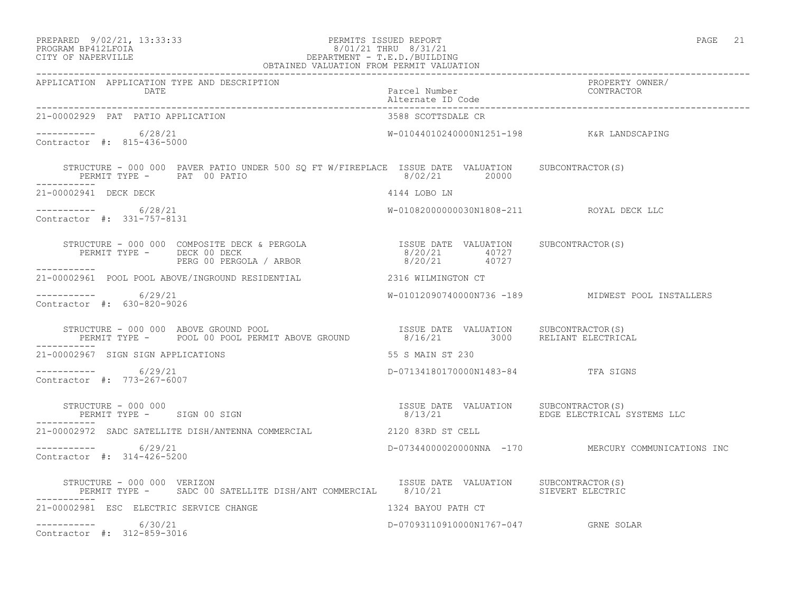#### PREPARED 9/02/21, 13:33:33 PERMITS ISSUED REPORT PAGE 21 PROGRAM BP412LFOIA 8/01/21 THRU 8/31/21 CITY OF NAPERVILLE DEPARTMENT - T.E.D./BUILDING OBTAINED VALUATION FROM PERMIT VALUATION

------------------------------------------------------------------------------------------------------------------------------------ APPLICATION APPLICATION TYPE AND DESCRIPTION<br>DATE barcel Number Parcel Number (CONTRACTOR Parcel Number<br>Alternate ID Code Alternate ID Code ------------------------------------------------------------------------------------------------------------------------------------ 21-00002929 PAT PATIO APPLICATION  $--------- 6/28/21$ W-01044010240000N1251-198 K&R LANDSCAPING Contractor #: 815-436-5000 STRUCTURE - 000 000 PAVER PATIO UNDER 500 SQ FT W/FIREPLACE ISSUE DATE VALUATION SUBCONTRACTOR(S)<br>PERMIT TYPE - PAT 00 PATIO PERMIT TYPE - PAT 00 PATIO ----------- 21-00002941 DECK DECK **ALCORY 121-00002941 DECK** 21-00002941 DECK ----------- 6/28/21 W-01082000000030N1808-211 ROYAL DECK LLC Contractor #: 331-757-8131 STRUCTURE - 000 000 COMPOSITE DECK & PERGOLA ISSUE DATE VALUATION SUBCONTRACTOR(S) PERMIT TYPE - DECK 00 DECK 8/20/21 40727 PERG 00 PERGOLA / ARBOR 8/20/21 40727 ----------- 21-00002961 POOL POOL ABOVE/INGROUND RESIDENTIAL 2316 WILMINGTON CT \_\_\_\_\_\_\_\_\_\_\_ ----------- 6/29/21 W-01012090740000N736 -189 MIDWEST POOL INSTALLERS Contractor #: 630-820-9026 STRUCTURE - 000 000 ABOVE GROUND POOL ISSUE DATE VALUATION SUBCONTRACTOR(S) PERMIT TYPE - POOL 00 POOL PERMIT ABOVE GROUND 8/16/21 3000 RELIANT ELECTRICAL ----------- 21-00002967 SIGN SIGN APPLICATIONS 55 S MAIN ST 230 ----------- 6/29/21 D-07134180170000N1483-84 TFA SIGNS Contractor #: 773-267-6007 STRUCTURE - 000 000 ISSUE DATE VALUATION SUBCONTRACTOR(S) PERMIT TYPE - SIGN 00 SIGN 875TEMS ELECTRICAL SYSTEMS LLC ----------- 21-00002972 SADC SATELLITE DISH/ANTENNA COMMERCIAL 2120 83RD ST CELL ----------- 6/29/21 D-07344000020000NNA -170 MERCURY COMMUNICATIONS INC Contractor #: 314-426-5200 STRUCTURE - 000 000 VERIZON ISSUE DATE VALUATION SUBCONTRACTOR(S) PERMIT TYPE - SADC 00 SATELLITE DISH/ANT COMMERCIAL 8/10/21 ----------- 21-00002981 ESC ELECTRIC SERVICE CHANGE 1324 BAYOU PATH CT ----------- 6/30/21 D-07093110910000N1767-047 GRNE SOLAR Contractor #: 312-859-3016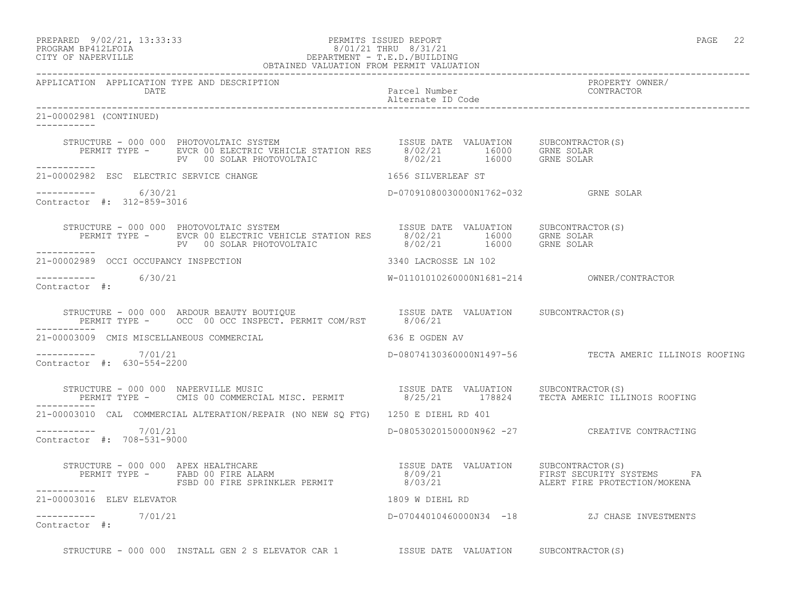PREPARED 9/02/21, 13:33:33 PERMITS ISSUED REPORT PAGE 22

## PROGRAM BP412LFOIA 8/01/21 THRU 8/31/21 CITY OF NAPERVILLE DEPARTMENT - T.E.D./BUILDING

|                                                        | OBTAINED VALUATION FROM PERMIT VALUATION                                                                                                                                                                                     |                                      |                                                        |
|--------------------------------------------------------|------------------------------------------------------------------------------------------------------------------------------------------------------------------------------------------------------------------------------|--------------------------------------|--------------------------------------------------------|
| APPLICATION APPLICATION TYPE AND DESCRIPTION<br>DATE   |                                                                                                                                                                                                                              | Parcel Number<br>Alternate ID Code   | PROPERTY OWNER/<br>CONTRACTOR                          |
| 21-00002981 (CONTINUED)<br>-----------                 |                                                                                                                                                                                                                              |                                      |                                                        |
|                                                        | STRUCTURE - 000 000 PHOTOVOLTAIC SYSTEM [ISSUE DATE VALUATION SUBCONTRACTOR(S)<br>PERMIT TYPE - EVCR 00 ELECTRIC VEHICLE STATION RES [8/02/21 16000 GRNE SOLAR<br>PV 00 SOLAR PHOTOVOLTAIC 18/02/21 16000 GRNE SOLAR         |                                      |                                                        |
| -----------<br>21-00002982 ESC ELECTRIC SERVICE CHANGE |                                                                                                                                                                                                                              | 1656 SILVERLEAF ST                   |                                                        |
| -----------     6/30/21<br>Contractor #: 312-859-3016  |                                                                                                                                                                                                                              | D-07091080030000N1762-032 GRNE SOLAR |                                                        |
| -----------                                            | STRUCTURE - 000 000 PHOTOVOLTAIC SYSTEM TSSUE DATE VALUATION SUBCONTRACTOR(S)<br>PERMIT TYPE - EVCR 00 ELECTRIC VEHICLE STATION RES 8/02/21 16000 GRNE SOLAR<br>PV 00 SOLAR PHOTOVOLTAIC 8/02/21 16000 GRNE SOLAR            |                                      |                                                        |
|                                                        | 21-00002989 OCCI OCCUPANCY INSPECTION 3340 LACROSSE LN 102                                                                                                                                                                   |                                      |                                                        |
| ----------- 6/30/21<br>Contractor #:                   |                                                                                                                                                                                                                              |                                      |                                                        |
|                                                        | STRUCTURE – 000 000 ARDOUR BEAUTY BOUTIQUE TSSUE DATE VALUATION SUBCONTRACTOR(S)                                                                                                                                             |                                      |                                                        |
|                                                        | 21-00003009 CMIS MISCELLANEOUS COMMERCIAL                                                                                                                                                                                    | 636 E OGDEN AV                       |                                                        |
| $--------- 7/01/21$<br>Contractor #: 630-554-2200      |                                                                                                                                                                                                                              |                                      | D-08074130360000N1497-56 TECTA AMERIC ILLINOIS ROOFING |
|                                                        | STRUCTURE - 000 000 NAPERVILLE MUSIC<br>PERMIT TYPE - CMIS 00 COMMERCIAL MISC. PERMIT                 8/25/21     178824     TECTA AMERIC ILLINOIS ROOFING                                                                   |                                      |                                                        |
|                                                        | 21-00003010 CAL COMMERCIAL ALTERATION/REPAIR (NO NEW SQ FTG) 1250 E DIEHL RD 401                                                                                                                                             |                                      |                                                        |
| ----------- 7/01/21<br>Contractor #: 708-531-9000      |                                                                                                                                                                                                                              |                                      | D-08053020150000N962 -27 CREATIVE CONTRACTING          |
| ------------                                           | STRUCTURE - 000 000 APEX HEALTHCARE<br>PERMIT TYPE - FABD 00 FIRE ALARM                                   8/09/21                 FIRST SECURITY SYSTEMS                 FABD 00 FIRE ALARM<br>FSBD 00 FIRE SPRINKLER PERMIT |                                      |                                                        |
| 21-00003016 ELEV ELEVATOR                              |                                                                                                                                                                                                                              | 1809 W DIEHL RD                      |                                                        |
| ----------- 7/01/21<br>Contractor #:                   |                                                                                                                                                                                                                              |                                      | D-07044010460000N34 -18 ZJ CHASE INVESTMENTS           |

STRUCTURE - 000 000 INSTALL GEN 2 S ELEVATOR CAR 1 **ISSUE DATE VALUATION** SUBCONTRACTOR(S)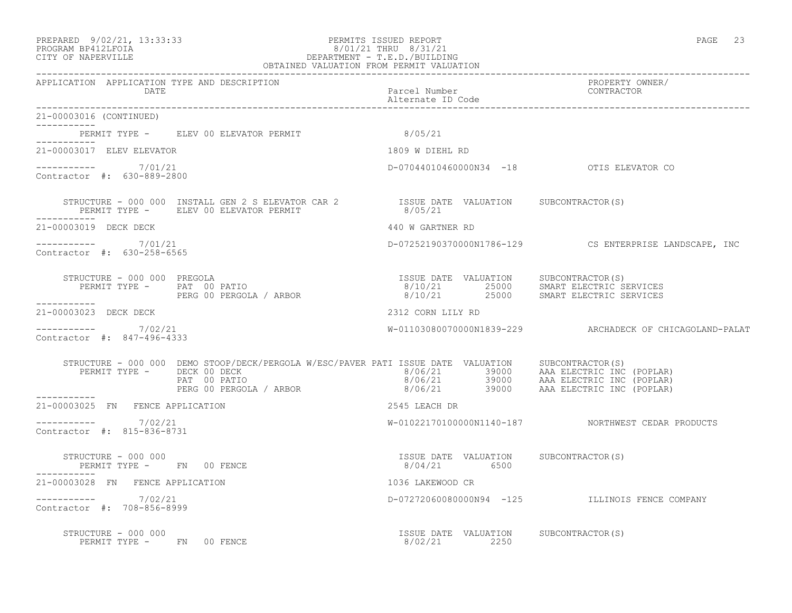#### PREPARED 9/02/21, 13:33:33 PERMITS ISSUED REPORT PAGE 23 PROGRAM BP412LFOIA 8/01/21 THRU 8/31/21 CITY OF NAPERVILLE DEPARTMENT - T.E.D./BUILDING OBTAINED VALUATION FROM PERMIT VALUATION

------------------------------------------------------------------------------------------------------------------------------------

| APPLICATION APPLICATION TYPE AND DESCRIPTION<br>DATE                                                                                                                                                                                                                                                                                                                                                                                                        | Parcel Number<br>Alternate ID Code                                                                                              | PROPERTY OWNER/<br>CONTRACTOR                            |
|-------------------------------------------------------------------------------------------------------------------------------------------------------------------------------------------------------------------------------------------------------------------------------------------------------------------------------------------------------------------------------------------------------------------------------------------------------------|---------------------------------------------------------------------------------------------------------------------------------|----------------------------------------------------------|
| 21-00003016 (CONTINUED)<br>------------                                                                                                                                                                                                                                                                                                                                                                                                                     |                                                                                                                                 |                                                          |
| PERMIT TYPE - ELEV 00 ELEVATOR PERMIT 6/05/21                                                                                                                                                                                                                                                                                                                                                                                                               |                                                                                                                                 |                                                          |
| 21-00003017 ELEV ELEVATOR                                                                                                                                                                                                                                                                                                                                                                                                                                   | 1809 W DIEHL RD                                                                                                                 |                                                          |
| ---------- 7/01/21<br>Contractor #: 630-889-2800                                                                                                                                                                                                                                                                                                                                                                                                            | D-07044010460000N34 -18 OTIS ELEVATOR CO                                                                                        |                                                          |
| $\begin{array}{cccccc} \texttt{STRUCTURE} & - & 000 & 000 & \texttt{INSTALL GEN} & 2 & \texttt{ELEVATOR CAR} & 2 & & & \\ \texttt{PERMIT TYPE} & - & & \texttt{ELEV} & 00 & \texttt{ELEVATOR PERMIT} & & & \\ \end{array}$                                                                                                                                                                                                                                  |                                                                                                                                 |                                                          |
| 21-00003019 DECK DECK                                                                                                                                                                                                                                                                                                                                                                                                                                       | 440 W GARTNER RD                                                                                                                |                                                          |
| $--------- 7/01/21$<br>Contractor #: 630-258-6565                                                                                                                                                                                                                                                                                                                                                                                                           |                                                                                                                                 | D-07252190370000N1786-129 CS ENTERPRISE LANDSCAPE, INC   |
| PERMIT TYPE - PAT 00 PATIO<br>STRUCTURE - 000 000 PREGOLA<br>PERG 00 PERGOLA / ARBOR<br>------------                                                                                                                                                                                                                                                                                                                                                        | ISSUE DATE VALUATION SUBCONTRACTOR(S)<br>8/10/21   25000   SMART ELECTRIC SERVICES<br>8/10/21   25000   SMART ELECTRIC SERVICES |                                                          |
| 21-00003023 DECK DECK                                                                                                                                                                                                                                                                                                                                                                                                                                       | 2312 CORN LILY RD                                                                                                               |                                                          |
| ----------     7/02/21<br>Contractor #: 847-496-4333                                                                                                                                                                                                                                                                                                                                                                                                        |                                                                                                                                 | W-01103080070000N1839-229 ARCHADECK OF CHICAGOLAND-PALAT |
| ${\small \begin{tabular}{lcccccc} \texttt{STRUCTURE} & 000 000 & DEMO \texttt{STOOP/DECK/PERGOLA} & W/ESC/PAVER \texttt{PATH} & \texttt{ISSUE} & \texttt{DATE} & \texttt{VALUATION} & \texttt{SUBCONTRACTOR(S)} & \texttt{SUECONTRACTOR(S)} & \texttt{PERT} & \texttt{PART} & \texttt{SUE} & \texttt{PART} & \texttt{SUSC} & \texttt{PART} & \texttt{SUSC} & \texttt{PART} & \texttt{SUSC} & \texttt{PART} & \texttt{SUSC} & \texttt{PART} & \texttt{SUSC}$ |                                                                                                                                 |                                                          |
| 21-00003025 FN FENCE APPLICATION                                                                                                                                                                                                                                                                                                                                                                                                                            | 2545 LEACH DR                                                                                                                   |                                                          |
| $--------- 7/02/21$<br>Contractor #: 815-836-8731                                                                                                                                                                                                                                                                                                                                                                                                           |                                                                                                                                 | W-01022170100000N1140-187 NORTHWEST CEDAR PRODUCTS       |
| STRUCTURE - 000 000<br>PERMIT TYPE - FN 00 FENCE<br>------------                                                                                                                                                                                                                                                                                                                                                                                            | ISSUE DATE VALUATION SUBCONTRACTOR(S)<br>8/04/21 6500                                                                           |                                                          |
| 21-00003028 FN FENCE APPLICATION                                                                                                                                                                                                                                                                                                                                                                                                                            | 1036 LAKEWOOD CR                                                                                                                |                                                          |
| 7/02/21<br>Contractor #: 708-856-8999                                                                                                                                                                                                                                                                                                                                                                                                                       |                                                                                                                                 | D-072720600800000N94 -125 ILLINOIS FENCE COMPANY         |
| STRUCTURE - 000 000<br>PERMIT TYPE - FN 00 FENCE                                                                                                                                                                                                                                                                                                                                                                                                            | ISSUE DATE VALUATION SUBCONTRACTOR(S)<br>8/02/21 2250                                                                           |                                                          |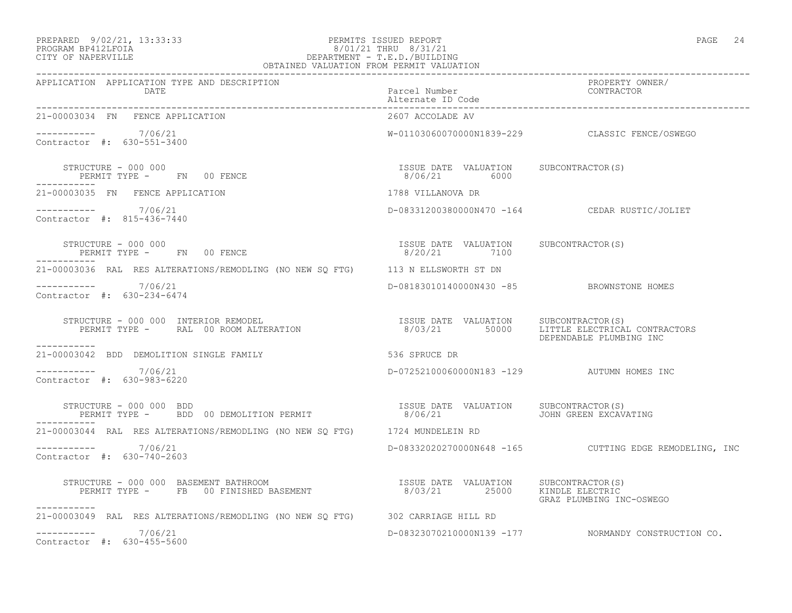#### PREPARED 9/02/21, 13:33:33 PERMITS ISSUED REPORT<br>PROGRAM BP412LFOIA PAGE 24 PROGRAM BP412LFOIA 8/01/21 THRU 8/31/21 DEPARTMENT - T.E.D./BUILDING OBTAINED VALUATION FROM PERMIT VALUATION

| APPLICATION APPLICATION TYPE AND DESCRIPTION<br>DATE                                                                                                                                      | Parcel Number                                          | PROPERTY OWNER/<br>CONTRACTOR                          |
|-------------------------------------------------------------------------------------------------------------------------------------------------------------------------------------------|--------------------------------------------------------|--------------------------------------------------------|
| 21-00003034 FN FENCE APPLICATION                                                                                                                                                          | 2607 ACCOLADE AV                                       |                                                        |
| ----------- 7/06/21<br>Contractor #: 630-551-3400                                                                                                                                         |                                                        | W-01103060070000N1839-229 CLASSIC FENCE/OSWEGO         |
| STRUCTURE - 000 000<br>PERMIT TYPE - FN 00 FENCE                                                                                                                                          | ISSUE DATE VALUATION SUBCONTRACTOR (S)<br>8/06/21 6000 |                                                        |
| 21-00003035 FN FENCE APPLICATION                                                                                                                                                          | 1788 VILLANOVA DR                                      |                                                        |
| $--------- 7/06/21$<br>Contractor #: 815-436-7440                                                                                                                                         |                                                        | D-08331200380000N470 -164 CEDAR RUSTIC/JOLIET          |
| STRUCTURE - 000 000<br>PERMIT TYPE - FN 00 FENCE                                                                                                                                          | ISSUE DATE VALUATION SUBCONTRACTOR (S)<br>8/20/21 7100 |                                                        |
| 21-00003036 RAL RES ALTERATIONS/REMODLING (NO NEW SQ FTG) 113 N ELLSWORTH ST DN                                                                                                           |                                                        |                                                        |
| $--------- 7/06/21$<br>Contractor #: 630-234-6474                                                                                                                                         | D-08183010140000N430 -85 BROWNSTONE HOMES              |                                                        |
| STRUCTURE – 000 000 INTERIOR REMODEL (S)<br>PERMIT TYPE –      RAL 00 ROOM ALTERATION                              8/03/21         50000     LITTLE ELECTRICAL CONTRACTORS<br>----------- |                                                        | DEPENDABLE PLUMBING INC                                |
| 21-00003042 BDD DEMOLITION SINGLE FAMILY                                                                                                                                                  | 536 SPRUCE DR                                          |                                                        |
| $--------- 7/06/21$<br>Contractor #: 630-983-6220                                                                                                                                         | D-07252100060000N183 -129 AUTUMN HOMES INC             |                                                        |
| STRUCTURE - 000 000 BDD<br>PERMIT TYPE - BDD 00 DEMOLITION PERMIT                                                                                                                         | ISSUE DATE VALUATION SUBCONTRACTOR (S)<br>8/06/21      | JOHN GREEN EXCAVATING                                  |
| 21-00003044 RAL RES ALTERATIONS/REMODLING (NO NEW SQ FTG) 1724 MUNDELEIN RD                                                                                                               |                                                        |                                                        |
| $--------- 7/06/21$<br>Contractor #: 630-740-2603                                                                                                                                         |                                                        | D-08332020270000N648 -165 CUTTING EDGE REMODELING, INC |
| -----------                                                                                                                                                                               |                                                        | GRAZ PLUMBING INC-OSWEGO                               |
| 21-00003049 RAL RES ALTERATIONS/REMODLING (NO NEW SQ FTG) 302 CARRIAGE HILL RD                                                                                                            |                                                        |                                                        |
| $--------- 7/06/21$<br>Contractor #: 630-455-5600                                                                                                                                         |                                                        | D-08323070210000N139 -177 NORMANDY CONSTRUCTION CO.    |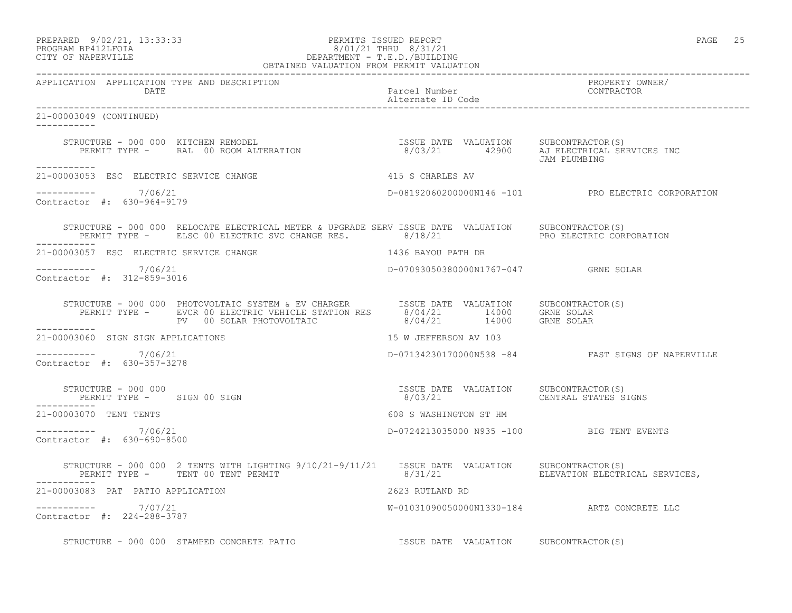| PREPARED |                    | $9/02/21$ , 13:33:33 |
|----------|--------------------|----------------------|
|          | PROCRAM RP412LFOIA |                      |

## PERMITS ISSUED REPORT AND SECULIAR SERVICES AND REPORT AND REPORT OF A SERVICES AND REPORT OF A SERVICE SERVICE SERVICE SERVICES AND REPORT OF A SERVICE SERVICE SERVICE SERVICE SERVICES AND REPORT OF A SERVICE SERVICE SERV PROGRAM BP412LFOIA 8/01/21 THRU 8/31/21 CITY OF NAPERVILLE CITY OF NAPERVILLE DEPARTMENT - T.E.D./BUILDING

| OBTAINED VALUATION FROM PERMIT VALUATION               |                                                                                                                                                                                                                                                                                                                                                  |                                           |                                                    |
|--------------------------------------------------------|--------------------------------------------------------------------------------------------------------------------------------------------------------------------------------------------------------------------------------------------------------------------------------------------------------------------------------------------------|-------------------------------------------|----------------------------------------------------|
| APPLICATION APPLICATION TYPE AND DESCRIPTION<br>DATE   |                                                                                                                                                                                                                                                                                                                                                  | Parcel Number<br>Alternate ID Code        | PROPERTY OWNER/<br>CONTRACTOR                      |
| 21-00003049 (CONTINUED)                                |                                                                                                                                                                                                                                                                                                                                                  |                                           |                                                    |
|                                                        | STRUCTURE - 000 000 KITCHEN REMODEL<br>PERMIT TYPE - RAL 00 ROOM ALTERATION 1990 1990 1990 ALTERATION PERMIT TYPE - RAL 00 ROOM ALTERATION                                                                                                                                                                                                       |                                           | JAM PLUMBING                                       |
| -----------<br>21-00003053 ESC ELECTRIC SERVICE CHANGE |                                                                                                                                                                                                                                                                                                                                                  | 415 S CHARLES AV                          |                                                    |
| $--------- 7/06/21$<br>Contractor #: 630-964-9179      |                                                                                                                                                                                                                                                                                                                                                  |                                           | D-08192060200000N146 -101 PRO ELECTRIC CORPORATION |
|                                                        | STRUCTURE - 000 000 RELOCATE ELECTRICAL METER & UPGRADE SERV ISSUE DATE VALUATION SUBCONTRACTOR(S)<br>PERMIT TYPE - ELSC 00 ELECTRIC SVC CHANGE RES. 8/18/21 PRO ELECTRIC CORPORATION                                                                                                                                                            |                                           |                                                    |
| 21-00003057 ESC ELECTRIC SERVICE CHANGE                |                                                                                                                                                                                                                                                                                                                                                  | 1436 BAYOU PATH DR                        |                                                    |
| ----------- 7/06/21<br>Contractor #: 312-859-3016      |                                                                                                                                                                                                                                                                                                                                                  | D-07093050380000N1767-047 GRNE SOLAR      |                                                    |
| ___________                                            | STRUCTURE - 000 000 PHOTOVOLTAIC SYSTEM & EV CHARGER<br>PERMIT TYPE - EVCR 00 ELECTRIC VEHICLE STATION RES $\begin{array}{c} 8/04/21 \\ 8/04/21 \\ -14000 \\ -14000 \\ \end{array}$ GRNE SOLAR<br>PV 00 SOLAR PHOTOVOLTAIC<br>214000 GRNE SOLAR                                                                                                  |                                           |                                                    |
|                                                        | 21-00003060 SIGN SIGN APPLICATIONS                                                                                                                                                                                                                                                                                                               | 15 W JEFFERSON AV 103                     |                                                    |
| ----------- 7/06/21<br>Contractor #: 630-357-3278      |                                                                                                                                                                                                                                                                                                                                                  |                                           | D-07134230170000N538 -84 FAST SIGNS OF NAPERVILLE  |
| ------------                                           |                                                                                                                                                                                                                                                                                                                                                  |                                           |                                                    |
| 21-00003070 TENT TENTS                                 |                                                                                                                                                                                                                                                                                                                                                  | 608 S WASHINGTON ST HM                    |                                                    |
| ----------- 7/06/21<br>Contractor #: 630-690-8500      |                                                                                                                                                                                                                                                                                                                                                  | D-0724213035000 N935 -100 BIG TENT EVENTS |                                                    |
|                                                        | $\begin{tabular}{lllllll} \texttt{STRUCTURE} & - & 000 & 000 & 2 \texttt{ TENTS WITH LIGHTING } 9/10/21 - 9/11/21 & & \texttt{ISSUE} \texttt{DATE} & \texttt{VALUATION} & \texttt{SUBCONTRACTOR(S)}\\ & & \texttt{PERMIT TYPE} & - & \texttt{TENT 00 TENT PERMIT & & \\ & & & 8/31/21 & & \\ \end{tabular}$<br>PERMIT TYPE - TENT 00 TENT PERMIT |                                           |                                                    |
| 21-00003083 PAT PATIO APPLICATION                      |                                                                                                                                                                                                                                                                                                                                                  | 2623 RUTLAND RD                           |                                                    |
| $--------- 7/07/21$<br>Contractor #: 224-288-3787      |                                                                                                                                                                                                                                                                                                                                                  |                                           | W-01031090050000N1330-184 ARTZ CONCRETE LLC        |
|                                                        | STRUCTURE - 000 000 STAMPED CONCRETE PATIO<br>$\begin{array}{ccc} & & \\ \text{ISSUE} & \text{DATE} & \text{VALUATION} & \text{SUBCONTRACTOR (S)} \end{array}$                                                                                                                                                                                   |                                           |                                                    |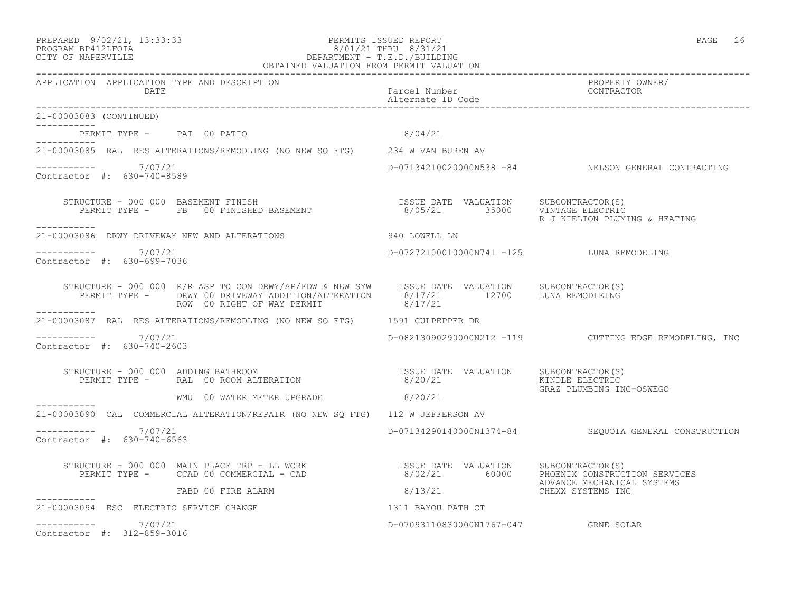#### PREPARED 9/02/21, 13:33:33 PERMITS ISSUED REPORT PAGE 26 PROGRAM BP412LFOIA 8/01/21 THRU 8/31/21 CITY OF NAPERVILLE DEPARTMENT - T.E.D./BUILDING OBTAINED VALUATION FROM PERMIT VALUATION

------------------------------------------------------------------------------------------------------------------------------------ APPLICATION APPLICATION TYPE AND DESCRIPTION PROPERTY OWNER/ DATE Parcel Number Parcel Number<br>
Reference of the Parcel Number<br>
Parcel Number Parcel Number Alternate ID Code ------------------------------------------------------------------------------------------------------------------------------------ 21-00003083 (CONTINUED) ----------- PERMIT TYPE - PAT 00 PATIO 8/04/21 ----------- 21-00003085 RAL RES ALTERATIONS/REMODLING (NO NEW SQ FTG) 234 W VAN BUREN AV ----------- 7/07/21 D-07134210020000N538 -84 NELSON GENERAL CONTRACTING Contractor #: 630-740-8589 STRUCTURE - 000 000 BASEMENT FINISH ISSUE DATE VALUATION SUBCONTRACTOR(S) PERMIT TYPE - FB 00 FINISHED BASEMENT 8/05/21 35000 VINTAGE ELECTRIC R J KIELION PLUMING & HEATING ----------- 21-00003086 DRWY DRIVEWAY NEW AND ALTERATIONS 940 LOWELL LN \_\_\_\_\_\_\_\_\_\_\_ ----------- 7/07/21 D-07272100010000N741 -125 LUNA REMODELING Contractor #: 630-699-7036 STRUCTURE - 000 000 R/R ASP TO CON DRWY/AP/FDW & NEW SYW ISSUE DATE VALUATION SUBCONTRACTOR(S) PERMIT TYPE - DRWY 00 DRIVEWAY ADDITION/ALTERATION 8/17/21 12700 LUNA REMODLEING ROW 00 RIGHT OF WAY PERMIT 8/17/21 ----------- 21-00003087 RAL RES ALTERATIONS/REMODLING (NO NEW SQ FTG) 1591 CULPEPPER DR  $--------- 7/07/21$ D-08213090290000N212 -119 CUTTING EDGE REMODELING, INC Contractor #: 630-740-2603 STRUCTURE - 000 000 ADDING BATHROOM ISSUE DATE VALUATION SUBCONTRACTOR(S) PERMIT TYPE - RAL 00 ROOM ALTERATION 6/20/21 KINDLE ELECTRIC GRAZ PLUMBING INC-OSWEGO WMU 00 WATER METER UPGRADE 8/20/21 ----------- 21-00003090 CAL COMMERCIAL ALTERATION/REPAIR (NO NEW SQ FTG) 112 W JEFFERSON AV ---------------------- 7/07/21 D-07134290140000N1374-84 SEQUOIA GENERAL CONSTRUCTION Contractor #: 630-740-6563 STRUCTURE - 000 000 MAIN PLACE TRP - LL WORK ISSUE DATE VALUATION SUBCONTRACTOR(S) PERMIT TYPE - CCAD 00 COMMERCIAL - CAD 8/02/21 60000 PHOENIX CONSTRUCTION SERVICES ADVANCE MECHANICAL SYSTEMS  $8/13/21$ ----------- 21-00003094 ESC ELECTRIC SERVICE CHANGE 1311 BAYOU PATH CT

 $--------- 7/07/21$ D-07093110830000N1767-047 GRNE SOLAR Contractor #: 312-859-3016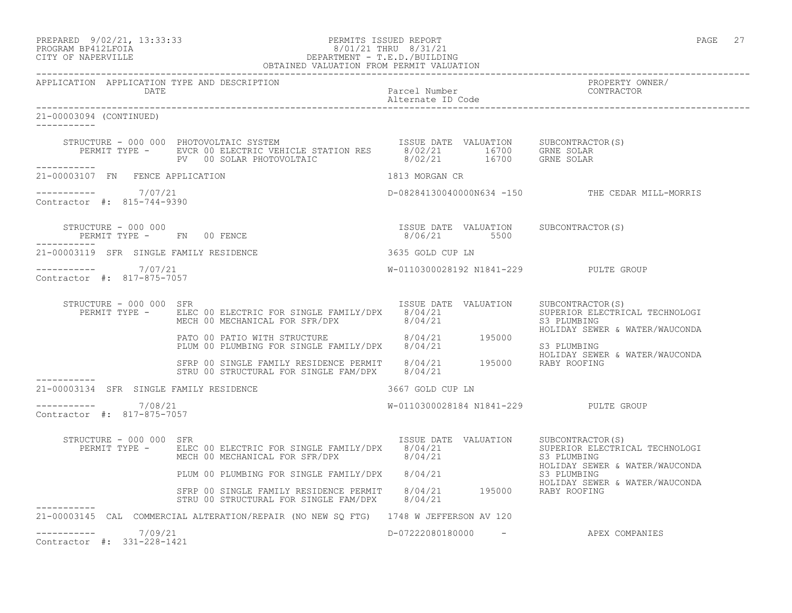PREPARED 9/02/21, 13:33:33 PERMITS ISSUED REPORT PAGE 27

-----------

-----------

-----------

-----------

## PROGRAM BP412LFOIA 8/01/21 THRU 8/31/21 CITY OF NAPERVILLE DEPARTMENT - T.E.D./BUILDING

 OBTAINED VALUATION FROM PERMIT VALUATION ------------------------------------------------------------------------------------------------------------------------------------ APPLICATION APPLICATION TYPE AND DESCRIPTION PROPERTY OWNER/ Parcel Number Alternate ID Code ------------------------------------------------------------------------------------------------------------------------------------ 21-00003094 (CONTINUED) STRUCTURE - 000 000 PHOTOVOLTAIC SYSTEM ISSUE DATE VALUATION SUBCONTRACTOR(S) PERMIT TYPE - EVCR 00 ELECTRIC VEHICLE STATION RES 8/02/21 16700 GRNE SOLAR PV 00 SOLAR PHOTOVOLTAIC 8/02/21 16700 GRNE SOLAR 21-00003107 FN FENCE APPLICATION 1813 MORGAN CR  $--------- 7/07/21$ ----------- 7/07/21 D-08284130040000N634 -150 THE CEDAR MILL-MORRIS Contractor #: 815-744-9390 STRUCTURE - 000 000 ISSUE DATE VALUATION SUBCONTRACTOR(S) PERMIT TYPE - FN 00 FENCE 21-00003119 SFR SINGLE FAMILY RESIDENCE 3635 GOLD CUP LN ----------- 7/07/21 W-0110300028192 N1841-229 PULTE GROUP Contractor #: 817-875-7057 STRUCTURE - 000 000 SFR ISSUE DATE VALUATION SUBCONTRACTOR(S) PERMIT TYPE - ELEC 00 ELECTRIC FOR SINGLE FAMILY/DPX 8/04/21 SUPERIOR ELECTRICAL TECHNOLOGI MECH 00 MECHANICAL FOR SFR/DPX 8/04/21 S3 PLUMBING HOLIDAY SEWER & WATER/WAUCONDA PATO 00 PATIO WITH STRUCTURE  $8/04/21$  195000 PLUM 00 PLUMBING FOR SINGLE FAMILY/DPX 8/04/21 S3 PLUMBING HOLIDAY SEWER & WATER/WAUCONDA SFRP 00 SINGLE FAMILY RESIDENCE PERMIT 8/04/21 195000 RABY ROOFING STRU 00 STRUCTURAL FOR SINGLE FAM/DPX 8/04/21 21-00003134 SFR SINGLE FAMILY RESIDENCE 3667 GOLD CUP LN  $--------- 7/08/21$ W-0110300028184 N1841-229 PULTE GROUP

Contractor #: 817-875-7057

| STRUCTURE - 000 000<br>PERMIT TYPE -  | <b>SFR</b><br>ELEC 00 ELECTRIC FOR SINGLE FAMILY/DPX<br>MECH 00 MECHANICAL FOR SFR/DPX | VALUATION<br>ISSUE DATE<br>8/04/21<br>8/04/21 | SUBCONTRACTOR (S)<br>SUPERIOR ELECTRICAL TECHNOLOGI<br>S3 PLUMBING<br>HOLIDAY SEWER & WATER/WAUCONDA |
|---------------------------------------|----------------------------------------------------------------------------------------|-----------------------------------------------|------------------------------------------------------------------------------------------------------|
|                                       | PLUM 00 PLUMBING FOR SINGLE FAMILY/DPX                                                 | 8/04/21                                       | S3 PLUMBING<br>HOLIDAY SEWER & WATER/WAUCONDA                                                        |
|                                       | SFRP 00 SINGLE FAMILY RESIDENCE PERMIT<br>STRU 00 STRUCTURAL FOR SINGLE FAM/DPX        | 8/04/21<br>195000<br>8/04/21                  | RABY ROOFING                                                                                         |
|                                       | 21-00003145 CAL COMMERCIAL ALTERATION/REPAIR (NO NEW SQ FTG) 1748 W JEFFERSON AV 120   |                                               |                                                                                                      |
| 7/09/21<br>Contractor #: 331-228-1421 |                                                                                        | D-07222080180000<br>$\qquad \qquad -$         | APEX COMPANIES                                                                                       |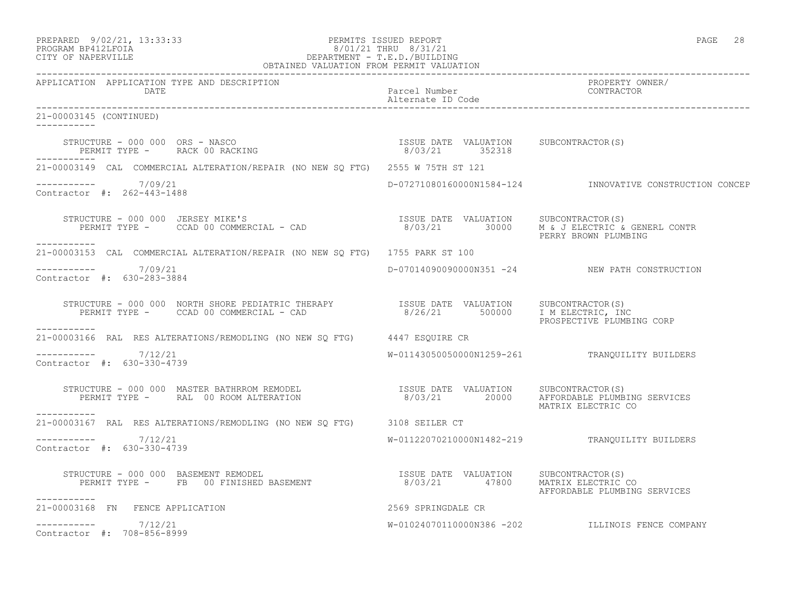| PREPARED            | 9/02/21, 13:33:33 |  |
|---------------------|-------------------|--|
| DDACDAM BDA12T FATA |                   |  |

## PERMITS ISSUED REPORT PAGE 28 PROGRAM BP412LFOIA 8/01/21 THRU 8/31/21 CITY OF NAPERVILLE CITY OF NAPERVILLE DEPARTMENT - T.E.D./BUILDING

| OBTAINED VALUATION FROM PERMIT VALUATION                                                                                                                                                                                                                                                                                                                                      |                                    |                                                          |  |
|-------------------------------------------------------------------------------------------------------------------------------------------------------------------------------------------------------------------------------------------------------------------------------------------------------------------------------------------------------------------------------|------------------------------------|----------------------------------------------------------|--|
| APPLICATION APPLICATION TYPE AND DESCRIPTION                                                                                                                                                                                                                                                                                                                                  |                                    | PROPERTY OWNER/<br>CONTRACTOR                            |  |
| 21-00003145 (CONTINUED)<br>------------                                                                                                                                                                                                                                                                                                                                       |                                    |                                                          |  |
| $\begin{array}{cccc} \texttt{STRUCTURE} & - & 000 & 000 & \texttt{ORS} & - & \texttt{NASCO} \\ \texttt{PERMIT TYPE} & - & \texttt{RACK 00 RACKING} & \texttt{SINRATION} & \texttt{S} / 03 / 21 & 352318 \\ \end{array}$                                                                                                                                                       |                                    |                                                          |  |
| 21-00003149 CAL COMMERCIAL ALTERATION/REPAIR (NO NEW SO FTG) 2555 W 75TH ST 121                                                                                                                                                                                                                                                                                               |                                    |                                                          |  |
| $--------- 7/09/21$<br>Contractor #: 262-443-1488                                                                                                                                                                                                                                                                                                                             |                                    | D-07271080160000N1584-124 INNOVATIVE CONSTRUCTION CONCEP |  |
| STRUCTURE - 000 000 JERSEY MIKE'S<br>PERMIT TYPE - CCAD 00 COMMERCIAL - CAD<br>ERMIT TYPE - CCAD 00 COMMERCIAL - CAD<br>ERMIT TYPE - CCAD 00 COMMERCIAL - CAD<br>-----------                                                                                                                                                                                                  |                                    | PERRY BROWN PLUMBING                                     |  |
| 21-00003153 CAL COMMERCIAL ALTERATION/REPAIR (NO NEW SQ FTG) 1755 PARK ST 100                                                                                                                                                                                                                                                                                                 |                                    |                                                          |  |
| $--------- 7/09/21$<br>Contractor #: 630-283-3884                                                                                                                                                                                                                                                                                                                             |                                    | D-07014090090000N351 -24 NEW PATH CONSTRUCTION           |  |
| $\begin{tabular}{lclclclcl} \texttt{STRUCTURE} & - & 000 & 000 & \texttt{NORTH SHORE PEDIARTIC THERAPY} & & & & & \texttt{ISSUE DATE} & \texttt{VALUATION} & & \texttt{SUBCONTRACTOR(S)} \\ \texttt{PERMIT TYPE} & - & \texttt{CCAD 00 COMMERCIAL} & - & \texttt{CAD} & & & & \texttt{8/26/21} & & \texttt{500000} & \texttt{I M ELECTRIC, INC} \end{tabular}$<br>----------- |                                    | PROSPECTIVE PLUMBING CORP                                |  |
| 21-00003166 RAL RES ALTERATIONS/REMODLING (NO NEW SQ FTG) 4447 ESQUIRE CR                                                                                                                                                                                                                                                                                                     |                                    |                                                          |  |
| -----------     7/12/21<br>Contractor #: 630-330-4739                                                                                                                                                                                                                                                                                                                         |                                    | W-01143050050000N1259-261 TRANQUILITY BUILDERS           |  |
| STRUCTURE - 000 000 MASTER BATHRROM REMODEL                       ISSUE DATE VALUATION    SUBCONTRACTOR(S)<br>PERMIT TYPE -     RAL 00 ROOM ALTERATION                       8/03/21      20000    AFFORDABLE PLUMBING SERVICES                                                                                                                                               |                                    | MATRIX ELECTRIC CO                                       |  |
| 21-00003167 RAL RES ALTERATIONS/REMODLING (NO NEW SQ FTG) 3108 SEILER CT                                                                                                                                                                                                                                                                                                      |                                    |                                                          |  |
| -----------    7/12/21<br>Contractor #: 630-330-4739                                                                                                                                                                                                                                                                                                                          |                                    | W-01122070210000N1482-219 TRANQUILITY BUILDERS           |  |
| STRUCTURE - 000 000 BASEMENT REMODEL<br>PERMIT TYPE - FB 00 FINISHED BASEMENT - 17800 MATRIX ELECTRIC<br>-----------                                                                                                                                                                                                                                                          | 8/03/21  47800  MATRIX ELECTRIC CO | AFFORDABLE PLUMBING SERVICES                             |  |
| 21-00003168 FN FENCE APPLICATION                                                                                                                                                                                                                                                                                                                                              | 2569 SPRINGDALE CR                 |                                                          |  |
| $--------- 7/12/21$<br>Contractor #: 708-856-8999                                                                                                                                                                                                                                                                                                                             |                                    | W-01024070110000N386 -202 ILLINOIS FENCE COMPANY         |  |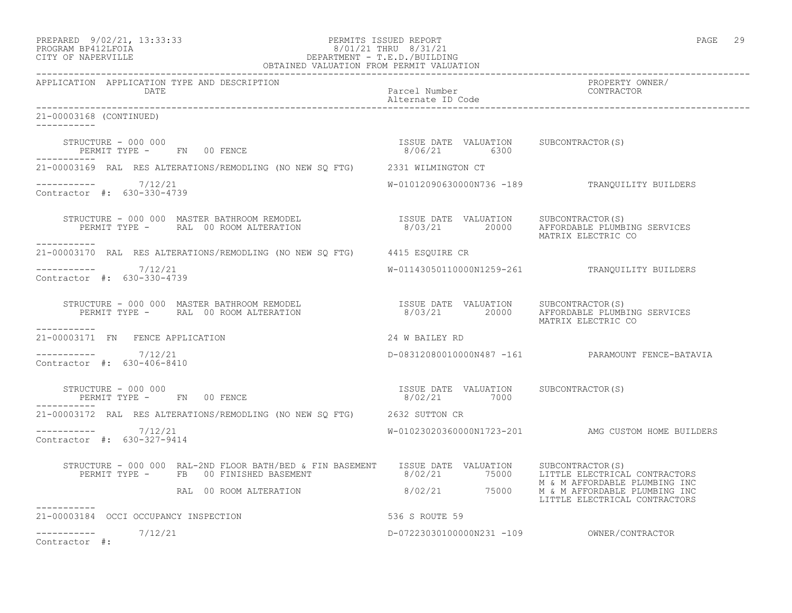## PREPARED 9/02/21, 13:33:33 PERMITS ISSUED REPORT PAGE 29 PROGRAM BP412LFOIA 8/01/21 THRU 8/31/21 CITY OF NAPERVILLE DEPARTMENT - T.E.D./BUILDING

| OBTAINED VALUATION FROM PERMIT VALUATION                                                                                                                                                                                                                                                                            |                                    |                                                    |  |
|---------------------------------------------------------------------------------------------------------------------------------------------------------------------------------------------------------------------------------------------------------------------------------------------------------------------|------------------------------------|----------------------------------------------------|--|
| APPLICATION APPLICATION TYPE AND DESCRIPTION<br>DATE                                                                                                                                                                                                                                                                | Parcel Number<br>Alternate ID Code | PROPERTY OWNER/<br>CONTRACTOR                      |  |
| 21-00003168 (CONTINUED)                                                                                                                                                                                                                                                                                             |                                    |                                                    |  |
| $\begin{array}{cccccccccc} \texttt{STRUCTURE} & - & 000 & 000 & & & & & & & \\ \texttt{PERMIT TYPE} & - & & \texttt{FN} & 00 & \texttt{FENCE} & & & & & & \\ \texttt{PERMIT TYPE} & - & & \texttt{FN} & 00 & \texttt{FENCE} & & & & & \\ \end{array}$                                                               |                                    |                                                    |  |
| 21-00003169 RAL RES ALTERATIONS/REMODLING (NO NEW SQ FTG) 2331 WILMINGTON CT                                                                                                                                                                                                                                        |                                    |                                                    |  |
| $--------- 7/12/21$<br>Contractor #: 630-330-4739                                                                                                                                                                                                                                                                   |                                    | W-01012090630000N736 -189 TRANQUILITY BUILDERS     |  |
| STRUCTURE - 000 000 MASTER BATHROOM REMODEL                       ISSUE DATE VALUATION    SUBCONTRACTOR(S)<br>PERMIT TYPE -     RAL 00 ROOM ALTERATION                     8/03/21      20000    AFFORDABLE PLUMBING SERVICES<br>-----------                                                                        |                                    | MATRIX ELECTRIC CO                                 |  |
| 21-00003170 RAL RES ALTERATIONS/REMODLING (NO NEW SO FTG) 4415 ESOUIRE CR                                                                                                                                                                                                                                           |                                    |                                                    |  |
| $--------- 7/12/21$<br>Contractor #: 630-330-4739                                                                                                                                                                                                                                                                   |                                    | W-01143050110000N1259-261 TRANQUILITY BUILDERS     |  |
| STRUCTURE – 000 000 MASTER BATHROOM REMODEL                       ISSUE DATE VALUATION    SUBCONTRACTOR(S)<br>PERMIT TYPE –     RAL 00 ROOM ALTERATION                      8/03/21      20000    AFFORDABLE PLUMBING SERVICES<br>___________                                                                       |                                    | MATRIX ELECTRIC CO                                 |  |
| 21-00003171 FN FENCE APPLICATION                                                                                                                                                                                                                                                                                    | 24 W BAILEY RD                     |                                                    |  |
| $--------- 7/12/21$<br>Contractor #: 630-406-8410                                                                                                                                                                                                                                                                   |                                    | D-08312080010000N487 -161 PARAMOUNT FENCE-BATAVIA  |  |
| $\begin{array}{cccc} \texttt{STRUCTURE} & - & 000 & 000 \\ \texttt{PERMIT TYPE} & - & - & \texttt{FN} & 00 \\ \texttt{PERMIT TYPE} & - & - & - \\ \end{array} \qquad \begin{array}{cccc} \texttt{TSSUE} & \texttt{DATE} & \texttt{VALUATION} & \texttt{SUBCONTRACTOR(S)} \\ \texttt{8/02/21} & 7000 \\ \end{array}$ |                                    |                                                    |  |
| 21-00003172 RAL RES ALTERATIONS/REMODLING (NO NEW SQ FTG) 2632 SUTTON CR                                                                                                                                                                                                                                            |                                    |                                                    |  |
| ----------- 7/12/21<br>Contractor #: 630-327-9414                                                                                                                                                                                                                                                                   |                                    | W-01023020360000N1723-201 AMG CUSTOM HOME BUILDERS |  |
|                                                                                                                                                                                                                                                                                                                     |                                    | M & M AFFORDABLE PLUMBING INC                      |  |
| RAL 00 ROOM ALTERATION 6/02/21 75000 M & M AFFORDABLE PLUMBING INC                                                                                                                                                                                                                                                  |                                    | LITTLE ELECTRICAL CONTRACTORS                      |  |
| ----------<br>536 S ROUTE 59<br>21-00003184 OCCI OCCUPANCY INSPECTION                                                                                                                                                                                                                                               |                                    |                                                    |  |
| $--------- 7/12/21$<br>Contractor #:                                                                                                                                                                                                                                                                                |                                    |                                                    |  |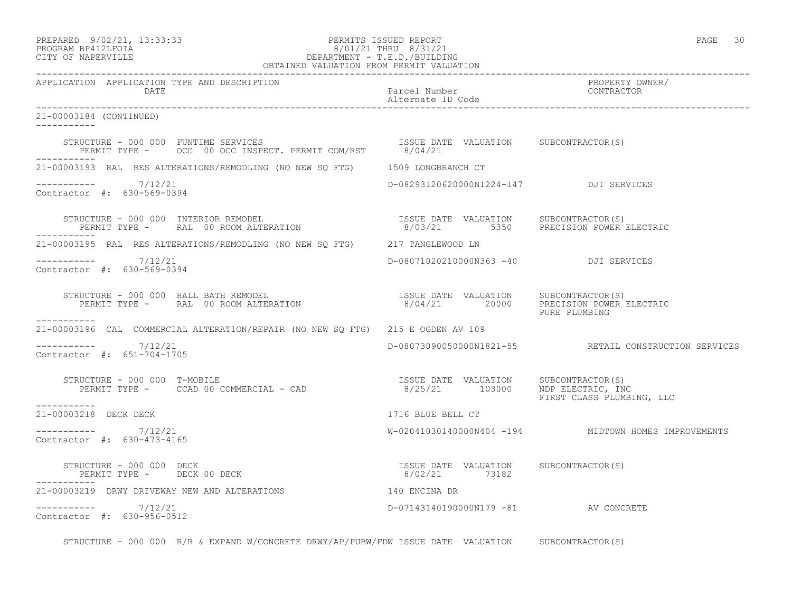## PREPARED 9/02/21, 13:33:33 PERMITS ISSUED REPORT PAGE 30 PROGRAM BP412LFOIA 8/01/21 THRU 8/31/21 CITY OF NAPERVILLE DEPARTMENT - T.E.D./BUILDING

| OBTAINED VALUATION FROM PERMIT VALUATION                                                                                                                                                                                                                                                                                                                              |                                        |                                                       |  |
|-----------------------------------------------------------------------------------------------------------------------------------------------------------------------------------------------------------------------------------------------------------------------------------------------------------------------------------------------------------------------|----------------------------------------|-------------------------------------------------------|--|
| APPLICATION APPLICATION TYPE AND DESCRIPTION<br>DATE                                                                                                                                                                                                                                                                                                                  | Parcel Number<br>Alternate ID Code     | PROPERTY OWNER/<br>CONTRACTOR                         |  |
| 21-00003184 (CONTINUED)<br>-----------                                                                                                                                                                                                                                                                                                                                |                                        |                                                       |  |
| STRUCTURE – 000 000 FUNTIME SERVICES<br>PERMIT TYPE – OCC 00 OCC INSPECT. PERMIT COM/RST $8/04/21$                                                                                                                                                                                                                                                                    |                                        |                                                       |  |
| 21-00003193 RAL RES ALTERATIONS/REMODLING (NO NEW SQ FTG) 1509 LONGBRANCH CT                                                                                                                                                                                                                                                                                          |                                        |                                                       |  |
| $--------- 7/12/21$<br>Contractor #: 630-569-0394                                                                                                                                                                                                                                                                                                                     | D-08293120620000N1224-147 DJI SERVICES |                                                       |  |
|                                                                                                                                                                                                                                                                                                                                                                       |                                        |                                                       |  |
| 21-00003195 RAL RES ALTERATIONS/REMODLING (NO NEW SQ FTG) 217 TANGLEWOOD LN                                                                                                                                                                                                                                                                                           |                                        |                                                       |  |
| $--------- 7/12/21$<br>Contractor #: 630-569-0394                                                                                                                                                                                                                                                                                                                     | D-08071020210000N363 -40 DJI SERVICES  |                                                       |  |
| $\begin{array}{cccc} \texttt{STRUCTURE} & - & 000 & 000 & \texttt{HALL BATH REMODEL} \\ \texttt{PERMIT TYPE} & - & \texttt{RAL} & 00\texttt{ ROM ALTERATION} & \texttt{S} & \texttt{S} & \texttt{S} & \texttt{O011} \\ \texttt{PERMIT TYPE} & - & \texttt{RAL} & 00\texttt{ ROM ALTERATION} & \texttt{S} & \texttt{S} & \texttt{O012} \\ \end{array}$<br>------------ |                                        | PURE PLUMBING                                         |  |
| 21-00003196 CAL COMMERCIAL ALTERATION/REPAIR (NO NEW SO FTG) 215 E OGDEN AV 109                                                                                                                                                                                                                                                                                       |                                        |                                                       |  |
| $--------- 7/12/21$<br>Contractor #: 651-704-1705                                                                                                                                                                                                                                                                                                                     |                                        | D-08073090050000N1821-55 RETAIL CONSTRUCTION SERVICES |  |
| STRUCTURE - 000 000 T-MOBILE<br>PERMIT TYPE - CCAD 00 COMMERCIAL - CAD (25/21 103000 NDP ELECTRIC, INC<br>----------                                                                                                                                                                                                                                                  |                                        | FIRST CLASS PLUMBING, LLC                             |  |
| 21-00003218 DECK DECK                                                                                                                                                                                                                                                                                                                                                 | 1716 BLUE BELL CT                      |                                                       |  |
| ----------- 7/12/21<br>Contractor #: 630-473-4165                                                                                                                                                                                                                                                                                                                     |                                        | W-02041030140000N404 -194 MIDTOWN HOMES IMPROVEMENTS  |  |
| $\begin{array}{cccc} \texttt{STRUCTURE} & - & 000 & 000 & \texttt{DECK} \\ \texttt{PERMIT TYPE} & - & - & - & - \\ \texttt{PERMIT TYPE} & - & - & - \\ \end{array}$                                                                                                                                                                                                   |                                        |                                                       |  |
| 21-00003219 DRWY DRIVEWAY NEW AND ALTERATIONS 140 ENCINA DR                                                                                                                                                                                                                                                                                                           |                                        |                                                       |  |
| $--------$ 7/12/21<br>Contractor #: 630-956-0512                                                                                                                                                                                                                                                                                                                      | D-07143140190000N179 -81 AV CONCRETE   |                                                       |  |

STRUCTURE - 000 000 R/R & EXPAND W/CONCRETE DRWY/AP/PUBW/FDW ISSUE DATE VALUATION SUBCONTRACTOR(S)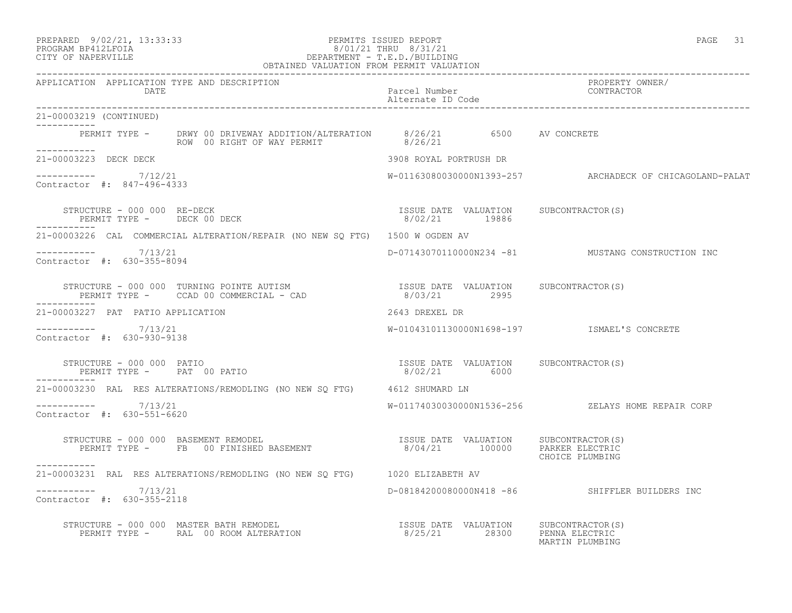PREPARED 9/02/21, 13:33:33 PERMITS ISSUED REPORT PAGE 31

## PROGRAM BP412LFOIA 8/01/21 THRU 8/31/21 CITY OF NAPERVILLE DEPARTMENT - T.E.D./BUILDING

 OBTAINED VALUATION FROM PERMIT VALUATION ------------------------------------------------------------------------------------------------------------------------------------ APPLICATION APPLICATION TYPE AND DESCRIPTION PROPERTY OWNER/ DATE Parcel Number CONTRACTOR Alternate ID Code ------------------------------------------------------------------------------------------------------------------------------------ 21-00003219 (CONTINUED) ----------- PERMIT TYPE - DRWY 00 DRIVEWAY ADDITION/ALTERATION 8/26/21 6500 AV CONCRETE ROW 00 RIGHT OF WAY PERMIT 8/26/21 -----------<br>21-00003223 DECK DECK 21-00003223 DECK DECK 3908 ROYAL PORTRUSH DR  $---------$  7/12/21 W-01163080030000N1393-257 ARCHADECK OF CHICAGOLAND-PALAT Contractor #: 847-496-4333 STRUCTURE - 000 000 RE-DECK ISSUE DATE VALUATION SUBCONTRACTOR(S) PERMIT TYPE - DECK 00 DECK 8/02/21 19886 ----------- 21-00003226 CAL COMMERCIAL ALTERATION/REPAIR (NO NEW SQ FTG) 1500 W OGDEN AV ----------- 7/13/21 D-07143070110000N234 -81 MUSTANG CONSTRUCTION INC Contractor #: 630-355-8094 STRUCTURE - 000 000 TURNING POINTE AUTISM ISSUE DATE VALUATION SUBCONTRACTOR(S) PERMIT TYPE - CCAD 00 COMMERCIAL - CAD 8/03/21 2995 ----------- 21-00003227 PAT PATIO APPLICATION 2643 DREXEL DR ----------- 7/13/21 W-01043101130000N1698-197 ISMAEL'S CONCRETE Contractor #: 630-930-9138 STRUCTURE - 000 000 PATIO ISSUE DATE VALUATION SUBCONTRACTOR(S) PERMIT TYPE - PAT 00 PATIO 8/02/21 6000 ----------- 21-00003230 RAL RES ALTERATIONS/REMODLING (NO NEW SQ FTG) 4612 SHUMARD LN ----------- 7/13/21 W-01174030030000N1536-256 ZELAYS HOME REPAIR CORP Contractor #: 630-551-6620 STRUCTURE - 000 000 BASEMENT REMODEL ISSUE DATE VALUATION SUBCONTRACTOR(S) PERMIT TYPE - FB 00 FINISHED BASEMENT 8/04/21 100000 PARKER ELECTRIC CHOICE PLUMBING ----------- 21-00003231 RAL RES ALTERATIONS/REMODLING (NO NEW SQ FTG) 1020 ELIZABETH AV \_\_\_\_\_\_\_\_\_\_\_ ----------- 7/13/21 D-08184200080000N418 -86 SHIFFLER BUILDERS INC Contractor #: 630-355-2118 STRUCTURE - 000 000 MASTER BATH REMODEL ISSUE DATE VALUATION SUBCONTRACTOR(S) PERMIT TYPE - RAL 00 ROOM ALTERATION 8/25/21 28300 PENNA ELECTRIC

MARTIN PLUMBING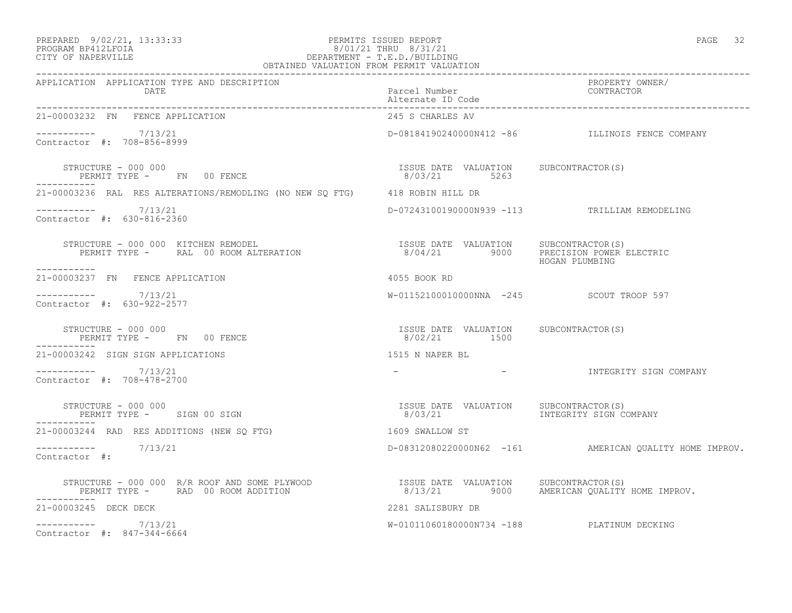### PREPARED 9/02/21, 13:33:33 PERMITS ISSUED REPORT PAGE 32 PROGRAM BP412LFOIA 8/01/21 THRU 8/31/21 CITY OF NAPERVILLE DEPARTMENT - T.E.D./BUILDING

| OBTAINED VALUATION FROM PERMIT VALUATION                                                                                                                                                                                                                                                             |                                                                         |                                                        |  |
|------------------------------------------------------------------------------------------------------------------------------------------------------------------------------------------------------------------------------------------------------------------------------------------------------|-------------------------------------------------------------------------|--------------------------------------------------------|--|
| APPLICATION APPLICATION TYPE AND DESCRIPTION<br>DATE DATE                                                                                                                                                                                                                                            | Parcel Number                                                           | PROPERTY OWNER/<br>CONTRACTOR                          |  |
| 21-00003232 FN FENCE APPLICATION                                                                                                                                                                                                                                                                     | 245 S CHARLES AV                                                        |                                                        |  |
| -----------     7/13/21<br>Contractor #: 708-856-8999                                                                                                                                                                                                                                                |                                                                         | D-08184190240000N412 -86 ILLINOIS FENCE COMPANY        |  |
| $\begin{array}{cccc} \texttt{STRUCTURE} & - & 000 & 000 \\ \texttt{PERMIT TYPE} & - & \texttt{FN} & 00 & \texttt{FENCE} \\ \end{array} \qquad \begin{array}{cccc} \texttt{TSUE} & \texttt{DATE} & \texttt{VALUATION} & \texttt{SUBCONTRACTOR(S)} \\ \texttt{8/03/21} & \texttt{5263} \\ \end{array}$ |                                                                         |                                                        |  |
| 21-00003236 RAL RES ALTERATIONS/REMODLING (NO NEW SO FTG) 418 ROBIN HILL DR                                                                                                                                                                                                                          |                                                                         |                                                        |  |
| $--------- 7/13/21$<br>Contractor #: 630-816-2360                                                                                                                                                                                                                                                    |                                                                         | D-07243100190000N939 -113 TRILLIAM REMODELING          |  |
| STRUCTURE - 000 000 KITCHEN REMODEL<br>PERMIT TYPE -      RAL 00 ROOM ALTERATION                              8/04/21              9000      PRECISION POWER ELECTRIC<br>HOGAN PLUMBING<br>------------                                                                                              |                                                                         |                                                        |  |
| 21-00003237 FN FENCE APPLICATION                                                                                                                                                                                                                                                                     | 4055 BOOK RD                                                            |                                                        |  |
| $--------- 7/13/21$<br>Contractor #: 630-922-2577                                                                                                                                                                                                                                                    | W-01152100010000NNA -245 SCOUT TROOP 597                                |                                                        |  |
| STRUCTURE - 000 000<br>PERMIT TYPE -       FN     00 FENCE<br>STRUCTURE - 000 000<br>___________                                                                                                                                                                                                     | ISSUE DATE VALUATION SUBCONTRACTOR(S)<br>8/02/21 1500                   |                                                        |  |
| 21-00003242 SIGN SIGN APPLICATIONS                                                                                                                                                                                                                                                                   | 1515 N NAPER BL                                                         |                                                        |  |
| $--------- 7/13/21$<br>Contractor #: 708-478-2700                                                                                                                                                                                                                                                    |                                                                         | - INTEGRITY SIGN COMPANY                               |  |
| STRUCTURE - 000 000<br>PERMIT TYPE - SIGN 00 SIGN                                                                                                                                                                                                                                                    | ISSUE DATE VALUATION SUBCONTRACTOR(S)<br>8/03/21 INTEGRITY SIGN COMPANY |                                                        |  |
| 21-00003244 RAD RES ADDITIONS (NEW SO FTG)                                                                                                                                                                                                                                                           | 1609 SWALLOW ST                                                         |                                                        |  |
| $--------- 7/13/21$<br>Contractor #:                                                                                                                                                                                                                                                                 |                                                                         | D-08312080220000N62 -161 AMERICAN QUALITY HOME IMPROV. |  |
| STRUCTURE - 000 000 R/R ROOF AND SOME PLYWOOD                   ISSUE DATE VALUATION    SUBCONTRACTOR(S)<br>PERMIT TYPE -     RAD 00 ROOM ADDITION                         8/13/21         9000    AMERICAN QUALITY HOME IMPROV.<br>-----------                                                      |                                                                         |                                                        |  |
| 21-00003245 DECK DECK                                                                                                                                                                                                                                                                                | 2281 SALISBURY DR                                                       |                                                        |  |
| $--------- 7/13/21$<br>Contractor #: 847-344-6664                                                                                                                                                                                                                                                    |                                                                         | W-01011060180000N734 -188 PLATINUM DECKING             |  |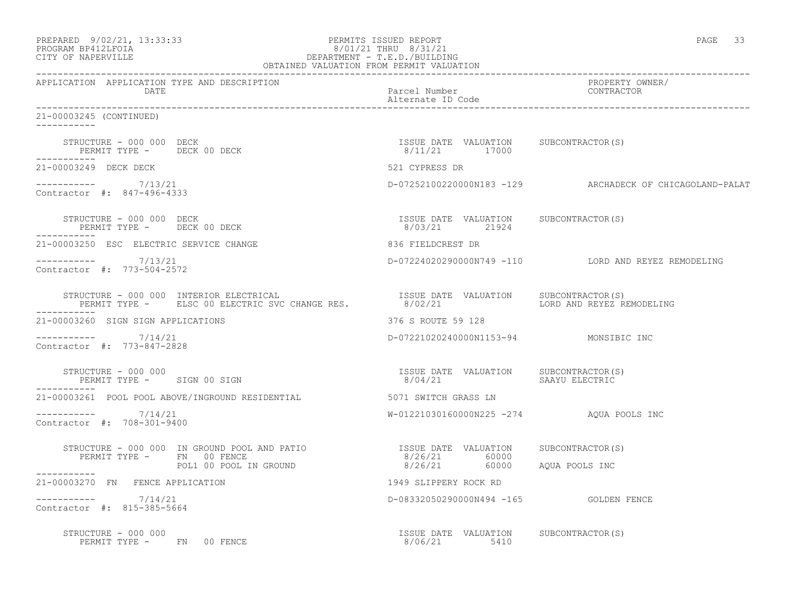| PREPARED 9/02/21, 13:33:33<br>PROGRAM BP412LFOIA 8/01/21 THRU 8/31/21<br>CITY OF NAPERVILLE DEPARTMENT - T.E.D./BUILDING<br>OBTAINED VALUATION FROM PERMIT VALUATION                                                                            |                                                        | PAGE 33                                                  |
|-------------------------------------------------------------------------------------------------------------------------------------------------------------------------------------------------------------------------------------------------|--------------------------------------------------------|----------------------------------------------------------|
| APPLICATION APPLICATION TYPE AND DESCRIPTION<br>DATE                                                                                                                                                                                            | Parcel Number<br>Alternate ID Code                     | PROPERTY OWNER/<br>CONTRACTOR                            |
| 21-00003245 (CONTINUED)                                                                                                                                                                                                                         |                                                        |                                                          |
| STRUCTURE - 000 000 DECK<br>PERMIT TYPE - DECK 00 DECK                                                                                                                                                                                          | ISSUE DATE VALUATION SUBCONTRACTOR(S)<br>8/11/21 17000 |                                                          |
| 21-00003249 DECK DECK                                                                                                                                                                                                                           | 521 CYPRESS DR                                         |                                                          |
| -----------    7/13/21<br>Contractor #: 847-496-4333                                                                                                                                                                                            |                                                        | D-07252100220000N183 -129 ARCHADECK OF CHICAGOLAND-PALAT |
| STRUCTURE - 000 000 DECK<br>PERMIT TYPE - DECK 00 DECK                                                                                                                                                                                          | ISSUE DATE VALUATION SUBCONTRACTOR(S)<br>8/03/21 21924 |                                                          |
| 21-00003250 ESC ELECTRIC SERVICE CHANGE                                                                                                                                                                                                         | 836 FIELDCREST DR                                      |                                                          |
| ----------- 7/13/21<br>Contractor #: 773-504-2572                                                                                                                                                                                               |                                                        | D-07224020290000N749 -110 LORD AND REYEZ REMODELING      |
| STRUCTURE - 000 000 INTERIOR ELECTRICAL                         ISSUE DATE VALUATION     SUBCONTRACTOR(S)<br>PERMIT TYPE -      ELSC 00 ELECTRIC SVC CHANGE RES.             8/02/21                   LORD AND REYEZ REMODELING<br>----------- |                                                        |                                                          |
| 21-00003260 SIGN SIGN APPLICATIONS                                                                                                                                                                                                              | 376 S ROUTE 59 128                                     |                                                          |
| $--------- 7/14/21$<br>Contractor #: 773-847-2828                                                                                                                                                                                               | D-07221020240000N1153-94 MONSIBIC INC                  |                                                          |
| STRUCTURE - 000 000<br>PERMIT TYPE - SIGN 00 SIGN                                                                                                                                                                                               | ISSUE DATE VALUATION SUBCONTRACTOR(S)<br>8/04/21       | SAAYU ELECTRIC                                           |
| 21-00003261 POOL POOL ABOVE/INGROUND RESIDENTIAL                                                                                                                                                                                                | 5071 SWITCH GRASS LN                                   |                                                          |
| $--------- 7/14/21$<br>Contractor #: 708-301-9400                                                                                                                                                                                               | W-01221030160000N225 -274 AQUA POOLS INC               |                                                          |
| STRUCTURE - 000 000 IN GROUND POOL AND PATIO TSSUE DATE VALUATION SUBCONTRACTOR(S)<br>PERMIT TYPE - FN 00 FENCE                                                                                                                                 | 8/26/21 60000                                          |                                                          |
| POL1 00 POOL IN GROUND                                                                                                                                                                                                                          | 8/26/21 60000 AQUA POOLS INC                           |                                                          |
| 21-00003270 FN FENCE APPLICATION                                                                                                                                                                                                                | 1949 SLIPPERY ROCK RD                                  |                                                          |
| $--------- 7/14/21$<br>Contractor #: 815-385-5664                                                                                                                                                                                               | D-08332050290000N494 -165 GOLDEN FENCE                 |                                                          |
| STRUCTURE - 000 000<br>PERMIT TYPE - FN 00 FENCE                                                                                                                                                                                                | ISSUE DATE VALUATION SUBCONTRACTOR(S)<br>8/06/21 5410  |                                                          |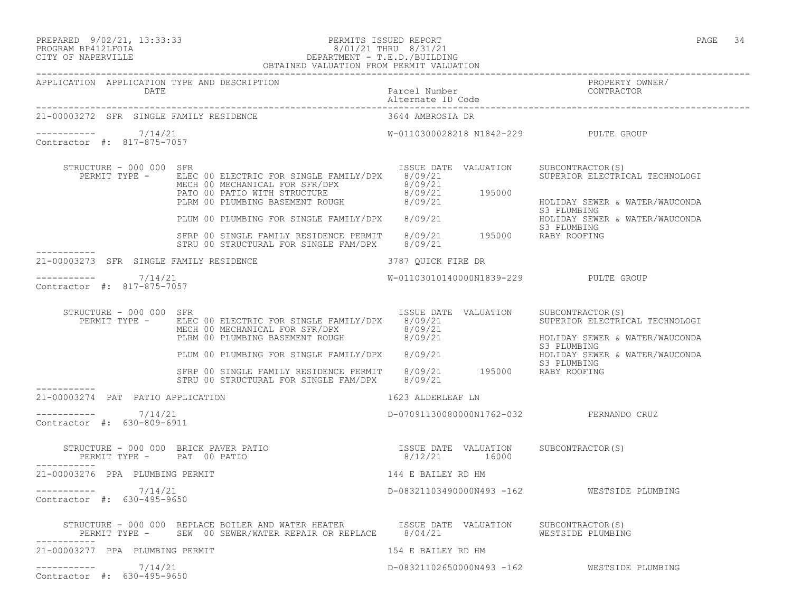### PREPARED 9/02/21, 13:33:33 PERMITS ISSUED REPORT PAGE 34 PROGRAM BP412LFOIA 8/01/21 THRU 8/31/21 CITY OF NAPERVILLE DEPARTMENT - T.E.D./BUILDING

|                                                         | OBTAINED VALUATION FROM PERMIT VALUATION                                                                                                                                                                                            |                                         |                                                                                                     |
|---------------------------------------------------------|-------------------------------------------------------------------------------------------------------------------------------------------------------------------------------------------------------------------------------------|-----------------------------------------|-----------------------------------------------------------------------------------------------------|
| APPLICATION APPLICATION TYPE AND DESCRIPTION<br>DATE    |                                                                                                                                                                                                                                     | Parcel Number<br>Alternate ID Code      | PROPERTY OWNER/<br>CONTRACTOR                                                                       |
| 21-00003272 SFR SINGLE FAMILY RESIDENCE                 |                                                                                                                                                                                                                                     | 3644 AMBROSIA DR                        |                                                                                                     |
| $--------$ 7/14/21<br>Contractor #: 817-875-7057        |                                                                                                                                                                                                                                     | W-0110300028218 N1842-229 PULTE GROUP   |                                                                                                     |
| STRUCTURE - 000 000 SFR<br>PERMIT TYPE -                | ELEC 00 ELECTRIC FOR SINGLE FAMILY/DPX 8/09/21<br>MECH 00 MECHANICAL FOR SFR/DPX<br>PATO 00 PATIO WITH STRUCTURE 8/09/21<br>PLRM 00 PLUMBING BASEMENT ROUGH 8/09/21 195000                                                          | ISSUE DATE VALUATION                    | SUBCONTRACTOR(S)<br>SUPERIOR ELECTRICAL TECHNOLOGI<br>HOLIDAY SEWER & WATER/WAUCONDA<br>S3 PLUMBING |
|                                                         | PLUM 00 PLUMBING FOR SINGLE FAMILY/DPX 8/09/21 S3 PLUMBING<br>SFRP 00 SINGLE FAMILY RESIDENCE PERMIT 8/09/21 195000 RABY ROOFING<br>STRU 00 STRUCTURAL FOR SINGLE FAM/DPX 8/09/21 195000 RABY ROOFING                               |                                         | HOLIDAY SEWER & WATER/WAUCONDA                                                                      |
| ------------<br>21-00003273 SFR SINGLE FAMILY RESIDENCE |                                                                                                                                                                                                                                     | 3787 QUICK FIRE DR                      |                                                                                                     |
| $--------- 7/14/21$<br>Contractor #: 817-875-7057       |                                                                                                                                                                                                                                     | W-01103010140000N1839-229 PULTE GROUP   |                                                                                                     |
| STRUCTURE - 000 000 SFR                                 | RUCTURE - 000 000 SFR<br>PERMIT TYPE - ELEC 00 ELECTRIC FOR SINGLE FAMILY/DPX 8/09/21<br>MECH 00 MECHANICAL FOR SFR/DPX 8/09/21<br>PLUM 00 PLUMBING FOR SINGLE FAMILY/DPX 8/09/21<br>PLUM 00 PLUMBING FOR SINGLE FAMILY/DPX 8/09/21 | ISSUE DATE VALUATION SUBCONTRACTOR(S)   | SUPERIOR ELECTRICAL TECHNOLOGI<br>HOLIDAY SEWER & WATER/WAUCONDA                                    |
|                                                         | SFRP 00 SINGLE FAMILY RESIDENCE PERMIT 8/09/21 195000 RABY ROOFING<br>STRU 00 STRUCTURAL FOR SINGLE FAM/DPX 8/09/21 195000 RABY ROOFING                                                                                             |                                         | S3 PLUMBING<br>HOLIDAY SEWER & WATER/WAUCONDA                                                       |
| 21-00003274 PAT PATIO APPLICATION                       |                                                                                                                                                                                                                                     | 1623 ALDERLEAF LN                       |                                                                                                     |
| -----------     7/14/21<br>Contractor #: 630-809-6911   |                                                                                                                                                                                                                                     | D-07091130080000N1762-032 FERNANDO CRUZ |                                                                                                     |
|                                                         | STRUCTURE – 000 000 BRICK PAVER PATIO<br>PERMIT TYPE – PAT 00 PATIO – 16000 8/12/21 16000                                                                                                                                           |                                         |                                                                                                     |
| -----------<br>21-00003276 PPA PLUMBING PERMIT          |                                                                                                                                                                                                                                     | 144 E BAILEY RD HM                      |                                                                                                     |
| ----------- 7/14/21<br>Contractor #: 630-495-9650       |                                                                                                                                                                                                                                     |                                         | D-08321103490000N493 -162    WESTSIDE PLUMBING                                                      |
|                                                         | STRUCTURE - 000 000 REPLACE BOILER AND WATER HEATER TSSUE DATE VALUATION SUBCONTRACTOR(S)<br>PERMIT TYPE - SEW 00 SEWER/WATER REPAIR OR REPLACE 8/04/21 WESTSIDE PLUMBING                                                           |                                         |                                                                                                     |
| 21-00003277 PPA PLUMBING PERMIT                         |                                                                                                                                                                                                                                     | 154 E BAILEY RD HM                      |                                                                                                     |
| 7/14/21<br>Contractor #: 630-495-9650                   |                                                                                                                                                                                                                                     |                                         | D-08321102650000N493 -162 WESTSIDE PLUMBING                                                         |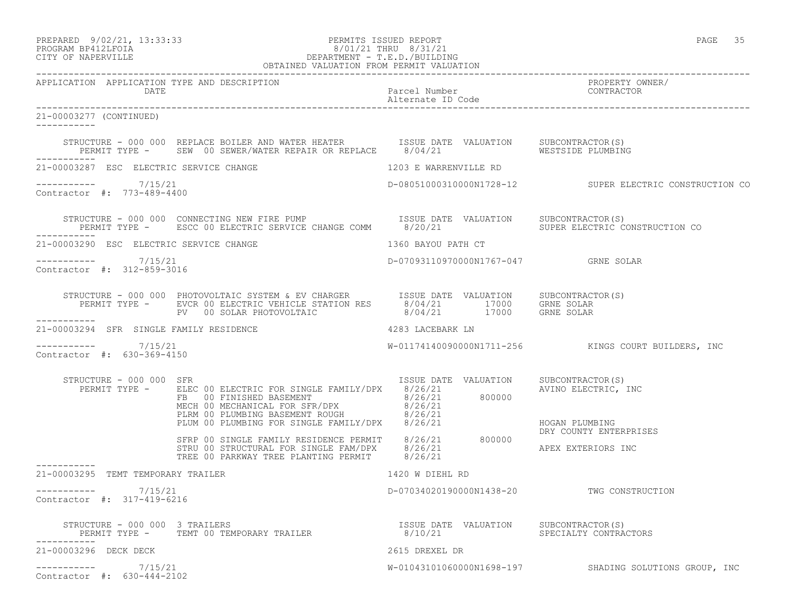## PREPARED 9/02/21, 13:33:33 PERMITS ISSUED REPORT PAGE 35 PROGRAM BP412LFOIA 8/01/21 THRU 8/31/21 CITY OF NAPERVILLE DEPARTMENT - T.E.D./BUILDING

| OBTAINED VALUATION FROM PERMIT VALUATION                                    |                                                                                                                                                                                                                                        |                                           |                                                         |
|-----------------------------------------------------------------------------|----------------------------------------------------------------------------------------------------------------------------------------------------------------------------------------------------------------------------------------|-------------------------------------------|---------------------------------------------------------|
| APPLICATION APPLICATION TYPE AND DESCRIPTION<br>DATE                        | Parcel Number<br>Alternate ID Code<br>Alternate ID Code                                                                                                                                                                                |                                           | PROPERTY OWNER/                                         |
| 21-00003277 (CONTINUED)<br>-----------                                      |                                                                                                                                                                                                                                        |                                           |                                                         |
| -----------                                                                 | STRUCTURE - 000 000 REPLACE BOILER AND WATER HEATER TSSUE DATE VALUATION SUBCONTRACTOR(S)<br>PERMIT TYPE - SEW 00 SEWER/WATER REPAIR OR REPLACE 8/04/21 CHANNER SESTSIDE PLUMBING                                                      |                                           |                                                         |
| 21-00003287 ESC ELECTRIC SERVICE CHANGE                                     |                                                                                                                                                                                                                                        | 1203 E WARRENVILLE RD                     |                                                         |
| $--------- 7/15/21$<br>Contractor #: 773-489-4400                           |                                                                                                                                                                                                                                        |                                           | D-08051000310000N1728-12 SUPER ELECTRIC CONSTRUCTION CO |
|                                                                             | STRUCTURE - 000 000 CONNECTING NEW FIRE PUMP (ISSUE DATE VALUATION SUBCONTRACTOR(S)<br>PERMIT TYPE - ESCC 00 ELECTRIC SERVICE CHANGE COMM (20/21 ) SUPER ELECTRIC CONSTRUCTION CO                                                      |                                           |                                                         |
| 21-00003290 ESC ELECTRIC SERVICE CHANGE<br>1360 BAYOU PATH CT               |                                                                                                                                                                                                                                        |                                           |                                                         |
| ----------- 7/15/21<br>Contractor #: 312-859-3016                           |                                                                                                                                                                                                                                        | D-07093110970000N1767-047 GRNE SOLAR      |                                                         |
|                                                                             | STRUCTURE - 000 000 PHOTOVOLTAIC SYSTEM & EV CHARGER<br>PERMIT TYPE - EVCR 00 ELECTRIC VEHICLE STATION RES 8/04/21 17000 GRNE SOLAR<br>PV 00 SOLAR PHOTOVOLTAIC 8/04/21 17000 GRNE SOLAR                                               |                                           |                                                         |
| ------------<br>4283 LACEBARK LN<br>21-00003294 SFR SINGLE FAMILY RESIDENCE |                                                                                                                                                                                                                                        |                                           |                                                         |
| ----------- 7/15/21<br>Contractor #: 630-369-4150                           |                                                                                                                                                                                                                                        |                                           | W-01174140090000N1711-256 KINGS COURT BUILDERS, INC     |
| STRUCTURE - 000 000 SFR                                                     | FERMIT TYPE - ELEC 00 ELECTRIC FOR SINGLE FAMILY/DPX 8/26/21 800000<br>FIEMIT TYPE - ELEC 00 ELECTRIC FOR SINGLE FAMILY/DPX 8/26/21 800000<br>MECH 00 MECHANICAL FOR SFR/DPX 8/26/21<br>PLEM 00 PLUMBING BASEMENT ROUGH<br>PLEM 00 PLU | ISSUE DATE VALUATION                      | SUBCONTRACTOR(S)                                        |
|                                                                             |                                                                                                                                                                                                                                        |                                           | DRY COUNTY ENTERPRISES                                  |
| ------------<br>21-00003295 TEMT TEMPORARY TRAILER                          |                                                                                                                                                                                                                                        |                                           |                                                         |
| ----------- 7/15/21<br>Contractor #: 317-419-6216                           |                                                                                                                                                                                                                                        | D-07034020190000N1438-20 TWG CONSTRUCTION |                                                         |
|                                                                             |                                                                                                                                                                                                                                        |                                           |                                                         |
| 21-00003296 DECK DECK                                                       |                                                                                                                                                                                                                                        | 2615 DREXEL DR                            |                                                         |
| $--------- 7/15/21$<br>Contractor #: 630-444-2102                           |                                                                                                                                                                                                                                        |                                           | W-01043101060000N1698-197 SHADING SOLUTIONS GROUP, INC  |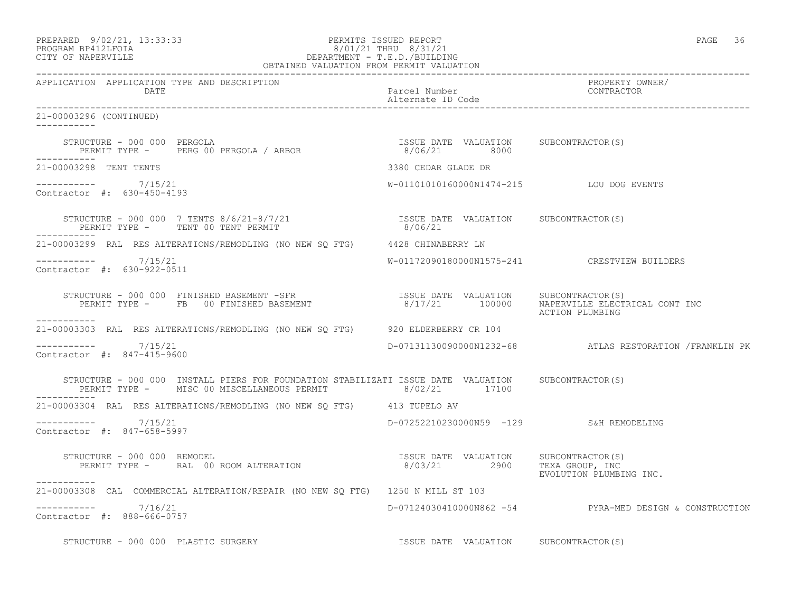| PREPARED             | $9/02/21$ , $13:33:33$ |  |
|----------------------|------------------------|--|
| גדמת זרונתם וגנסמספם |                        |  |

# PREPARED 9/02/21, 13:33:33 PERMITS ISSUED REPORT<br>PROGRAM BP412LFOIA PAGE 36 8/01/21 THRU 8/31/21 PROGRAM BP412LFOIA  $8/01/21$  THRU  $8/31/21$ <br>CITY OF NAPERVILLE DEPARTMENT - T.E.D./BUILDII DEPARTMENT - T.E.D./BUILDING

| OBTAINED VALUATION FROM PERMIT VALUATION                                                                                                                                                                                                             |                                                                                                                |                                                         |
|------------------------------------------------------------------------------------------------------------------------------------------------------------------------------------------------------------------------------------------------------|----------------------------------------------------------------------------------------------------------------|---------------------------------------------------------|
| APPLICATION APPLICATION TYPE AND DESCRIPTION                                                                                                                                                                                                         |                                                                                                                | PROPERTY OWNER/                                         |
| 21-00003296 (CONTINUED)<br>___________                                                                                                                                                                                                               |                                                                                                                |                                                         |
| $\begin{array}{cccccccccccc} \texttt{STRUCTURE} & - & 000 & 000 & PERGOLA \\ \texttt{PERMIT TYPE} & - & & & & \texttt{PERG 00 PERGOLA} & / & \texttt{ARBOR} & \texttt{S/O6/21} & 8000 \\ \end{array}$                                                |                                                                                                                |                                                         |
| 21-00003298 TENT TENTS                                                                                                                                                                                                                               | 3380 CEDAR GLADE DR                                                                                            |                                                         |
| $--------- 7/15/21$<br>Contractor #: 630-450-4193                                                                                                                                                                                                    | W-01101010160000N1474-215 LOU DOG EVENTS                                                                       |                                                         |
| $\begin{array}{cccc} \texttt{STRUCTURE} - 000\ 000\ 7 \texttt{ TENTS} \ 8/6/21 - 8/7/21 & & & & \texttt{ISSUE} \ \texttt{DATE} \ \texttt{VALUATION} \end{array} \qquad \begin{array}{cccc} \texttt{SUBCONTRACTOR(S)} \\ \texttt{SVDENT} \end{array}$ |                                                                                                                |                                                         |
| 21-00003299 RAL RES ALTERATIONS/REMODLING (NO NEW SO FTG) 4428 CHINABERRY LN                                                                                                                                                                         |                                                                                                                |                                                         |
| $--------- 7/15/21$<br>Contractor #: 630-922-0511                                                                                                                                                                                                    |                                                                                                                | W-01172090180000N1575-241 CRESTVIEW BUILDERS            |
| STRUCTURE - 000 000 FINISHED BASEMENT -SFR<br>PERMIT TYPE - FB 00 FINISHED BASEMENT - 100000 NAPERVILLE ELECTRICAL CONT INC<br>-----------                                                                                                           |                                                                                                                | ACTION PLUMBING                                         |
| 21-00003303 RAL RES ALTERATIONS/REMODLING (NO NEW SQ FTG) 920 ELDERBERRY CR 104                                                                                                                                                                      |                                                                                                                |                                                         |
| $--------- 7/15/21$<br>Contractor #: 847-415-9600                                                                                                                                                                                                    |                                                                                                                |                                                         |
| STRUCTURE - 000 000 INSTALL PIERS FOR FOUNDATION STABILIZATI ISSUE DATE VALUATION SUBCONTRACTOR(S)<br>PERMIT TYPE - MISC 00 MISCELLANEOUS PERMIT 8/02/21 17100<br>-----------                                                                        |                                                                                                                |                                                         |
| 21-00003304 RAL RES ALTERATIONS/REMODLING (NO NEW SQ FTG) 413 TUPELO AV                                                                                                                                                                              |                                                                                                                |                                                         |
| $--------- 7/15/21$<br>Contractor #: 847-658-5997                                                                                                                                                                                                    | D-07252210230000N59 -129 S&H REMODELING                                                                        |                                                         |
| FRUCTURE - 000 000 REMODEL<br>PERMIT TYPE - RAL 00 ROOM ALTERATION                                8/03/21             2900      TEXA GROUP, INC<br>STRUCTURE - 000 000 REMODEL                                                                       |                                                                                                                | EVOLUTION PLUMBING INC.                                 |
| 21-00003308 CAL COMMERCIAL ALTERATION/REPAIR (NO NEW SQ FTG) 1250 N MILL ST 103                                                                                                                                                                      |                                                                                                                |                                                         |
| $-$ ---------- $7/16/21$<br>Contractor #: 888-666-0757                                                                                                                                                                                               |                                                                                                                | D-07124030410000N862 -54 PYRA-MED DESIGN & CONSTRUCTION |
|                                                                                                                                                                                                                                                      | and the second control of the control of the second control of the second control of the second control of the |                                                         |

STRUCTURE - 000 000 PLASTIC SURGERY **ISSUE DATE VALUATION** SUBCONTRACTOR(S)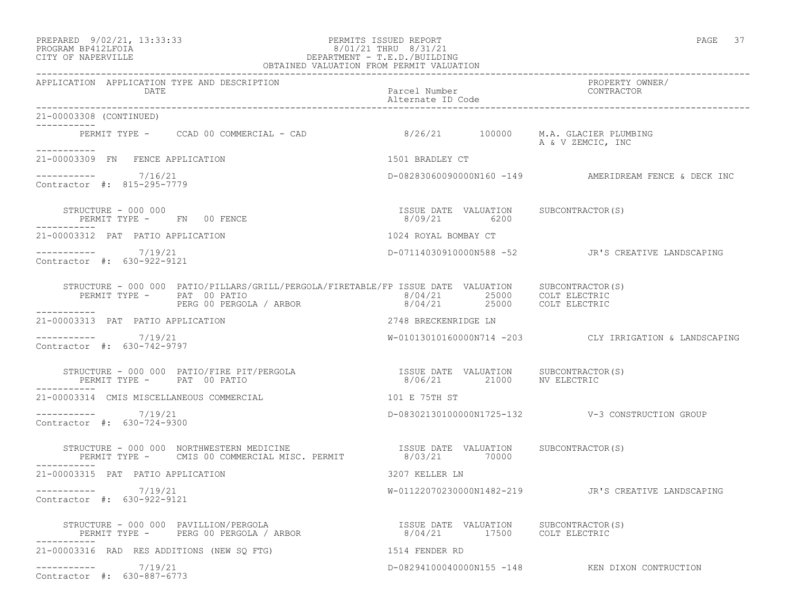## PREPARED 9/02/21, 13:33:33 PERMITS ISSUED REPORT PAGE 37 PROGRAM BP412LFOIA 8/01/21 THRU 8/31/21 CITY OF NAPERVILLE DEPARTMENT - T.E.D./BUILDING

| OBTAINED VALUATION FROM PERMIT VALUATION                                                                                                                                                                                                                                                                                                                                                                                                    |                                                                    |                                                         |  |
|---------------------------------------------------------------------------------------------------------------------------------------------------------------------------------------------------------------------------------------------------------------------------------------------------------------------------------------------------------------------------------------------------------------------------------------------|--------------------------------------------------------------------|---------------------------------------------------------|--|
| APPLICATION APPLICATION TYPE AND DESCRIPTION<br>DATE                                                                                                                                                                                                                                                                                                                                                                                        | Parcel Number<br>Alternate ID Code                                 | PROPERTY OWNER/<br>CONTRACTOR                           |  |
| 21-00003308 (CONTINUED)<br>___________                                                                                                                                                                                                                                                                                                                                                                                                      |                                                                    |                                                         |  |
| PERMIT TYPE - CCAD 00 COMMERCIAL - CAD<br>-----------                                                                                                                                                                                                                                                                                                                                                                                       | $8/26/21$ 100000                                                   | M.A. GLACIER PLUMBING<br>A & V ZEMCIC, INC              |  |
| 21-00003309 FN FENCE APPLICATION                                                                                                                                                                                                                                                                                                                                                                                                            | 1501 BRADLEY CT                                                    |                                                         |  |
| $--------- 7/16/21$<br>Contractor #: 815-295-7779                                                                                                                                                                                                                                                                                                                                                                                           |                                                                    | $D-082830600900000160 -149$ AMERIDREAM FENCE & DECK INC |  |
| STRUCTURE - 000 000<br>PERMIT TYPE - FN 00 FENCE                                                                                                                                                                                                                                                                                                                                                                                            | ISSUE DATE VALUATION SUBCONTRACTOR(S)<br>8/09/21 6200              |                                                         |  |
| 21-00003312 PAT PATIO APPLICATION                                                                                                                                                                                                                                                                                                                                                                                                           | 1024 ROYAL BOMBAY CT                                               |                                                         |  |
| $--------- 7/19/21$<br>Contractor #: 630-922-9121                                                                                                                                                                                                                                                                                                                                                                                           |                                                                    | D-07114030910000N588 -52 JR'S CREATIVE LANDSCAPING      |  |
| $\begin{array}{cccc} \texttt{STRUCTURE} & - & 000 & 000 & \texttt{PATIO/PILLLARS/GRILL/PERGOLA/FIRETABLE/FP} & \texttt{ISSUE} & \texttt{DATE} & \texttt{VALUATION} & \texttt{SUBCONTRACTOR(S)} \\ \texttt{PERMIT TYPE} & - & \texttt{PAT} & 00 & \texttt{PATIO} & / \texttt{ARBOR} & 8/04/21 & 25000 & \texttt{COLT ELECTRIC} \\ & & \texttt{PERG 00 PERGOLA} & / \texttt{ARBOR} & 8/04/21 & 25000 & \texttt{COLT ELECTRIC} \\ \end{array}$ |                                                                    |                                                         |  |
| ----------<br>21-00003313 PAT PATIO APPLICATION                                                                                                                                                                                                                                                                                                                                                                                             | 2748 BRECKENRIDGE LN                                               |                                                         |  |
| __________<br>7/19/21<br>Contractor #: 630-742-9797                                                                                                                                                                                                                                                                                                                                                                                         |                                                                    | W-01013010160000N714 -203 CLY IRRIGATION & LANDSCAPING  |  |
| STRUCTURE - 000 000 PATIO/FIRE PIT/PERGOLA<br>PERMIT TYPE - PAT 00 PATIO                                                                                                                                                                                                                                                                                                                                                                    | ISSUE DATE VALUATION SUBCONTRACTOR(S)<br>8/06/21 21000 NV ELECTRIC |                                                         |  |
| 21-00003314 CMIS MISCELLANEOUS COMMERCIAL                                                                                                                                                                                                                                                                                                                                                                                                   | 101 E 75TH ST                                                      |                                                         |  |
| ___________<br>7/19/21<br>Contractor #: 630-724-9300                                                                                                                                                                                                                                                                                                                                                                                        |                                                                    |                                                         |  |
| STRUCTURE - 000 000 NORTHWESTERN MEDICINE THE STRUCTURE - 000 000 NORTHWESTERN MEDICINE THE SAMIT SAMILY OF TH<br>PERMIT TYPE - CMIS 00 COMMERCIAL MISC. PERMIT THE 3/03/21 70000<br>----------                                                                                                                                                                                                                                             | ISSUE DATE VALUATION SUBCONTRACTOR(S)                              |                                                         |  |
| 21-00003315 PAT PATIO APPLICATION                                                                                                                                                                                                                                                                                                                                                                                                           | 3207 KELLER LN                                                     |                                                         |  |
| ----------- 7/19/21<br>Contractor #: 630-922-9121                                                                                                                                                                                                                                                                                                                                                                                           |                                                                    | W-01122070230000N1482-219 JR'S CREATIVE LANDSCAPING     |  |
| STRUCTURE - 000 000 PAVILLION/PERGOLA<br>PERMIT TYPE - PERG 00 PERGOLA / ARBOR                         8/04/21         17500   COLT ELECTRIC<br>STRUCTURE - 000 000 PAVILLION/PERGOLA                                                                                                                                                                                                                                                       | ISSUE DATE VALUATION SUBCONTRACTOR(S)                              |                                                         |  |
| 21-00003316 RAD RES ADDITIONS (NEW SO FTG)                                                                                                                                                                                                                                                                                                                                                                                                  | 1514 FENDER RD                                                     |                                                         |  |
| 7/19/21<br>___________<br>Contractor #: 630-887-6773                                                                                                                                                                                                                                                                                                                                                                                        |                                                                    | D-08294100040000N155 -148 KEN DIXON CONTRUCTION         |  |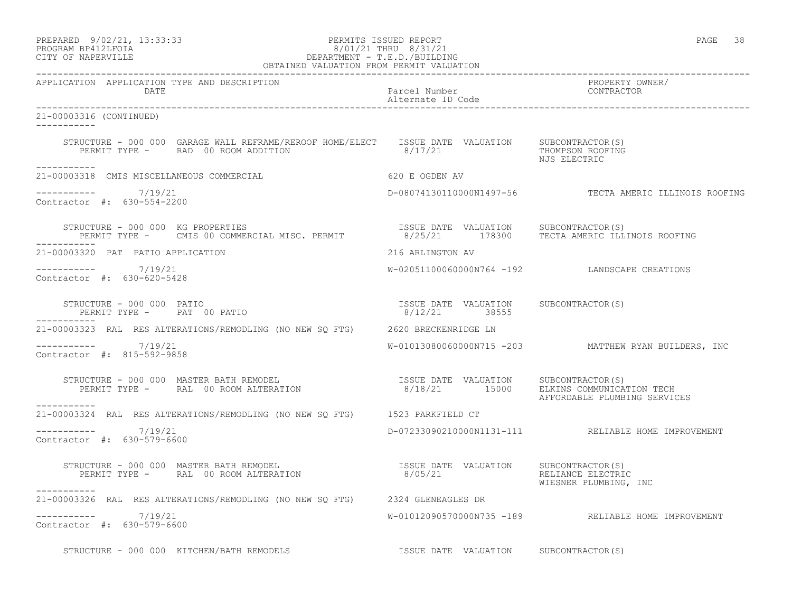| PREPARED            | 9/02/21, 13:33:33 |
|---------------------|-------------------|
| DDOCDAM DDA10T DOTA |                   |

### PERMITS ISSUED REPORT FOR THE PAGE 38 PAGE 38:33:33:33:33:33:33:33:33:33:33:33:33<br>8/01/21 THRU 8/31/21 PROGRAM BP412LFOIA 8/01/21 THRU 8/31/21 CITY OF NAPERVILLE DEPARTMENT - T.E.D./BUILDING OBTAINED VALUATION FROM PERMIT VALUATION

------------------------------------------------------------------------------------------------------------------------------------ APPLICATION APPLICATION TYPE AND DESCRIPTION PROPERTY OWNER/ DATE Parcel Number CONTRACTOR Alternate ID Code ------------------------------------------------------------------------------------------------------------------------------------ 21-00003316 (CONTINUED) ----------- STRUCTURE - 000 000 GARAGE WALL REFRAME/REROOF HOME/ELECT ISSUE DATE VALUATION SUBCONTRACTOR(S)<br>PERMIT TYPE - RAD 00 ROOM ADDITION 8/17/21 THOMPSON ROOFING PERMIT TYPE - RAD 00 ROOM ADDITION NJS ELECTRIC ----------- 21-00003318 CMIS MISCELLANEOUS COMMERCIAL 620 E OGDEN AV  $--------- 7/19/21$ D-08074130110000N1497-56 TECTA AMERIC ILLINOIS ROOFING Contractor #: 630-554-2200 STRUCTURE - 000 000 KG PROPERTIES<br>PERMIT TYPE - CMIS 00 COMMERCIAL MISC. PERMIT 8/25/21 178300 TECTA AMERIC ILLI 8/25/21 178300 TECTA AMERIC ILLINOIS ROOFING ----------- 21-00003320 PAT PATIO APPLICATION 216 ARLINGTON AV ----------- 7/19/21 W-02051100060000N764 -192 LANDSCAPE CREATIONS Contractor #: 630-620-5428 STRUCTURE - 000 000 PATIO ISSUE DATE VALUATION SUBCONTRACTOR(S) PERMIT TYPE - PAT 00 PATIO ----------- 21-00003323 RAL RES ALTERATIONS/REMODLING (NO NEW SQ FTG) 2620 BRECKENRIDGE LN ----------- 7/19/21 W-01013080060000N715 -203 MATTHEW RYAN BUILDERS, INC Contractor #: 815-592-9858 STRUCTURE - 000 000 MASTER BATH REMODEL ISSUE DATE VALUATION SUBCONTRACTOR(S) PERMIT TYPE - RAL 00 ROOM ALTERATION 8/18/21 15000 ELKINS COMMUNICATION TECH AFFORDABLE PLUMBING SERVICES ----------- 21-00003324 RAL RES ALTERATIONS/REMODLING (NO NEW SQ FTG) 1523 PARKFIELD CT \_\_\_\_\_\_\_\_\_\_\_ ----------- 7/19/21 D-07233090210000N1131-111 RELIABLE HOME IMPROVEMENT Contractor #: 630-579-6600 STRUCTURE - 000 000 MASTER BATH REMODEL ISSUE DATE VALUATION SUBCONTRACTOR(S) PERMIT TYPE - RAL 00 ROOM ALTERATION 8/05/21 RELIANCE ELECTRIC WIESNER PLUMBING, INC ----------- 21-00003326 RAL RES ALTERATIONS/REMODLING (NO NEW SQ FTG) 2324 GLENEAGLES DR ----------- 7/19/21 W-01012090570000N735 -189 RELIABLE HOME IMPROVEMENT Contractor #: 630-579-6600 STRUCTURE - 000 000 KITCHEN/BATH REMODELS **ISSUE DATE VALUATION** SUBCONTRACTOR(S)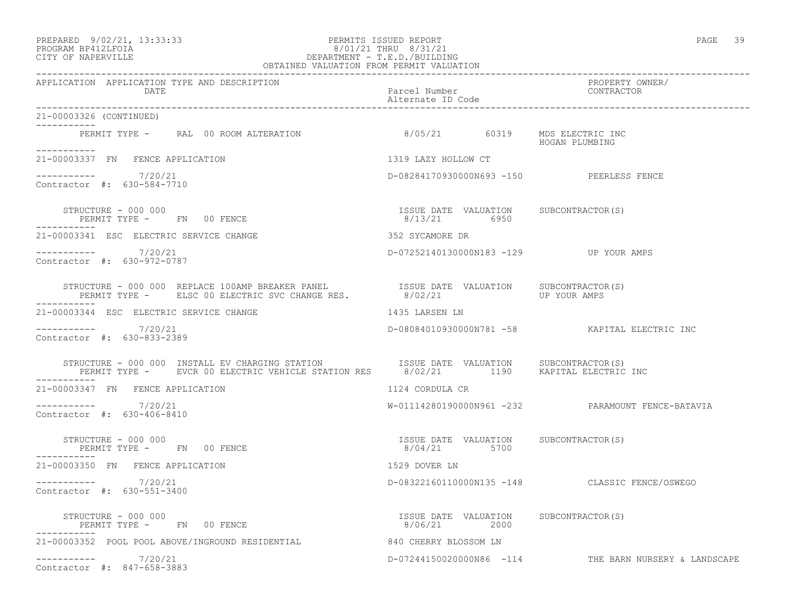# PREPARED 9/02/21, 13:33:33 PERMITS ISSUED REPORT PAGE 39 PROGRAM BP412LFOIA 8/01/21 THRU 8/31/21 CITY OF NAPERVILLE DEPARTMENT - T.E.D./BUILDING

| OBTAINED VALUATION FROM PERMIT VALUATION                                                                                                                                                      |                                                       |                                                       |  |
|-----------------------------------------------------------------------------------------------------------------------------------------------------------------------------------------------|-------------------------------------------------------|-------------------------------------------------------|--|
| APPLICATION APPLICATION TYPE AND DESCRIPTION<br>DATE                                                                                                                                          | Parcel Number<br>Alternate ID Code                    | PROPERTY OWNER/<br>CONTRACTOR                         |  |
| 21-00003326 (CONTINUED)                                                                                                                                                                       |                                                       |                                                       |  |
| PERMIT TYPE - RAL 00 ROOM ALTERATION 6/05/21 60319 MDS ELECTRIC INC                                                                                                                           |                                                       | HOGAN PLUMBING                                        |  |
| 21-00003337 FN FENCE APPLICATION                                                                                                                                                              | 1319 LAZY HOLLOW CT                                   |                                                       |  |
| $--------- 7/20/21$<br>Contractor #: 630-584-7710                                                                                                                                             | D-08284170930000N693 -150 PEERLESS FENCE              |                                                       |  |
| STRUCTURE - 000 000<br>STRUCTURE – 000 000<br>PERMIT TYPE –       FN      00 FENCE                                                                                                            | ISSUE DATE VALUATION SUBCONTRACTOR(S)<br>8/13/21 6950 |                                                       |  |
| 21-00003341 ESC ELECTRIC SERVICE CHANGE                                                                                                                                                       | 352 SYCAMORE DR                                       |                                                       |  |
| $--------$ 7/20/21<br>Contractor #: 630-972-0787                                                                                                                                              | D-07252140130000N183 -129 UP YOUR AMPS                |                                                       |  |
|                                                                                                                                                                                               |                                                       |                                                       |  |
| 21-00003344 ESC ELECTRIC SERVICE CHANGE                                                                                                                                                       | 1435 LARSEN LN                                        |                                                       |  |
| $--------- 7/20/21$<br>Contractor #: 630-833-2389                                                                                                                                             |                                                       | D-08084010930000N781 -58 KAPITAL ELECTRIC INC         |  |
| STRUCTURE - 000 000 INSTALL EV CHARGING STATION ISSUE DATE VALUATION SUBCONTRACTOR(S)<br>PERMIT TYPE - EVCR 00 ELECTRIC VEHICLE STATION RES 8/02/21 1190 KAPITAL ELECTRIC INC<br>------------ |                                                       |                                                       |  |
| 21-00003347 FN FENCE APPLICATION                                                                                                                                                              | 1124 CORDULA CR                                       |                                                       |  |
| -----------    7/20/21<br>Contractor #: 630-406-8410                                                                                                                                          |                                                       | W-01114280190000N961 -232 PARAMOUNT FENCE-BATAVIA     |  |
| STRUCTURE - 000 000<br>PERMIT TYPE - FN 00 FENCE                                                                                                                                              | ISSUE DATE VALUATION SUBCONTRACTOR(S)<br>8/04/21 5700 |                                                       |  |
| 21-00003350 FN FENCE APPLICATION                                                                                                                                                              | 1529 DOVER LN                                         |                                                       |  |
| $--------- 7/20/21$<br>Contractor #: 630-551-3400                                                                                                                                             |                                                       | D-08322160110000N135 -148 CLASSIC FENCE/OSWEGO        |  |
| STRUCTURE - 000 000<br>PERMIT TYPE - FN 00 FENCE                                                                                                                                              | ISSUE DATE VALUATION SUBCONTRACTOR(S)<br>8/06/21 2000 |                                                       |  |
| 21-00003352 POOL POOL ABOVE/INGROUND RESIDENTIAL 840 CHERRY BLOSSOM LN                                                                                                                        |                                                       |                                                       |  |
| $--------- 7/20/21$<br>Contractor #: 847-658-3883                                                                                                                                             |                                                       | D-07244150020000N86 -114 THE BARN NURSERY & LANDSCAPE |  |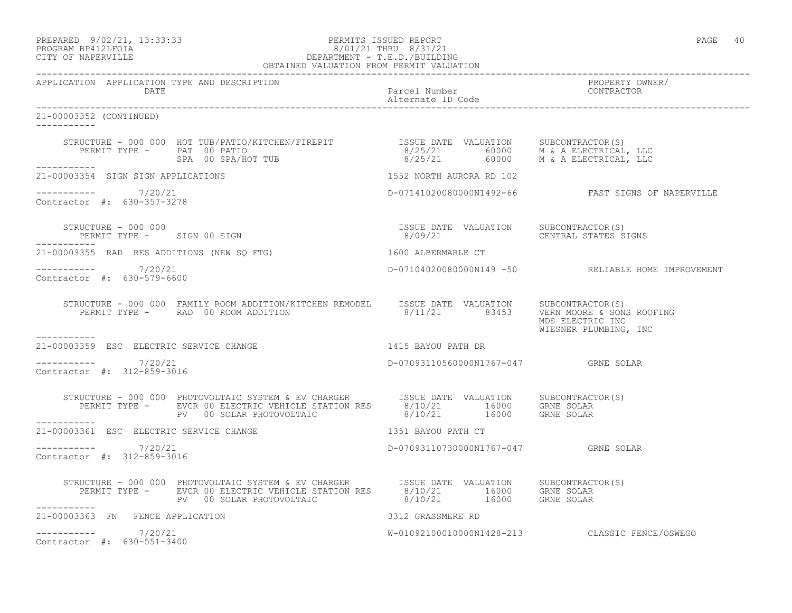PREPARED 9/02/21, 13:33:33 PERMITS ISSUED REPORT PAGE 40

# PROGRAM BP412LFOIA 8/01/21 THRU 8/31/21 CITY OF NAPERVILLE DEPARTMENT - T.E.D./BUILDING OBTAINED VALUATION FROM PERMIT VALUATION

------------------------------------------------------------------------------------------------------------------------------------ APPLICATION APPLICATION TYPE AND DESCRIPTION PROPERTY OWNER/ Parcel Number<br>Alternate ID Code Alternate ID Code ------------------------------------------------------------------------------------------------------------------------------------ 21-00003352 (CONTINUED) ----------- STRUCTURE - 000 000 HOT TUB/PATIO/KITCHEN/FIREPIT ISSUE DATE VALUATION SUBCONTRACTOR(S) PERMIT TYPE - PAT 00 PATIO 8/25/21 60000 M & A ELECTRICAL, LLC SPA 00 SPA/HOT TUB 8/25/21 60000 M & A ELECTRICAL, LLC ----------- 21-00003354 SIGN SIGN APPLICATIONS 1552 NORTH AURORA RD 102  $--------- 7/20/21$ D-07141020080000N1492-66 FAST SIGNS OF NAPERVILLE Contractor #: 630-357-3278 STRUCTURE - 000 000 ISSUE DATE VALUATION SUBCONTRACTOR(S) PERMIT TYPE - SIGN 00 SIGN ----------- 21-00003355 RAD RES ADDITIONS (NEW SQ FTG) 1600 ALBERMARLE CT ----------- 7/20/21 D-07104020080000N149 -50 RELIABLE HOME IMPROVEMENT Contractor #: 630-579-6600 STRUCTURE - 000 000 FAMILY ROOM ADDITION/KITCHEN REMODEL ISSUE DATE VALUATION SUBCONTRACTOR(S)<br>PERMIT TYPE - RAD 00 ROOM ADDITION 8/11/21 83453 VERN MOORE & SONS  $8/11/21$  83453 VERN MOORE & SONS ROOFING MDS ELECTRIC INC WIESNER PLUMBING, INC ----------- 21-00003359 ESC ELECTRIC SERVICE CHANGE 1415 BAYOU PATH DR  $--------- 7/20/21$ D-07093110560000N1767-047 GRNE SOLAR Contractor #: 312-859-3016 STRUCTURE - 000 000 PHOTOVOLTAIC SYSTEM & EV CHARGER ISSUE DATE VALUATION SUBCONTRACTOR(S) PERMIT TYPE - EVCR 00 ELECTRIC VEHICLE STATION RES 8/10/21 16000 GRNE SOLAR PV 00 SOLAR PHOTOVOLTAIC  $8/10/21$  16000 GRNE SOLAR 21-00003361 ESC ELECTRIC SERVICE CHANGE 1351 BAYOU PATH CT \_\_\_\_\_\_\_\_\_\_\_ ----------- 7/20/21 D-07093110730000N1767-047 GRNE SOLAR Contractor #: 312-859-3016 STRUCTURE - 000 000 PHOTOVOLTAIC SYSTEM & EV CHARGER ISSUE DATE VALUATION SUBCONTRACTOR(S) PERMIT TYPE - EVCR 00 ELECTRIC VEHICLE STATION RES 8/10/21 16000 GRNE SOLAR PV 00 SOLAR PHOTOVOLTAIC 8/10/21 16000 GRNE SOLAR ----------- 21-00003363 FN FENCE APPLICATION 3312 GRASSMERE RD  $--------- 7/20/21$ W-01092100010000N1428-213 CLASSIC FENCE/OSWEGO Contractor #: 630-551-3400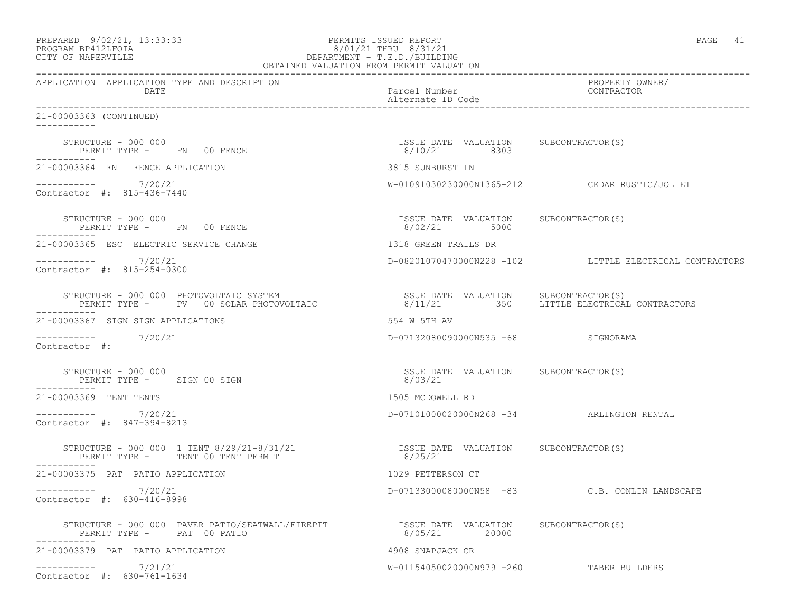| PREPARED            | $9/02/21$ , 13:33:33 |
|---------------------|----------------------|
| DDOCD3M DD410T DOT3 |                      |

# PREPARED 9/02/21, 13:33:33 PERMITS ISSUED REPORT<br>PROGRAM BP412LFOIA PAGE 41 PROGRAM BP412LFOIA 8/01/21 THRU 8/31/21 CITY OF NAPERVILLE CITY OF NAPERVILLE DEPARTMENT - T.E.D./BUILDING

| OBTAINED VALUATION FROM PERMIT VALUATION                                                                                           |                                                        |                                                         |  |
|------------------------------------------------------------------------------------------------------------------------------------|--------------------------------------------------------|---------------------------------------------------------|--|
| APPLICATION APPLICATION TYPE AND DESCRIPTION<br>DATE                                                                               | Parcel Number<br>Alternate ID Code                     | PROPERTY OWNER/<br>CONTRACTOR                           |  |
| 21-00003363 (CONTINUED)<br>-----------                                                                                             |                                                        |                                                         |  |
| STRUCTURE - 000 000<br>PERMIT TYPE - FN 00 FENCE                                                                                   | ISSUE DATE VALUATION SUBCONTRACTOR(S)<br>8/10/21 8303  |                                                         |  |
| 21-00003364 FN FENCE APPLICATION                                                                                                   | 3815 SUNBURST LN                                       |                                                         |  |
| $--------- 7/20/21$<br>Contractor #: 815-436-7440                                                                                  |                                                        | W-01091030230000N1365-212 CEDAR RUSTIC/JOLIET           |  |
| STRUCTURE - 000 000<br>PERMIT TYPE - FN 00 FENCE                                                                                   | ISSUE DATE VALUATION SUBCONTRACTOR(S)<br>8/02/21 5000  |                                                         |  |
| 21-00003365 ESC ELECTRIC SERVICE CHANGE                                                                                            | 1318 GREEN TRAILS DR                                   |                                                         |  |
| $--------- 7/20/21$<br>Contractor #: 815-254-0300                                                                                  |                                                        | D-08201070470000N228 -102 LITTLE ELECTRICAL CONTRACTORS |  |
| STRUCTURE - 000 000 PHOTOVOLTAIC SYSTEM<br>STRUCTURE - 000 000 PHOTOVOLTAIC SYSTEM<br>PERMIT TYPE -     PV   00 SOLAR PHOTOVOLTAIC | ISSUE DATE VALUATION SUBCONTRACTOR(S)                  | 8/11/21 350 LITTLE ELECTRICAL CONTRACTORS               |  |
| 21-00003367 SIGN SIGN APPLICATIONS                                                                                                 | 554 W 5TH AV                                           |                                                         |  |
| ----------- 7/20/21<br>Contractor #:                                                                                               | D-07132080090000N535 -68 SIGNORAMA                     |                                                         |  |
| STRUCTURE - 000 000<br>PERMIT TYPE - SIGN 00 SIGN                                                                                  | ISSUE DATE VALUATION SUBCONTRACTOR(S)<br>8/03/21       |                                                         |  |
| 21-00003369 TENT TENTS                                                                                                             | 1505 MCDOWELL RD                                       |                                                         |  |
| ----------- 7/20/21<br>Contractor #: 847-394-8213                                                                                  | D-07101000020000N268 -34 ARLINGTON RENTAL              |                                                         |  |
| STRUCTURE - 000 000 1 TENT 8/29/21-8/31/21<br>PERMIT TYPE - TENT 00 TENT PERMIT<br>----------                                      | ISSUE DATE VALUATION SUBCONTRACTOR(S)<br>8/25/21       |                                                         |  |
| 21-00003375 PAT PATIO APPLICATION                                                                                                  | 1029 PETTERSON CT                                      |                                                         |  |
| ----------- 7/20/21<br>Contractor #: 630-416-8998                                                                                  |                                                        | D-07133000080000N58 -83 C.B. CONLIN LANDSCAPE           |  |
| STRUCTURE - 000 000 PAVER PATIO/SEATWALL/FIREPIT<br>PERMIT TYPE - PAT 00 PATIO                                                     | ISSUE DATE VALUATION SUBCONTRACTOR(S)<br>8/05/21 20000 |                                                         |  |
| 21-00003379 PAT PATIO APPLICATION                                                                                                  | 4908 SNAPJACK CR                                       |                                                         |  |
| $--------- 7/21/21$<br>Contractor #: 630-761-1634                                                                                  | W-01154050020000N979 -260 TABER BUILDERS               |                                                         |  |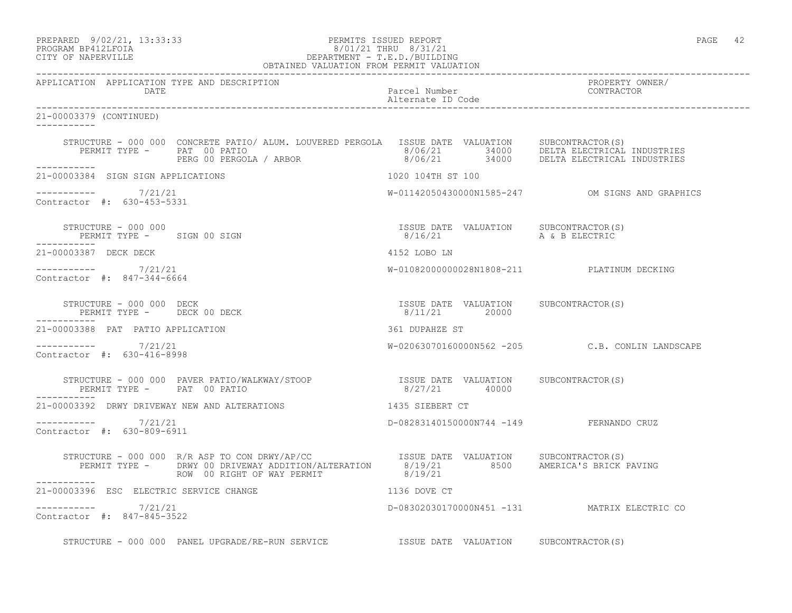| PREPARED                  | 9/02/21, 13:33:33 |
|---------------------------|-------------------|
| <b>PROGRAME PRACTROTA</b> |                   |

### PREPARED 9/02/21, 13:33:33 PERMITS ISSUED REPORT<br>PROGRAM BP412LFOIA PAGE 42<br>PROGRAM BP412LFOIA PROGRAM BP412LFOIA 8/01/21 THRU 8/31/21 CITY OF NAPERVILLE DEPARTMENT - T.E.D./BUILDING OBTAINED VALUATION FROM PERMIT VALUATION

------------------------------------------------------------------------------------------------------------------------------------ APPLICATION APPLICATION TYPE AND DESCRIPTION PROPERTY OWNER/ DATE Parcel Number Contractor Contractor Contractor Parcel Number Alternate ID Code ------------------------------------------------------------------------------------------------------------------------------------ 21-00003379 (CONTINUED) ----------- STRUCTURE - 000 000 CONCRETE PATIO/ ALUM. LOUVERED PERGOLA ISSUE DATE VALUATION SUBCONTRACTOR(S)<br>PERMIT TYPE - PAT 00 PATIO 1990 1990 1990 1990 1990 1990 1991 1991 1991 1992 PERMIT TYPE - PAT 00 PATIO 8/06/21 34000 DELTA ELECTRICAL INDUSTRIES PERG 00 PERGOLA / ARBOR 8/06/21 34000 DELTA ELECTRICAL INDUSTRIES ----------- 21-00003384 SIGN SIGN APPLICATIONS 1020 104TH ST 100 \_\_\_\_\_\_\_\_\_\_\_ ----------- 7/21/21 W-01142050430000N1585-247 OM SIGNS AND GRAPHICS Contractor #: 630-453-5331 STRUCTURE – 000 000<br>
STRUCTURE – 000 000 ISSUE DATE VALUATION SUBCONTRACTOR(S)<br>
B/16/21 a & B ELECTRIC PERMIT TYPE - SIGN 00 SIGN ----------- 21-00003387 DECK DECK 4152 LOBO LN ----------- 7/21/21 W-01082000000028N1808-211 PLATINUM DECKING Contractor #: 847-344-6664 STRUCTURE - 000 000 DECK ISSUE DATE VALUATION SUBCONTRACTOR(S) PERMIT TYPE - DECK 00 DECK ----------- 21-00003388 PAT PATIO APPLICATION 361 DUPAHZE ST ----------- 7/21/21 W-02063070160000N562 -205 C.B. CONLIN LANDSCAPE Contractor #: 630-416-8998 STRUCTURE - 000 000 PAVER PATIO/WALKWAY/STOOP ISSUE DATE VALUATION SUBCONTRACTOR(S) PERMIT TYPE - PAT 00 PATIO ----------- 21-00003392 DRWY DRIVEWAY NEW AND ALTERATIONS 1435 SIEBERT CT ----------- 7/21/21 D-08283140150000N744 -149 FERNANDO CRUZ Contractor #: 630-809-6911 STRUCTURE - 000 000 R/R ASP TO CON DRWY/AP/CC ISSUE DATE VALUATION SUBCONTRACTOR(S) PERMIT TYPE - DRWY 00 DRIVEWAY ADDITION/ALTERATION 8/19/21 8500 AMERICA'S BRICK PAVING ROW 00 RIGHT OF WAY PERMIT 8/19/21 ----------- 21-00003396 ESC ELECTRIC SERVICE CHANGE 1136 DOVE CT  $--------- 7/21/21$ D-08302030170000N451 -131 MATRIX ELECTRIC CO Contractor #: 847-845-3522

STRUCTURE - 000 000 PANEL UPGRADE/RE-RUN SERVICE **ISSUE DATE VALUATION** SUBCONTRACTOR(S)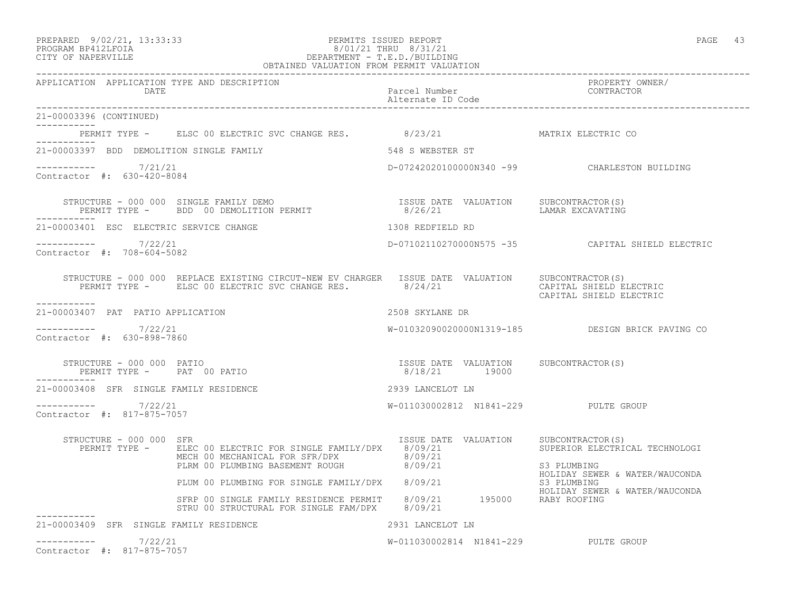# PREPARED 9/02/21, 13:33:33 PERMITS ISSUED REPORT PAGE 43 PROGRAM BP412LFOIA 8/01/21 THRU 8/31/21 CITY OF NAPERVILLE DEPARTMENT - T.E.D./BUILDING

| OBTAINED VALUATION FROM PERMIT VALUATION             |                                                                                                                                                                                              |                                      |                                                                   |
|------------------------------------------------------|----------------------------------------------------------------------------------------------------------------------------------------------------------------------------------------------|--------------------------------------|-------------------------------------------------------------------|
| APPLICATION APPLICATION TYPE AND DESCRIPTION<br>DATE |                                                                                                                                                                                              | Parcel Number<br>Alternate ID Code   | PROPERTY OWNER/<br>CONTRACTOR                                     |
| 21-00003396 (CONTINUED)<br>___________               |                                                                                                                                                                                              |                                      |                                                                   |
|                                                      | PERMIT TYPE - ELSC 00 ELECTRIC SVC CHANGE RES. 8/23/21 AATRIX ELECTRIC CO                                                                                                                    |                                      |                                                                   |
| 21-00003397 BDD DEMOLITION SINGLE FAMILY             | 548 S WEBSTER ST                                                                                                                                                                             |                                      |                                                                   |
| $--------- 7/21/21$<br>Contractor #: 630-420-8084    |                                                                                                                                                                                              |                                      | D-07242020100000N340 -99 CHARLESTON BUILDING                      |
|                                                      | STRUCTURE - 000 000 SINGLE FAMILY DEMO<br>PERMIT TYPE -     BDD 00 DEMOLITION PERMIT                        8/26/21                 LAMAR EXCAVATING                                         |                                      |                                                                   |
| 21-00003401 ESC ELECTRIC SERVICE CHANGE              |                                                                                                                                                                                              | 1308 REDFIELD RD                     |                                                                   |
| $--------- 7/22/21$<br>Contractor #: 708-604-5082    |                                                                                                                                                                                              |                                      | D-07102110270000N575 -35 CAPITAL SHIELD ELECTRIC                  |
|                                                      | STRUCTURE - 000 000 REPLACE EXISTING CIRCUT-NEW EV CHARGER ISSUE DATE VALUATION SUBCONTRACTOR(S)<br>PERMIT TYPE - ELSC 00 ELECTRIC SVC CHANGE RES. 8/24/21 6 6/24/21 CAPITAL SHIELD ELECTRIC |                                      | CAPITAL SHIELD ELECTRIC                                           |
| -----------<br>21-00003407 PAT PATIO APPLICATION     |                                                                                                                                                                                              | 2508 SKYLANE DR                      |                                                                   |
| $--------- 7/22/21$<br>Contractor #: 630-898-7860    |                                                                                                                                                                                              |                                      | W-01032090020000N1319-185 DESIGN BRICK PAVING CO                  |
| ----------                                           | STRUCTURE – 000 000 PATIO<br>PERMIT TYPE – PAT 00 PATIO – 19000 8/18/21 19000 19000                                                                                                          |                                      |                                                                   |
| 21-00003408 SFR SINGLE FAMILY RESIDENCE              |                                                                                                                                                                                              | 2939 LANCELOT LN                     |                                                                   |
| ----------- 7/22/21<br>Contractor #: 817-875-7057    |                                                                                                                                                                                              | W-011030002812 N1841-229 PULTE GROUP |                                                                   |
| STRUCTURE - 000 000 SFR                              | PERMIT TYPE - ELEC 00 ELECTRIC FOR SINGLE FAMILY/DPX 8/09/21<br>MECH 00 MECHANICAL FOR SFR/DPX 8/09/21<br>PLRM 00 PLUMBING BASEMENT ROUGH 8/09/21                                            | ISSUE DATE VALUATION                 | SUBCONTRACTOR(S)<br>SUPERIOR ELECTRICAL TECHNOLOGI<br>S3 PLUMBING |
|                                                      | PLUM 00 PLUMBING FOR SINGLE FAMILY/DPX 8/09/21                                                                                                                                               |                                      | HOLIDAY SEWER & WATER/WAUCONDA<br>S3 PLUMBING                     |
|                                                      | SFRP 00 SINGLE FAMILY RESIDENCE PERMIT 8/09/21 195000 RABY ROOFING<br>STRU 00 STRUCTURAL FOR SINGLE FAM/DPX 8/09/21                                                                          |                                      | HOLIDAY SEWER & WATER/WAUCONDA                                    |
| 21-00003409 SFR SINGLE FAMILY RESIDENCE              |                                                                                                                                                                                              | 2931 LANCELOT LN                     |                                                                   |
| $--------- 7/22/21$<br>Contractor #: 817-875-7057    |                                                                                                                                                                                              | W-011030002814 N1841-229 PULTE GROUP |                                                                   |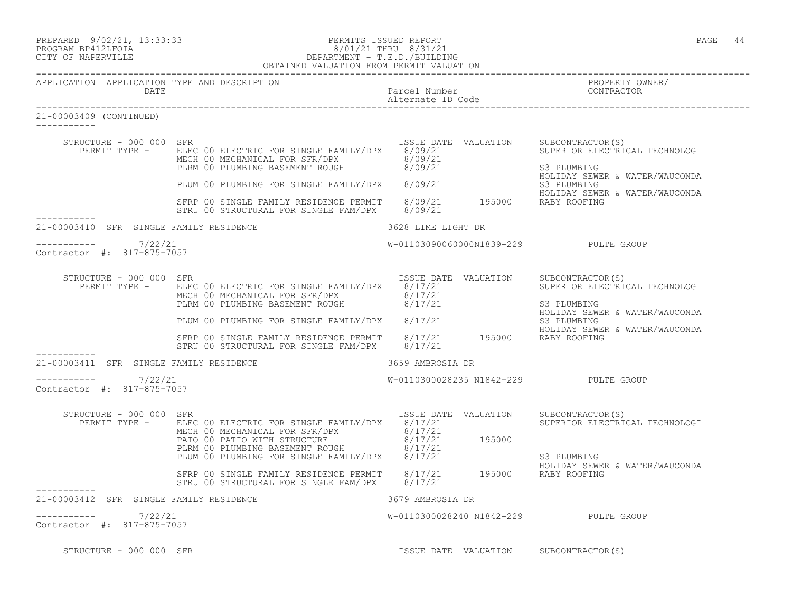# PREPARED 9/02/21, 13:33:33 PERMITS ISSUED REPORT PAGE 44 PROGRAM BP412LFOIA 8/01/21 THRU 8/31/21 CITY OF NAPERVILLE DEPARTMENT - T.E.D./BUILDING

|                                                   |                                                   | OBTAINED VALUATION FROM PERMIT VALUATION                                                                                                                                                                                                                                                                                                                                                                   |                                       |                                                                                                |
|---------------------------------------------------|---------------------------------------------------|------------------------------------------------------------------------------------------------------------------------------------------------------------------------------------------------------------------------------------------------------------------------------------------------------------------------------------------------------------------------------------------------------------|---------------------------------------|------------------------------------------------------------------------------------------------|
|                                                   | DATE                                              | APPLICATION APPLICATION TYPE AND DESCRIPTION                                                                                                                                                                                                                                                                                                                                                               | Parcel Number<br>Alternate ID Code    | PROPERTY OWNER/<br>CONTRACTOR                                                                  |
| 21-00003409 (CONTINUED)                           |                                                   |                                                                                                                                                                                                                                                                                                                                                                                                            |                                       |                                                                                                |
|                                                   | STRUCTURE - 000 000 SFR                           | ISSUE DATE VALUATION SUBCONTRACTOR(S)<br>PERMIT TYPE - ELEC 00 ELECTRIC FOR SINGLE FAMILY/DPX 8/09/21<br>MECH 00 MECHANICAL FOR SFR/DPX 8/09/21<br>PLRM 00 PLUMBING BASEMENT ROUGH 8/09/21<br>PLUM 00 PLUMBING FOR SINGLE FAMILY/DPX 8/09/21<br>STRP 00 SINGLE FAMILY RESIDENCE PERMIT 8/09/21 BOLOGY BOLIDAY SEWER & WATER/WAUCONDA<br>STRP 00 SINGLE FAMILY RESIDENCE PERMIT 8/09/21 195000 RABY ROOFING |                                       | SUPERIOR ELECTRICAL TECHNOLOGI<br>S3 PLUMBING<br>HOLIDAY SEWER & WATER/WAUCONDA                |
|                                                   |                                                   | STRU 00 STRUCTURAL FOR SINGLE FAM/DPX 8/09/21                                                                                                                                                                                                                                                                                                                                                              |                                       |                                                                                                |
|                                                   |                                                   | 21-00003410 SFR SINGLE FAMILY RESIDENCE                                                                                                                                                                                                                                                                                                                                                                    | 3628 LIME LIGHT DR                    |                                                                                                |
| $--------- 7/22/21$<br>Contractor #: 817-875-7057 |                                                   |                                                                                                                                                                                                                                                                                                                                                                                                            | W-01103090060000N1839-229 PULTE GROUP |                                                                                                |
|                                                   | STRUCTURE - 000 000 SFR                           | PERMIT TYPE - ELEC 00 ELECTRIC FOR SINGLE FAMILY/DPX 8/17/21<br>ELEC 00 ELECTRIC FOR SINGLE FAMILITIDES<br>MECH 00 MECHANICAL FOR SFR/DPX 8/17/21<br>PLRM 00 PLUMBING BASEMENT ROUGH 8/17/21<br>PLUM 00 PLUMBING FOR SINGLE FAMILY/DPX 8/17/21                                                                                                                                                             | ISSUE DATE VALUATION SUBCONTRACTOR(S) | SUPERIOR ELECTRICAL TECHNOLOGI<br>S3 PLUMBING<br>HOLIDAY SEWER & WATER/WAUCONDA<br>S3 PLUMBING |
|                                                   |                                                   | SFRP 00 SINGLE FAMILY RESIDENCE PERMIT 8/17/21 195000 RABY ROOFING<br>STRU 00 STRUCTURAL FOR SINGLE FAM/DPX 8/17/21                                                                                                                                                                                                                                                                                        |                                       | HOLIDAY SEWER & WATER/WAUCONDA                                                                 |
|                                                   |                                                   | 21-00003411 SFR SINGLE FAMILY RESIDENCE                                                                                                                                                                                                                                                                                                                                                                    | 3659 AMBROSIA DR                      |                                                                                                |
|                                                   | ----------- 7/22/21<br>Contractor #: 817-875-7057 |                                                                                                                                                                                                                                                                                                                                                                                                            | W-0110300028235 N1842-229 PULTE GROUP |                                                                                                |
|                                                   | STRUCTURE - 000 000 SFR                           | PERMIT TYPE - ELEC 00 ELECTRIC FOR SINGLE FAMILY/DPX 8/17/21<br>ELEC 00 ELECTRIC FOR SINGLE FATILIC FOR STR/DING 8/17/21<br>MECH 00 MECHANICAL FOR SFR/DPX 8/17/21<br>PATO 00 PATIO WITH STRUCTURE 8/17/21 195000<br>PLEM 00 PLUMBING FOR SINGLE FAMILY/DPX 8/17/21                                                                                                                                        | ISSUE DATE VALUATION SUBCONTRACTOR(S) | SUPERIOR ELECTRICAL TECHNOLOGI                                                                 |
|                                                   |                                                   | SFRP 00 SINGLE FAMILY RESIDENCE PERMIT 8/17/21 195000 RABY ROOFING                                                                                                                                                                                                                                                                                                                                         |                                       | S3 PLUMBING<br>HOLIDAY SEWER & WATER/WAUCONDA                                                  |
|                                                   |                                                   | STRU 00 STRUCTURAL FOR SINGLE FAM/DPX 8/17/21                                                                                                                                                                                                                                                                                                                                                              |                                       |                                                                                                |
|                                                   |                                                   | 21-00003412 SFR SINGLE FAMILY RESIDENCE<br>3679 AMBROSIA DR                                                                                                                                                                                                                                                                                                                                                |                                       |                                                                                                |
| $--------- 7/22/21$<br>Contractor #: 817-875-7057 |                                                   |                                                                                                                                                                                                                                                                                                                                                                                                            | W-0110300028240 N1842-229 PULTE GROUP |                                                                                                |

STRUCTURE - 000 000 SFR ISSUE DATE VALUATION SUBCONTRACTOR(S)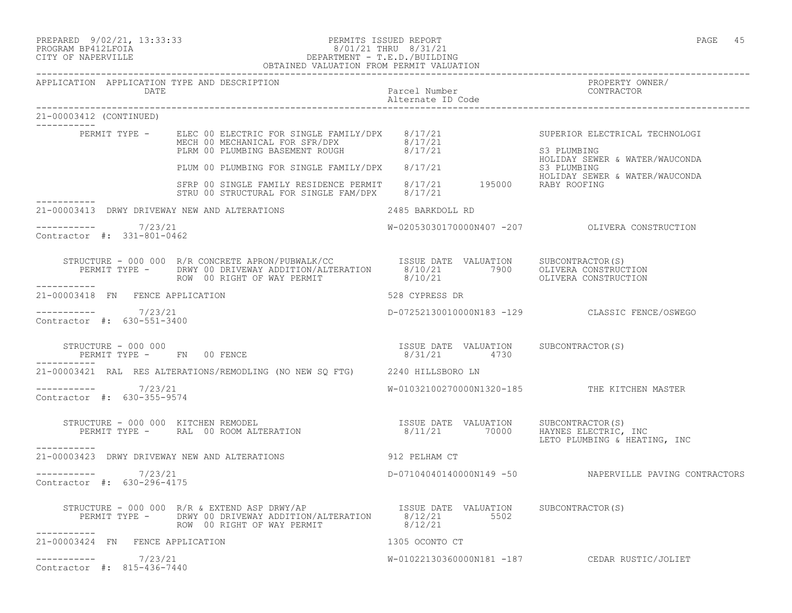PREPARED 9/02/21, 13:33:33 PERMITS ISSUED REPORT PAGE 45

## PROGRAM BP412LFOIA 8/01/21 THRU 8/31/21 CITY OF NAPERVILLE DEPARTMENT - T.E.D./BUILDING OBTAINED VALUATION FROM PERMIT VALUATION

| APPLICATION APPLICATION TYPE AND DESCRIPTION<br><b>DATE</b>                                                                                                                                                                                         | Parcel Number<br>Alternate ID Code and the CONTRACTOR<br>Alternate ID Code |                                                        |
|-----------------------------------------------------------------------------------------------------------------------------------------------------------------------------------------------------------------------------------------------------|----------------------------------------------------------------------------|--------------------------------------------------------|
| 21-00003412 (CONTINUED)<br>$---------------$                                                                                                                                                                                                        |                                                                            |                                                        |
| PERMIT TYPE - ELEC 00 ELECTRIC FOR SINGLE FAMILY/DPX 8/17/21 SUPERIOR ELECTRICAL TECHNOLOGI<br>MECH 00 MECHANICAL FOR SFR/DPX 8/17/21 SUPERIOR ELECTRICAL TECHNOLOGI<br>PLIM 00 PLUMBING FOR SINGLE FAMILY/DPX 8/17/21 SSI PLUMBIN                  |                                                                            |                                                        |
|                                                                                                                                                                                                                                                     |                                                                            |                                                        |
|                                                                                                                                                                                                                                                     |                                                                            |                                                        |
| 21-00003413 DRWY DRIVEWAY NEW AND ALTERATIONS 2485 BARKDOLL RD                                                                                                                                                                                      |                                                                            |                                                        |
| $--------- 7/23/21$<br>Contractor #: 331-801-0462                                                                                                                                                                                                   |                                                                            | W-02053030170000N407 -207    QLIVERA CONSTRUCTION      |
| STRUCTURE - 000 000 R/R CONCRETE APRON/PUBWALK/CC           ISSUE DATE VALUATION     SUBCONTRACTOR(S)<br>PERMIT TYPE -     DRWY 00 DRIVEWAY ADDITION/ALTERATION     8/10/21         7900     OLIVERA CONSTRUCTION<br>ROW 00 RIGHT OF<br>___________ |                                                                            |                                                        |
| 21-00003418 FN FENCE APPLICATION                                                                                                                                                                                                                    | 528 CYPRESS DR                                                             |                                                        |
| $--------- 7/23/21$<br>Contractor #: 630-551-3400                                                                                                                                                                                                   |                                                                            | D-07252130010000N183 -129 CLASSIC FENCE/OSWEGO         |
| STRUCTURE - 000 000<br>PERMIT TYPE - FN 00 FENCE                                                                                                                                                                                                    | ISSUE DATE VALUATION SUBCONTRACTOR (S)<br>8/31/21 4730                     |                                                        |
| 21-00003421 RAL RES ALTERATIONS/REMODLING (NO NEW SQ FTG) 2240 HILLSBORO LN                                                                                                                                                                         |                                                                            |                                                        |
| $--------- 7/23/21$<br>Contractor #: 630-355-9574                                                                                                                                                                                                   |                                                                            | W-01032100270000N1320-185 THE KITCHEN MASTER           |
| STRUCTURE - 000 000 KITCHEN REMODEL<br>PERMIT TYPE -      RAL  00 ROOM ALTERATION                              8/11/21         70000     HAYNES ELECTRIC, INC<br>LETO PLUMBING & HEATING,<br>------------                                           |                                                                            | LETO PLUMBING & HEATING, INC                           |
| 21-00003423 DRWY DRIVEWAY NEW AND ALTERATIONS 912 PELHAM CT                                                                                                                                                                                         |                                                                            |                                                        |
| $--------- 7/23/21$<br>Contractor #: 630-296-4175                                                                                                                                                                                                   |                                                                            | D-07104040140000N149 -50 NAPERVILLE PAVING CONTRACTORS |
| STRUCTURE - 000 000 R/R & EXTEND ASP DRWY/AP TSSUE DATE VALUATION SUBCONTRACTOR(S)<br>PERMIT TYPE - DRWY 00 DRIVEWAY ADDITION/ALTERATION 8/12/21 5502<br>ROW 00 RIGHT OF WAY PERMIT 8/12/21<br>-----------                                          |                                                                            |                                                        |
| 21-00003424 FN FENCE APPLICATION                                                                                                                                                                                                                    | 1305 OCONTO CT                                                             |                                                        |
| $--------- 7/23/21$<br>Contractor #: 815-436-7440                                                                                                                                                                                                   |                                                                            | W-01022130360000N181 -187 CEDAR RUSTIC/JOLIET          |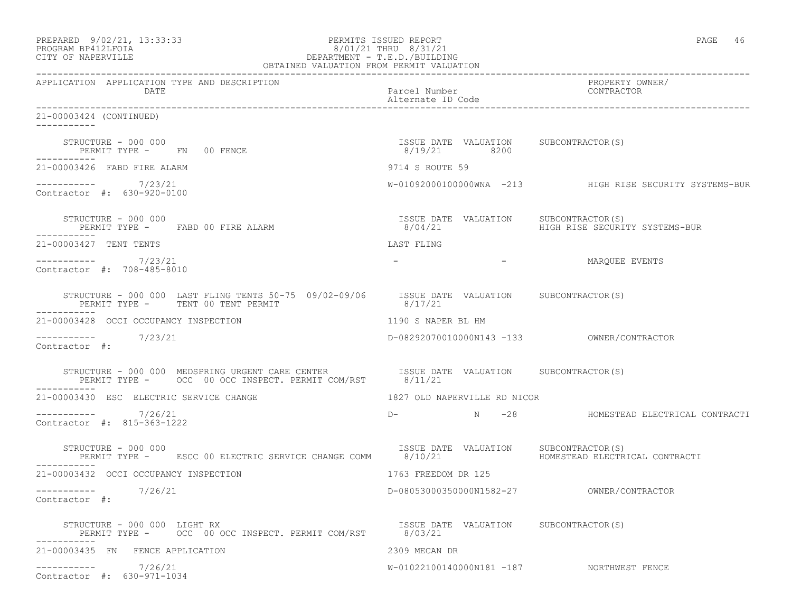| PREPARED 9/02/21, 13:33:33<br>PROGRAM BP412LFOIA<br>CITY OF NAPERVILLE<br>OBTAINED VALUATION FROM PERMIT VALUATION                                 | PERMITS ISSUED REPORT<br>8/01/21 THRU 8/31/21<br>DEPARTMENT - T.E.D./BUILDING | PAGE 46                                                                   |
|----------------------------------------------------------------------------------------------------------------------------------------------------|-------------------------------------------------------------------------------|---------------------------------------------------------------------------|
| APPLICATION APPLICATION TYPE AND DESCRIPTION<br>DATE                                                                                               | Parcel Number<br>Alternate ID Code                                            | ------<br>PROPERTY_OWNER/<br>CONTRACTO                                    |
| 21-00003424 (CONTINUED)                                                                                                                            |                                                                               |                                                                           |
| STRUCTURE - 000 000<br>PERMIT TYPE - FN 00 FENCE                                                                                                   | ISSUE DATE VALUATION SUBCONTRACTOR(S)<br>8/19/21 8200                         |                                                                           |
| 21-00003426 FABD FIRE ALARM                                                                                                                        | 9714 S ROUTE 59                                                               |                                                                           |
| ----------- 7/23/21<br>Contractor #: 630-920-0100                                                                                                  |                                                                               | W-01092000100000WNA -213 HIGH RISE SECURITY SYSTEMS-BUR                   |
| STRUCTURE - 000 000<br>PERMIT TYPE - FABD 00 FIRE ALARM                                                                                            | ISSUE DATE VALUATION SUBCONTRACTOR (S)<br>8/04/21                             | HIGH RISE SECURITY SYSTEMS-BUR                                            |
| 21-00003427 TENT TENTS                                                                                                                             | LAST FLING                                                                    |                                                                           |
| ----------- 7/23/21<br>Contractor #: 708-485-8010                                                                                                  | the company of the company of                                                 | MARQUEE EVENTS                                                            |
| STRUCTURE - 000 000 LAST FLING TENTS 50-75 09/02-09/06 ISSUE DATE VALUATION SUBCONTRACTOR(S)<br>PERMIT TYPE - TENT 00 TENT PERMIT                  | 8/17/21                                                                       |                                                                           |
| 21-00003428 OCCI OCCUPANCY INSPECTION                                                                                                              | 1190 S NAPER BL HM                                                            |                                                                           |
| $--------$ 7/23/21<br>Contractor #:                                                                                                                |                                                                               |                                                                           |
| STRUCTURE – 000 000 MEDSPRING URGENT CARE CENTER ISSUE DATE VALUATION SUBCONTRACTOR(S)<br>PERMIT TYPE – OCC 00 OCC INSPECT. PERMIT COM/RST 8/11/21 |                                                                               |                                                                           |
| 21-00003430 ESC ELECTRIC SERVICE CHANGE                                                                                                            | 1827 OLD NAPERVILLE RD NICOR                                                  |                                                                           |
| $--------- 7/26/21$<br>Contractor #: 815-363-1222                                                                                                  |                                                                               | D-               N       -28               HOMESTEAD ELECTRICAL CONTRACTI |
| STRUCTURE - 000 000<br>PERMIT TYPE - ESCC 00 ELECTRIC SERVICE CHANGE COMM 8/10/21                                                                  | ISSUE DATE VALUATION                                                          | SUBCONTRACTOR(S)<br>HOMESTEAD ELECTRICAL CONTRACTI                        |
| 21-00003432 OCCI OCCUPANCY INSPECTION                                                                                                              | 1763 FREEDOM DR 125                                                           |                                                                           |
| 7/26/21<br>-----------<br>Contractor #:                                                                                                            | D-08053000350000N1582-27                                                      | OWNER/CONTRACTOR                                                          |
| STRUCTURE - 000 000 LIGHT RX<br>PERMIT TYPE - OCC 00 OCC INSPECT. PERMIT COM/RST                                                                   | ISSUE DATE VALUATION SUBCONTRACTOR(S)<br>8/03/21                              |                                                                           |
| 21-00003435 FN FENCE APPLICATION                                                                                                                   | 2309 MECAN DR                                                                 |                                                                           |
| -----------    7/26/21<br>Contractor #: 630-971-1034                                                                                               | W-01022100140000N181 -187 NORTHWEST FENCE                                     |                                                                           |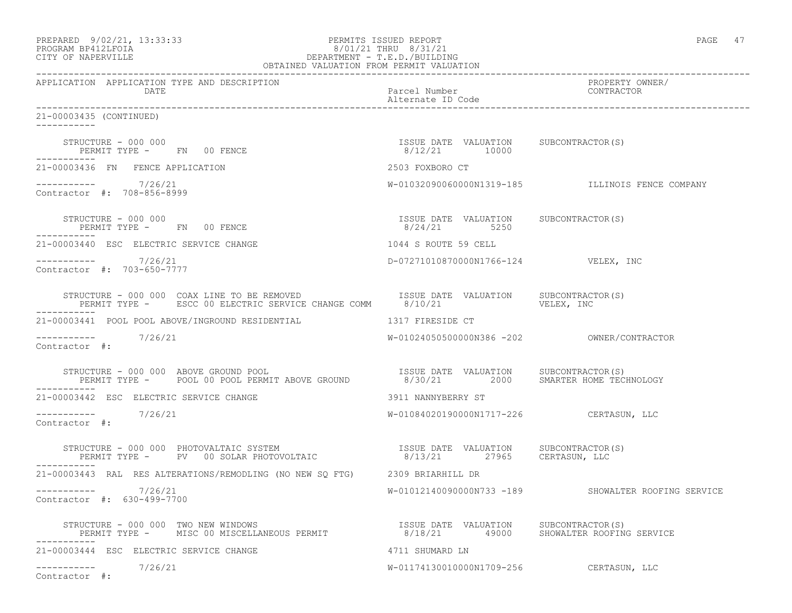| PREPARED 9/02/21, 13:33:33 | PERMITS ISSUED REPORT     | PAGE |  |
|----------------------------|---------------------------|------|--|
| DDOCD3M DD410TDOT3         | $0/01/01$ munit $0/01/01$ |      |  |

# PROGRAM BP412LFOIA 8/01/21 THRU 8/31/21 CITY OF NAPERVILLE DEPARTMENT - T.E.D./BUILDING

| OBTAINED VALUATION FROM PERMIT VALUATION                                                                                                                                                                                |                                                        |                                                     |  |
|-------------------------------------------------------------------------------------------------------------------------------------------------------------------------------------------------------------------------|--------------------------------------------------------|-----------------------------------------------------|--|
| APPLICATION APPLICATION TYPE AND DESCRIPTION<br>DATE                                                                                                                                                                    | Parcel Number<br>Alternate ID Code                     | PROPERTY OWNER/<br>CONTRACTOR                       |  |
| 21-00003435 (CONTINUED)<br>-----------                                                                                                                                                                                  |                                                        |                                                     |  |
| STRUCTURE - 000 000<br>PERMIT TYPE - FN 00 FENCE                                                                                                                                                                        | ISSUE DATE VALUATION SUBCONTRACTOR(S)<br>8/12/21 10000 |                                                     |  |
| 21-00003436 FN FENCE APPLICATION                                                                                                                                                                                        | 2503 FOXBORO CT                                        |                                                     |  |
| $----------$ 7/26/21<br>Contractor #: 708-856-8999                                                                                                                                                                      |                                                        | W-01032090060000N1319-185 ILLINOIS FENCE COMPANY    |  |
| $\begin{array}{lll} \text{STRUCTURE} & - & 000 & 000 \\ \text{STRUCTURE} & - & 000 & 000 \\ \end{array}$<br>PERMIT TYPE - FN 00 FENCE                                                                                   | ISSUE DATE VALUATION SUBCONTRACTOR(S)<br>8/24/21 5250  |                                                     |  |
| 21-00003440 ESC ELECTRIC SERVICE CHANGE                                                                                                                                                                                 | 1044 S ROUTE 59 CELL                                   |                                                     |  |
| $--------- 7/26/21$<br>Contractor #: 703-650-7777                                                                                                                                                                       | D-07271010870000N1766-124 VELEX, INC                   |                                                     |  |
|                                                                                                                                                                                                                         |                                                        |                                                     |  |
| 21-00003441 POOL POOL ABOVE/INGROUND RESIDENTIAL 40 1317 FIRESIDE CT                                                                                                                                                    |                                                        |                                                     |  |
| -----------    7/26/21<br>Contractor #:                                                                                                                                                                                 |                                                        |                                                     |  |
|                                                                                                                                                                                                                         |                                                        |                                                     |  |
| 21-00003442 ESC ELECTRIC SERVICE CHANGE                                                                                                                                                                                 | 3911 NANNYBERRY ST                                     |                                                     |  |
| -----------    7/26/21<br>Contractor #:                                                                                                                                                                                 | W-01084020190000N1717-226 CERTASUN, LLC                |                                                     |  |
| STRUCTURE - 000 000 PHOTOVALTAIC SYSTEM                             ISSUE DATE VALUATION     SUBCONTRACTOR(S)<br>PERMIT TYPE -     PV   00 SOLAR PHOTOVOLTAIC                     8/13/21       27965     CERTASUN, LLC |                                                        |                                                     |  |
| 21-00003443 RAL RES ALTERATIONS/REMODLING (NO NEW SQ FTG) 2309 BRIARHILL DR                                                                                                                                             |                                                        |                                                     |  |
| -----------    7/26/21<br>Contractor #: 630-499-7700                                                                                                                                                                    |                                                        | W-01012140090000N733 -189 SHOWALTER ROOFING SERVICE |  |
| STRUCTURE - 000 000 TWO NEW WINDOWS<br>PERMIT TYPE - MISC 00 MISCELLANEOUS PERMIT                      8/18/21       49000    SHOWALTER ROOFING SERVICE                                                                 |                                                        |                                                     |  |
| 21-00003444 ESC ELECTRIC SERVICE CHANGE                                                                                                                                                                                 | 4711 SHUMARD LN                                        |                                                     |  |
| -----------    7/26/21<br>Contractor #:                                                                                                                                                                                 | W-01174130010000N1709-256 CERTASUN, LLC                |                                                     |  |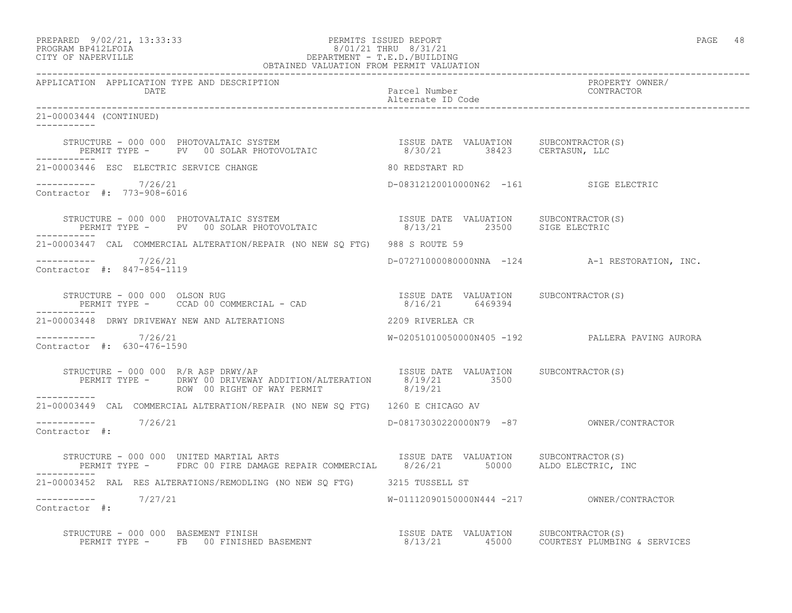# PREPARED 9/02/21, 13:33:33 PERMITS ISSUED REPORT PAGE 48 PROGRAM BP412LFOIA 8/01/21 THRU 8/31/21 CITY OF NAPERVILLE DEPARTMENT - T.E.D./BUILDING

| OBTAINED VALUATION FROM PERMIT VALUATION             |                                                                                                                                                                                                                                   |                                        |                                                 |
|------------------------------------------------------|-----------------------------------------------------------------------------------------------------------------------------------------------------------------------------------------------------------------------------------|----------------------------------------|-------------------------------------------------|
| APPLICATION APPLICATION TYPE AND DESCRIPTION<br>DATE |                                                                                                                                                                                                                                   | Parcel Number<br>Alternate ID Code     | PROPERTY OWNER/<br>CONTRACTOR                   |
| 21-00003444 (CONTINUED)                              |                                                                                                                                                                                                                                   |                                        |                                                 |
|                                                      | STRUCTURE - 000 000 PHOTOVALTAIC SYSTEM                            ISSUE DATE VALUATION     SUBCONTRACTOR(S)<br>PERMIT TYPE -     PV   00 SOLAR PHOTOVOLTAIC                    8/30/21       38423     CERTASUN, LLC             |                                        |                                                 |
| 21-00003446 ESC ELECTRIC SERVICE CHANGE              |                                                                                                                                                                                                                                   | 80 REDSTART RD                         |                                                 |
| ----------- 7/26/21<br>Contractor #: 773-908-6016    |                                                                                                                                                                                                                                   | D-08312120010000N62 -161 SIGE ELECTRIC |                                                 |
| -------------                                        | STRUCTURE – 000 000 PHOTOVALTAIC SYSTEM                               ISSUE DATE VALUATION      SUBCONTRACTOR(S)<br>PERMIT TYPE –      PV    00 SOLAR PHOTOVOLTAIC                        8/13/21        23500      SIGE ELECTRIC |                                        |                                                 |
|                                                      | 21-00003447 CAL COMMERCIAL ALTERATION/REPAIR (NO NEW SQ FTG) 988 S ROUTE 59                                                                                                                                                       |                                        |                                                 |
| $--------- 7/26/21$<br>Contractor #: 847-854-1119    |                                                                                                                                                                                                                                   |                                        | D-07271000080000NNA -124 A-1 RESTORATION, INC.  |
|                                                      | STRUCTURE - 000 000 OLSON RUG<br>PERMIT TYPE - CCAD 00 COMMERCIAL - CAD 6/16/21 6469394                                                                                                                                           |                                        |                                                 |
|                                                      | 21-00003448 DRWY DRIVEWAY NEW AND ALTERATIONS                                                                                                                                                                                     | 2209 RIVERLEA CR                       |                                                 |
| $--------- 7/26/21$<br>Contractor #: 630-476-1590    |                                                                                                                                                                                                                                   |                                        | W-02051010050000N405 -192 PALLERA PAVING AURORA |
|                                                      |                                                                                                                                                                                                                                   |                                        |                                                 |
|                                                      | 21-00003449 CAL COMMERCIAL ALTERATION/REPAIR (NO NEW SQ FTG) 1260 E CHICAGO AV                                                                                                                                                    |                                        |                                                 |
| $--------- 7/26/21$<br>Contractor #:                 |                                                                                                                                                                                                                                   |                                        | D-08173030220000N79 -87 OWNER/CONTRACTOR        |
|                                                      | STRUCTURE - 000 000 UNITED MARTIAL ARTS TANDER SUSSUE DATE VALUATION SUBCONTRACTOR(S)<br>PERMIT TYPE - FDRC 00 FIRE DAMAGE REPAIR COMMERCIAL 8/26/21 50000 ALDO ELECTRIC, INC                                                     |                                        |                                                 |
|                                                      | 21-00003452 RAL RES ALTERATIONS/REMODLING (NO NEW SQ FTG) 3215 TUSSELL ST                                                                                                                                                         |                                        |                                                 |
| $--------- 7/27/21$<br>Contractor #:                 |                                                                                                                                                                                                                                   |                                        | W-01112090150000N444 -217 OWNER/CONTRACTOR      |
|                                                      | STRUCTURE - 000 000 BASEMENT FINISH<br>PERMIT TYPE - FB 00 FINISHED BASEMENT - 8/13/21 45000 COURTESY PLUMBING & SERVICES                                                                                                         |                                        |                                                 |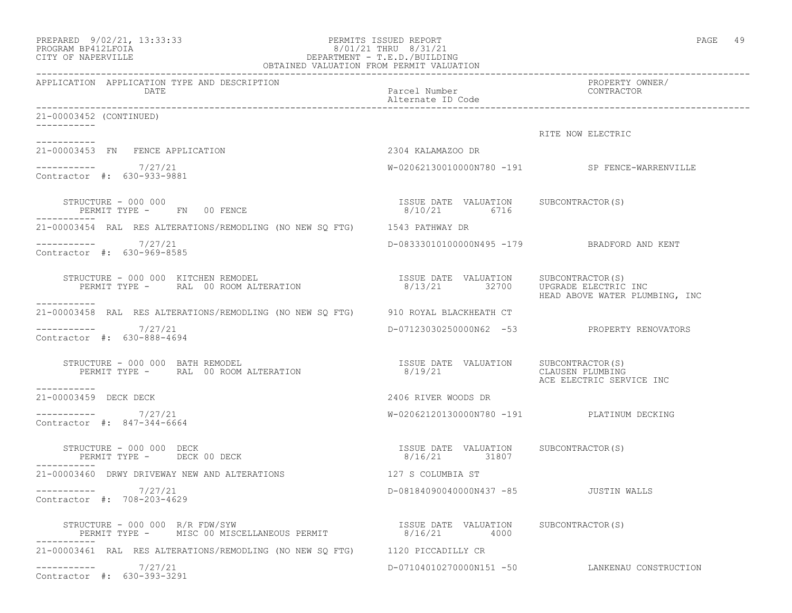| PREPARED 9/02/21, 13:33:33<br>PROGRAM BP412LFOIA<br>CITY OF NAPERVILLE            | PERMITS ISSUED REPORT<br>8/01/21 THRU 8/31/21<br>DEPARTMENT - T.E.D./BUILDING<br>OBTAINED VALUATION FROM PERMIT VALUATION | 49<br>PAGE                                                       |
|-----------------------------------------------------------------------------------|---------------------------------------------------------------------------------------------------------------------------|------------------------------------------------------------------|
| APPLICATION APPLICATION TYPE AND DESCRIPTION<br>DATE                              | Parcel Number<br>Alternate ID Code                                                                                        | PROPERTY OWNER/<br>CONTRACTOR                                    |
| 21-00003452 (CONTINUED)                                                           |                                                                                                                           |                                                                  |
|                                                                                   |                                                                                                                           | RITE NOW ELECTRIC                                                |
| 21-00003453 FN FENCE APPLICATION                                                  | 2304 KALAMAZOO DR                                                                                                         |                                                                  |
| $--------- 7/27/21$<br>Contractor #: 630-933-9881                                 |                                                                                                                           | W-02062130010000N780 -191 SP FENCE-WARRENVILLE                   |
| STRUCTURE - 000 000<br>PERMIT TYPE - FN 00 FENCE                                  | ISSUE DATE VALUATION SUBCONTRACTOR(S)<br>8/10/21 6716                                                                     |                                                                  |
| 21-00003454 RAL RES ALTERATIONS/REMODLING (NO NEW SQ FTG) 1543 PATHWAY DR         |                                                                                                                           |                                                                  |
| $--------- 7/27/21$<br>Contractor #: 630-969-8585                                 |                                                                                                                           | D-08333010100000N495 -179 BRADFORD AND KENT                      |
| STRUCTURE - 000 000 KITCHEN REMODEL<br>PERMIT TYPE - RAL 00 ROOM ALTERATION       | ISSUE DATE VALUATION SUBCONTRACTOR (S)<br>8/13/21 32700                                                                   | UPGRADE ELECTRIC INC<br>HEAD ABOVE WATER PLUMBING, INC           |
| 21-00003458 RAL RES ALTERATIONS/REMODLING (NO NEW SQ FTG) 910 ROYAL BLACKHEATH CT |                                                                                                                           |                                                                  |
| $--------- 7/27/21$<br>Contractor #: 630-888-4694                                 |                                                                                                                           | D-07123030250000N62 -53 PROPERTY RENOVATORS                      |
| STRUCTURE - 000 000 BATH REMODEL<br>PERMIT TYPE - RAL 00 ROOM ALTERATION          | ISSUE DATE VALUATION<br>8/19/21                                                                                           | SUBCONTRACTOR(S)<br>CLAUSEN PLUMBING<br>ACE ELECTRIC SERVICE INC |
| 21-00003459 DECK DECK                                                             | 2406 RIVER WOODS DR                                                                                                       |                                                                  |
| $--------- 7/27/21$<br>Contractor #: 847-344-6664                                 |                                                                                                                           | W-02062120130000N780 -191 PLATINUM DECKING                       |
| STRUCTURE - 000 000 DECK<br>PERMIT TYPE - DECK 00 DECK<br>-----------             | ISSUE DATE VALUATION SUBCONTRACTOR(S)<br>8/16/21 31807                                                                    |                                                                  |
| 21-00003460 DRWY DRIVEWAY NEW AND ALTERATIONS                                     | 127 S COLUMBIA ST                                                                                                         |                                                                  |
| 7/27/21<br>Contractor #: 708-203-4629                                             | D-08184090040000N437 -85                                                                                                  | JUSTIN WALLS                                                     |
| STRUCTURE - 000 000 R/R FDW/SYW<br>PERMIT TYPE - MISC 00 MISCELLANEOUS PERMIT     | ISSUE DATE VALUATION SUBCONTRACTOR(S)<br>8/16/21<br>4000                                                                  |                                                                  |
| 21-00003461 RAL RES ALTERATIONS/REMODLING (NO NEW SQ FTG) 1120 PICCADILLY CR      |                                                                                                                           |                                                                  |
| 7/27/21<br>------------<br>Contractor #: 630-393-3291                             | D-07104010270000N151 -50                                                                                                  | LANKENAU CONSTRUCTION                                            |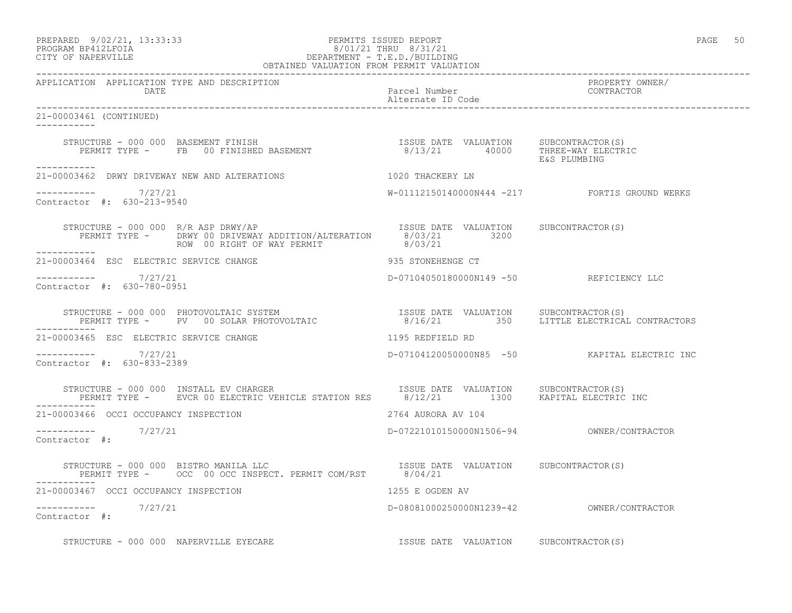### PREPARED 9/02/21, 13:33:33 PERMITS ISSUED REPORT PAGE 50 PROGRAM BP412LFOIA 8/01/21 THRU 8/31/21 CITY OF NAPERVILLE DEPARTMENT - T.E.D./BUILDING OBTAINED VALUATION FROM PERMIT VALUATION

------------------------------------------------------------------------------------------------------------------------------------ APPLICATION APPLICATION TYPE AND DESCRIPTION<br>DATE barel Number Parcel Number Parcel Solution CONTRACTOR DATE Parcel Number CONTRACTOR Alternate ID Code ------------------------------------------------------------------------------------------------------------------------------------ 21-00003461 (CONTINUED) ----------- STRUCTURE - 000 000 BASEMENT FINISH ISSUE DATE VALUATION SUBCONTRACTOR(S) PERMIT TYPE - FB 00 FINISHED BASEMENT 8/13/21 40000 THREE-WAY ELECTRIC E&S PLUMBING ----------- 21-00003462 DRWY DRIVEWAY NEW AND ALTERATIONS 1020 THACKERY LN  $--------- 7/27/21$ W-01112150140000N444 -217 FORTIS GROUND WERKS Contractor #: 630-213-9540 STRUCTURE - 000 000 R/R ASP DRWY/AP ISSUE DATE VALUATION SUBCONTRACTOR(S) PERMIT TYPE - DRWY 00 DRIVEWAY ADDITION/ALTERATION 8/03/21 3200 ROW 00 RIGHT OF WAY PERMIT 8/03/21 -----------<br>-----------21-00003464 ESC ELECTRIC SERVICE CHANGE 935 STONEHENGE CT \_\_\_\_\_\_\_\_\_\_\_\_ ----------- 7/27/21 D-07104050180000N149 -50 REFICIENCY LLC Contractor #: 630-780-0951 STRUCTURE - 000 000 PHOTOVOLTAIC SYSTEM ISSUE DATE VALUATION SUBCONTRACTOR(S) PERMIT TYPE - PV 00 SOLAR PHOTOVOLTAIC 8/16/21 350 LITTLE ELECTRICAL CONTRACTORS ----------- 21-00003465 ESC ELECTRIC SERVICE CHANGE 1195 REDFIELD RD ----------- 7/27/21 D-07104120050000N85 -50 KAPITAL ELECTRIC INC Contractor #: 630-833-2389 STRUCTURE - 000 000 INSTALL EV CHARGER **ISSUE DATE VALUATION** SUBCONTRACTOR(S) PERMIT TYPE - EVCR 00 ELECTRIC VEHICLE STATION RES 8/12/21 1300 KAPITAL ELECTRIC INC ----------- 21-00003466 OCCI OCCUPANCY INSPECTION 2764 AURORA AV 104 ----------- 7/27/21 D-07221010150000N1506-94 OWNER/CONTRACTOR Contractor #: STRUCTURE - 000 000 BISTRO MANILA LLC ISSUE DATE VALUATION SUBCONTRACTOR(S) PERMIT TYPE - OCC 00 OCC INSPECT. PERMIT COM/RST 8/04/21 ----------- 21-00003467 OCCI OCCUPANCY INSPECTION 1255 E OGDEN AV ----------- 7/27/21 D-08081000250000N1239-42 OWNER/CONTRACTOR Contractor #: STRUCTURE - 000 000 NAPERVILLE EYECARE **ISSUE DATE VALUATION** SUBCONTRACTOR(S)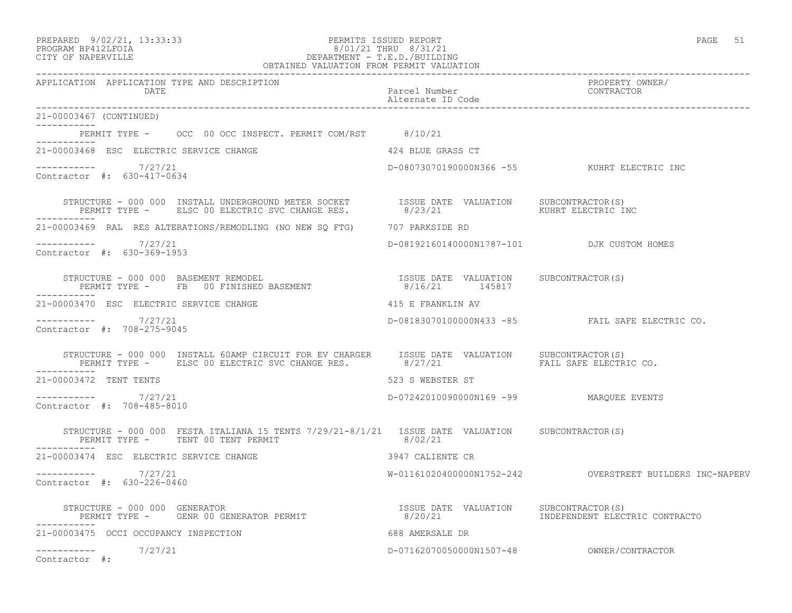### PREPARED 9/02/21, 13:33:33 PERMITS ISSUED REPORT PAGE 51 PROGRAM BP412LFOIA 8/01/21 THRU 8/31/21 CITY OF NAPERVILLE DEPARTMENT - T.E.D./BUILDING OBTAINED VALUATION FROM PERMIT VALUATION

| APPLICATION APPLICATION TYPE AND DESCRIPTION<br>DATE                                                                                                                                           | Parcel Number<br>Alternate ID Code<br>---- | PROPERTY OWNER/<br>CONTRACTOR                                  |
|------------------------------------------------------------------------------------------------------------------------------------------------------------------------------------------------|--------------------------------------------|----------------------------------------------------------------|
| 21-00003467 (CONTINUED)                                                                                                                                                                        |                                            |                                                                |
| PERMIT TYPE - OCC 00 OCC INSPECT. PERMIT COM/RST 8/10/21                                                                                                                                       |                                            |                                                                |
| 21-00003468 ESC ELECTRIC SERVICE CHANGE                                                                                                                                                        | 424 BLUE GRASS CT                          |                                                                |
| ----------- 7/27/21<br>Contractor #: 630-417-0634                                                                                                                                              |                                            | D-08073070190000N366 -55 KUHRT ELECTRIC INC                    |
|                                                                                                                                                                                                |                                            |                                                                |
| ----------<br>21-00003469 RAL RES ALTERATIONS/REMODLING (NO NEW SO FTG) 707 PARKSIDE RD                                                                                                        |                                            |                                                                |
| $--------- 7/27/21$<br>Contractor #: 630-369-1953                                                                                                                                              | D-08192160140000N1787-101 DJK CUSTOM HOMES |                                                                |
|                                                                                                                                                                                                |                                            |                                                                |
| 21-00003470 ESC ELECTRIC SERVICE CHANGE                                                                                                                                                        | 415 E FRANKLIN AV                          |                                                                |
| -----------     7/27/21<br>Contractor #: 708-275-9045                                                                                                                                          |                                            | D-08183070100000N433 -85 FAIL SAFE ELECTRIC CO.                |
| STRUCTURE - 000 000 INSTALL 60AMP CIRCUIT FOR EV CHARGER ISSUE DATE VALUATION SUBCONTRACTOR(S)<br>PERMIT TYPE - ELSC 00 ELECTRIC SVC CHANGE RES. 8/27/21 FAIL SAFE ELECTRIC CO.<br>----------- |                                            |                                                                |
| 21-00003472 TENT TENTS                                                                                                                                                                         | 523 S WEBSTER ST                           |                                                                |
| $--------- 7/27/21$<br>Contractor #: 708-485-8010                                                                                                                                              | D-07242010090000N169 -99 MARQUEE EVENTS    |                                                                |
| STRUCTURE - 000 000 FESTA ITALIANA 15 TENTS 7/29/21-8/1/21 ISSUE DATE VALUATION SUBCONTRACTOR(S)<br>PERMIT TYPE - TENT 00 TENT PERMIT                                                          | 8/02/21                                    |                                                                |
| 21-00003474 ESC ELECTRIC SERVICE CHANGE                                                                                                                                                        | 3947 CALIENTE CR                           |                                                                |
| $--------- 7/27/21$<br>Contractor #: 630-226-0460                                                                                                                                              |                                            |                                                                |
|                                                                                                                                                                                                |                                            | 8/20/21                         INDEPENDENT ELECTRIC CONTRACTO |
| 21-00003475 OCCI OCCUPANCY INSPECTION                                                                                                                                                          | 688 AMERSALE DR                            |                                                                |
| ----------- 7/27/21<br>Contractor #:                                                                                                                                                           |                                            |                                                                |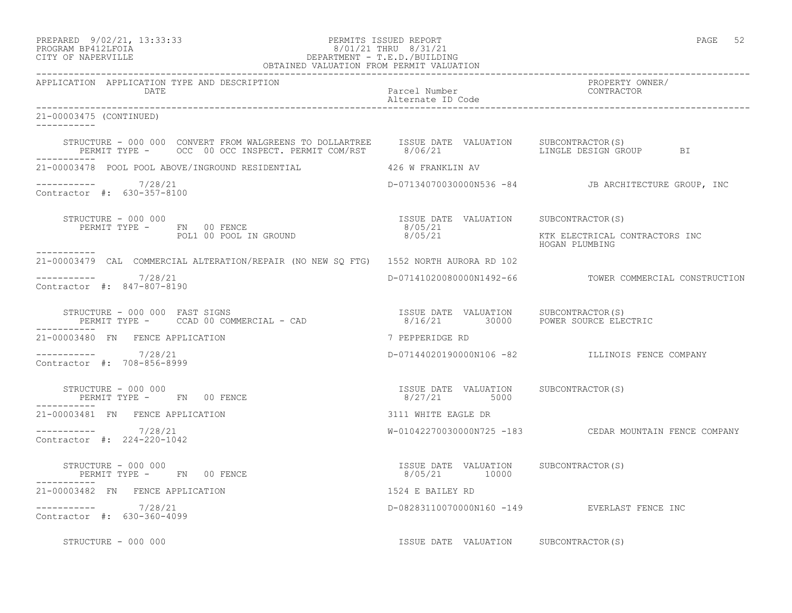APPLICATION APPLICATION TYPE AND DESCRIPTION<br>DATE

Alternate ID Code

### PREPARED 9/02/21, 13:33:33 PERMITS ISSUED REPORT PAGE 52 PROGRAM BP412LFOIA 8/01/21 THRU 8/31/21 CITY OF NAPERVILLE DEPARTMENT - T.E.D./BUILDING OBTAINED VALUATION FROM PERMIT VALUATION

------------------------------------------------------------------------------------------------------------------------------------ DATE Parcel Number CONTRACTOR ------------------------------------------------------------------------------------------------------------------------------------

| 21-00003475 (CONTINUED)<br>-----------                                                                                                                                                           |                                                             |                                                        |
|--------------------------------------------------------------------------------------------------------------------------------------------------------------------------------------------------|-------------------------------------------------------------|--------------------------------------------------------|
| STRUCTURE - 000 000 CONVERT FROM WALGREENS TO DOLLARTREE ISSUE DATE VALUATION SUBCONTRACTOR(S)<br>PERMIT TYPE - OCC 00 OCC INSPECT. PERMIT COM/RST 8/06/21                                       |                                                             | LINGLE DESIGN GROUP BI                                 |
| -----------<br>21-00003478 POOL POOL ABOVE/INGROUND RESIDENTIAL                                                                                                                                  | 426 W FRANKLIN AV                                           |                                                        |
| 7/28/21<br>-----------<br>Contractor #: 630-357-8100                                                                                                                                             |                                                             | D-07134070030000N536 -84 JB ARCHITECTURE GROUP, INC    |
| STRUCTURE - 000 000<br>PERMIT TYPE - FN 00 FENCE<br>POL1 00 POOL IN GROUND<br>-----------                                                                                                        | ISSUE DATE VALUATION SUBCONTRACTOR(S)<br>8/05/21<br>8/05/21 | KTK ELECTRICAL CONTRACTORS INC<br>HOGAN PLUMBING       |
| 21-00003479 CAL COMMERCIAL ALTERATION/REPAIR (NO NEW SO FTG) 1552 NORTH AURORA RD 102                                                                                                            |                                                             |                                                        |
| 7/28/21<br>Contractor #: 847-807-8190                                                                                                                                                            |                                                             | D-07141020080000N1492-66 TOWER COMMERCIAL CONSTRUCTION |
| TRUCTURE - 000 000 FAST SIGNS<br>PERMIT TYPE -     CCAD 00 COMMERCIAL - CAD                            8/16/21                                POWER SOURCE ELE<br>STRUCTURE - 000 000 FAST SIGNS | 8/16/21 30000 POWER SOURCE ELECTRIC                         |                                                        |
| 21-00003480 FN FENCE APPLICATION                                                                                                                                                                 | 7 PEPPERIDGE RD                                             |                                                        |
| $--------- 7/28/21$<br>Contractor #: 708-856-8999                                                                                                                                                |                                                             | D-07144020190000N106 -82 ILLINOIS FENCE COMPANY        |
| STRUCTURE - 000 000<br>PERMIT TYPE - FN 00 FENCE<br>-----------                                                                                                                                  | ISSUE DATE VALUATION SUBCONTRACTOR(S)<br>8/27/21 5000       |                                                        |
| 21-00003481 FN FENCE APPLICATION                                                                                                                                                                 | 3111 WHITE EAGLE DR                                         |                                                        |
| $--------- 7/28/21$<br>Contractor #: 224-220-1042                                                                                                                                                |                                                             | W-01042270030000N725 -183 CEDAR MOUNTAIN FENCE COMPANY |
| STRUCTURE - 000 000<br>PERMIT TYPE - FN 00 FENCE                                                                                                                                                 | ISSUE DATE VALUATION SUBCONTRACTOR(S)<br>8/05/21 10000      |                                                        |
| 21-00003482 FN FENCE APPLICATION                                                                                                                                                                 | 1524 E BAILEY RD                                            |                                                        |
| $--------- 7/28/21$<br>Contractor #: 630-360-4099                                                                                                                                                |                                                             | D-08283110070000N160 -149 EVERLAST FENCE INC           |
| STRUCTURE - 000 000                                                                                                                                                                              | ISSUE DATE VALUATION                                        | SUBCONTRACTOR (S)                                      |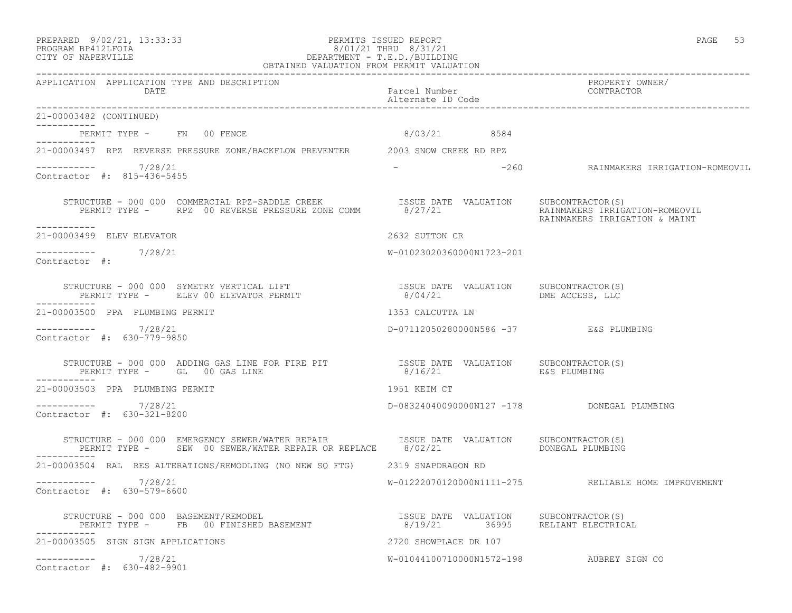## PREPARED 9/02/21, 13:33:33 PERMITS ISSUED REPORT PAGE 53 PROGRAM BP412LFOIA 8/01/21 THRU 8/31/21 CITY OF NAPERVILLE DEPARTMENT - T.E.D./BUILDING

|                                                                                                                                                                                                                                                                                                                                                                                                   | OBTAINED VALUATION FROM PERMIT VALUATION |                                                                 |
|---------------------------------------------------------------------------------------------------------------------------------------------------------------------------------------------------------------------------------------------------------------------------------------------------------------------------------------------------------------------------------------------------|------------------------------------------|-----------------------------------------------------------------|
| APPLICATION APPLICATION TYPE AND DESCRIPTION<br>DATE                                                                                                                                                                                                                                                                                                                                              | Parcel Number<br>Alternate ID Code       | PROPERTY OWNER/<br>CONTRACTOR                                   |
| 21-00003482 (CONTINUED)<br>___________                                                                                                                                                                                                                                                                                                                                                            |                                          |                                                                 |
| PERMIT TYPE - FN 00 FENCE<br>-----------                                                                                                                                                                                                                                                                                                                                                          | 8/03/21 8584                             |                                                                 |
| 21-00003497 RPZ REVERSE PRESSURE ZONE/BACKFLOW PREVENTER 2003 SNOW CREEK RD RPZ                                                                                                                                                                                                                                                                                                                   |                                          |                                                                 |
| $--------- 7/28/21$<br>Contractor #: 815-436-5455                                                                                                                                                                                                                                                                                                                                                 | $\sim$                                   | -260     RAINMAKERS IRRIGATION-ROMEOVIL                         |
| -----------                                                                                                                                                                                                                                                                                                                                                                                       |                                          | RAINMAKERS IRRIGATION-ROMEOVIL<br>RAINMAKERS IRRIGATION & MAINT |
| 21-00003499 ELEV ELEVATOR                                                                                                                                                                                                                                                                                                                                                                         | 2632 SUTTON CR                           |                                                                 |
| -----------    7/28/21<br>Contractor #:                                                                                                                                                                                                                                                                                                                                                           | W-01023020360000N1723-201                |                                                                 |
|                                                                                                                                                                                                                                                                                                                                                                                                   |                                          |                                                                 |
| 21-00003500 PPA PLUMBING PERMIT                                                                                                                                                                                                                                                                                                                                                                   | 1353 CALCUTTA LN                         |                                                                 |
| ----------- 7/28/21<br>Contractor #: 630-779-9850                                                                                                                                                                                                                                                                                                                                                 | D-07112050280000N586 -37 E&S PLUMBING    |                                                                 |
| ------------                                                                                                                                                                                                                                                                                                                                                                                      |                                          |                                                                 |
| 21-00003503 PPA PLUMBING PERMIT                                                                                                                                                                                                                                                                                                                                                                   | 1951 KEIM CT                             |                                                                 |
| $--------- 7/28/21$<br>Contractor #: 630-321-8200                                                                                                                                                                                                                                                                                                                                                 |                                          | D-08324040090000N127 -178 DONEGAL PLUMBING                      |
| STRUCTURE - 000 000 EMERGENCY SEWER/WATER REPAIR TSSUE DATE VALUATION SUBCONTRACTOR(S)<br>PERMIT TYPE - SEW 00 SEWER/WATER REPAIR OR REPLACE 8/02/21<br>-----------                                                                                                                                                                                                                               |                                          | DONEGAL PLUMBING                                                |
| 21-00003504 RAL RES ALTERATIONS/REMODLING (NO NEW SQ FTG) 2319 SNAPDRAGON RD                                                                                                                                                                                                                                                                                                                      |                                          |                                                                 |
| 7/28/21<br>Contractor #: 630-579-6600                                                                                                                                                                                                                                                                                                                                                             |                                          | W-01222070120000N1111-275 RELIABLE HOME IMPROVEMENT             |
| STRUCTURE - 000 000 BASEMENT/REMODEL<br>$\begin{array}{cccc} \texttt{STRUCTURE} - 000 000 & \texttt{BASEMENT/REMODEL} & \texttt{ASEMENT} & \texttt{SSEMENT} & \texttt{SSE} & \texttt{DATE} & \texttt{VALUATION} & \texttt{SUBCONTRACTOR(S)} \\ \texttt{PERMIT TYPE} - \texttt{FB} & 00 FINISHED BASEMENT & \texttt{SSEMENT} & \texttt{S019/21} & 36995 & \texttt{RELIANT ELECTRICAL} \end{array}$ |                                          |                                                                 |
| 21-00003505 SIGN SIGN APPLICATIONS                                                                                                                                                                                                                                                                                                                                                                | 2720 SHOWPLACE DR 107                    |                                                                 |
| $--------- 7/28/21$<br>Contractor #: 630-482-9901                                                                                                                                                                                                                                                                                                                                                 | W-01044100710000N1572-198 AUBREY SIGN CO |                                                                 |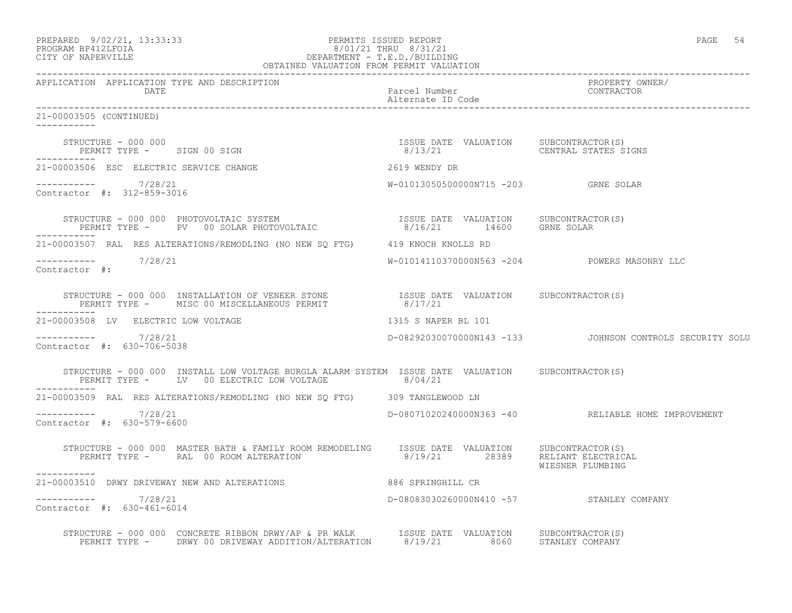|                   | PREPARED 9/02/21, 13:33:33 | PERMITS ISSUED REPORT | PAGE |  |
|-------------------|----------------------------|-----------------------|------|--|
| EDOCRAM RRATTEOTA |                            | 8/01/21 TUDII 8/31/21 |      |  |

## PROGRAM BP412LFOIA 8/01/21 THRU 8/31/21 CITY OF NAPERVILLE DEPARTMENT - T.E.D./BUILDING OBTAINED VALUATION FROM PERMIT VALUATION

------------------------------------------------------------------------------------------------------------------------------------ APPLICATION APPLICATION TYPE AND DESCRIPTION PROPERTY OWNER/ DATE DATE Parcel Number<br>
Alternate ID Code Alternate ID Code ------------------------------------------------------------------------------------------------------------------------------------ 21-00003505 (CONTINUED) ----------- STRUCTURE - 000 000 ISSUE DATE VALUATION SUBCONTRACTOR(S) PERMIT TYPE - SIGN 00 SIGN ----------- 21-00003506 ESC ELECTRIC SERVICE CHANGE 2619 WENDY DR ----------- 7/28/21 W-01013050500000N715 -203 GRNE SOLAR Contractor #: 312-859-3016 STRUCTURE - 000 000 PHOTOVOLTAIC SYSTEM ISSUE DATE VALUATION SUBCONTRACTOR(S) PERMIT TYPE - PV 00 SOLAR PHOTOVOLTAIC 8/16/21 14600 GRNE SOLAR ----------- 21-00003507 RAL RES ALTERATIONS/REMODLING (NO NEW SQ FTG) 419 KNOCH KNOLLS RD ----------- 7/28/21 W-01014110370000N563 -204 POWERS MASONRY LLC Contractor #: STRUCTURE - 000 000 INSTALLATION OF VENEER STONE ISSUE DATE VALUATION SUBCONTRACTOR(S) PERMIT TYPE - MISC 00 MISCELLANEOUS PERMIT 8/17/21 ----------- 21-00003508 LV ELECTRIC LOW VOLTAGE 1315 S NAPER BL 101 ----------- 7/28/21 D-08292030070000N143 -133 JOHNSON CONTROLS SECURITY SOLU Contractor #: 630-706-5038 STRUCTURE - 000 000 INSTALL LOW VOLTAGE BURGLA ALARM SYSTEM ISSUE DATE VALUATION SUBCONTRACTOR(S) PERMIT TYPE - LV 00 ELECTRIC LOW VOLTAGE 8/04/21 ----------- 21-00003509 RAL RES ALTERATIONS/REMODLING (NO NEW SQ FTG) 309 TANGLEWOOD LN ----------- 7/28/21 D-08071020240000N363 -40 RELIABLE HOME IMPROVEMENT Contractor #: 630-579-6600 STRUCTURE - 000 000 MASTER BATH & FAMILY ROOM REMODELING ISSUE DATE VALUATION SUBCONTRACTOR(S) PERMIT TYPE - RAL 00 ROOM ALTERATION 8/19/21 28389 RELIANT ELECTRICAL WIESNER PLUMBING ----------- 21-00003510 DRWY DRIVEWAY NEW AND ALTERATIONS 886 SPRINGHILL CR \_\_\_\_\_\_\_\_\_\_\_ ----------- 7/28/21 D-08083030260000N410 -57 STANLEY COMPANY Contractor #: 630-461-6014

 STRUCTURE - 000 000 CONCRETE RIBBON DRWY/AP & PR WALK ISSUE DATE VALUATION SUBCONTRACTOR(S) PERMIT TYPE - DRWY 00 DRIVEWAY ADDITION/ALTERATION 8/19/21 8060 STANLEY COMPANY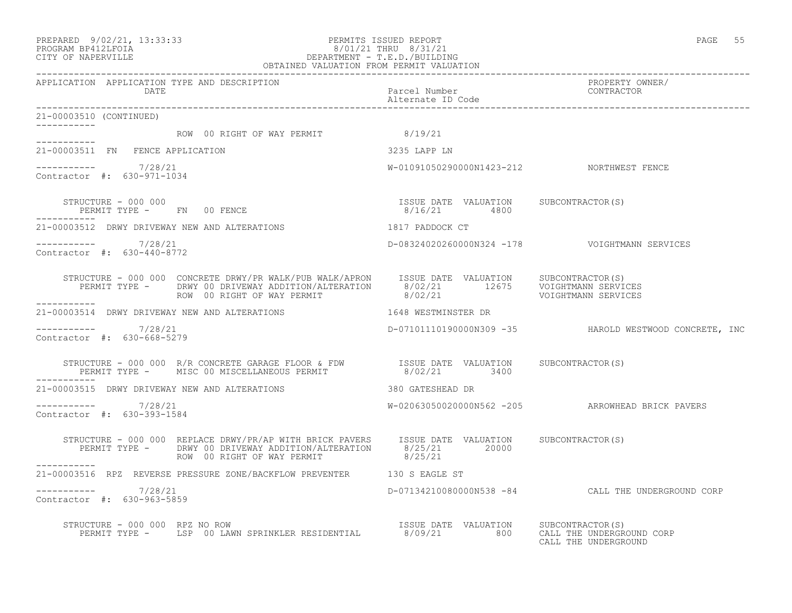### PREPARED 9/02/21, 13:33:33 PERMITS ISSUED REPORT PAGE 55 PROGRAM BP412LFOIA 8/01/21 THRU 8/31/21 CITY OF NAPERVILLE DEPARTMENT - T.E.D./BUILDING OBTAINED VALUATION FROM PERMIT VALUATION

| APPLICATION APPLICATION TYPE AND DESCRIPTION                                                                                                                                                                                                        |                                                       | PROPERTY OWNER/<br>CONTRACTOR                          |
|-----------------------------------------------------------------------------------------------------------------------------------------------------------------------------------------------------------------------------------------------------|-------------------------------------------------------|--------------------------------------------------------|
| 21-00003510 (CONTINUED)                                                                                                                                                                                                                             |                                                       |                                                        |
| ROW 00 RIGHT OF WAY PERMIT 8/19/21                                                                                                                                                                                                                  |                                                       |                                                        |
| 21-00003511 FN FENCE APPLICATION                                                                                                                                                                                                                    | 3235 LAPP LN                                          |                                                        |
| $--------- 7/28/21$<br>Contractor #: 630-971-1034                                                                                                                                                                                                   | W-01091050290000N1423-212 NORTHWEST FENCE             |                                                        |
| STRUCTURE - 000 000<br>STRUCTURE - UUU UUU<br>PERMIT TYPE -     FN   00 FENCE                                                                                                                                                                       | ISSUE DATE VALUATION SUBCONTRACTOR(S)<br>8/16/21 4800 |                                                        |
| 21-00003512 DRWY DRIVEWAY NEW AND ALTERATIONS 4817 PADDOCK CT                                                                                                                                                                                       |                                                       |                                                        |
| -----------    7/28/21<br>Contractor #: 630-440-8772                                                                                                                                                                                                |                                                       | D-08324020260000N324 -178    VOIGHTMANN SERVICES       |
| STRUCTURE – 000 000 CONCRETE DRWY/PR WALK/PUB WALK/APRON     ISSUE DATE  VALUATION     SUBCONTRACTOR(S)<br>PERMIT TYPE –       DRWY 00 DRIVEWAY ADDITION/ALTERATION       8/02/21          12675     VOIGHTMANN SERVICES<br>ROW 00 R<br>___________ |                                                       |                                                        |
| 21-00003514 DRWY DRIVEWAY NEW AND ALTERATIONS 40 1648 WESTMINSTER DR                                                                                                                                                                                |                                                       |                                                        |
| $--------- 7/28/21$<br>Contractor #: 630-668-5279                                                                                                                                                                                                   |                                                       | D-07101110190000N309 -35 HAROLD WESTWOOD CONCRETE, INC |
| STRUCTURE - 000 000 R/R CONCRETE GARAGE FLOOR & FDW            ISSUE DATE VALUATION      SUBCONTRACTOR(S)<br>PERMIT TYPE -      MISC 00 MISCELLANEOUS PERMIT                  8/02/21          3400                                                 |                                                       |                                                        |
| 21-00003515 DRWY DRIVEWAY NEW AND ALTERATIONS                                                                                                                                                                                                       | 380 GATESHEAD DR                                      |                                                        |
| $--------- 7/28/21$<br>Contractor #: 630-393-1584                                                                                                                                                                                                   |                                                       | W-02063050020000N562 -205 ARROWHEAD BRICK PAVERS       |
| STRUCTURE - 000 000 REPLACE DRWY/PR/AP WITH BRICK PAVERS ISSUE DATE VALUATION SUBCONTRACTOR(S)<br>PERMIT TYPE - DRWY 00 DRIVEWAY ADDITION/ALTERATION 8/25/21 20000<br>ROW 00 RIGHT OF WAY PERMIT 8/25/21                                            |                                                       |                                                        |
| -----------<br>21-00003516 RPZ REVERSE PRESSURE ZONE/BACKFLOW PREVENTER 130 S EAGLE ST                                                                                                                                                              |                                                       |                                                        |
| $--------- 7/28/21$<br>Contractor #: 630-963-5859                                                                                                                                                                                                   |                                                       | D-07134210080000N538 -84 CALL THE UNDERGROUND CORP     |
| STRUCTURE - 000 000 RPZ NO ROW<br>PERMIT TYPE - LSP 00 LAWN SPRINKLER RESIDENTIAL 8/09/21 800 CALL THE UNDERGROUND CORP                                                                                                                             |                                                       |                                                        |

CALL THE UNDERGROUND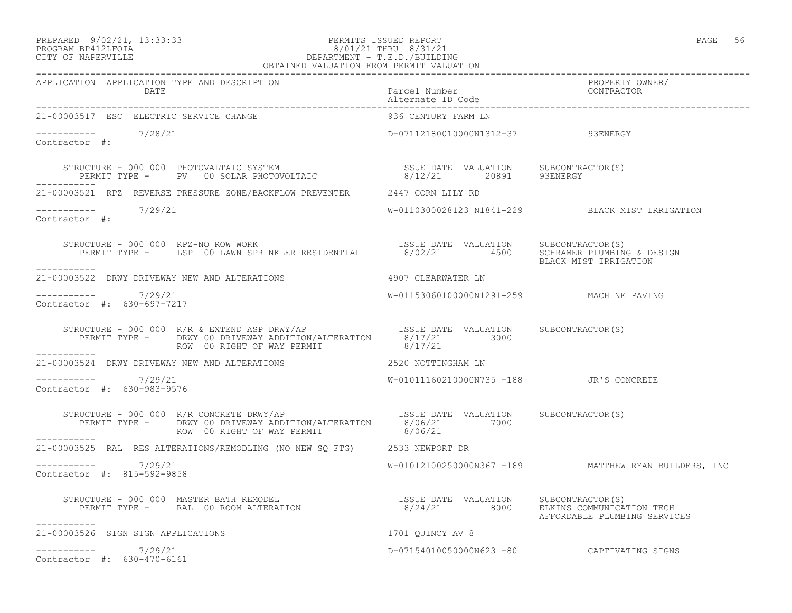### PREPARED 9/02/21, 13:33:33 PERMITS ISSUED REPORT PAGE 56 PROGRAM BP412LFOIA 8/01/21 THRU 8/31/21 CITY OF NAPERVILLE DEPARTMENT - T.E.D./BUILDING OBTAINED VALUATION FROM PERMIT VALUATION

| 21-00003517 ESC ELECTRIC SERVICE CHANGE                                                                                                                                                                                                                                                                                                                                                                                    | 936 CENTURY FARM LN                      |                                                      |
|----------------------------------------------------------------------------------------------------------------------------------------------------------------------------------------------------------------------------------------------------------------------------------------------------------------------------------------------------------------------------------------------------------------------------|------------------------------------------|------------------------------------------------------|
| $--------- 7/28/21$<br>Contractor #:                                                                                                                                                                                                                                                                                                                                                                                       | D-07112180010000N1312-37 93ENERGY        |                                                      |
| STRUCTURE – 000 000 PHOTOVALTAIC SYSTEM                             ISSUE DATE VALUATION     SUBCONTRACTOR(S)<br>PERMIT TYPE –     PV   00 SOLAR PHOTOVOLTAIC                    8/12/21      20891     93ENERGY                                                                                                                                                                                                           |                                          |                                                      |
| 21-00003521 RPZ REVERSE PRESSURE ZONE/BACKFLOW PREVENTER 2447 CORN LILY RD                                                                                                                                                                                                                                                                                                                                                 |                                          |                                                      |
| $\frac{1}{2}$ -----------<br>Contractor #: 7/29/21                                                                                                                                                                                                                                                                                                                                                                         |                                          | W-0110300028123 N1841-229 BLACK MIST IRRIGATION      |
| STRUCTURE - 000 000 RPZ-NO ROW WORK [ISSUE DATE VALUATION SUBCONTRACTOR(S)<br>PERMIT TYPE - LSP 00 LAWN SPRINKLER RESIDENTIAL 8/02/21 4500 SCHRAMER PLUMBING & DESIGN                                                                                                                                                                                                                                                      |                                          |                                                      |
| 21-00003522 DRWY DRIVEWAY NEW AND ALTERATIONS 4907 CLEARWATER LN                                                                                                                                                                                                                                                                                                                                                           |                                          |                                                      |
| -----------     7/29/21<br>Contractor #: 630-697-7217                                                                                                                                                                                                                                                                                                                                                                      | W-01153060100000N1291-259 MACHINE PAVING |                                                      |
| $\begin{array}{cccc} \texttt{STRUCTURE} - 000~000 & \texttt{R/R}~\&~\texttt{EXTEND}~\texttt{ASP}~\texttt{DRWY} / \texttt{AP} & & & & \texttt{ISSUE}~\texttt{DATE}~\texttt{VALUTENATION} & & & \texttt{SUBCONTRACTOR}~(S) \\ \texttt{PERMIT}~\texttt{TYPE}~- & & \texttt{DRWY}~00~\texttt{DRIVENAY}~\texttt{ADDITION} / \texttt{ALTERATION} & & & & \texttt{8/17/21} & & \texttt{3000} \\ & & & & \texttt{ROW}~00~\texttt{$ |                                          |                                                      |
| ___________<br>21-00003524 DRWY DRIVEWAY NEW AND ALTERATIONS 2520 NOTTINGHAM LN                                                                                                                                                                                                                                                                                                                                            |                                          |                                                      |
| $--------- 7/29/21$<br>Contractor #: 630-983-9576                                                                                                                                                                                                                                                                                                                                                                          | W-01011160210000N735 -188 JR'S CONCRETE  |                                                      |
| STRUCTURE - 000 000 R/R CONCRETE DRWY/AP<br>PERMIT TYPE - DRWY 00 DRIVEWAY ADDITION/ALTERATION 8/06/21 7000<br>ROW 00 RIGHT OF WAY PERMIT                                                                                                                                                                                                                                                                                  | 8/06/21                                  |                                                      |
| ------------<br>21-00003525 RAL RES ALTERATIONS/REMODLING (NO NEW SQ FTG) 2533 NEWPORT DR                                                                                                                                                                                                                                                                                                                                  |                                          |                                                      |
| ----------- 7/29/21<br>Contractor #: 815-592-9858                                                                                                                                                                                                                                                                                                                                                                          |                                          | W-01012100250000N367 -189 MATTHEW RYAN BUILDERS, INC |
| STRUCTURE - 000 000 MASTER BATH REMODEL                              ISSUE DATE VALUATION     SUBCONTRACTOR(S)<br>PERMIT TYPE -      RAL  00 ROOM ALTERATION                           8/24/21         8000     ELKINS COMMUNICAT                                                                                                                                                                                          |                                          | AFFORDABLE PLUMBING SERVICES                         |
| 21-00003526 SIGN SIGN APPLICATIONS                                                                                                                                                                                                                                                                                                                                                                                         | 1701 QUINCY AV 8                         |                                                      |
| $--------- 7/29/21$<br>Contractor #: 630-470-6161                                                                                                                                                                                                                                                                                                                                                                          |                                          | D-07154010050000N623 -80 CAPTIVATING SIGNS           |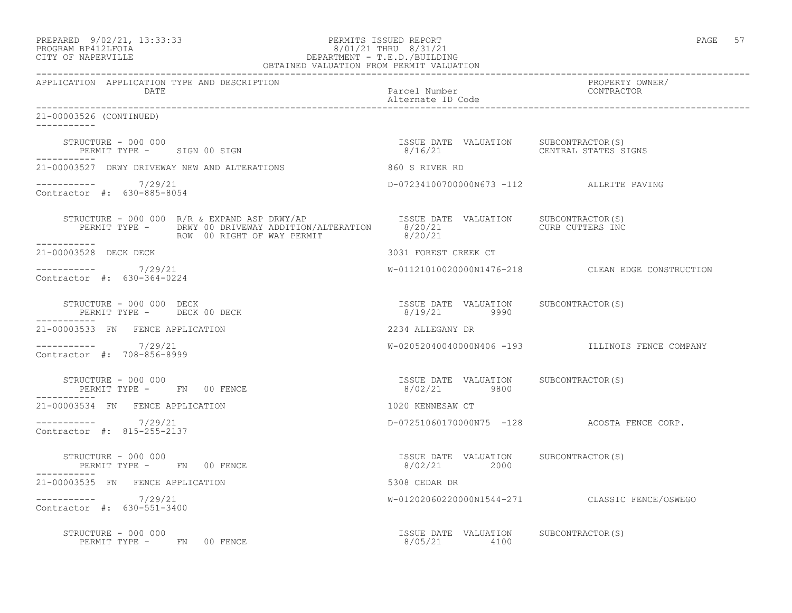| PREPARED            | $9/02/21$ , $13:33:33$ |
|---------------------|------------------------|
| DDOCDAM DD410T DOTA |                        |

### PREPARED 9/02/21, 13:33:33 PERMITS ISSUED REPORT PAGE 57 PROGRAM BP412LFOIA 8/01/21 THRU 8/31/21 CITY OF NAPERVILLE DEPARTMENT - T.E.D./BUILDING OBTAINED VALUATION FROM PERMIT VALUATION

------------------------------------------------------------------------------------------------------------------------------------ APPLICATION APPLICATION TYPE AND DESCRIPTION PROPERTY OWNER/ DATE DATE Parcel Number<br>
Alternate ID Code Alternate ID Code ------------------------------------------------------------------------------------------------------------------------------------ 21-00003526 (CONTINUED) ----------- STRUCTURE - 000 000 ISSUE DATE VALUATION SUBCONTRACTOR(S) PERMIT TYPE - SIGN 00 SIGN ----------- 21-00003527 DRWY DRIVEWAY NEW AND ALTERATIONS 860 S RIVER RD ----------- 7/29/21 D-07234100700000N673 -112 ALLRITE PAVING Contractor #: 630-885-8054 STRUCTURE - 000 000 R/R & EXPAND ASP DRWY/AP ISSUE DATE VALUATION SUBCONTRACTOR(S)<br>PERMIT TYPE - DRWY 00 DRIVEWAY ADDITION/ALTERATION 8/20/21 CURB CUTTERS INC PERMIT TYPE - DRWY 00 DRIVEWAY ADDITION/ALTERATION 8/20/21<br>ROW 00 RIGHT OF WAY PERMIT 8/20/21 ROW 00 RIGHT OF WAY PERMIT ----------- 21-00003528 DECK DECK 3031 FOREST CREEK CT ----------- 7/29/21 W-01121010020000N1476-218 CLEAN EDGE CONSTRUCTION Contractor #: 630-364-0224 STRUCTURE - 000 000 DECK ISSUE DATE VALUATION SUBCONTRACTOR(S) PERMIT TYPE - DECK 00 DECK ----------- 21-00003533 FN FENCE APPLICATION 2234 ALLEGANY DR ----------- 7/29/21 W-02052040040000N406 -193 ILLINOIS FENCE COMPANY Contractor #: 708-856-8999 STRUCTURE - 000 000 ISSUE DATE VALUATION SUBCONTRACTOR(S) PERMIT TYPE - FN 00 FENCE ----------- 21-00003534 FN FENCE APPLICATION 1020 KENNESAW CT ----------- 7/29/21 D-07251060170000N75 -128 ACOSTA FENCE CORP. Contractor #: 815-255-2137 STRUCTURE - 000 000 ISSUE DATE VALUATION SUBCONTRACTOR(S) PERMIT TYPE - FN 00 FENCE 21-00003535 FN FENCE APPLICATION 5308 CEDAR DR ----------- 7/29/21 W-01202060220000N1544-271 CLASSIC FENCE/OSWEGO Contractor #: 630-551-3400 STRUCTURE - 000 000 ISSUE DATE VALUATION SUBCONTRACTOR(S) PERMIT TYPE - FN 00 FENCE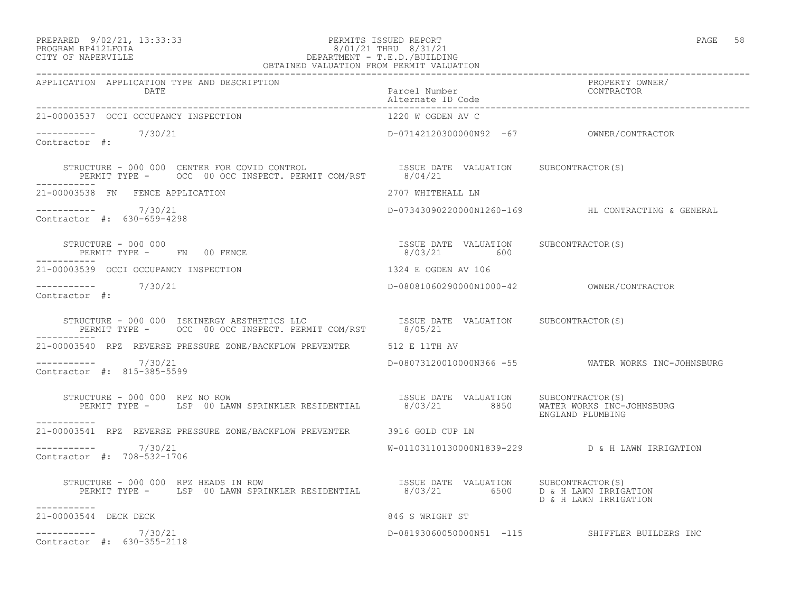## PREPARED 9/02/21, 13:33:33 PERMITS ISSUED REPORT PAGE 58 PROGRAM BP412LFOIA 8/01/21 THRU 8/31/21 CITY OF NAPERVILLE DEPARTMENT - T.E.D./BUILDING

| OBTAINED VALUATION FROM PERMIT VALUATION                                                                                                                                                                                                                                                                                                         |                                          |                                                    |  |
|--------------------------------------------------------------------------------------------------------------------------------------------------------------------------------------------------------------------------------------------------------------------------------------------------------------------------------------------------|------------------------------------------|----------------------------------------------------|--|
| APPLICATION APPLICATION TYPE AND DESCRIPTION<br>DATE                                                                                                                                                                                                                                                                                             | Parcel Number<br>Alternate ID Code       | PROPERTY OWNER/<br>CONTRACTOR                      |  |
| 21-00003537 OCCI OCCUPANCY INSPECTION                                                                                                                                                                                                                                                                                                            | 1220 W OGDEN AV C                        |                                                    |  |
| $---------$<br>Contractor #: 7/30/21                                                                                                                                                                                                                                                                                                             | D-07142120300000N92 -67 OWNER/CONTRACTOR |                                                    |  |
| $\begin{tabular}{lclclcl} \multicolumn{2}{c}{STRUCTURE} & - & 000 & 000 & \multicolumn{2}{c}{CENTER FOR COVID CONTROL} & & & & & & \text{ISSUE DATE} & VALUATION & & \text{SUBCONTRACTOR(S)}\\ & & & & & \text{PERMIT TYPE} & - & & \text{OCC} & 00 & \text{OCC INSPECT. PERMIT COM/RST} & & & & \text{8/04/21} \\ \end{tabular}$<br>___________ |                                          |                                                    |  |
| 21-00003538 FN FENCE APPLICATION                                                                                                                                                                                                                                                                                                                 | 2707 WHITEHALL LN                        |                                                    |  |
| $--------- 7/30/21$<br>Contractor #: 630-659-4298                                                                                                                                                                                                                                                                                                |                                          | D-07343090220000N1260-169 HL CONTRACTING & GENERAL |  |
| $\begin{array}{cccccccccc} \texttt{STRUCTURE} & - & 000 & 000 & & & & & & \\ \texttt{PERMIT TYPE} & - & \texttt{FN} & 00 & \texttt{FENCE} & & & & & \\ \texttt{PERMIT TYPE} & - & \texttt{FN} & 00 & \texttt{FENCE} & & & & \\ \end{array}$<br>-------------                                                                                     |                                          |                                                    |  |
| 21-00003539 OCCI OCCUPANCY INSPECTION                                                                                                                                                                                                                                                                                                            | 1324 E OGDEN AV 106                      |                                                    |  |
| $--------- 7/30/21$<br>Contractor #:                                                                                                                                                                                                                                                                                                             |                                          |                                                    |  |
| ------------                                                                                                                                                                                                                                                                                                                                     |                                          |                                                    |  |
| 21-00003540 RPZ REVERSE PRESSURE ZONE/BACKFLOW PREVENTER 512 E 11TH AV                                                                                                                                                                                                                                                                           |                                          |                                                    |  |
| $--------- 7/30/21$<br>Contractor #: 815-385-5599                                                                                                                                                                                                                                                                                                |                                          | D-08073120010000N366 -55 WATER WORKS INC-JOHNSBURG |  |
| STRUCTURE - 000 000 RPZ NO ROW<br>__________                                                                                                                                                                                                                                                                                                     |                                          | ENGLAND PLUMBING                                   |  |
| 21-00003541 RPZ REVERSE PRESSURE ZONE/BACKFLOW PREVENTER 3916 GOLD CUP LN                                                                                                                                                                                                                                                                        |                                          |                                                    |  |
| $--------$ 7/30/21<br>Contractor #: 708-532-1706                                                                                                                                                                                                                                                                                                 |                                          | W-01103110130000N1839-229 D & H LAWN IRRIGATION    |  |
| STRUCTURE - 000 000 RPZ HEADS IN ROW<br>PERMIT TYPE - LSP 00 LAWN SPRINKLER RESIDENTIAL 8/03/21 6500 D & H LAWN IRRIGATION<br>-----------                                                                                                                                                                                                        | ISSUE DATE VALUATION SUBCONTRACTOR(S)    | D & H LAWN IRRIGATION                              |  |
| 21-00003544 DECK DECK                                                                                                                                                                                                                                                                                                                            | 846 S WRIGHT ST                          |                                                    |  |
| $--------- 7/30/21$<br>Contractor #: 630-355-2118                                                                                                                                                                                                                                                                                                |                                          | D-08193060050000N51 -115 SHIFFLER BUILDERS INC     |  |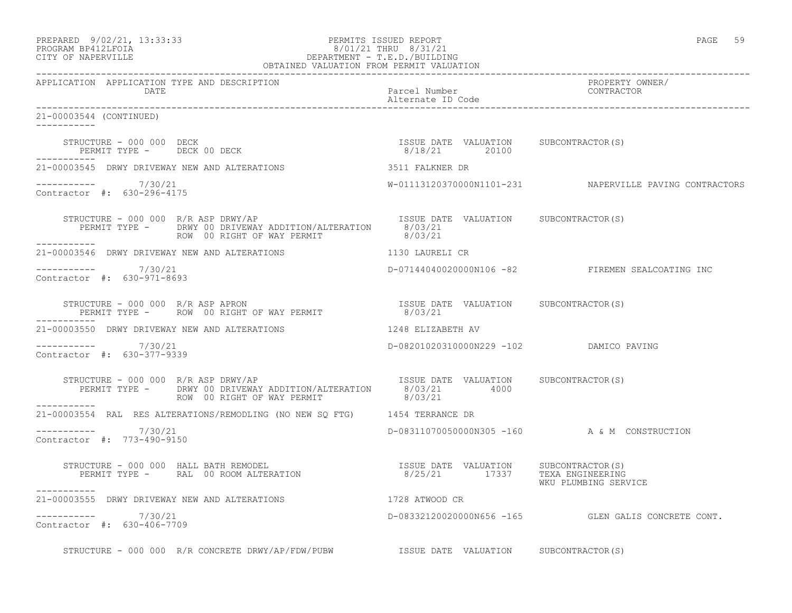| PREPARED 9/02/21, 13:33:33 | PERMITS ISSUED REPORT | 59<br>PAGE |
|----------------------------|-----------------------|------------|
| גדמה זמנומת ווגמממת        | 0/01/01 munti 0/01/01 |            |

## PROGRAM BP412LFOIA 8/01/21 THRU 8/31/21 CITY OF NAPERVILLE DEPARTMENT - T.E.D./BUILDING OBTAINED VALUATION FROM PERMIT VALUATION

------------------------------------------------------------------------------------------------------------------------------------ APPLICATION APPLICATION TYPE AND DESCRIPTION PROPERTY OWNER/ DATE Parcel Number Contractor Contractor Contractor Parcel Number Alternate ID Code ------------------------------------------------------------------------------------------------------------------------------------ 21-00003544 (CONTINUED) ----------- STRUCTURE - 000 000 DECK ISSUE DATE VALUATION SUBCONTRACTOR(S) PERMIT TYPE - DECK 00 DECK ----------- 21-00003545 DRWY DRIVEWAY NEW AND ALTERATIONS 3511 FALKNER DR ----------- 7/30/21 W-01113120370000N1101-231 NAPERVILLE PAVING CONTRACTORS Contractor #: 630-296-4175 STRUCTURE - 000 000 R/R ASP DRWY/AP **ISSUE DATE VALUATION** SUBCONTRACTOR(S) PERMIT TYPE - DRWY 00 DRIVEWAY ADDITION/ALTERATION 8/03/21<br>ROW 00 RIGHT OF WAY PERMIT 8/03/21 ROW 00 RIGHT OF WAY PERMIT ----------- 21-00003546 DRWY DRIVEWAY NEW AND ALTERATIONS 1130 LAURELI CR ----------- 7/30/21 D-07144040020000N106 -82 FIREMEN SEALCOATING INC Contractor #: 630-971-8693 STRUCTURE - 000 000 R/R ASP APRON ISSUE DATE VALUATION SUBCONTRACTOR(S) PERMIT TYPE - ROW 00 RIGHT OF WAY PERMIT 6/03/21 ----------- 21-00003550 DRWY DRIVEWAY NEW AND ALTERATIONS 1248 ELIZABETH AV ----------- 7/30/21 D-08201020310000N229 -102 DAMICO PAVING Contractor #: 630-377-9339 STRUCTURE - 000 000 R/R ASP DRWY/AP **ISSUE DATE** VALUATION SUBCONTRACTOR(S) PERMIT TYPE - DRWY 00 DRIVEWAY ADDITION/ALTERATION 8/03/21 4000 ROW 00 RIGHT OF WAY PERMIT ----------- 21-00003554 RAL RES ALTERATIONS/REMODLING (NO NEW SQ FTG) 1454 TERRANCE DR  $--------- 7/30/21$ D-08311070050000N305 -160 A & M CONSTRUCTION Contractor #: 773-490-9150 STRUCTURE - 000 000 HALL BATH REMODEL ISSUE DATE VALUATION SUBCONTRACTOR(S) PERMIT TYPE - RAL 00 ROOM ALTERATION 8/25/21 17337 TEXA ENGINEERING WKU PLUMBING SERVICE ----------- 21-00003555 DRWY DRIVEWAY NEW AND ALTERATIONS 1728 ATWOOD CR ----------- 7/30/21 D-08332120020000N656 -165 GLEN GALIS CONCRETE CONT. Contractor #: 630-406-7709 STRUCTURE - 000 000 R/R CONCRETE DRWY/AP/FDW/PUBW ISSUE DATE VALUATION SUBCONTRACTOR(S)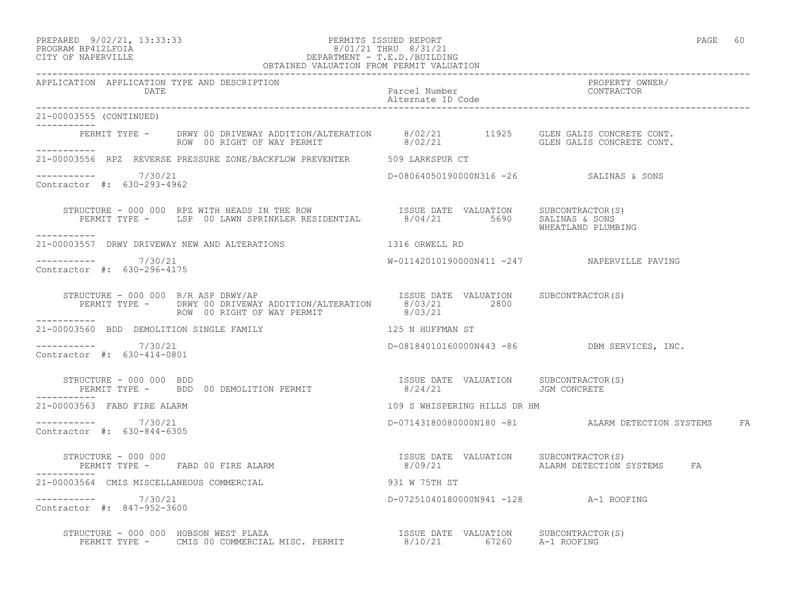### PREPARED 9/02/21, 13:33:33 PERMITS ISSUED REPORT PAGE 60 PROGRAM BP412LFOIA 8/01/21 THRU 8/31/21 CITY OF NAPERVILLE DEPARTMENT - T.E.D./BUILDING OBTAINED VALUATION FROM PERMIT VALUATION

| APPLICATION APPLICATION TYPE AND DESCRIPTION<br><b>DATE</b>                                                                                                                                        |                                         |                                                     |
|----------------------------------------------------------------------------------------------------------------------------------------------------------------------------------------------------|-----------------------------------------|-----------------------------------------------------|
| 21-00003555 (CONTINUED)<br>------------                                                                                                                                                            |                                         |                                                     |
| PERMIT TYPE - DRWY 00 DRIVEWAY ADDITION/ALTERATION 8/02/21 11925 GLEN GALIS CONCRETE CONT.<br>ROW 00 RIGHT OF WAY PERMIT 8/02/21 6LEN GALIS CONCRETE CONT.                                         |                                         |                                                     |
| 21-00003556 RPZ REVERSE PRESSURE ZONE/BACKFLOW PREVENTER 509 LARKSPUR CT                                                                                                                           |                                         |                                                     |
| $--------- 7/30/21$<br>Contractor #: 630-293-4962                                                                                                                                                  | D-08064050190000N316 -26 SALINAS & SONS |                                                     |
| STRUCTURE - 000 000 RPZ WITH HEADS IN THE ROW<br>PERMIT TYPE - LSP 00 LAWN SPRINKLER RESIDENTIAL 8/04/21 5690 SALINAS & SALINAS<br>------------                                                    |                                         | WHEATLAND PLUMBING                                  |
| 21-00003557 DRWY DRIVEWAY NEW AND ALTERATIONS 1316 ORWELL RD                                                                                                                                       |                                         |                                                     |
| -----------     7/30/21<br>Contractor #: 630-296-4175                                                                                                                                              |                                         | W-01142010190000N411 -247 NAPERVILLE PAVING         |
| STRUCTURE - 000 000 R/R ASP DRWY/AP<br>PERMIT TYPE - DRWY 00 DRIVEWAY ADDITION/ALTERATION 8/03/21 2800<br>ROW 00 RIGHT OF WAY PERMIT 8/03/21<br>STRUCTURE - 000 000 R/R ASP DRWY/AP<br>----------- |                                         |                                                     |
| 125 N HUFFMAN ST<br>21-00003560 BDD DEMOLITION SINGLE FAMILY                                                                                                                                       |                                         |                                                     |
| $--------- 7/30/21$<br>Contractor #: 630-414-0801                                                                                                                                                  |                                         | D-08184010160000N443 -86 DBM SERVICES, INC.         |
| STRUCTURE - 000 000 BDD<br>PERMIT TYPE -     BDD 00 DEMOLITION PERMIT                         8/24/21         JGM CONCRETE<br>STRUCTURE - 000 000 BDD                                              |                                         |                                                     |
| 21-00003563 FABD FIRE ALARM                                                                                                                                                                        | 109 S WHISPERING HILLS DR HM            |                                                     |
| $--------- 7/30/21$<br>Contractor #: 630-844-6305                                                                                                                                                  |                                         | D-07143180080000N180 -81 ALARM DETECTION SYSTEMS FA |
| STRUCTURE - 000 000<br>PERMIT TYPE - FABD 00 FIRE ALARM                                                                                                                                            |                                         |                                                     |
| 931 W 75TH ST<br>21-00003564 CMIS MISCELLANEOUS COMMERCIAL                                                                                                                                         |                                         |                                                     |
| $--------- 7/30/21$<br>Contractor #: 847-952-3600                                                                                                                                                  | D-07251040180000N941 -128 A-1 ROOFING   |                                                     |
| STRUCTURE - 000 000 HOBSON WEST PLAZA<br>PERMIT TYPE - CMIS 00 COMMERCIAL MISC. PERMIT                 8/10/21        67260      A-1 ROOFING                                                       |                                         |                                                     |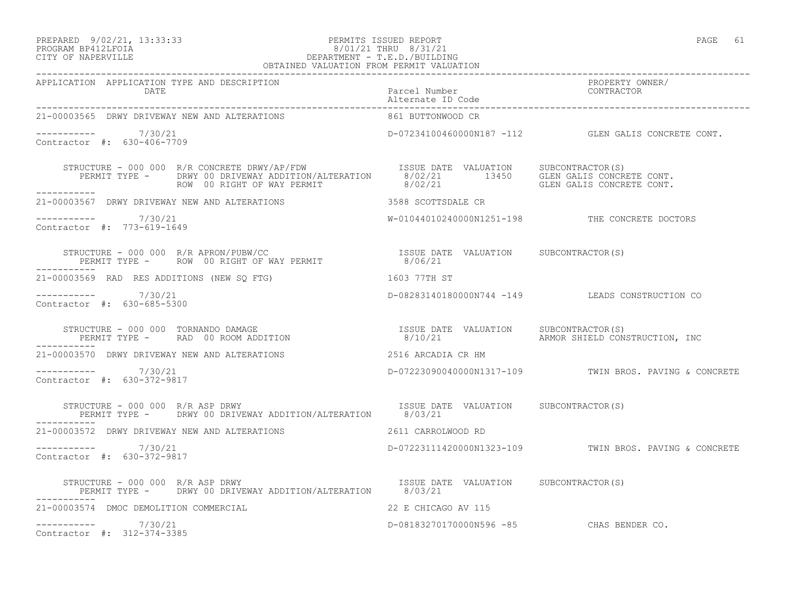### PREPARED 9/02/21, 13:33:33 PERMITS ISSUED REPORT PAGE 61 PROGRAM BP412LFOIA 8/01/21 THRU 8/31/21 CITY OF NAPERVILLE DEPARTMENT - T.E.D./BUILDING OBTAINED VALUATION FROM PERMIT VALUATION

| 21-00003565 DRWY DRIVEWAY NEW AND ALTERATIONS                                                                                                                                                                                        | 861 BUTTONWOOD CR                        |                                                        |
|--------------------------------------------------------------------------------------------------------------------------------------------------------------------------------------------------------------------------------------|------------------------------------------|--------------------------------------------------------|
| $--------- 7/30/21$<br>Contractor #: 630-406-7709                                                                                                                                                                                    |                                          | D-07234100460000N187 -112 GLEN GALIS CONCRETE CONT.    |
| STRUCTURE - 000 000 R/R CONCRETE DRWY/AP/FDW                     ISSUE DATE VALUATION     SUBCONTRACTOR(S)<br>PERMIT TYPE -      DRWY 00 DRIVEWAY ADDITION/ALTERATION      8/02/21          13450     GLEN GALIS CONCRETE CONT.<br>R |                                          |                                                        |
| ___________                                                                                                                                                                                                                          |                                          |                                                        |
| $--------- 7/30/21$<br>Contractor #: 773-619-1649                                                                                                                                                                                    |                                          | W-01044010240000N1251-198 THE CONCRETE DOCTORS         |
| $\begin{array}{cccc} \texttt{STRUCTURE} - 000 000 R/R APRON/PUBW/CC \\ \texttt{PERMIT TYPE} - \texttt{ROW 00 RIGHT OF WAY PERMIT} & 8/06/21 \\ \end{array}$<br>-----------                                                           |                                          |                                                        |
| 21-00003569 RAD RES ADDITIONS (NEW SO FTG)<br>1603 77TH ST                                                                                                                                                                           |                                          |                                                        |
| ----------- 7/30/21<br>Contractor #: 630-685-5300                                                                                                                                                                                    |                                          | D-08283140180000N744 -149 LEADS CONSTRUCTION CO        |
| STRUCTURE - 000 000 TORNANDO DAMAGE<br>PERMIT TYPE -     RAD 00 ROOM ADDITION                       8/10/21       ARMOR SHIELD CONSTRUCTION, INC                                                                                     |                                          |                                                        |
| 21-00003570 DRWY DRIVEWAY NEW AND ALTERATIONS                                                                                                                                                                                        | 2516 ARCADIA CR HM                       |                                                        |
| ----------- 7/30/21<br>Contractor #: 630-372-9817                                                                                                                                                                                    |                                          | D-07223090040000N1317-109 TWIN BROS. PAVING & CONCRETE |
| STRUCTURE - 000 000 R/R ASP DRWY<br>PERMIT TYPE - DRWY 00 DRIVEWAY ADDITION/ALTERATION 8/03/21                                                                                                                                       | ISSUE DATE VALUATION SUBCONTRACTOR(S)    |                                                        |
| 21-00003572 DRWY DRIVEWAY NEW AND ALTERATIONS                                                                                                                                                                                        | 2611 CARROLWOOD RD                       |                                                        |
| $--------- 7/30/21$<br>Contractor #: 630-372-9817                                                                                                                                                                                    |                                          | D-07223111420000N1323-109 TWIN BROS. PAVING & CONCRETE |
| STRUCTURE - 000 000 R/R ASP DRWY<br>PERMIT TYPE - DRWY 00 DRIVEWAY ADDITION/ALTERATION 8/03/21                                                                                                                                       | ISSUE DATE VALUATION SUBCONTRACTOR(S)    |                                                        |
| -----------<br>21-00003574 DMOC DEMOLITION COMMERCIAL                                                                                                                                                                                | 22 E CHICAGO AV 115                      |                                                        |
| $--------- 7/30/21$<br>Contractor #: 312-374-3385                                                                                                                                                                                    | D-08183270170000N596 -85 CHAS BENDER CO. |                                                        |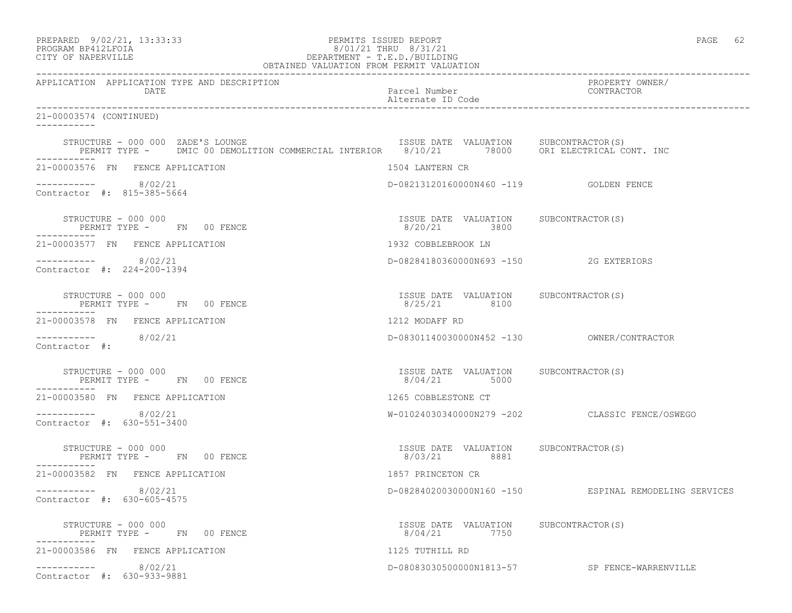| PREPARED 9/02/21, 13:33:33<br>PROGRAM BP412LFOIA<br>CITY OF NAPERVILLE<br>OBTAINED VALUATION FROM PERMIT VALUATION               | PERMITS ISSUED REPORT<br>8/01/21 THRU 8/31/21<br>DEPARTMENT - T.E.D./BUILDING | PAGE 62                                               |
|----------------------------------------------------------------------------------------------------------------------------------|-------------------------------------------------------------------------------|-------------------------------------------------------|
| APPLICATION APPLICATION TYPE AND DESCRIPTION<br>DATE                                                                             | Parcel Number<br>Alternate ID Code                                            | ------<br>PROPERTY_OWNER/<br>CONTRACT                 |
| 21-00003574 (CONTINUED)                                                                                                          |                                                                               |                                                       |
| STRUCTURE - 000 000 ZADE'S LOUNGE<br>PERMIT TYPE - DMIC 00 DEMOLITION COMMERCIAL INTERIOR 8/10/21 78000 ORI ELECTRICAL CONT. INC |                                                                               |                                                       |
| 21-00003576 FN FENCE APPLICATION                                                                                                 | 1504 LANTERN CR                                                               |                                                       |
| $--------- 8/02/21$<br>Contractor #: 815-385-5664                                                                                | D-08213120160000N460 -119    GOLDEN FENCE                                     |                                                       |
| STRUCTURE - 000 000<br>PERMIT TYPE - FN 00 FENCE                                                                                 | ISSUE DATE VALUATION SUBCONTRACTOR(S)<br>8/20/21 3800                         |                                                       |
| 21-00003577 FN FENCE APPLICATION                                                                                                 | 1932 COBBLEBROOK LN                                                           |                                                       |
| $--------- 8/02/21$<br>Contractor #: 224-200-1394                                                                                | D-08284180360000N693 -150 2G EXTERIORS                                        |                                                       |
| STRUCTURE - 000 000<br>PERMIT TYPE - FN 00 FENCE                                                                                 | ISSUE DATE VALUATION SUBCONTRACTOR(S)<br>8/25/21 8100                         |                                                       |
| 21-00003578 FN FENCE APPLICATION                                                                                                 | 1212 MODAFF RD                                                                |                                                       |
| $--------- 8/02/21$<br>Contractor #:                                                                                             |                                                                               |                                                       |
| STRUCTURE - 000 000<br>PERMIT TYPE - FN 00 FENCE                                                                                 | ISSUE DATE VALUATION SUBCONTRACTOR(S)<br>8/04/21 5000                         |                                                       |
| 21-00003580 FN FENCE APPLICATION                                                                                                 | 1265 COBBLESTONE CT                                                           |                                                       |
| $--------- 8/02/21$<br>Contractor #: 630-551-3400                                                                                |                                                                               | W-01024030340000N279 -202 CLASSIC FENCE/OSWEGO        |
| STRUCTURE - 000 000<br>PERMIT TYPE - FN 00 FENCE                                                                                 | ISSUE DATE VALUATION SUBCONTRACTOR(S)<br>8/03/21 8881                         |                                                       |
| 21-00003582 FN FENCE APPLICATION                                                                                                 | 1857 PRINCETON CR                                                             |                                                       |
| 8/02/21<br>Contractor #: 630-605-4575                                                                                            |                                                                               | D-08284020030000N160 -150 ESPINAL REMODELING SERVICES |
| STRUCTURE - 000 000<br>PERMIT TYPE - FN 00 FENCE                                                                                 | ISSUE DATE VALUATION SUBCONTRACTOR(S)<br>8/04/21<br>7750                      |                                                       |
| 21-00003586 FN FENCE APPLICATION                                                                                                 | 1125 TUTHILL RD                                                               |                                                       |
| 8/02/21<br>------------<br>Contractor #: 630-933-9881                                                                            | D-08083030500000N1813-57                                                      | SP FENCE-WARRENVILLE                                  |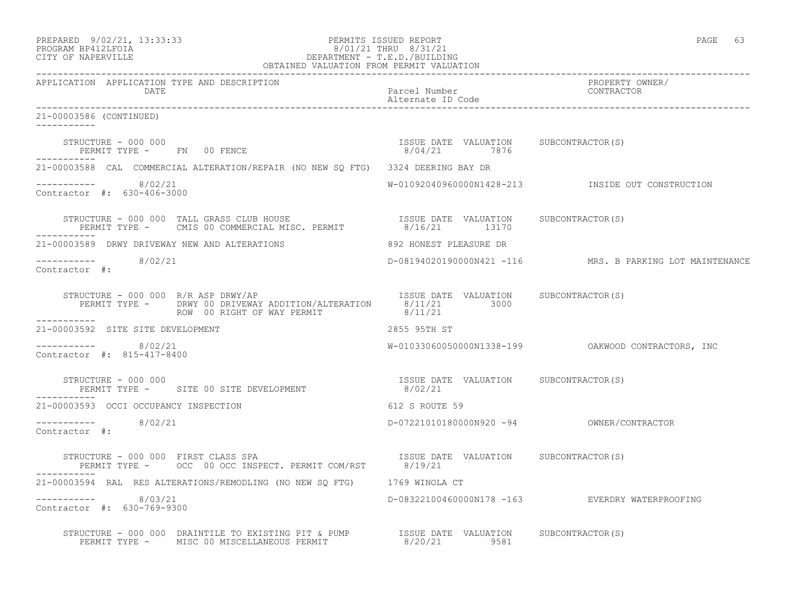|                    | PREPARED 9/02/21, 13:33:33 | PERMITS ISSUED REPORT     | PAGE |  |
|--------------------|----------------------------|---------------------------|------|--|
| BROCHAM BRATOTHOTA |                            | $0/01/01$ mupst $0/01/01$ |      |  |

# PROGRAM BP412LFOIA 8/01/21 THRU 8/31/21 CITY OF NAPERVILLE DEPARTMENT - T.E.D./BUILDING

| OBTAINED VALUATION FROM PERMIT VALUATION                                                                                                                                                                                                                                                                                                                 |                                                  |                                                                |  |
|----------------------------------------------------------------------------------------------------------------------------------------------------------------------------------------------------------------------------------------------------------------------------------------------------------------------------------------------------------|--------------------------------------------------|----------------------------------------------------------------|--|
| APPLICATION APPLICATION TYPE AND DESCRIPTION<br>DATE                                                                                                                                                                                                                                                                                                     | Parcel Number<br>Alternate ID Code               | PROPERTY OWNER/<br>CONTRACTOR                                  |  |
| 21-00003586 (CONTINUED)<br>------------                                                                                                                                                                                                                                                                                                                  |                                                  |                                                                |  |
| $\begin{array}{cccc} \texttt{STRUCTURE} & - & 000 & 000 \\ \texttt{PERMIT TYPE} & - & \texttt{FN} & 00 & \texttt{FENCE} \\ \end{array} \qquad \begin{array}{cccc} \texttt{TSUE} & \texttt{DATE} & \texttt{VALUATION} & \texttt{SUBCONTRACTOR(S)} \\ \texttt{8/04/21} & 7876 \\ \end{array}$                                                              |                                                  |                                                                |  |
| 21-00003588 CAL COMMERCIAL ALTERATION/REPAIR (NO NEW SQ FTG) 3324 DEERING BAY DR                                                                                                                                                                                                                                                                         |                                                  |                                                                |  |
| $--------- 8/02/21$<br>Contractor #: 630-406-3000                                                                                                                                                                                                                                                                                                        |                                                  | W-01092040960000N1428-213              INSIDE OUT CONSTRUCTION |  |
| STRUCTURE - 000 000 TALL GRASS CLUB HOUSE                          ISSUE DATE VALUATION     SUBCONTRACTOR(S)<br>PERMIT TYPE -     CMIS 00 COMMERCIAL MISC. PERMIT              8/16/21      13170<br>------------                                                                                                                                        |                                                  |                                                                |  |
| 21-00003589 DRWY DRIVEWAY NEW AND ALTERATIONS 6892 HONEST PLEASURE DR                                                                                                                                                                                                                                                                                    |                                                  |                                                                |  |
| $--------- 8/02/21$<br>Contractor #:                                                                                                                                                                                                                                                                                                                     |                                                  | D-08194020190000N421 -116 MRS. B PARKING LOT MAINTENANCE       |  |
| STRUCTURE - 000 000 R/R ASP DRWY/AP<br>PERMIT TYPE - DRWY 00 DRIVEWAY ADDITION/ALTERATION 8/11/21 3000<br>ROW 00 RIGHT OF WAY PERMIT                                                                                                                                                                                                                     | ISSUE DATE VALUATION SUBCONTRACTOR(S)<br>8/11/21 |                                                                |  |
| 21-00003592 SITE SITE DEVELOPMENT                                                                                                                                                                                                                                                                                                                        | 2855 95TH ST                                     |                                                                |  |
| ---------- 8/02/21<br>Contractor #: 815-417-8400                                                                                                                                                                                                                                                                                                         |                                                  | W-01033060050000N1338-199    QAKWOOD CONTRACTORS, INC          |  |
| $\begin{array}{cccccc} \texttt{STRUCTURE} & - & 000 & 000 & & & \\ \texttt{PERMIT TYPE} & - & & \texttt{SITE} & 00 & \texttt{SITE} & \texttt{DEVELOPMENT} & & & & \\ \end{array} \qquad \begin{array}{cccccc} \texttt{ISSUE} & \texttt{DATE} & \texttt{VALUATION} & & \texttt{SUBCONTRACTOR(S)}\\ & 8/02/21 & & & \\ \end{array}$<br>STRUCTURE - 000 000 |                                                  |                                                                |  |
| 21-00003593 OCCI OCCUPANCY INSPECTION                                                                                                                                                                                                                                                                                                                    | 612 S ROUTE 59                                   |                                                                |  |
| ----------- 8/02/21<br>Contractor #:                                                                                                                                                                                                                                                                                                                     |                                                  |                                                                |  |
| FRUCTURE - 000 000 FIRST CLASS SPA<br>PERMIT TYPE - OCC 00 OCC INSPECT. PERMIT COM/RST - 8/19/21<br>STRUCTURE - 000 000 FIRST CLASS SPA                                                                                                                                                                                                                  |                                                  |                                                                |  |
| 21-00003594 RAL RES ALTERATIONS/REMODLING (NO NEW SQ FTG) 1769 WINOLA CT                                                                                                                                                                                                                                                                                 |                                                  |                                                                |  |
| $--------- 8/03/21$<br>Contractor #: 630-769-9300                                                                                                                                                                                                                                                                                                        |                                                  | D-08322100460000N178 -163 EVERDRY WATERPROOFING                |  |
| STRUCTURE - 000 000 DRAINTILE TO EXISTING PIT & PUMP ISSUE DATE VALUATION SUBCONTRACTOR(S)<br>PERMIT TYPE - MISC 00 MISCELLANEOUS PERMIT 8/20/21 9581                                                                                                                                                                                                    |                                                  |                                                                |  |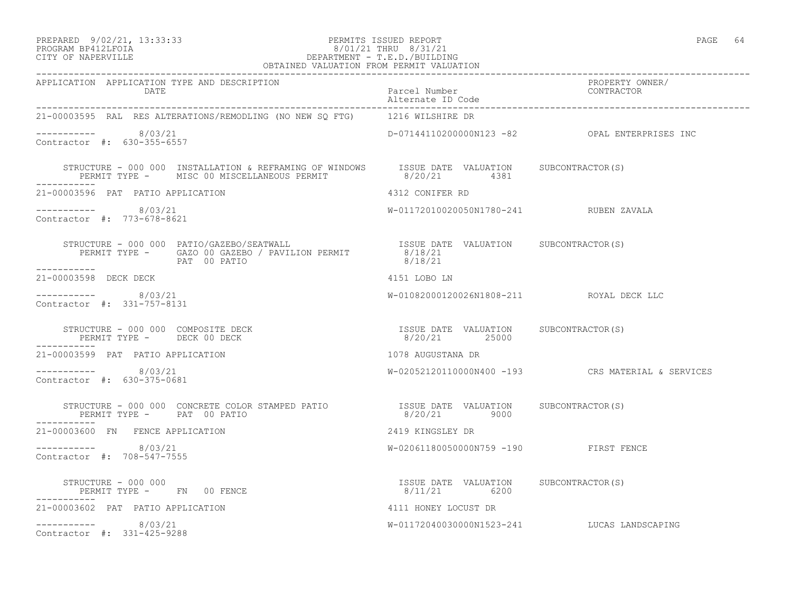### PREPARED 9/02/21, 13:33:33 PERMITS ISSUED REPORT PAGE 64 PROGRAM BP412LFOIA 8/01/21 THRU 8/31/21 CITY OF NAPERVILLE DEPARTMENT - T.E.D./BUILDING

| OBTAINED VALUATION FROM PERMIT VALUATION                                                                                                                                                                                                                                                                                           |                                          |                                                   |  |
|------------------------------------------------------------------------------------------------------------------------------------------------------------------------------------------------------------------------------------------------------------------------------------------------------------------------------------|------------------------------------------|---------------------------------------------------|--|
| APPLICATION APPLICATION TYPE AND DESCRIPTION<br>DATE                                                                                                                                                                                                                                                                               | Parcel Number                            | PROPERTY OWNER/<br>CONTRACTOR                     |  |
| 21-00003595 RAL RES ALTERATIONS/REMODLING (NO NEW SO FTG) 1216 WILSHIRE DR                                                                                                                                                                                                                                                         |                                          |                                                   |  |
| $--------- 8/03/21$<br>Contractor #: 630-355-6557                                                                                                                                                                                                                                                                                  |                                          | D-07144110200000N123 -82 OPAL ENTERPRISES INC     |  |
| STRUCTURE - 000 000 INSTALLATION & REFRAMING OF WINDOWS ISSUE DATE VALUATION SUBCONTRACTOR(S)<br>PERMIT TYPE - MISC 00 MISCELLANEOUS PERMIT 8/20/21 4381                                                                                                                                                                           |                                          |                                                   |  |
| 21-00003596 PAT PATIO APPLICATION                                                                                                                                                                                                                                                                                                  | 4312 CONIFER RD                          |                                                   |  |
| $--------- 8/03/21$<br>Contractor #: 773-678-8621                                                                                                                                                                                                                                                                                  | W-01172010020050N1780-241 RUBEN ZAVALA   |                                                   |  |
| $\begin{array}{cccc} \texttt{STRUCTURE} & - & 000 & 000 & \texttt{PATIO/GAZEBO/SEATWALL} & \texttt{ISSUE DATE} & \texttt{VALUATION} & \texttt{SUBCONTRACTOR(S)} \\ \texttt{PERMIT TYPE} & - & \texttt{GAZO 00 GAZEBO} & / \texttt{PAVILLION PERMIT} & 8/18/21 & \\ & \texttt{PAT} & 00 PATIO & \\ \end{array}$                     |                                          |                                                   |  |
| 21-00003598 DECK DECK                                                                                                                                                                                                                                                                                                              | 4151 LOBO LN                             |                                                   |  |
| $--------- 8/03/21$<br>Contractor #: 331-757-8131                                                                                                                                                                                                                                                                                  | W-01082000120026N1808-211 ROYAL DECK LLC |                                                   |  |
| $\begin{array}{cccc} \texttt{STRUCTURE} & - & 000 & 000 & \texttt{COMPOSITE} \texttt{ DECK} \\ \texttt{PERMIT TYPE} & - & - & - & - \\ \texttt{PERMIT TYPE} & - & - & - \\ \end{array}$<br>-----------                                                                                                                             |                                          |                                                   |  |
| 21-00003599 PAT PATIO APPLICATION                                                                                                                                                                                                                                                                                                  | 1078 AUGUSTANA DR                        |                                                   |  |
| $--------- 8/03/21$<br>Contractor #: 630-375-0681                                                                                                                                                                                                                                                                                  |                                          | W-02052120110000N400 -193 CRS MATERIAL & SERVICES |  |
| $\begin{tabular}{lllllllllll} \texttt{STRUCTURE} & - & 000 & 000 & \texttt{CONCRETE} & \texttt{COLOR} & \texttt{STABLE} & \texttt{PATE} & \texttt{VALUATION} & & \texttt{SUBCONTRACTOR(S)} \\ \texttt{PERMIT TYPE} & - & \texttt{PAT} & 00 & \texttt{PATIO} & & & 8/20/21 & & 9000 \\ \end{tabular}$<br>PERMIT TYPE - PAT 00 PATIO |                                          |                                                   |  |
| 21-00003600 FN FENCE APPLICATION                                                                                                                                                                                                                                                                                                   | 2419 KINGSLEY DR                         |                                                   |  |
| $--------- 8/03/21$<br>Contractor #: 708-547-7555                                                                                                                                                                                                                                                                                  | W-02061180050000N759 -190 FIRST FENCE    |                                                   |  |
| $\begin{array}{cccc} \texttt{STRUCTURE} & - & 000 & 000 \\ \texttt{PERMIT TYPE} & - & \texttt{FN} & 00 & \texttt{FENCE} \\ \end{array} \qquad \begin{array}{cccc} \texttt{TSSUE} & \texttt{DATE} & \texttt{VALUATION} & \texttt{SUBCONTRACTOR(S)} \\ \texttt{8/11/21} & \texttt{6200} \\ \end{array}$                              |                                          |                                                   |  |
| 21-00003602 PAT PATIO APPLICATION                                                                                                                                                                                                                                                                                                  | 4111 HONEY LOCUST DR                     |                                                   |  |
| $--------- 8/03/21$<br>Contractor #: 331-425-9288                                                                                                                                                                                                                                                                                  |                                          | W-01172040030000N1523-241 LUCAS LANDSCAPING       |  |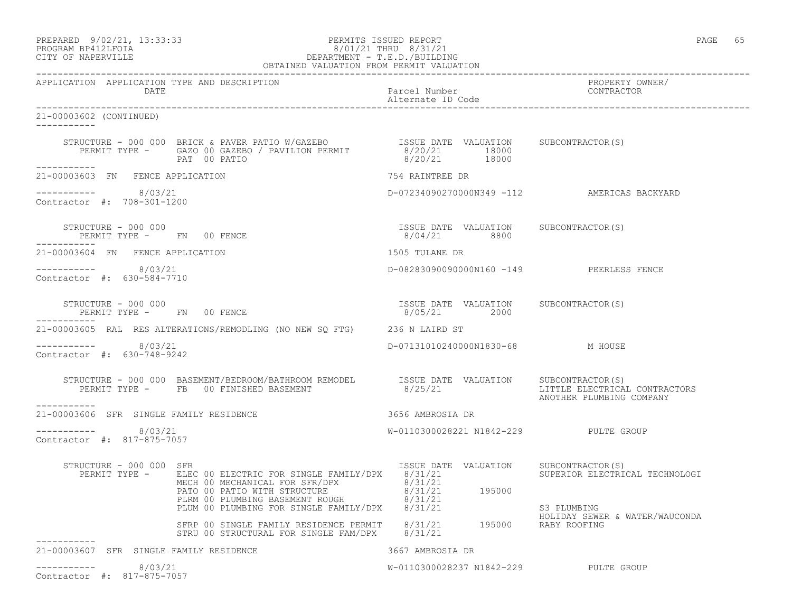### PREPARED 9/02/21, 13:33:33 PERMITS ISSUED REPORT PAGE 65 PROGRAM BP412LFOIA 8/01/21 THRU 8/31/21 CITY OF NAPERVILLE DEPARTMENT - T.E.D./BUILDING OBTAINED VALUATION FROM PERMIT VALUATION

| APPLICATION APPLICATION TYPE AND DESCRIPTION<br><b>DATE</b> |                                                                                                                                                                                                                                                                                                                                                                                                                  | Parcel Number<br>Alternate ID Code                    | PROPERTY OWNER/<br>CONTRACTOR                             |
|-------------------------------------------------------------|------------------------------------------------------------------------------------------------------------------------------------------------------------------------------------------------------------------------------------------------------------------------------------------------------------------------------------------------------------------------------------------------------------------|-------------------------------------------------------|-----------------------------------------------------------|
| 21-00003602 (CONTINUED)<br>___________                      |                                                                                                                                                                                                                                                                                                                                                                                                                  |                                                       |                                                           |
|                                                             | $\begin{tabular}{lcccccc} \texttt{STRUCTURE} & - & 000 & 000 & BRICK & \texttt{PAVER} & \texttt{PATIO} & W/GAZEBO & & & & & & & & & & \\ \texttt{PERMIT} & TYPE & - & & GAZO & 00 & GAZEBO & / & PAVILION & PERMIT & & & & & & & & \\ \texttt{PERMIT} & TYPE & - & & & & & & & & & & \\ \texttt{PAT} & 00 & PATIO & & & & & & & & \\ \end{tabular}$                                                              |                                                       |                                                           |
| ------------<br>21-00003603 FN FENCE APPLICATION            |                                                                                                                                                                                                                                                                                                                                                                                                                  | 754 RAINTREE DR                                       |                                                           |
| ----------- 8/03/21<br>Contractor #: 708-301-1200           |                                                                                                                                                                                                                                                                                                                                                                                                                  |                                                       | D-07234090270000N349 -112 AMERICAS BACKYARD               |
| STRUCTURE - 000 000<br>PERMIT TYPE - FN 00 FENCE            |                                                                                                                                                                                                                                                                                                                                                                                                                  | ISSUE DATE VALUATION SUBCONTRACTOR(S)<br>8/04/21 8800 |                                                           |
| 21-00003604 FN FENCE APPLICATION                            |                                                                                                                                                                                                                                                                                                                                                                                                                  | 1505 TULANE DR                                        |                                                           |
| ----------- 8/03/21<br>Contractor #: 630-584-7710           |                                                                                                                                                                                                                                                                                                                                                                                                                  | D-08283090090000N160 -149 PEERLESS FENCE              |                                                           |
| STRUCTURE - 000 000<br>PERMIT TYPE - FN 00 FENCE            |                                                                                                                                                                                                                                                                                                                                                                                                                  | ISSUE DATE VALUATION SUBCONTRACTOR(S)<br>8/05/21 2000 |                                                           |
| ------------                                                | 21-00003605 RAL RES ALTERATIONS/REMODLING (NO NEW SQ FTG) 236 N LAIRD ST                                                                                                                                                                                                                                                                                                                                         |                                                       |                                                           |
| $--------- 8/03/21$<br>Contractor #: 630-748-9242           |                                                                                                                                                                                                                                                                                                                                                                                                                  | D-07131010240000N1830-68 M HOUSE                      |                                                           |
| -----------                                                 | STRUCTURE - 000 000 BASEMENT/BEDROOM/BATHROOM REMODEL ISSUE DATE VALUATION SUBCONTRACTOR(S)<br>PERMIT TYPE - FB 00 FINISHED BASEMENT                                                                                                                                                                                                                                                                             | 8/25/21                                               | LITTLE ELECTRICAL CONTRACTORS<br>ANOTHER PLUMBING COMPANY |
| 21-00003606 SFR SINGLE FAMILY RESIDENCE                     |                                                                                                                                                                                                                                                                                                                                                                                                                  | 3656 AMBROSIA DR                                      |                                                           |
| ----------- 8/03/21<br>Contractor #: 817-875-7057           |                                                                                                                                                                                                                                                                                                                                                                                                                  | W-0110300028221 N1842-229 PULTE GROUP                 |                                                           |
| STRUCTURE - 000 000 SFR                                     | $\begin{tabular}{l c c c c c} \texttt{RUCTURE} & 000 000 & SFR & 1550E & \texttt{MAD} & \texttt{MAD} & \texttt{MAD} & \texttt{MAD} & \texttt{MAD} & \texttt{MAD} & \texttt{MAD} & \texttt{MAD} & \texttt{MAD} & \texttt{MAD} & \texttt{MAD} & \texttt{MAD} & \texttt{MAD} & \texttt{MAD} & \texttt{MAD} & \texttt{MAD} & \texttt{MAD} & \texttt{MAD} & \texttt{MAD} & \texttt{MAD} & \texttt{MAD} & \texttt{MAD$ | ISSUE DATE VALUATION SUBCONTRACTOR(S)                 | SUPERIOR ELECTRICAL TECHNOLOGI<br>S3 PLUMBING             |
|                                                             | SFRP 00 SINGLE FAMILY RESIDENCE PERMIT 8/31/21 195000 RABY ROOFING<br>STRU 00 STRUCTURAL FOR SINGLE FAM/DPX 8/31/21 195000 RABY ROOFING                                                                                                                                                                                                                                                                          |                                                       | HOLIDAY SEWER & WATER/WAUCONDA                            |
| 21-00003607 SFR SINGLE FAMILY RESIDENCE                     |                                                                                                                                                                                                                                                                                                                                                                                                                  | 3667 AMBROSIA DR                                      |                                                           |
| $--------- 8/03/21$<br>Contractor #: 817-875-7057           |                                                                                                                                                                                                                                                                                                                                                                                                                  | W-0110300028237 N1842-229 PULTE GROUP                 |                                                           |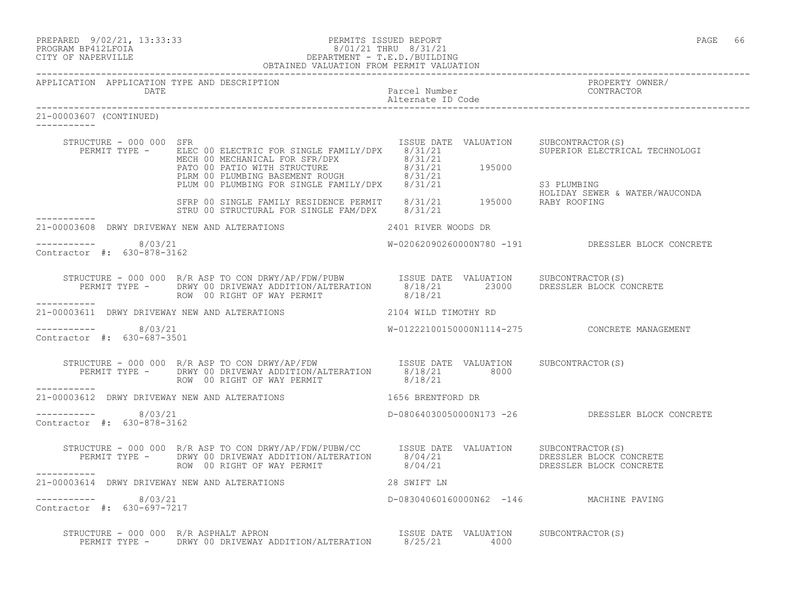| PREPARED | $9/02/21$ , $13:33:33$ |  |
|----------|------------------------|--|
|          | -- - - - - - - - -     |  |

### PREPARED 9/02/21, 13:33:33 PERMITS ISSUED REPORT<br>PROGRAM BP412LFOIA PAGE 66 PROGRAM BP412LFOIA PROGRAM BP412LFOIA  $8/01/21$  THRU  $8/31/21$ <br>CITY OF NAPERVILLE DEPARTMENT - T.E.D./BUILDIN CITY OF NAPERVILLE DEPARTMENT - T.E.D./BUILDING OBTAINED VALUATION FROM PERMIT VALUATION

| APPLICATION APPLICATION TYPE AND DESCRIPTION<br>DATE |                                                                                                                                                                                                                                                                                                        | Parcel Number                           | PROPERTY OWNER/<br>CONTRACTOR                     |
|------------------------------------------------------|--------------------------------------------------------------------------------------------------------------------------------------------------------------------------------------------------------------------------------------------------------------------------------------------------------|-----------------------------------------|---------------------------------------------------|
| 21-00003607 (CONTINUED)<br><u>.</u>                  |                                                                                                                                                                                                                                                                                                        |                                         |                                                   |
| STRUCTURE - 000 000 SFR                              | PERMIT TYPE - ELEC 00 ELECTRIC FOR SINGLE FAMILY/DPX 8/31/21<br>ELEC OU ELECTRIC FOR SINGLE FAMILI/DFX 8/31/21<br>MECH 00 MECHANICAL FOR SFRIPENCE PERMIT ROUGH 8/31/21<br>PLIM 00 PLUMBING BASEMENT ROUGH 8/31/21 195000<br>SFRP 00 SINGLE FAMILY RESIDENCE PERMIT 8/31/21 195000<br>SFRP 00 SINGLE F | ISSUE DATE VALUATION SUBCONTRACTOR(S)   | SUPERIOR ELECTRICAL TECHNOLOGI                    |
|                                                      |                                                                                                                                                                                                                                                                                                        |                                         | HOLIDAY SEWER & WATER/WAUCONDA                    |
|                                                      |                                                                                                                                                                                                                                                                                                        |                                         |                                                   |
| ----------- 8/03/21<br>Contractor #: 630-878-3162    |                                                                                                                                                                                                                                                                                                        |                                         | W-02062090260000N780 -191 DRESSLER BLOCK CONCRETE |
|                                                      | STRUCTURE - 000 000 R/R ASP TO CON DRWY/AP/FDW/PUBW ISSUE DATE VALUATION SUBCONTRACTOR(S)<br>PERMIT TYPE - DRWY 00 DRIVEWAY ADDITION/ALTERATION 8/18/21 23000 DRESSLER BLOCK CONCRETE<br>------                                                                                                        |                                         |                                                   |
| -----------                                          | 21-00003611 DRWY DRIVEWAY NEW AND ALTERATIONS 2104 WILD TIMOTHY RD                                                                                                                                                                                                                                     |                                         |                                                   |
| $--------- 8/03/21$<br>Contractor #: 630-687-3501    |                                                                                                                                                                                                                                                                                                        |                                         | W-01222100150000N1114-275 CONCRETE MANAGEMENT     |
|                                                      | STRUCTURE - 000 000 R/R ASP TO CON DRWY/AP/FDW<br>PERMIT TYPE - DRWY 00 DRIVEWAY ADDITION/ALTERATION 8/18/21 8000<br>8/18/21 8000<br>ROW 00 RIGHT OF WAY PERMIT                                                                                                                                        | 8/18/21                                 |                                                   |
| ___________                                          | 21-00003612 DRWY DRIVEWAY NEW AND ALTERATIONS THE RESERT OF THE SERIFFORD DR                                                                                                                                                                                                                           |                                         |                                                   |
| ----------- 8/03/21<br>Contractor #: 630-878-3162    |                                                                                                                                                                                                                                                                                                        |                                         | D-08064030050000N173 -26 DRESSLER BLOCK CONCRETE  |
|                                                      | STRUCTURE - 000 000 R/R ASP TO CON DRWY/AP/FDW/PUBW/CC ISSUE DATE VALUATION SUBCONTRACTOR(S)<br>PERMIT TYPE - DRWY 00 DRIVEWAY ADDITION/ALTERATION 8/04/21 DRESSLER BLOCK CONCRETE<br>ROW 00 RIGHT OF WAY PERMIT 8/04/21 DRESSLER BL                                                                   |                                         |                                                   |
|                                                      |                                                                                                                                                                                                                                                                                                        |                                         |                                                   |
| ----------- 8/03/21<br>Contractor #: 630-697-7217    |                                                                                                                                                                                                                                                                                                        | D-08304060160000N62 -146 MACHINE PAVING |                                                   |
|                                                      | STRUCTURE - 000 000 R/R ASPHALT APRON<br>PERMIT TYPE - DRWY 00 DRIVEWAY ADDITION/ALTERATION 8/25/21 4000                                                                                                                                                                                               |                                         |                                                   |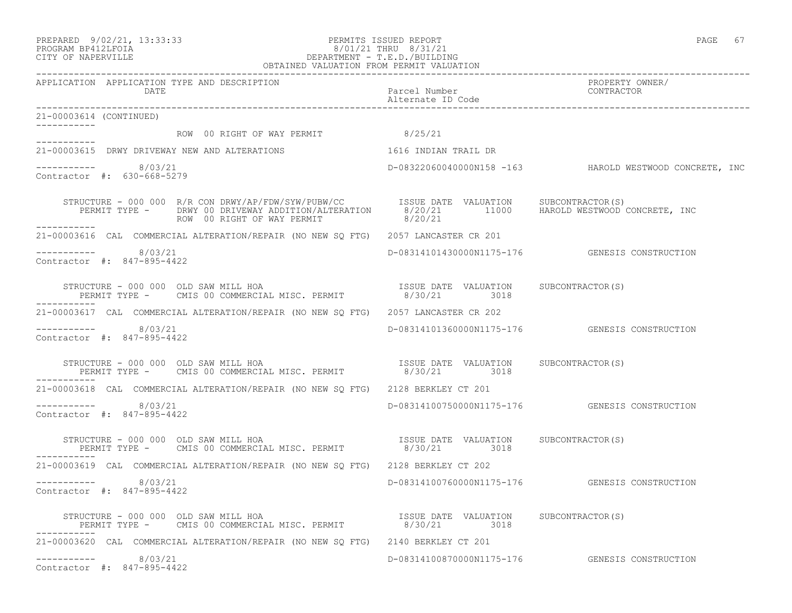PREPARED 9/02/21, 13:33:33 PERMITS ISSUED REPORT PAGE 67

## PROGRAM BP412LFOIA 8/01/21 THRU 8/31/21 CITY OF NAPERVILLE DEPARTMENT - T.E.D./BUILDING OBTAINED VALUATION FROM PERMIT VALUATION

| APPLICATION APPLICATION TYPE AND DESCRIPTION<br>DATE                                                                                                                                                     | Parcel Number<br>Alternate ID Code | PROPERTY OWNER/<br>CONTRACTOR                           |
|----------------------------------------------------------------------------------------------------------------------------------------------------------------------------------------------------------|------------------------------------|---------------------------------------------------------|
| 21-00003614 (CONTINUED)                                                                                                                                                                                  |                                    |                                                         |
| ROW 00 RIGHT OF WAY PERMIT 8/25/21                                                                                                                                                                       |                                    |                                                         |
| 21-00003615 DRWY DRIVEWAY NEW AND ALTERATIONS                                                                                                                                                            | 1616 INDIAN TRAIL DR               |                                                         |
| $--------$ 8/03/21<br>Contractor #: 630-668-5279                                                                                                                                                         |                                    | D-08322060040000N158 -163 HAROLD WESTWOOD CONCRETE, INC |
| STRUCTURE - 000 000 R/R CON DRWY/AP/FDW/SYW/PUBW/CC USSUE DATE VALUATION SUBCONTRACTOR(S)<br>PERMIT TYPE - DRWY 00 DRIVEWAY ADDITION/ALTERATION 8/20/21 11000 HAROLD WESTWOOD CONCRETE, INC<br>------    |                                    |                                                         |
| ------------<br>21-00003616 CAL COMMERCIAL ALTERATION/REPAIR (NO NEW SQ FTG) 2057 LANCASTER CR 201                                                                                                       |                                    |                                                         |
| $--------- 8/03/21$<br>Contractor #: 847-895-4422                                                                                                                                                        |                                    | D-08314101430000N1175-176    GENESIS CONSTRUCTION       |
|                                                                                                                                                                                                          |                                    |                                                         |
| 21-00003617 CAL COMMERCIAL ALTERATION/REPAIR (NO NEW SO FTG) 2057 LANCASTER CR 202                                                                                                                       |                                    |                                                         |
| $--------- 8/03/21$<br>Contractor #: 847-895-4422                                                                                                                                                        |                                    | D-08314101360000N1175-176    GENESIS CONSTRUCTION       |
| STRUCTURE - 000 000 OLD SAW MILL HOA                                                                                                                                                                     |                                    |                                                         |
| 21-00003618 CAL COMMERCIAL ALTERATION/REPAIR (NO NEW SQ FTG) 2128 BERKLEY CT 201                                                                                                                         |                                    |                                                         |
| $--------$ 8/03/21<br>Contractor #: 847-895-4422                                                                                                                                                         |                                    | D-08314100750000N1175-176    GENESIS CONSTRUCTION       |
| STRUCTURE - 000 000 OLD SAW MILL HOA                                                                                                                                                                     |                                    |                                                         |
| 21-00003619 CAL COMMERCIAL ALTERATION/REPAIR (NO NEW SO FTG) 2128 BERKLEY CT 202                                                                                                                         |                                    |                                                         |
| ----------- 8/03/21<br>Contractor #: 847-895-4422                                                                                                                                                        |                                    | D-08314100760000N1175-176    GENESIS CONSTRUCTION       |
| STRUCTURE - 000 000 OLD SAW MILL HOA                                  ISSUE DATE VALUATION     SUBCONTRACTOR(S)<br>PERMIT TYPE -     CMIS 00 COMMERCIAL MISC. PERMIT               8/30/21          3018 |                                    |                                                         |
| 21-00003620 CAL COMMERCIAL ALTERATION/REPAIR (NO NEW SQ FTG) 2140 BERKLEY CT 201                                                                                                                         |                                    |                                                         |
| $--------- 8/03/21$<br>Contractor #: 847-895-4422                                                                                                                                                        |                                    | D-08314100870000N1175-176 GENESIS CONSTRUCTION          |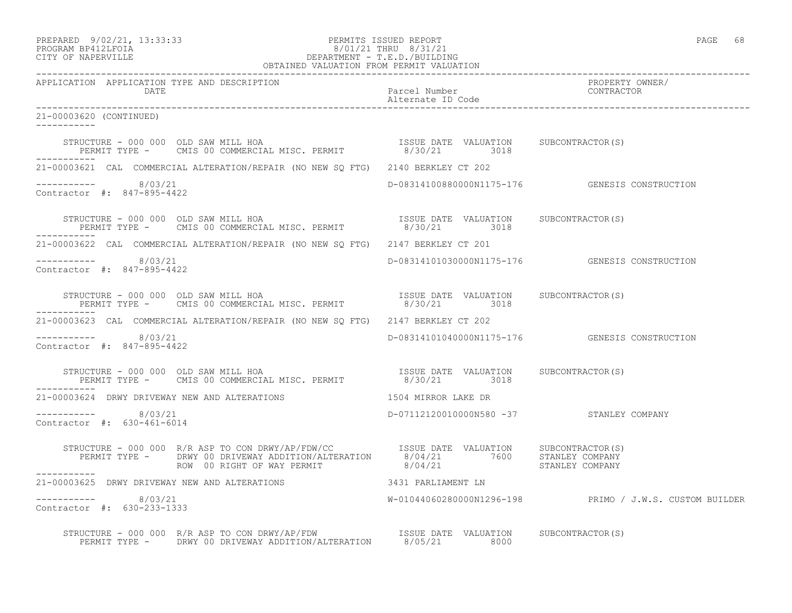# PREPARED 9/02/21, 13:33:33 PERMITS ISSUED REPORT PAGE 68 PROGRAM BP412LFOIA 8/01/21 THRU 8/31/21 CITY OF NAPERVILLE DEPARTMENT - T.E.D./BUILDING

| OBTAINED VALUATION FROM PERMIT VALUATION                                                                                                                                                                                   |                                          |                                                         |  |  |
|----------------------------------------------------------------------------------------------------------------------------------------------------------------------------------------------------------------------------|------------------------------------------|---------------------------------------------------------|--|--|
| APPLICATION APPLICATION TYPE AND DESCRIPTION<br>DATE                                                                                                                                                                       | Parcel Number<br>Alternate ID Code       | PROPERTY OWNER/<br>CONTRACTOR                           |  |  |
| 21-00003620 (CONTINUED)                                                                                                                                                                                                    |                                          |                                                         |  |  |
| STRUCTURE - 000 000 OLD SAW MILL HOA                                  ISSUE DATE VALUATION     SUBCONTRACTOR(S)<br>PERMIT TYPE -    CMIS 00 COMMERCIAL MISC. PERMIT              8/30/21         3018                      |                                          |                                                         |  |  |
| 21-00003621 CAL COMMERCIAL ALTERATION/REPAIR (NO NEW SO FTG) 2140 BERKLEY CT 202                                                                                                                                           |                                          |                                                         |  |  |
| $--------- 8/03/21$<br>Contractor #: 847-895-4422                                                                                                                                                                          |                                          | D-08314100880000N1175-176 GENESIS CONSTRUCTION          |  |  |
| ___________                                                                                                                                                                                                                |                                          |                                                         |  |  |
| 21-00003622 CAL COMMERCIAL ALTERATION/REPAIR (NO NEW SO FTG) 2147 BERKLEY CT 201                                                                                                                                           |                                          |                                                         |  |  |
| $--------- 8/03/21$<br>Contractor #: 847-895-4422                                                                                                                                                                          |                                          | D-08314101030000N1175-176 GENESIS CONSTRUCTION          |  |  |
|                                                                                                                                                                                                                            |                                          |                                                         |  |  |
| 21-00003623 CAL COMMERCIAL ALTERATION/REPAIR (NO NEW SO FTG) 2147 BERKLEY CT 202                                                                                                                                           |                                          |                                                         |  |  |
| $--------- 8/03/21$<br>Contractor #: 847-895-4422                                                                                                                                                                          |                                          | D-08314101040000N1175-176 GENESIS CONSTRUCTION          |  |  |
| ___________                                                                                                                                                                                                                |                                          |                                                         |  |  |
| 21-00003624 DRWY DRIVEWAY NEW AND ALTERATIONS                                                                                                                                                                              | 1504 MIRROR LAKE DR                      |                                                         |  |  |
| $--------- 8/03/21$<br>Contractor #: 630-461-6014                                                                                                                                                                          | D-07112120010000N580 -37 STANLEY COMPANY |                                                         |  |  |
| STRUCTURE - 000 000 R/R ASP TO CON DRWY/AP/FDW/CC        ISSUE DATE VALUATION     SUBCONTRACTOR(S)<br>PERMIT TYPE -     DRWY 00 DRIVEWAY ADDITION/ALTERATION      8/04/21          7600     STANLEY COMPANY<br>----------- |                                          |                                                         |  |  |
| 21-00003625 DRWY DRIVEWAY NEW AND ALTERATIONS 3431 PARLIAMENT LN                                                                                                                                                           |                                          |                                                         |  |  |
| $--------$ 8/03/21<br>Contractor #: 630-233-1333                                                                                                                                                                           |                                          | W-01044060280000N1296-198 PRIMO / J.W.S. CUSTOM BUILDER |  |  |
| STRUCTURE - 000 000 R/R ASP TO CON DRWY/AP/FDW ISSUE DATE VALUATION SUBCONTRACTOR(S)<br>PERMIT TYPE - DRWY 00 DRIVEWAY ADDITION/ALTERATION 8/05/21 8000                                                                    |                                          |                                                         |  |  |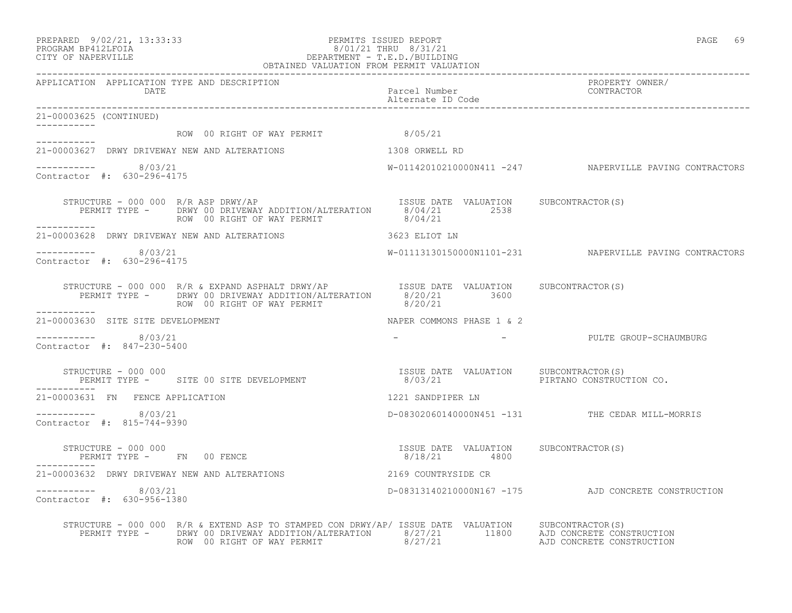# PREPARED 9/02/21, 13:33:33 PERMITS ISSUED REPORT PAGE 69 PROGRAM BP412LFOIA 8/01/21 THRU 8/31/21 CITY OF NAPERVILLE DEPARTMENT - T.E.D./BUILDING

|                                                      | OBTAINED VALUATION FROM PERMIT VALUATION                                                                                                                                                                                                                         |                                    |                                                         |
|------------------------------------------------------|------------------------------------------------------------------------------------------------------------------------------------------------------------------------------------------------------------------------------------------------------------------|------------------------------------|---------------------------------------------------------|
| APPLICATION APPLICATION TYPE AND DESCRIPTION<br>DATE |                                                                                                                                                                                                                                                                  | Parcel Number<br>Alternate ID Code | PROPERTY OWNER/<br>CONTRACTOR                           |
| 21-00003625 (CONTINUED)                              |                                                                                                                                                                                                                                                                  |                                    |                                                         |
|                                                      | ROW 00 RIGHT OF WAY PERMIT 48/05/21                                                                                                                                                                                                                              |                                    |                                                         |
| -----------                                          | 21-00003627 DRWY DRIVEWAY NEW AND ALTERATIONS THE RESERVE THAT AND RELEVEL AD                                                                                                                                                                                    |                                    |                                                         |
| ---------- 8/03/21<br>Contractor #: 630-296-4175     |                                                                                                                                                                                                                                                                  |                                    | W-01142010210000N411 -247 NAPERVILLE PAVING CONTRACTORS |
| ___________                                          | STRUCTURE - 000 000 R/R ASP DRWY/AP<br>TSSUE DATE VALUATION SUBCONTRACTOR(S)<br>PERMIT TYPE - DRWY 00 DRIVEWAY ADDITION/ALTERATION 8/04/21 2538<br>ROW 00 RIGHT OF WAY PERMIT 8/04/21 8/04/21                                                                    |                                    |                                                         |
|                                                      | 21-00003628 DRWY DRIVEWAY NEW AND ALTERATIONS                                                                                                                                                                                                                    | 3623 ELIOT LN                      |                                                         |
| $--------$ 8/03/21<br>Contractor #: 630-296-4175     |                                                                                                                                                                                                                                                                  |                                    | W-01113130150000N1101-231 NAPERVILLE PAVING CONTRACTORS |
|                                                      |                                                                                                                                                                                                                                                                  |                                    |                                                         |
| ------------<br>21-00003630 SITE SITE DEVELOPMENT    |                                                                                                                                                                                                                                                                  | NAPER COMMONS PHASE 1 & 2          |                                                         |
| $--------- 8/03/21$<br>Contractor #: 847-230-5400    |                                                                                                                                                                                                                                                                  |                                    | - PULTE GROUP-SCHAUMBURG                                |
| __________                                           |                                                                                                                                                                                                                                                                  |                                    |                                                         |
| 21-00003631 FN FENCE APPLICATION                     |                                                                                                                                                                                                                                                                  | 1221 SANDPIPER LN                  |                                                         |
| $-$ --------- 8/03/21<br>Contractor #: 815-744-9390  |                                                                                                                                                                                                                                                                  |                                    | D-08302060140000N451 -131 THE CEDAR MILL-MORRIS         |
|                                                      | STRUCTURE - 000 000<br>PERMIT TYPE - FN 00 FENCE<br>-------- 28/18/21<br>--------                                                                                                                                                                                |                                    |                                                         |
| ___________                                          | 21-00003632 DRWY DRIVEWAY NEW AND ALTERATIONS 2169 COUNTRYSIDE CR                                                                                                                                                                                                |                                    |                                                         |
| $-$ ---------- 8/03/21<br>Contractor #: 630-956-1380 |                                                                                                                                                                                                                                                                  |                                    | D-08313140210000N167 -175 AJD CONCRETE CONSTRUCTION     |
|                                                      | STRUCTURE - 000 000 R/R & EXTEND ASP TO STAMPED CON DRWY/AP/ ISSUE DATE VALUATION SUBCONTRACTOR(S)<br>PERMIT TYPE - DRWY 00 DRIVEWAY ADDITION/ALTERATION 8/27/21 11800 AJD CONCRETE CONSTRUCTION<br>ROW 00 RIGHT OF WAY PERMIT 6/27/21 AJD CONCRETE CONSTRUCTION |                                    |                                                         |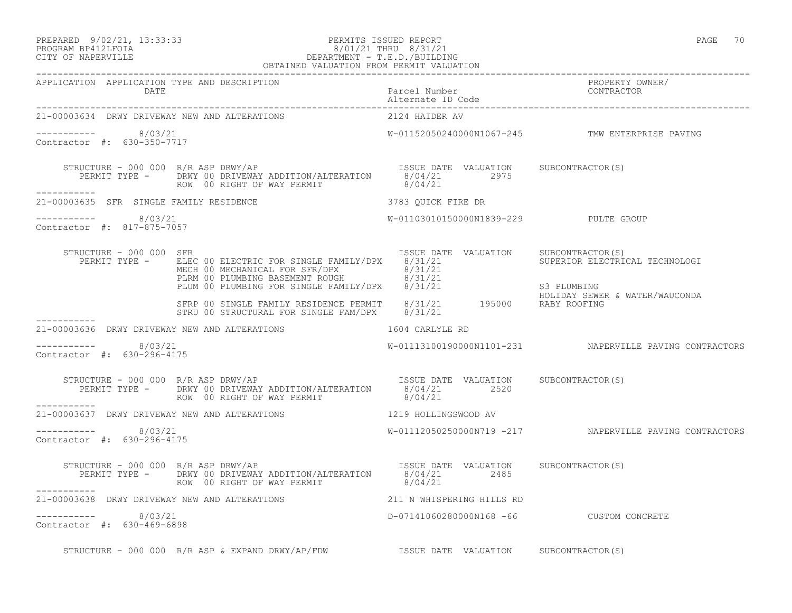PREPARED 9/02/21, 13:33:33 PERMITS ISSUED REPORT PAGE 70

# PROGRAM BP412LFOIA 8/01/21 THRU 8/31/21 CITY OF NAPERVILLE DEPARTMENT - T.E.D./BUILDING

|                                                      | OBTAINED VALUATION FROM PERMIT VALUATION                                                                                                                                                                                                 |                                          |                                                         |
|------------------------------------------------------|------------------------------------------------------------------------------------------------------------------------------------------------------------------------------------------------------------------------------------------|------------------------------------------|---------------------------------------------------------|
| APPLICATION APPLICATION TYPE AND DESCRIPTION<br>DATE |                                                                                                                                                                                                                                          | Parcel Number<br>Alternate ID Code       | PROPERTY OWNER/<br>CONTRACTOR                           |
|                                                      | 21-00003634 DRWY DRIVEWAY NEW AND ALTERATIONS                                                                                                                                                                                            | 2124 HAIDER AV                           |                                                         |
| ---------- 8/03/21<br>Contractor #: 630-350-7717     |                                                                                                                                                                                                                                          |                                          | W-01152050240000N1067-245 TMW ENTERPRISE PAVING         |
| ___________                                          | STRUCTURE - 000 000 R/R ASP DRWY/AP<br>PERMIT TYPE - DRWY 00 DRIVEWAY ADDITION/ALTERATION 8/04/21 2975<br>$\frac{8}{0.04/21}$ 2975<br>ROW 00 RIGHT OF WAY PERMIT                                                                         | 8/04/21                                  |                                                         |
|                                                      |                                                                                                                                                                                                                                          |                                          |                                                         |
| -----------    8/03/21<br>Contractor #: 817-875-7057 |                                                                                                                                                                                                                                          | W-01103010150000N1839-229 PULTE GROUP    |                                                         |
| STRUCTURE - 000 000 SFR                              | FERMIT TYPE - ELEC 00 ELECTRIC FOR SINGLE FAMILY/DPX 8/31/21<br>MECHANICAL FOR SFR/DPX 8/31/21<br>MECHANICAL FOR SFR/DPX 8/31/21<br>PLUM 00 PLUMBING BASEMENT ROUGH 8/31/21<br>FIUM 00 PLUMBING FOR SINGLE FAMILY/DPX 8/31/21<br>SFRP 00 | ISSUE DATE VALUATION SUBCONTRACTOR (S)   |                                                         |
|                                                      |                                                                                                                                                                                                                                          |                                          |                                                         |
|                                                      | 21-00003636 DRWY DRIVEWAY NEW AND ALTERATIONS 1604 CARLYLE RD                                                                                                                                                                            |                                          |                                                         |
| ----------- 8/03/21<br>Contractor #: 630-296-4175    |                                                                                                                                                                                                                                          |                                          | W-01113100190000N1101-231 NAPERVILLE PAVING CONTRACTORS |
|                                                      | STRUCTURE - 000 000 R/R ASP DRWY/AP<br>PERMIT TYPE - DRWY 00 DRIVEWAY ADDITION/ALTERATION 8/04/21 2520<br>ROW 00 RIGHT OF WAY PERMIT 8/04/21                                                                                             |                                          |                                                         |
| -----------                                          | 21-00003637 DRWY DRIVEWAY NEW AND ALTERATIONS 1219 HOLLINGSWOOD AV                                                                                                                                                                       |                                          |                                                         |
| ----------- 8/03/21<br>Contractor #: 630-296-4175    |                                                                                                                                                                                                                                          |                                          | W-01112050250000N719 -217 NAPERVILLE PAVING CONTRACTORS |
|                                                      | STRUCTURE - 000 000 R/R ASP DRWY/AP<br>PERMIT TYPE - DRWY 00 DRIVEWAY ADDITION/ALTERATION 8/04/21 2485<br>$\frac{8}{04/21}$ 2485                                                                                                         |                                          |                                                         |
|                                                      | 21-00003638 DRWY DRIVEWAY NEW AND ALTERATIONS 40 211 N WHISPERING HILLS RD                                                                                                                                                               |                                          |                                                         |
| $--------- 8/03/21$<br>Contractor #: 630-469-6898    |                                                                                                                                                                                                                                          | D-07141060280000N168 -66 CUSTOM CONCRETE |                                                         |
|                                                      | STRUCTURE - 000 000 R/R ASP & EXPAND DRWY/AP/FDW TSSUE DATE VALUATION SUBCONTRACTOR(S)                                                                                                                                                   |                                          |                                                         |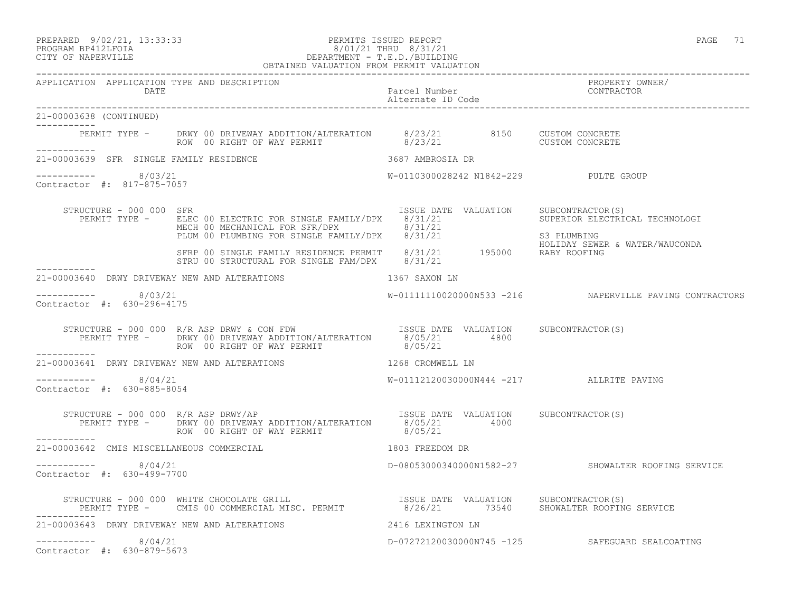| PREPARED 9/02/21, 13:33:33 | PERMITS ISSUED REPORT | PAGE | $  -$ |
|----------------------------|-----------------------|------|-------|
|                            |                       |      |       |

# PROGRAM BP412LFOIA 8/01/21 THRU 8/31/21 CITY OF NAPERVILLE DEPARTMENT - T.E.D./BUILDING

|                                                             | OBTAINED VALUATION FROM PERMIT VALUATION                                                                                                                                                                                             |                                          |                                                                  |
|-------------------------------------------------------------|--------------------------------------------------------------------------------------------------------------------------------------------------------------------------------------------------------------------------------------|------------------------------------------|------------------------------------------------------------------|
| APPLICATION APPLICATION TYPE AND DESCRIPTION<br><b>DATE</b> |                                                                                                                                                                                                                                      |                                          | PROPERTY OWNER/                                                  |
| 21-00003638 (CONTINUED)<br>___________                      |                                                                                                                                                                                                                                      |                                          |                                                                  |
|                                                             | PERMIT TYPE - DRWY 00 DRIVEWAY ADDITION/ALTERATION 8/23/21 8150 CUSTOM CONCRETE<br>ROW 00 RIGHT OF WAY PERMIT 8/23/21 600 CUSTOM CONCRETE                                                                                            |                                          |                                                                  |
| 21-00003639 SFR SINGLE FAMILY RESIDENCE                     | 3687 AMBROSIA DR                                                                                                                                                                                                                     |                                          |                                                                  |
| ----------- 8/03/21<br>Contractor #: 817-875-7057           |                                                                                                                                                                                                                                      | W-0110300028242 N1842-229 PULTE GROUP    |                                                                  |
| STRUCTURE - 000 000 SFR                                     | FERMIT TYPE - ELEC 00 ELECTRIC FOR SINGLE FAMILY/DPX 8/31/21<br>MECH 00 MECHANICAL FOR SFR/DPX 8/31/21<br>PLUM 00 PLUMBING FOR SINGLE FAMILY/DPX 8/31/21 S3 PLUMBING<br>SFRP 00 SINGLE FAMILY RESIDENCE PERMIT 8/31/21 195000 RABY R | ISSUE DATE VALUATION SUBCONTRACTOR(S)    | SUPERIOR ELECTRICAL TECHNOLOGI<br>HOLIDAY SEWER & WATER/WAUCONDA |
|                                                             |                                                                                                                                                                                                                                      |                                          |                                                                  |
|                                                             | 21-00003640 DRWY DRIVEWAY NEW AND ALTERATIONS 1367 SAXON LN                                                                                                                                                                          |                                          |                                                                  |
| ----------- 8/03/21<br>Contractor #: 630-296-4175           |                                                                                                                                                                                                                                      |                                          | W-01111110020000N533 -216 NAPERVILLE PAVING CONTRACTORS          |
|                                                             | STRUCTURE - 000 000 R/R ASP DRWY & CON FDW ISSUE DATE VALUATION SUBCONTRACTOR(S)<br>PERMIT TYPE - DRWY 00 DRIVEWAY ADDITION/ALTERATION 8/05/21 4800<br>ROW 00 RIGHT OF WAY PERMIT 8/05/21                                            |                                          |                                                                  |
| -----------                                                 | 21-00003641 DRWY DRIVEWAY NEW AND ALTERATIONS 1268 CROMWELL LN                                                                                                                                                                       |                                          |                                                                  |
| ----------- 8/04/21<br>Contractor #: 630-885-8054           |                                                                                                                                                                                                                                      | W-01112120030000N444 -217 ALLRITE PAVING |                                                                  |
| STRUCTURE - 000 000 $R/R$ ASP DRWY/AP                       | TRUCTURE - 000 000 R/R ASP DRWY/AP<br>PERMIT TYPE - DRWY 00 DRIVEWAY ADDITION/ALTERATION 8/05/21 4000<br>ROW 00 RIGHT OF WAY PERMIT 8/05/21                                                                                          |                                          |                                                                  |
| 21-00003642 CMIS MISCELLANEOUS COMMERCIAL                   | 1803 FREEDOM DR                                                                                                                                                                                                                      |                                          |                                                                  |
| $--------$ 8/04/21<br>Contractor #: 630-499-7700            |                                                                                                                                                                                                                                      |                                          | D-08053000340000N1582-27 SHOWALTER ROOFING SERVICE               |
|                                                             | STRUCTURE - 000 000 WHITE CHOCOLATE GRILL                         ISSUE DATE VALUATION     SUBCONTRACTOR(S)<br>PERMIT TYPE -     CMIS 00 COMMERCIAL MISC. PERMIT              8/26/21       73540    SHOWALTER ROOFING SERVICE       |                                          |                                                                  |
|                                                             | 21-00003643 DRWY DRIVEWAY NEW AND ALTERATIONS 4416 LEXINGTON LN                                                                                                                                                                      |                                          |                                                                  |
| 8/04/21<br>Contractor #: 630-879-5673                       |                                                                                                                                                                                                                                      |                                          | D-07272120030000N745 -125 SAFEGUARD SEALCOATING                  |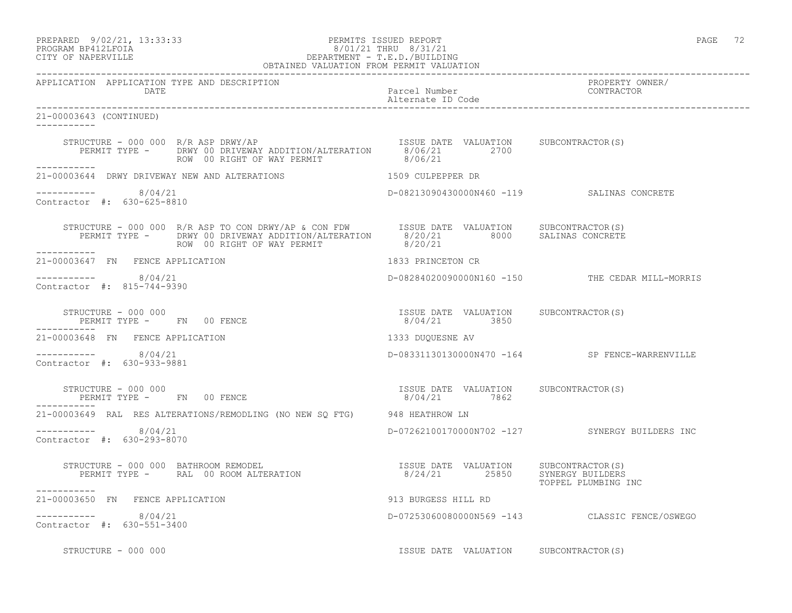PREPARED 9/02/21, 13:33:33 PERMITS ISSUED REPORT PAGE 72

# PROGRAM BP412LFOIA 8/01/21 THRU 8/31/21 CITY OF NAPERVILLE DEPARTMENT - T.E.D./BUILDING

| OBTAINED VALUATION FROM PERMIT VALUATION                                                                                                                                                                                                                                                                                                                                         |                                                       |                                                 |
|----------------------------------------------------------------------------------------------------------------------------------------------------------------------------------------------------------------------------------------------------------------------------------------------------------------------------------------------------------------------------------|-------------------------------------------------------|-------------------------------------------------|
| APPLICATION APPLICATION TYPE AND DESCRIPTION<br>DATE                                                                                                                                                                                                                                                                                                                             | Parcel Number<br>Alternate ID Code                    | PROPERTY OWNER/<br>CONTRACTOR                   |
| 21-00003643 (CONTINUED)<br>------------                                                                                                                                                                                                                                                                                                                                          |                                                       |                                                 |
| STRUCTURE - 000 000 R/R ASP DRWY/AP<br>PERMIT TYPE - DRWY 00 DRIVEWAY ADDITION/ALTERATION 8/06/21 2700<br>2700 2700<br>ROW 00 RIGHT OF WAY PERMIT                                                                                                                                                                                                                                | 8/06/21                                               |                                                 |
| 21-00003644 DRWY DRIVEWAY NEW AND ALTERATIONS 1509 CULPEPPER DR                                                                                                                                                                                                                                                                                                                  |                                                       |                                                 |
| -----------     8/04/21<br>Contractor #: 630-625-8810                                                                                                                                                                                                                                                                                                                            | D-08213090430000N460 -119 SALINAS CONCRETE            |                                                 |
| STRUCTURE - 000 000 R/R ASP TO CON DRWY/AP & CON FDW ISSUE DATE VALUATION SUBCONTRACTOR(S)<br>PERMIT TYPE - DRWY 00 DRIVEWAY ADDITION/ALTERATION 8/20/21 8000 SALINAS CONCRETE<br>------                                                                                                                                                                                         |                                                       |                                                 |
| 21-00003647 FN FENCE APPLICATION                                                                                                                                                                                                                                                                                                                                                 | 1833 PRINCETON CR                                     |                                                 |
| ----------- 8/04/21<br>Contractor #: 815-744-9390                                                                                                                                                                                                                                                                                                                                |                                                       | D-08284020090000N160 -150 THE CEDAR MILL-MORRIS |
| $\begin{array}{cccccccccc} \texttt{STRUCTURE} & - & 000 & 000 & & & & & & \\ \texttt{PERMIT TYPE} & - & \texttt{FN} & 00 & \texttt{FENCE} & & & & & \\ \end{array} \hspace{2.5cm} \begin{array}{cccccccccc} \texttt{SSUB} & \texttt{DATE} & \texttt{VALUATION} & \texttt{SUBCONTRACTOR(S)} \\ & & & & & & \\ \texttt{S/O4/21} & & & & & 3850 & & \\ \end{array}$<br>------------ |                                                       |                                                 |
| 21-00003648 FN FENCE APPLICATION                                                                                                                                                                                                                                                                                                                                                 | 1333 DUQUESNE AV                                      |                                                 |
| $--------- 8/04/21$<br>Contractor #: 630-933-9881                                                                                                                                                                                                                                                                                                                                |                                                       | D-08331130130000N470 -164 SP FENCE-WARRENVILLE  |
| STRUCTURE - 000 000<br>PERMIT TYPE - FN 00 FENCE<br>-----------                                                                                                                                                                                                                                                                                                                  | ISSUE DATE VALUATION SUBCONTRACTOR(S)<br>8/04/21 7862 |                                                 |
| 21-00003649 RAL RES ALTERATIONS/REMODLING (NO NEW SO FTG) 948 HEATHROW LN                                                                                                                                                                                                                                                                                                        |                                                       |                                                 |
| $--------- 8/04/21$<br>Contractor #: 630-293-8070                                                                                                                                                                                                                                                                                                                                |                                                       | D-07262100170000N702 -127 SYNERGY BUILDERS INC  |
| STRUCTURE - 000 000 BATHROOM REMODEL<br>-----------                                                                                                                                                                                                                                                                                                                              |                                                       | TOPPEL PLUMBING INC                             |
| 21-00003650 FN FENCE APPLICATION                                                                                                                                                                                                                                                                                                                                                 | 913 BURGESS HILL RD                                   |                                                 |
| $--------- 8/04/21$<br>Contractor #: 630-551-3400                                                                                                                                                                                                                                                                                                                                |                                                       | D-07253060080000N569 -143 CLASSIC FENCE/OSWEGO  |
| STRUCTURE - 000 000                                                                                                                                                                                                                                                                                                                                                              | ISSUE DATE VALUATION SUBCONTRACTOR(S)                 |                                                 |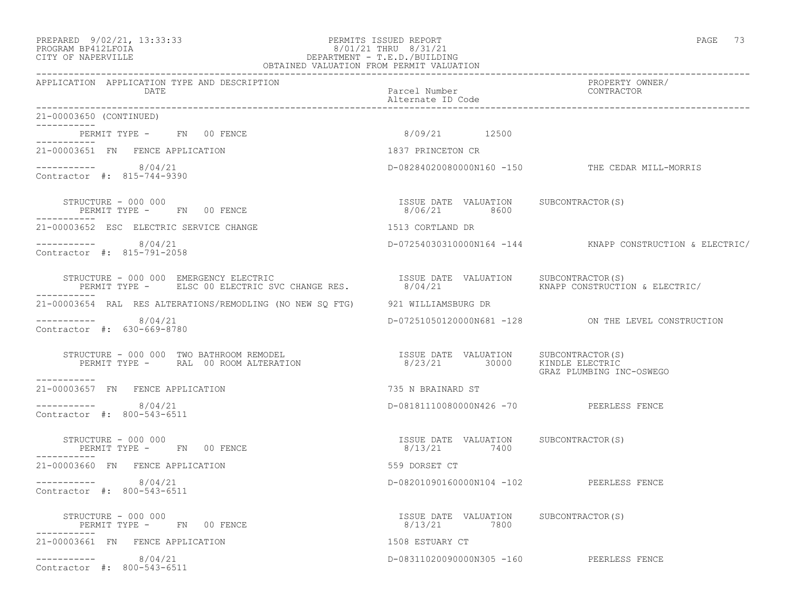### PREPARED 9/02/21, 13:33:33 PERMITS ISSUED REPORT PAGE 73 PROGRAM BP412LFOIA 8/01/21 THRU 8/31/21 CITY OF NAPERVILLE DEPARTMENT - T.E.D./BUILDING

| OBTAINED VALUATION FROM PERMIT VALUATION                                                                                                                                                                          |                                                                        |                                                          |
|-------------------------------------------------------------------------------------------------------------------------------------------------------------------------------------------------------------------|------------------------------------------------------------------------|----------------------------------------------------------|
| APPLICATION APPLICATION TYPE AND DESCRIPTION<br>DATE                                                                                                                                                              | Parcel Number<br>Alternate ID Code                                     | PROPERTY OWNER/<br>CONTRACTOR                            |
| 21-00003650 (CONTINUED)                                                                                                                                                                                           |                                                                        |                                                          |
| PERMIT TYPE - FN 00 FENCE<br>-----------                                                                                                                                                                          | 8/09/21 12500                                                          |                                                          |
| 21-00003651 FN FENCE APPLICATION                                                                                                                                                                                  | 1837 PRINCETON CR                                                      |                                                          |
| $--------- 8/04/21$<br>Contractor #: 815-744-9390                                                                                                                                                                 |                                                                        | D-08284020080000N160 -150 THE CEDAR MILL-MORRIS          |
| STRUCTURE - 000 000<br>PERMIT TYPE - FN 00 FENCE<br>PERMIT TYPE - FN 00 FENCE                                                                                                                                     | ISSUE DATE VALUATION SUBCONTRACTOR(S)<br>8/06/21 8600                  |                                                          |
| 21-00003652 ESC ELECTRIC SERVICE CHANGE                                                                                                                                                                           | 1513 CORTLAND DR                                                       |                                                          |
| -----------    8/04/21<br>Contractor #: 815-791-2058                                                                                                                                                              |                                                                        | D-07254030310000N164 -144 KNAPP CONSTRUCTION & ELECTRIC/ |
| STRUCTURE - 000 000 EMERGENCY ELECTRIC                       ISSUE DATE VALUATION   SUBCONTRACTOR(S)<br>PERMIT TYPE -   ELSC 00 ELECTRIC SVC CHANGE RES.         8/04/21           KNAPP CONSTRUCTION & ELECTRIC/ |                                                                        |                                                          |
| 21-00003654 RAL RES ALTERATIONS/REMODLING (NO NEW SQ FTG) 921 WILLIAMSBURG DR                                                                                                                                     |                                                                        |                                                          |
| ----------- 8/04/21<br>Contractor #: 630-669-8780                                                                                                                                                                 |                                                                        | D-07251050120000N681 -128 ON THE LEVEL CONSTRUCTION      |
| PERMIT TYPE - RAL 00 ROOM ALTERATION<br>STRUCTURE - 000 000 TWO BATHROOM REMODEL<br>-----------                                                                                                                   | ISSUE DATE VALUATION SUBCONTRACTOR(S)<br>8/23/21 30000 KINDLE ELECTRIC | GRAZ PLUMBING INC-OSWEGO                                 |
| 21-00003657 FN FENCE APPLICATION                                                                                                                                                                                  | 735 N BRAINARD ST                                                      |                                                          |
| $--------- 8/04/21$<br>Contractor #: 800-543-6511                                                                                                                                                                 | D-08181110080000N426 -70 PEERLESS FENCE                                |                                                          |
| STRUCTURE - 000 000<br>PERMIT TYPE - FN 00 FENCE<br>-----------                                                                                                                                                   | ISSUE DATE VALUATION SUBCONTRACTOR(S)<br>8/13/21 7400                  |                                                          |
| 21-00003660 FN FENCE APPLICATION                                                                                                                                                                                  | 559 DORSET CT                                                          |                                                          |
| $--------- 8/04/21$<br>Contractor #: 800-543-6511                                                                                                                                                                 | D-08201090160000N104 -102 PEERLESS FENCE                               |                                                          |
| STRUCTURE - 000 000<br>PERMIT TYPE - FN 00 FENCE                                                                                                                                                                  | ISSUE DATE VALUATION SUBCONTRACTOR(S)<br>8/13/21 7800                  |                                                          |
| 21-00003661 FN FENCE APPLICATION                                                                                                                                                                                  | 1508 ESTUARY CT                                                        |                                                          |
| $--------- 8/04/21$<br>Contractor #: 800-543-6511                                                                                                                                                                 | D-08311020090000N305 -160 PEERLESS FENCE                               |                                                          |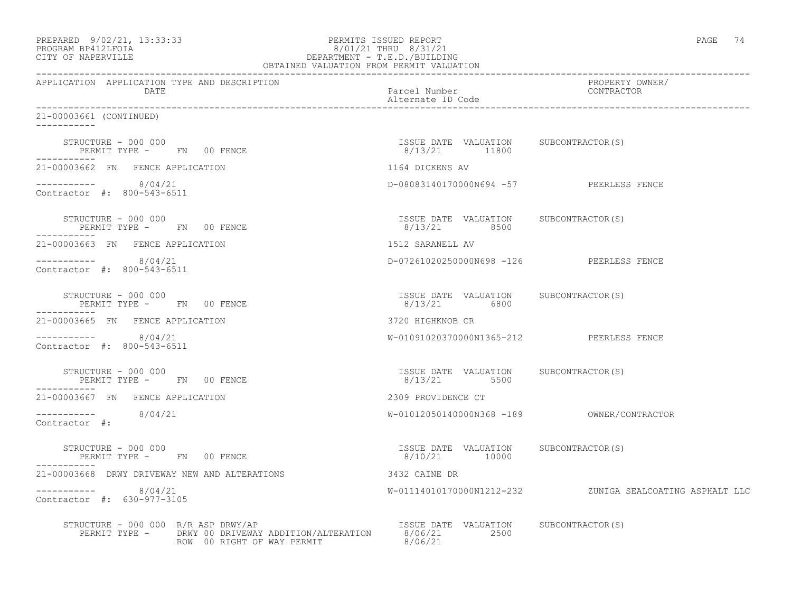| PREPARED 9/02/21, 13:33:33<br>PROGRAM BP412LFOIA 8/01/21 THRU 8/31/21<br>CITY OF NAPERVILLE DEPARTMENT - T.E.D./BUILDING<br>DEPARTMENT - T.E.D./BUILDING<br>OBTAINED VALUATION FROM PERMIT VALUATION                             |                                                        | PAGE 74                                                  |
|----------------------------------------------------------------------------------------------------------------------------------------------------------------------------------------------------------------------------------|--------------------------------------------------------|----------------------------------------------------------|
| APPLICATION APPLICATION TYPE AND DESCRIPTION<br>DATE                                                                                                                                                                             | Parcel Number<br>Alternate ID Code                     | PROPERTY OWNER/<br>CONTRACTOR                            |
| 21-00003661 (CONTINUED)                                                                                                                                                                                                          |                                                        |                                                          |
| STRUCTURE - 000 000<br>PERMIT TYPE - FN 00 FENCE                                                                                                                                                                                 | ISSUE DATE VALUATION SUBCONTRACTOR(S)<br>8/13/21 11800 |                                                          |
| 21-00003662 FN FENCE APPLICATION                                                                                                                                                                                                 | 1164 DICKENS AV                                        |                                                          |
| $----------$ 8/04/21<br>Contractor #: 800-543-6511                                                                                                                                                                               | D-08083140170000N694 -57 PEERLESS FENCE                |                                                          |
| STRUCTURE - 000 000<br>PERMIT TYPE - FN 00 FENCE                                                                                                                                                                                 | ISSUE DATE VALUATION SUBCONTRACTOR(S)<br>8/13/21 8500  |                                                          |
| 21-00003663 FN FENCE APPLICATION                                                                                                                                                                                                 | 1512 SARANELL AV                                       |                                                          |
| -----------    8/04/21<br>Contractor #: 800-543-6511                                                                                                                                                                             | D-07261020250000N698 -126 PEERLESS FENCE               |                                                          |
| STRUCTURE - 000 000<br>PERMIT TYPE - FN 00 FENCE<br>-----------                                                                                                                                                                  | ISSUE DATE VALUATION SUBCONTRACTOR(S)<br>8/13/21 6800  |                                                          |
| 21-00003665 FN FENCE APPLICATION                                                                                                                                                                                                 | 3720 HIGHKNOB CR                                       |                                                          |
| $--------- 8/04/21$<br>Contractor #: 800-543-6511                                                                                                                                                                                | W-01091020370000N1365-212 PEERLESS FENCE               |                                                          |
| STRUCTURE - 000 000<br>PERMIT TYPE - FN 00 FENCE<br>------------                                                                                                                                                                 | ISSUE DATE VALUATION SUBCONTRACTOR(S)<br>8/13/21 5500  |                                                          |
| 21-00003667 FN FENCE APPLICATION                                                                                                                                                                                                 | 2309 PROVIDENCE CT                                     |                                                          |
| $--------- 8/04/21$<br>Contractor #:                                                                                                                                                                                             |                                                        |                                                          |
| STRUCTURE - 000 000<br>PERMIT TYPE - FN 00 FENCE                                                                                                                                                                                 | ISSUE DATE VALUATION SUBCONTRACTOR(S)<br>8/10/21 10000 |                                                          |
| 21-00003668 DRWY DRIVEWAY NEW AND ALTERATIONS                                                                                                                                                                                    | 3432 CAINE DR                                          |                                                          |
| $--------- 8/04/21$<br>Contractor #: 630-977-3105                                                                                                                                                                                |                                                        | W-01114010170000N1212-232 ZUNIGA SEALCOATING ASPHALT LLC |
| STRUCTURE - 000 000 R/R ASP DRWY/AP<br>FORM TRIANGERY AND TRIANGERY CONTROLLERS WAS ARRESTED ON THE VALUATION SUBCONTRACTOR (S)<br>PERMIT TYPE - DRWY 00 DRIVEWAY ADDITION/ALTERATION 8/06/21 2500<br>ROW 00 RIGHT OF WAY PERMIT |                                                        |                                                          |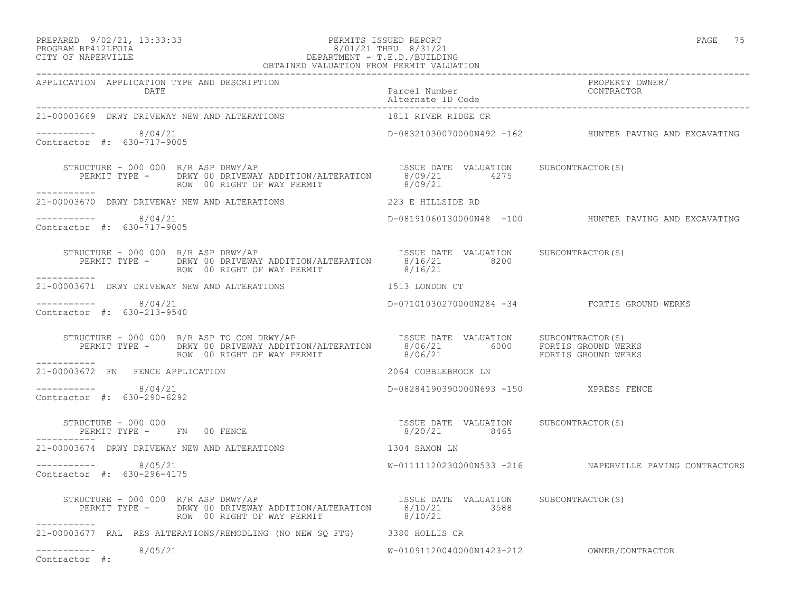#### PREPARED 9/02/21, 13:33:33 PERMITS ISSUED REPORT PAGE 75 PROGRAM BP412LFOIA 8/01/21 THRU 8/31/21 CITY OF NAPERVILLE DEPARTMENT - T.E.D./BUILDING OBTAINED VALUATION FROM PERMIT VALUATION

| IIVOUMIT DI IIZHI VIII<br>CITY OF NAPERVILLE | $\cup$ , $\cup$ $\bot$ , $\bot$ , $\bot$ , $\bot$ , $\bot$ , $\bot$ , $\bot$ , $\bot$ , $\bot$ , $\bot$<br>DEPARTMENT - T.E.D./BUILDING<br>OBTAINED VALUATION FROM PERMIT VALUATION |                 |
|----------------------------------------------|-------------------------------------------------------------------------------------------------------------------------------------------------------------------------------------|-----------------|
| APPLICATION APPLICATION TYPE AND DESCRIPTION | Parcel Number                                                                                                                                                                       | PROPERTY OWNER/ |
| DATE                                         | Alternate ID Code                                                                                                                                                                   | CONTRACTOR      |

| DATE                                                                                                                                                                  | Parcel Number CONTRACTOR<br>Alternate ID Code          |                                                        |
|-----------------------------------------------------------------------------------------------------------------------------------------------------------------------|--------------------------------------------------------|--------------------------------------------------------|
| 21-00003669 DRWY DRIVEWAY NEW AND ALTERATIONS                                                                                                                         | 1811 RIVER RIDGE CR                                    |                                                        |
| $--------- 8/04/21$<br>Contractor #: 630-717-9005                                                                                                                     |                                                        | D-08321030070000N492 -162 HUNTER PAVING AND EXCAVATING |
| STRUCTURE - 000 000 R/R ASP DRWY/AP<br>PERMIT TYPE - DRWY 00 DRIVEWAY ADDITION/ALTERATION 8/09/21 4275<br>ROW 00 RIGHT OF WAY PERMIT - 8/09/21 8/09/21<br>----------- |                                                        |                                                        |
| 21-00003670 DRWY DRIVEWAY NEW AND ALTERATIONS                                                                                                                         | 223 E HILLSIDE RD                                      |                                                        |
| $--------- 8/04/21$<br>Contractor #: 630-717-9005                                                                                                                     |                                                        | D-08191060130000N48 -100 HUNTER PAVING AND EXCAVATING  |
| STRUCTURE - 000 000 R/R ASP DRWY/AP<br>PERMIT TYPE - DRWY 00 DRIVEWAY ADDITION/ALTERATION 8/16/21 8200<br>ROW 00 RIGHT OF WAY PERMIT<br>-----------                   | ISSUE DATE VALUATION SUBCONTRACTOR(S)<br>8/16/21       |                                                        |
| 1513 LONDON CT<br>21-00003671 DRWY DRIVEWAY NEW AND ALTERATIONS                                                                                                       |                                                        |                                                        |
| $--------- 8/04/21$<br>Contractor #: 630-213-9540                                                                                                                     |                                                        | D-07101030270000N284 -34 FORTIS GROUND WERKS           |
| ROW 00 RIGHT OF WAY PERMIT 68/06/21 TO MERKS<br>___________                                                                                                           |                                                        |                                                        |
| 21-00003672 FN FENCE APPLICATION                                                                                                                                      | 2064 COBBLEBROOK LN                                    |                                                        |
| $--------- 8/04/21$<br>Contractor #: 630-290-6292                                                                                                                     | D-08284190390000N693 -150 XPRESS FENCE                 |                                                        |
| STRUCTURE - 000 000<br>PERMIT TYPE - FN 00 FENCE                                                                                                                      | ISSUE DATE VALUATION SUBCONTRACTOR (S)<br>8/20/21 8465 |                                                        |
| 21-00003674 DRWY DRIVEWAY NEW AND ALTERATIONS                                                                                                                         | 1304 SAXON LN                                          |                                                        |
| $--------- 8/05/21$<br>Contractor #: 630-296-4175                                                                                                                     |                                                        |                                                        |
| STRUCTURE - 000 000 $R/R$ ASP DRWY/AP<br>PERMIT TYPE - DRWY 00 DRIVEWAY ADDITION/ALTERATION 8/10/21 3588<br>ROW 00 RIGHT OF WAY PERMIT<br>----------                  | ISSUE DATE VALUATION SUBCONTRACTOR(S)<br>8/10/21       |                                                        |
| 21-00003677 RAL RES ALTERATIONS/REMODLING (NO NEW SQ FTG) 3380 HOLLIS CR                                                                                              |                                                        |                                                        |
| $--------- 8/05/21$<br>Contractor #:                                                                                                                                  |                                                        |                                                        |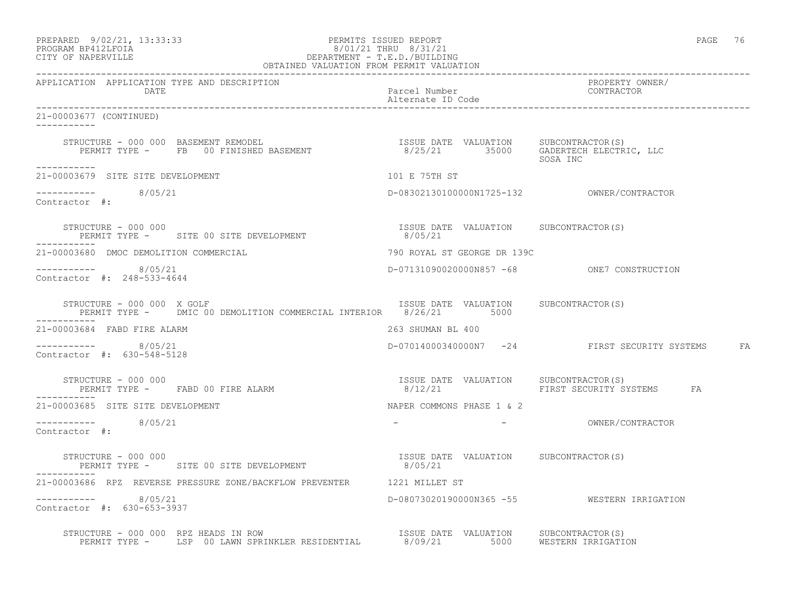| PREPARED            | $9/02/21$ , 13:33:33 |  |
|---------------------|----------------------|--|
| DDACDAM BDA12T FATA |                      |  |

### PREPARED 9/02/21, 13:33:33 PERMITS ISSUED REPORT PAGE 76 PROGRAM BP412LFOIA 8/01/21 THRU 8/31/21 CITY OF NAPERVILLE DEPARTMENT - T.E.D./BUILDING

| OBTAINED VALUATION FROM PERMIT VALUATION                                                                                                                 |                                                   |                                                  |  |
|----------------------------------------------------------------------------------------------------------------------------------------------------------|---------------------------------------------------|--------------------------------------------------|--|
| APPLICATION APPLICATION TYPE AND DESCRIPTION<br>DATE                                                                                                     | Parcel Number<br>Alternate ID Code                | PROPERTY OWNER/<br>CONTRACTOR                    |  |
| 21-00003677 (CONTINUED)                                                                                                                                  |                                                   |                                                  |  |
| STRUCTURE - 000 000 BASEMENT REMODEL<br>PERMIT TYPE -    FB   00 FINISHED BASEMENT                         8/25/21       35000   GADERTECH ELECTRIC, LLC |                                                   | SOSA INC                                         |  |
| -----------<br>21-00003679 SITE SITE DEVELOPMENT                                                                                                         | 101 E 75TH ST                                     |                                                  |  |
| ----------- 8/05/21<br>Contractor #:                                                                                                                     |                                                   |                                                  |  |
| STRUCTURE - 000 000<br>PERMIT TYPE - SITE 00 SITE DEVELOPMENT                                                                                            | ISSUE DATE VALUATION SUBCONTRACTOR (S)<br>8/05/21 |                                                  |  |
| 21-00003680 DMOC DEMOLITION COMMERCIAL                                                                                                                   | 790 ROYAL ST GEORGE DR 139C                       |                                                  |  |
| -----------     8/05/21<br>Contractor #: 248-533-4644                                                                                                    | D-07131090020000N857 -68 ONE7 CONSTRUCTION        |                                                  |  |
| STRUCTURE - 000 000 X GOLF<br>PERMIT TYPE - DMIC 00 DEMOLITION COMMERCIAL INTERIOR 8/26/21 5000                                                          | ISSUE DATE VALUATION SUBCONTRACTOR(S)             |                                                  |  |
| 21-00003684 FABD FIRE ALARM                                                                                                                              | 263 SHUMAN BL 400                                 |                                                  |  |
| -----------    8/05/21<br>Contractor #: 630-548-5128                                                                                                     |                                                   | D-07014000340000N7 -24 FIRST SECURITY SYSTEMS FA |  |
| STRUCTURE - 000 000<br>PERMIT TYPE - FABD 00 FIRE ALARM                                                                                                  |                                                   | FIRST SECURITY SYSTEMS FA                        |  |
| 21-00003685 SITE SITE DEVELOPMENT                                                                                                                        | NAPER COMMONS PHASE 1 & 2                         |                                                  |  |
| $--------- 8/05/21$<br>Contractor #:                                                                                                                     |                                                   | - OWNER/CONTRACTOR                               |  |
| STRUCTURE - 000 000<br>PERMIT TYPE - SITE 00 SITE DEVELOPMENT 6/05/21                                                                                    | ISSUE DATE VALUATION SUBCONTRACTOR(S)             |                                                  |  |
| 21-00003686 RPZ REVERSE PRESSURE ZONE/BACKFLOW PREVENTER 1221 MILLET ST                                                                                  |                                                   |                                                  |  |
| $--------- 8/05/21$<br>Contractor #: 630-653-3937                                                                                                        |                                                   | D-08073020190000N365 -55 WESTERN IRRIGATION      |  |
| STRUCTURE - 000 000 RPZ HEADS IN ROW<br>PERMIT TYPE - LSP 00 LAWN SPRINKLER RESIDENTIAL 8/09/21 5000 WESTERN IRRIGATION                                  |                                                   |                                                  |  |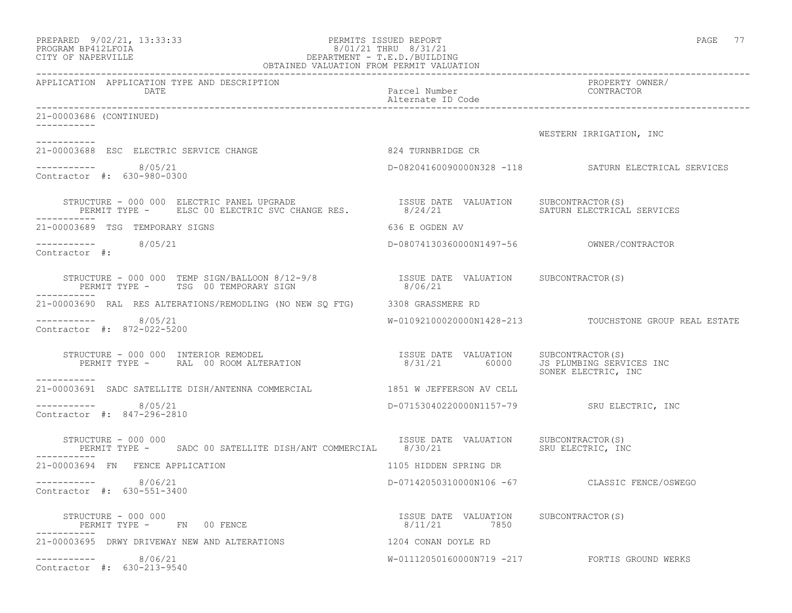| PREPARED             | 9/02/21, 13:33:33 |  |
|----------------------|-------------------|--|
| הדרת זל 11/11 וארסמם |                   |  |

### PREPARED 9/02/21, 13:33:33 PERMITS ISSUED REPORT PAGE 77 PROGRAM BP412LFOIA 8/01/21 THRU 8/31/21 CITY OF NAPERVILLE DEPARTMENT - T.E.D./BUILDING

| OBTAINED VALUATION FROM PERMIT VALUATION                                                                                                                                       |                                                        |                                                        |
|--------------------------------------------------------------------------------------------------------------------------------------------------------------------------------|--------------------------------------------------------|--------------------------------------------------------|
| APPLICATION APPLICATION TYPE AND DESCRIPTION<br>DATE                                                                                                                           | Parcel Number<br>Alternate ID Code                     | PROPERTY OWNER/<br>CONTRACTOR                          |
| 21-00003686 (CONTINUED)                                                                                                                                                        |                                                        |                                                        |
|                                                                                                                                                                                |                                                        | WESTERN IRRIGATION, INC                                |
| ----------<br>21-00003688 ESC ELECTRIC SERVICE CHANGE                                                                                                                          | 824 TURNBRIDGE CR                                      |                                                        |
| $--------- 8/05/21$<br>Contractor #: 630-980-0300                                                                                                                              |                                                        | D-08204160090000N328 -118 SATURN ELECTRICAL SERVICES   |
|                                                                                                                                                                                |                                                        | SATURN ELECTRICAL SERVICES                             |
| 21-00003689 TSG TEMPORARY SIGNS                                                                                                                                                | 636 E OGDEN AV                                         |                                                        |
| $--------- 8/05/21$<br>Contractor #:                                                                                                                                           |                                                        |                                                        |
| STRUCTURE – 000 000 TEMP SIGN/BALLOON 8/12-9/8                 ISSUE DATE VALUATION SUBCONTRACTOR(S)<br>PERMIT TYPE –     TSG 00 TEMPORARY SIGN                        8/06/21 |                                                        |                                                        |
| 21-00003690 RAL RES ALTERATIONS/REMODLING (NO NEW SQ FTG) 3308 GRASSMERE RD                                                                                                    |                                                        |                                                        |
| -----------    8/05/21<br>Contractor #: 872-022-5200                                                                                                                           |                                                        | W-01092100020000N1428-213 TOUCHSTONE GROUP REAL ESTATE |
| STRUCTURE - 000 000 INTERIOR REMODEL<br>PERMIT TYPE - RAL 00 ROOM ALTERATION<br>-----------                                                                                    | ISSUE DATE VALUATION SUBCONTRACTOR(S)<br>8/31/21 60000 | JS PLUMBING SERVICES INC<br>SONEK ELECTRIC, INC        |
| 21-00003691 SADC SATELLITE DISH/ANTENNA COMMERCIAL 1851 W JEFFERSON AV CELL                                                                                                    |                                                        |                                                        |
| $--------- 8/05/21$<br>Contractor #: 847-296-2810                                                                                                                              |                                                        | D-07153040220000N1157-79 SRU ELECTRIC, INC             |
| STRUCTURE - 000 000<br>PERMIT TYPE - SADC 00 SATELLITE DISH/ANT COMMERCIAL 8/30/21                                                                                             | ISSUE DATE VALUATION                                   | SUBCONTRACTOR(S)<br>SRU ELECTRIC, INC                  |
| 21-00003694 FN FENCE APPLICATION                                                                                                                                               | 1105 HIDDEN SPRING DR                                  |                                                        |
| $--------$ 8/06/21<br>Contractor #: 630-551-3400                                                                                                                               |                                                        | D-07142050310000N106 -67 CLASSIC FENCE/OSWEGO          |
| STRUCTURE - 000 000<br>PERMIT TYPE - FN 00 FENCE                                                                                                                               | ISSUE DATE VALUATION SUBCONTRACTOR(S)<br>8/11/21 7850  |                                                        |
| 21-00003695 DRWY DRIVEWAY NEW AND ALTERATIONS                                                                                                                                  | 1204 CONAN DOYLE RD                                    |                                                        |
| $--------- 8/06/21$<br>Contractor #: 630-213-9540                                                                                                                              |                                                        | W-01112050160000N719 -217 FORTIS GROUND WERKS          |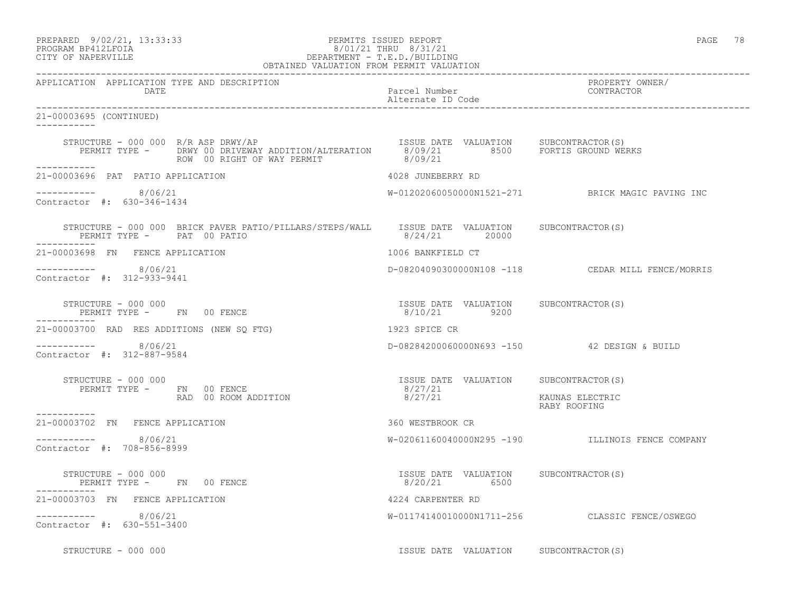### PREPARED 9/02/21, 13:33:33 PERMITS ISSUED REPORT PAGE 78 PROGRAM BP412LFOIA 8/01/21 THRU 8/31/21 CITY OF NAPERVILLE DEPARTMENT - T.E.D./BUILDING

| OBTAINED VALUATION FROM PERMIT VALUATION                                                                                                                                                                         |                                                        |                                                   |
|------------------------------------------------------------------------------------------------------------------------------------------------------------------------------------------------------------------|--------------------------------------------------------|---------------------------------------------------|
| APPLICATION APPLICATION TYPE AND DESCRIPTION<br><b>DATE</b>                                                                                                                                                      | Parcel Number<br>Alternate ID Code                     | PROPERTY OWNER/<br>CONTRACTOR                     |
| 21-00003695 (CONTINUED)<br>-----------                                                                                                                                                                           |                                                        |                                                   |
| STRUCTURE - 000 000 R/R ASP DRWY/AP<br>PERMIT TYPE - DRWY 00 DRIVEWAY ADDITION/ALTERATION 8/09/21 8500 FORTIS GROUND WERKS<br>ROW 00 RIGHT OF WAY PERMIT<br>___________                                          | 8/09/21                                                |                                                   |
| 21-00003696 PAT PATIO APPLICATION                                                                                                                                                                                | 4028 JUNEBERRY RD                                      |                                                   |
| ----------- 8/06/21<br>Contractor #: 630-346-1434                                                                                                                                                                |                                                        | W-01202060050000N1521-271 BRICK MAGIC PAVING INC  |
| STRUCTURE - 000 000 BRICK PAVER PATIO/PILLARS/STEPS/WALL ISSUE DATE VALUATION SUBCONTRACTOR(S)<br>PERMIT TYPE - PAT 00 PATIO                                                                                     | 8/24/21 20000                                          |                                                   |
| 21-00003698 FN FENCE APPLICATION                                                                                                                                                                                 | 1006 BANKFIELD CT                                      |                                                   |
| $--------- 8/06/21$<br>Contractor #: 312-933-9441                                                                                                                                                                |                                                        | D-08204090300000N108 -118 CEDAR MILL FENCE/MORRIS |
|                                                                                                                                                                                                                  |                                                        |                                                   |
| 21-00003700 RAD RES ADDITIONS (NEW SQ FTG)                                                                                                                                                                       | 1923 SPICE CR                                          |                                                   |
| $--------$ 8/06/21<br>Contractor #: 312-887-9584                                                                                                                                                                 | D-08284200060000N693 -150 42 DESIGN & BUILD            |                                                   |
| STRUCTURE - 000 000                                                                                                                                                                                              |                                                        |                                                   |
| STRUCTURE - 000 000<br>PERMIT TYPE - FN 00 FENCE<br>RAD 00 ROOM ADDITION<br>BAD 00 ROOM ADDITION<br>BAD 00 ROOM ADDITION<br>BAD 00 ROOM ADDITION<br>BAD 00 ROOM ADDITION<br>BAD 00 ROOM ADDITION<br>------------ |                                                        | RABY ROOFING                                      |
| 21-00003702 FN FENCE APPLICATION                                                                                                                                                                                 | 360 WESTBROOK CR                                       |                                                   |
| $--------- 8/06/21$<br>Contractor #: 708-856-8999                                                                                                                                                                |                                                        | W-02061160040000N295 -190 ILLINOIS FENCE COMPANY  |
| STRUCTURE - 000 000<br>PERMIT TYPE -      FN   00 FENCE                                                                                                                                                          | ISSUE DATE VALUATION SUBCONTRACTOR (S)<br>8/20/21 6500 |                                                   |
| 21-00003703 FN FENCE APPLICATION                                                                                                                                                                                 | 4224 CARPENTER RD                                      |                                                   |
| -----------    8/06/21<br>Contractor #: 630-551-3400                                                                                                                                                             |                                                        | W-01174140010000N1711-256 CLASSIC FENCE/OSWEGO    |
| STRUCTURE - 000 000                                                                                                                                                                                              | ISSUE DATE VALUATION SUBCONTRACTOR(S)                  |                                                   |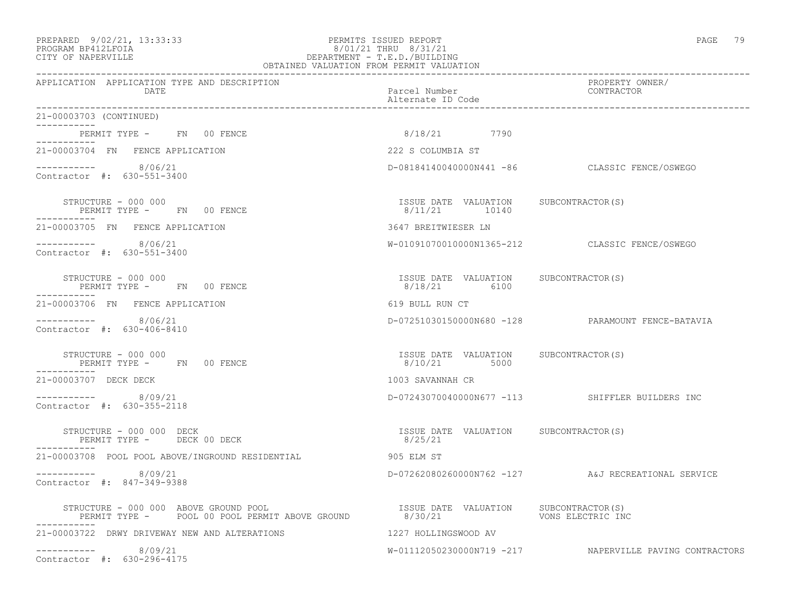#### PREPARED 9/02/21, 13:33:33 PERMITS ISSUED REPORT PAGE 79 PROGRAM BP412LFOIA 8/01/21 THRU 8/31/21 CITY OF NAPERVILLE DEPARTMENT - T.E.D./BUILDING OBTAINED VALUATION FROM PERMIT VALUATION

------------------------------------------------------------------------------------------------------------------------------------ APPLICATION APPLICATION TYPE AND DESCRIPTION PROPERTY OWNER/ DATE PARTICLE IN THE PARTICLE OF THE PARTICLE NUMber CONTRACTOR OF THE PARTICLE IN THE PARTICLE OF THE PARTICLE Alternate ID Code ------------------------------------------------------------------------------------------------------------------------------------ 21-00003703 (CONTINUED) ----------- PERMIT TYPE - FN 00 FENCE 1990 18/18/21 7790 ----------- 21-00003704 FN FENCE APPLICATION 222 S COLUMBIA ST  $--------- 8/06/21$ D-08184140040000N441 -86 CLASSIC FENCE/OSWEGO Contractor #: 630-551-3400 STRUCTURE - 000 000 ISSUE DATE VALUATION SUBCONTRACTOR(S) PERMIT TYPE - FN 00 FENCE ----------- 21-00003705 FN FENCE APPLICATION 3647 BREITWIESER LN ----------- 8/06/21 W-01091070010000N1365-212 CLASSIC FENCE/OSWEGO Contractor #: 630-551-3400 STRUCTURE - 000 000 ISSUE DATE VALUATION SUBCONTRACTOR(S) PERMIT TYPE - FN 00 FENCE ----------- 21-00003706 FN FENCE APPLICATION 619 BULL RUN CT ----------- 8/06/21 D-07251030150000N680 -128 PARAMOUNT FENCE-BATAVIA Contractor #: 630-406-8410 STRUCTURE - 000 000 ISSUE DATE VALUATION SUBCONTRACTOR(S) PERMIT TYPE - FN 00 FENCE ----------- 21-00003707 DECK DECK 1003 SAVANNAH CR ----------- 8/09/21 D-07243070040000N677 -113 SHIFFLER BUILDERS INC Contractor #: 630-355-2118 STRUCTURE - 000 000 DECK ISSUE DATE VALUATION SUBCONTRACTOR(S) PERMIT TYPE - DECK 00 DECK ----------- 21-00003708 POOL POOL ABOVE/INGROUND RESIDENTIAL 905 ELM ST ----------- 8/09/21 D-07262080260000N762 -127 A&J RECREATIONAL SERVICE Contractor #: 847-349-9388 STRUCTURE - 000 000 ABOVE GROUND POOL ISSUE DATE VALUATION SUBCONTRACTOR(S) PERMIT TYPE - POOL 00 POOL PERMIT ABOVE GROUND ----------- 21-00003722 DRWY DRIVEWAY NEW AND ALTERATIONS 1227 HOLLINGSWOOD AV ----------- 8/09/21 W-01112050230000N719 -217 NAPERVILLE PAVING CONTRACTORS Contractor #: 630-296-4175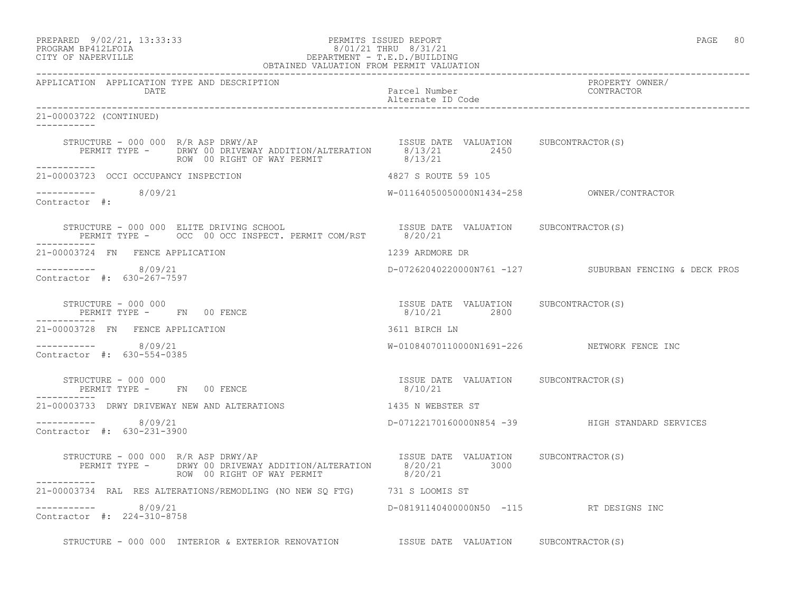### PREPARED 9/02/21, 13:33:33 PERMITS ISSUED REPORT PAGE 80 PROGRAM BP412LFOIA 8/01/21 THRU 8/31/21 CITY OF NAPERVILLE DEPARTMENT - T.E.D./BUILDING

| OBTAINED VALUATION FROM PERMIT VALUATION                                                                                                                                                                                                                                                                                                                                                                                                                 |                                                       |                                                        |
|----------------------------------------------------------------------------------------------------------------------------------------------------------------------------------------------------------------------------------------------------------------------------------------------------------------------------------------------------------------------------------------------------------------------------------------------------------|-------------------------------------------------------|--------------------------------------------------------|
| APPLICATION APPLICATION TYPE AND DESCRIPTION<br>DATE                                                                                                                                                                                                                                                                                                                                                                                                     | Parcel Number<br>Alternate ID Code                    | PROPERTY OWNER/<br>TROPERII OW<br>CONTRACTOR           |
| 21-00003722 (CONTINUED)<br>___________                                                                                                                                                                                                                                                                                                                                                                                                                   |                                                       |                                                        |
| $\begin{array}{lllllll} \texttt{STRUCTURE} & - & 000 & 000 & \texttt{R/R} & \texttt{ABP} & \texttt{DRWY} / \texttt{AP} & & & & & & \\ \texttt{PERMIT TYPE} & - & & \texttt{DRWY} & 00 & \texttt{DRIVEWAY} & \texttt{ADDITION/ALTERATION} & & & & & & \\ \texttt{PERMIT TYPE} & - & & \texttt{DRWY} & 00 & \texttt{RIGHT OF WAY} & \texttt{PERMIT} & & & & & \\ \texttt{ROW} & 00 & \texttt{RIGHT OF WAY} & \texttt{PERMIT} & & & & & \\ \end{array} \hs$ |                                                       |                                                        |
| 21-00003723 OCCI OCCUPANCY INSPECTION                                                                                                                                                                                                                                                                                                                                                                                                                    | 4827 S ROUTE 59 105                                   |                                                        |
| $--------- 8/09/21$<br>Contractor #:                                                                                                                                                                                                                                                                                                                                                                                                                     |                                                       |                                                        |
| STRUCTURE - 000 000 ELITE DRIVING SCHOOL CHOOL SISSUE DATE VALUATION SUBCONTRACTOR(S)<br>PERMIT TYPE - OCC 00 OCC INSPECT. PERMIT COM/RST 8/20/21                                                                                                                                                                                                                                                                                                        |                                                       |                                                        |
| 21-00003724 FN FENCE APPLICATION                                                                                                                                                                                                                                                                                                                                                                                                                         | 1239 ARDMORE DR                                       |                                                        |
| -----------    8/09/21<br>Contractor #: 630-267-7597                                                                                                                                                                                                                                                                                                                                                                                                     |                                                       | D-07262040220000N761 -127 SUBURBAN FENCING & DECK PROS |
| STRUCTURE - 000 000<br>PERMIT TYPE - FN 00 FENCE                                                                                                                                                                                                                                                                                                                                                                                                         | ISSUE DATE VALUATION SUBCONTRACTOR(S)<br>8/10/21 2800 |                                                        |
| 21-00003728 FN FENCE APPLICATION                                                                                                                                                                                                                                                                                                                                                                                                                         | 3611 BIRCH LN                                         |                                                        |
| $--------- 8/09/21$<br>Contractor #: 630-554-0385                                                                                                                                                                                                                                                                                                                                                                                                        |                                                       | W-01084070110000N1691-226 NETWORK FENCE INC            |
| STRUCTURE - 000 000<br>PERMIT TYPE - FN 00 FENCE                                                                                                                                                                                                                                                                                                                                                                                                         | ISSUE DATE VALUATION SUBCONTRACTOR(S)<br>8/10/21      |                                                        |
| 21-00003733 DRWY DRIVEWAY NEW AND ALTERATIONS THE RESPONSE RESPONSIVE ST                                                                                                                                                                                                                                                                                                                                                                                 |                                                       |                                                        |
| $--------- 8/09/21$<br>Contractor #: 630-231-3900                                                                                                                                                                                                                                                                                                                                                                                                        |                                                       | D-07122170160000N854 -39 HIGH STANDARD SERVICES        |
| STRUCTURE - 000 000 R/R ASP DRWY/AP<br>PERMIT TYPE - DRWY 00 DRIVEWAY ADDITION/ALTERATION 8/20/21 3000<br>ROW 00 RIGHT OF WAY PERMIT                                                                                                                                                                                                                                                                                                                     | ISSUE DATE VALUATION SUBCONTRACTOR(S)<br>8/20/21      |                                                        |
| 21-00003734 RAL RES ALTERATIONS/REMODLING (NO NEW SQ FTG) 731 S LOOMIS ST                                                                                                                                                                                                                                                                                                                                                                                |                                                       |                                                        |
| $--------- 8/09/21$<br>Contractor #: 224-310-8758                                                                                                                                                                                                                                                                                                                                                                                                        | D-08191140400000N50 -115 RT DESIGNS INC               |                                                        |
| STRUCTURE - 000 000 INTERIOR & EXTERIOR RENOVATION ISSUE DATE VALUATION SUBCONTRACTOR(S)                                                                                                                                                                                                                                                                                                                                                                 |                                                       |                                                        |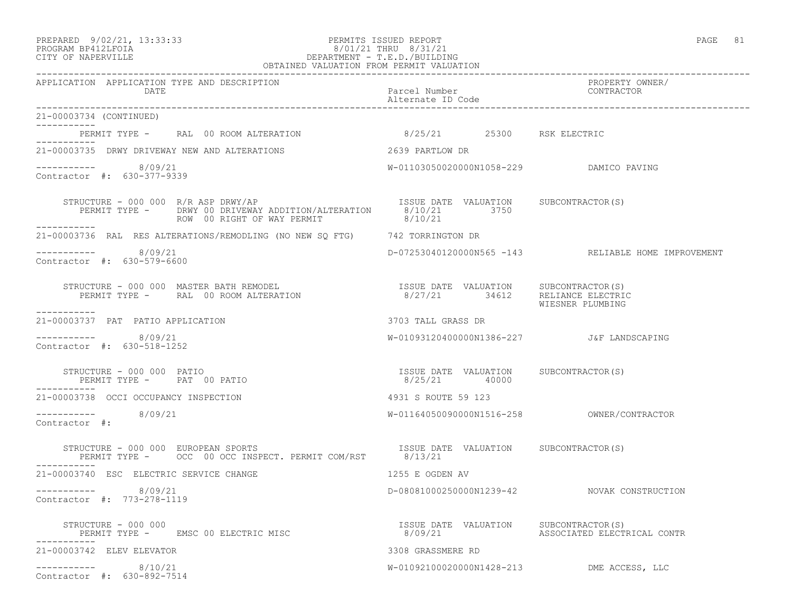#### PREPARED 9/02/21, 13:33:33 PERMITS ISSUED REPORT PAGE 81 PROGRAM BP412LFOIA 8/01/21 THRU 8/31/21 CITY OF NAPERVILLE DEPARTMENT - T.E.D./BUILDING OBTAINED VALUATION FROM PERMIT VALUATION

| APPLICATION APPLICATION TYPE AND DESCRIPTION<br>DATE                                                                                                                                                                                                                                                                                                                                                                                         | Parcel Number<br>Alternate ID Code                     | PROPERTY OWNER/<br>CONTRACTOR                       |
|----------------------------------------------------------------------------------------------------------------------------------------------------------------------------------------------------------------------------------------------------------------------------------------------------------------------------------------------------------------------------------------------------------------------------------------------|--------------------------------------------------------|-----------------------------------------------------|
| 21-00003734 (CONTINUED)                                                                                                                                                                                                                                                                                                                                                                                                                      |                                                        |                                                     |
| PERMIT TYPE - RAL 00 ROOM ALTERATION 6/25/21 25300 RSK ELECTRIC<br>. _ _ _ _ _ _ _ _ _ _                                                                                                                                                                                                                                                                                                                                                     |                                                        |                                                     |
| 21-00003735 DRWY DRIVEWAY NEW AND ALTERATIONS                                                                                                                                                                                                                                                                                                                                                                                                | 2639 PARTLOW DR                                        |                                                     |
| $--------- 8/09/21$<br>Contractor #: 630-377-9339                                                                                                                                                                                                                                                                                                                                                                                            | W-01103050020000N1058-229 DAMICO PAVING                |                                                     |
| RUCTURE - 000 000 R/R ASP DRWY/AP<br>PERMIT TYPE - DRWY 00 DRIVEWAY ADDITION/ALTERATION 8/10/21 3750<br>ROW 00 RIGHT OF WAY PERMIT 8/10/21<br>STRUCTURE - 000 000 $R/R$ ASP DRWY/AP<br>___________                                                                                                                                                                                                                                           |                                                        |                                                     |
| 21-00003736 RAL RES ALTERATIONS/REMODLING (NO NEW SQ FTG) 742 TORRINGTON DR                                                                                                                                                                                                                                                                                                                                                                  |                                                        |                                                     |
| $--------- 8/09/21$<br>Contractor #: 630-579-6600                                                                                                                                                                                                                                                                                                                                                                                            |                                                        | D-07253040120000N565 -143 RELIABLE HOME IMPROVEMENT |
| $\begin{array}{cccc} \texttt{STRUCTURE} & - & 000 & 000 & \texttt{MASTER BATH REMODEL} \hspace{2.5cm} & & & & & \\ \texttt{PERMIT TYPE} & - & \texttt{RAL} & 00\texttt{ ROM ALTERATION} & \texttt{S} & \texttt{0} & \texttt{0} & \texttt{SUTERATION} \hspace{2.5cm} & & & \\ \texttt{PERMIT TYPE} & - & \texttt{RAL} & 00\texttt{ ROM ALTERATION} & \texttt{0} & \texttt{0} & \texttt{0} & \texttt{0} & \texttt{0} & \texttt{0} \end{array}$ |                                                        |                                                     |
| ___________<br>21-00003737 PAT PATIO APPLICATION                                                                                                                                                                                                                                                                                                                                                                                             | 3703 TALL GRASS DR                                     |                                                     |
| $--------- 8/09/21$<br>Contractor #: 630-518-1252                                                                                                                                                                                                                                                                                                                                                                                            | W-01093120400000N1386-227 J&F LANDSCAPING              |                                                     |
| STRUCTURE - 000 000 PATIO<br>PERMIT TYPE - PAT 00 PATIO                                                                                                                                                                                                                                                                                                                                                                                      | ISSUE DATE VALUATION SUBCONTRACTOR(S)<br>8/25/21 40000 |                                                     |
| 21-00003738 OCCI OCCUPANCY INSPECTION                                                                                                                                                                                                                                                                                                                                                                                                        | 4931 S ROUTE 59 123                                    |                                                     |
| $--------- 8/09/21$<br>Contractor #:                                                                                                                                                                                                                                                                                                                                                                                                         |                                                        |                                                     |
| STRUCTURE - 000 000 EUROPEAN SPORTS<br>PERMIT TYPE - OCC 00 OCC INSPECT. PERMIT COM/RST 8/13/21                                                                                                                                                                                                                                                                                                                                              | ISSUE DATE VALUATION SUBCONTRACTOR (S)                 |                                                     |
| 21-00003740 ESC ELECTRIC SERVICE CHANGE                                                                                                                                                                                                                                                                                                                                                                                                      | 1255 E OGDEN AV                                        |                                                     |
| ----------- 8/09/21<br>Contractor #: 773-278-1119                                                                                                                                                                                                                                                                                                                                                                                            |                                                        | D-08081000250000N1239-42 NOVAK CONSTRUCTION         |
| PERMIT TYPE - EMSC 00 ELECTRIC MISC                                                                                                                                                                                                                                                                                                                                                                                                          | ISSUE DATE VALUATION SUBCONTRACTOR(S)                  |                                                     |
| 21-00003742 ELEV ELEVATOR                                                                                                                                                                                                                                                                                                                                                                                                                    | 3308 GRASSMERE RD                                      |                                                     |
| $--------- 8/10/21$<br>Contractor #: 630-892-7514                                                                                                                                                                                                                                                                                                                                                                                            | W-01092100020000N1428-213 DME ACCESS, LLC              |                                                     |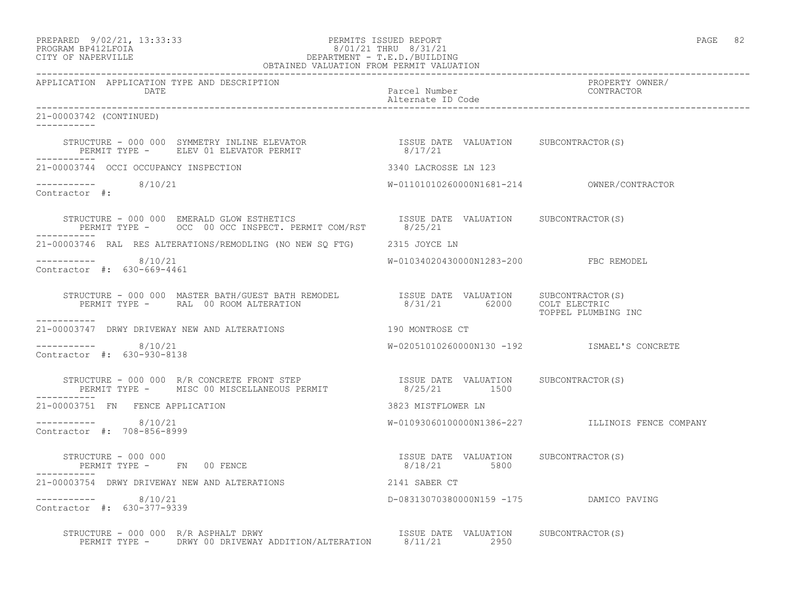PREPARED 9/02/21, 13:33:33 PERMITS ISSUED REPORT PAGE 82

### PROGRAM BP412LFOIA 8/01/21 THRU 8/31/21 CITY OF NAPERVILLE DEPARTMENT - T.E.D./BUILDING OBTAINED VALUATION FROM PERMIT VALUATION

------------------------------------------------------------------------------------------------------------------------------------ APPLICATION APPLICATION TYPE AND DESCRIPTION<br>DATE bated parcel Number property contractor DATE Parcel Number CONTRACTOR Alternate ID Code ------------------------------------------------------------------------------------------------------------------------------------ 21-00003742 (CONTINUED) ----------- STRUCTURE - 000 000 SYMMETRY INLINE ELEVATOR ISSUE DATE VALUATION SUBCONTRACTOR(S) PERMIT TYPE - ELEV 01 ELEVATOR PERMIT 6/17/21 ----------- 21-00003744 OCCI OCCUPANCY INSPECTION 3340 LACROSSE LN 123 ----------- 8/10/21 W-01101010260000N1681-214 OWNER/CONTRACTOR Contractor #: STRUCTURE - 000 000 EMERALD GLOW ESTHETICS ISSUE DATE VALUATION SUBCONTRACTOR(S) PERMIT TYPE - OCC 00 OCC INSPECT. PERMIT COM/RST 8/25/21 ----------- 21-00003746 RAL RES ALTERATIONS/REMODLING (NO NEW SQ FTG) 2315 JOYCE LN ----------- 8/10/21 W-01034020430000N1283-200 FBC REMODEL Contractor #: 630-669-4461 STRUCTURE - 000 000 MASTER BATH/GUEST BATH REMODEL ISSUE DATE VALUATION SUBCONTRACTOR(S) PERMIT TYPE - RAL 00 ROOM ALTERATION 8/31/21 62000 COLT ELECTRIC TOPPEL PLUMBING INC ----------- 21-00003747 DRWY DRIVEWAY NEW AND ALTERATIONS 190 MONTROSE CT  $--------- 8/10/21$ W-02051010260000N130 -192 ISMAEL'S CONCRETE Contractor #: 630-930-8138 STRUCTURE - 000 000 R/R CONCRETE FRONT STEP ISSUE DATE VALUATION SUBCONTRACTOR(S) PERMIT TYPE - MISC 00 MISCELLANEOUS PERMIT 8/25/21 1500 ----------- 21-00003751 FN FENCE APPLICATION 3823 MISTFLOWER LN ----------- 8/10/21 W-01093060100000N1386-227 ILLINOIS FENCE COMPANY Contractor #: 708-856-8999 STRUCTURE - 000 000 ISSUE DATE VALUATION SUBCONTRACTOR(S) PERMIT TYPE - FN 00 FENCE ----------- 21-00003754 DRWY DRIVEWAY NEW AND ALTERATIONS 2141 SABER CT ----------- 8/10/21 D-08313070380000N159 -175 DAMICO PAVING Contractor #: 630-377-9339 STRUCTURE - 000 000 R/R ASPHALT DRWY **ISSUE DATE VALUATION** SUBCONTRACTOR(S) PERMIT TYPE - DRWY 00 DRIVEWAY ADDITION/ALTERATION 8/11/21 2950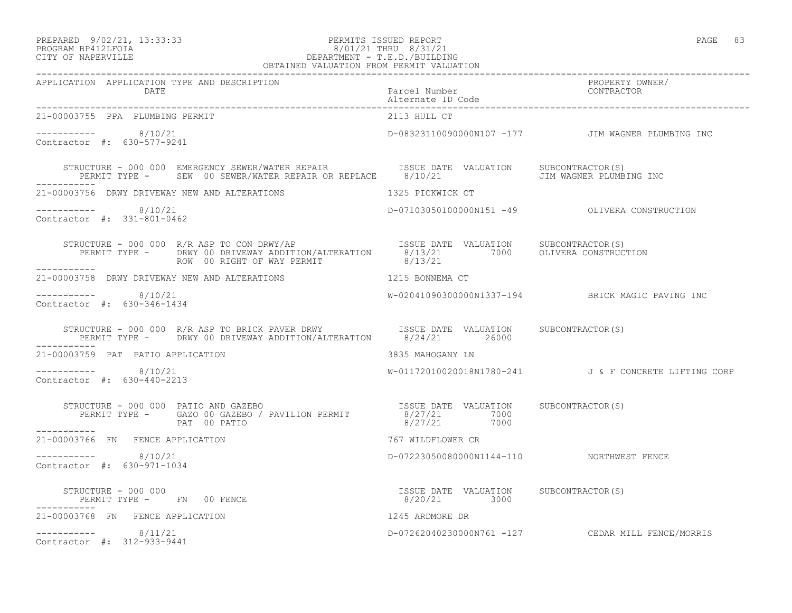### PREPARED 9/02/21, 13:33:33 PERMITS ISSUED REPORT PAGE 83 PROGRAM BP412LFOIA 8/01/21 THRU 8/31/21 CITY OF NAPERVILLE DEPARTMENT - T.E.D./BUILDING

| OBTAINED VALUATION FROM PERMIT VALUATION                                                                                                                                                                                                                                                                                                              |                                           |                                                      |
|-------------------------------------------------------------------------------------------------------------------------------------------------------------------------------------------------------------------------------------------------------------------------------------------------------------------------------------------------------|-------------------------------------------|------------------------------------------------------|
| APPLICATION APPLICATION TYPE AND DESCRIPTION<br>DATE                                                                                                                                                                                                                                                                                                  | Parcel Number<br>Alternate ID Code        | PROPERTY OWNER/<br>CONTRACTOR                        |
| 21-00003755 PPA PLUMBING PERMIT                                                                                                                                                                                                                                                                                                                       | 2113 HULL CT                              |                                                      |
| $--------- 8/10/21$<br>Contractor #: 630-577-9241                                                                                                                                                                                                                                                                                                     |                                           | D-08323110090000N107 -177 JIM WAGNER PLUMBING INC    |
| STRUCTURE - 000 000 EMERGENCY SEWER/WATER REPAIR             ISSUE DATE VALUATION      SUBCONTRACTOR(S)<br>PERMIT TYPE -     SEW  00 SEWER/WATER REPAIR OR REPLACE      8/10/21                       JIM WAGNER PLUMBING INC                                                                                                                         |                                           |                                                      |
| 21-00003756 DRWY DRIVEWAY NEW AND ALTERATIONS 45 1325 PICKWICK CT                                                                                                                                                                                                                                                                                     |                                           |                                                      |
| ----------- 8/10/21<br>Contractor #: 331-801-0462                                                                                                                                                                                                                                                                                                     |                                           | D-07103050100000N151 -49 OLIVERA CONSTRUCTION        |
| STRUCTURE - 000 000 R/R ASP TO CON DRWY/AP<br>PERMIT TYPE - DRWY 00 DRIVEWAY ADDITION/ALTERATION 8/13/21 7000 OLIVERA CONSTRUCTION<br>ROW 00 RIGHT OF WAY PERMIT                                                                                                                                                                                      | 8/13/21                                   |                                                      |
| 21-00003758 DRWY DRIVEWAY NEW AND ALTERATIONS 1215 BONNEMA CT                                                                                                                                                                                                                                                                                         |                                           |                                                      |
| ----------- 8/10/21<br>Contractor #: 630-346-1434                                                                                                                                                                                                                                                                                                     |                                           | W-02041090300000N1337-194 BRICK MAGIC PAVING INC     |
| STRUCTURE - 000 000 R/R ASP TO BRICK PAVER DRWY ISSUE DATE VALUATION SUBCONTRACTOR(S)<br>PERMIT TYPE - DRWY 00 DRIVEWAY ADDITION/ALTERATION 8/24/21 26000                                                                                                                                                                                             |                                           |                                                      |
| 21-00003759 PAT PATIO APPLICATION                                                                                                                                                                                                                                                                                                                     | 3835 MAHOGANY LN                          |                                                      |
| $--------- 8/10/21$<br>Contractor #: 630-440-2213                                                                                                                                                                                                                                                                                                     |                                           | W-01172010020018N1780-241 J& F CONCRETE LIFTING CORP |
| $\begin{array}{cccc} \texttt{STRUCTURE} & - & 000 & 000 & \texttt{PATIO AND GAZEBO} \\ \texttt{PERMIT TYPE} & - & \texttt{GAZO 00 GAZEBO} / \texttt{PAVILION PERMIT} & 8/27/21 & 7000 \\ \texttt{PERMIT TYPE} & - & \texttt{PAT 00 PATIO} & 8/27/21 & 7000 \\ \end{array}$                                                                            |                                           |                                                      |
| 21-00003766 FN FENCE APPLICATION                                                                                                                                                                                                                                                                                                                      | 767 WILDFLOWER CR                         |                                                      |
| $--------- 8/10/21$<br>Contractor #: 630-971-1034                                                                                                                                                                                                                                                                                                     | D-07223050080000N1144-110 NORTHWEST FENCE |                                                      |
| $\begin{array}{cccccccccc} \texttt{STRUCTURE} & - & 000 & 000 & & & & & & \\ \texttt{PERMIT TYPE} & - & - & \texttt{FN} & 00 & \texttt{FENCE} & & & & & \\ \end{array} \qquad \begin{array}{cccccccccc} \texttt{TSSUE} & \texttt{DATE} & \texttt{VALUATION} & & \texttt{SUBCONTRACTOR(S)} \\ & & 8/20/21 & & 3000 & & \\ \end{array}$<br>------------ |                                           |                                                      |
| 21-00003768 FN FENCE APPLICATION                                                                                                                                                                                                                                                                                                                      |                                           |                                                      |
| $8/20/21$<br>1245 ARDMORE DR<br>D-07262040230000N<br>$--------- 8/11/21$<br>Contractor #: 312-933-9441                                                                                                                                                                                                                                                |                                           | D-07262040230000N761 -127 CEDAR MILL FENCE/MORRIS    |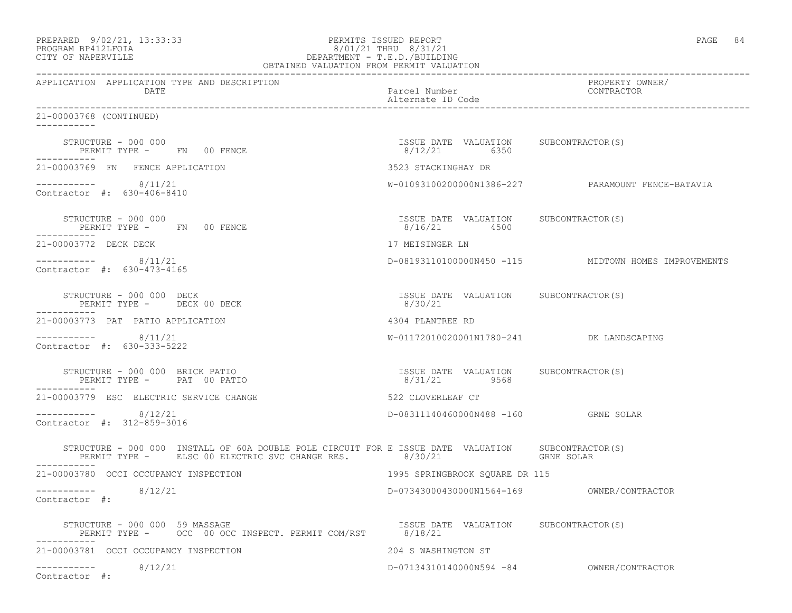| PROGRAM BP412LFOIA<br>CITY OF NAPERVILLE<br>OBTAINED VALUATION FROM PERMIT VALUATION                                                                                         | 8/01/21 THRU 8/31/21<br>DEPARTMENT - T.E.D./BUILDING  |                                                      |
|------------------------------------------------------------------------------------------------------------------------------------------------------------------------------|-------------------------------------------------------|------------------------------------------------------|
| APPLICATION APPLICATION TYPE AND DESCRIPTION<br>DATE                                                                                                                         | Parcel Number<br>Alternate ID Code                    | PROPERTY OWNER/<br>CONTRACTOR                        |
| 21-00003768 (CONTINUED)<br>___________                                                                                                                                       |                                                       |                                                      |
| STRUCTURE - 000 000<br>PERMIT TYPE - FN 00 FENCE                                                                                                                             | ISSUE DATE VALUATION SUBCONTRACTOR(S)<br>8/12/21 6350 |                                                      |
| 21-00003769 FN FENCE APPLICATION                                                                                                                                             | 3523 STACKINGHAY DR                                   |                                                      |
| $--------- 8/11/21$<br>Contractor #: 630-406-8410                                                                                                                            |                                                       | W-010931002000000N1386-227 PARAMOUNT FENCE-BATAVIA   |
| STRUCTURE - 000 000<br>PERMIT TYPE - FN 00 FENCE<br>------------                                                                                                             | ISSUE DATE VALUATION SUBCONTRACTOR(S)<br>8/16/21 4500 |                                                      |
| 21-00003772 DECK DECK                                                                                                                                                        | 17 MEISINGER LN                                       |                                                      |
| $--------- 8/11/21$<br>Contractor #: 630-473-4165                                                                                                                            |                                                       | D-08193110100000N450 -115 MIDTOWN HOMES IMPROVEMENTS |
| STRUCTURE - 000 000 DECK<br>PERMIT TYPE - DECK 00 DECK<br>-----------                                                                                                        | ISSUE DATE VALUATION SUBCONTRACTOR(S)<br>8/30/21      |                                                      |
| 21-00003773 PAT PATIO APPLICATION                                                                                                                                            | 4304 PLANTREE RD                                      |                                                      |
| $--------- 8/11/21$<br>Contractor #: 630-333-5222                                                                                                                            | W-01172010020001N1780-241 DK LANDSCAPING              |                                                      |
| STRUCTURE - 000 000 BRICK PATIO<br>PERMIT TYPE - PAT 00 PATIO                                                                                                                | ISSUE DATE VALUATION SUBCONTRACTOR(S)<br>8/31/21 9568 |                                                      |
| 21-00003779 ESC ELECTRIC SERVICE CHANGE                                                                                                                                      | 522 CLOVERLEAF CT                                     |                                                      |
| $--------- 8/12/21$<br>Contractor #: 312-859-3016                                                                                                                            | D-08311140460000N488 -160 GRNE SOLAR                  |                                                      |
| STRUCTURE - 000 000 INSTALL OF 60A DOUBLE POLE CIRCUIT FOR E ISSUE DATE VALUATION SUBCONTRACTOR(S)<br>PERMIT TYPE - ELSC 00 ELECTRIC SVC CHANGE RES. 8/30/21<br>------------ |                                                       | GRNE SOLAR                                           |
| 21-00003780 OCCI OCCUPANCY INSPECTION                                                                                                                                        | 1995 SPRINGBROOK SOUARE DR 115                        |                                                      |
| 8/12/21<br>------------<br>Contractor #:                                                                                                                                     |                                                       |                                                      |
| STRUCTURE - 000 000 59 MASSAGE<br>PERMIT TYPE - OCC 00 OCC INSPECT. PERMIT COM/RST 8/18/21                                                                                   | ISSUE DATE VALUATION SUBCONTRACTOR(S)                 |                                                      |
| 21-00003781 OCCI OCCUPANCY INSPECTION                                                                                                                                        | 204 S WASHINGTON ST                                   |                                                      |
| 8/12/21<br>------------<br>Contractor #:                                                                                                                                     | D-07134310140000N594 -84                              | OWNER/CONTRACTOR                                     |

PREPARED 9/02/21, 13:33:33 PERMITS ISSUED REPORT PAGE 84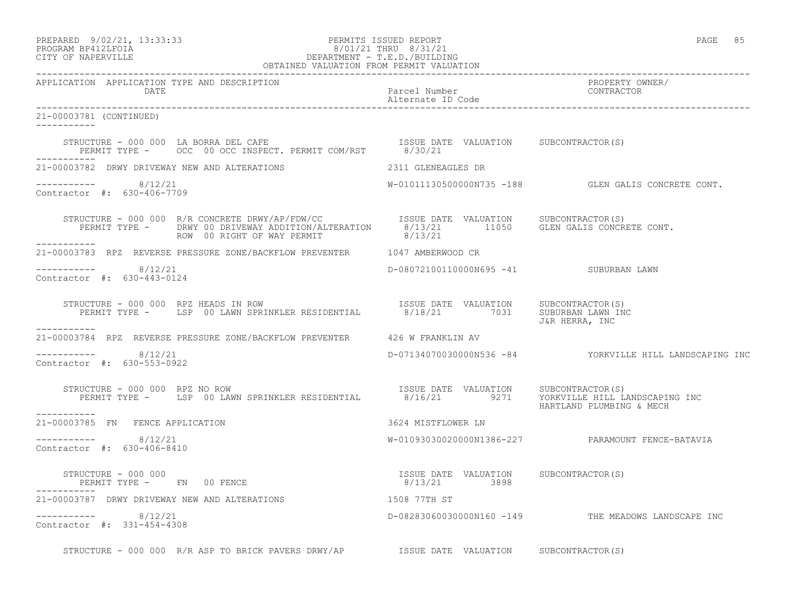### PREPARED 9/02/21, 13:33:33 PERMITS ISSUED REPORT PAGE 85 PROGRAM BP412LFOIA 8/01/21 THRU 8/31/21 CITY OF NAPERVILLE DEPARTMENT - T.E.D./BUILDING

|                                                                                                                                                                                                                                                                                                                     | OBTAINED VALUATION FROM PERMIT VALUATION |                                    |                                                         |
|---------------------------------------------------------------------------------------------------------------------------------------------------------------------------------------------------------------------------------------------------------------------------------------------------------------------|------------------------------------------|------------------------------------|---------------------------------------------------------|
| APPLICATION APPLICATION TYPE AND DESCRIPTION<br>DATE                                                                                                                                                                                                                                                                |                                          | Parcel Number<br>Alternate ID Code | PROPERTY OWNER/<br>CONTRACTOR                           |
| 21-00003781 (CONTINUED)<br>___________                                                                                                                                                                                                                                                                              |                                          |                                    |                                                         |
|                                                                                                                                                                                                                                                                                                                     |                                          |                                    |                                                         |
| 21-00003782 DRWY DRIVEWAY NEW AND ALTERATIONS THE RESERVED 2311 GLENEAGLES DR                                                                                                                                                                                                                                       |                                          |                                    |                                                         |
| ----------- 8/12/21<br>Contractor #: 630-406-7709                                                                                                                                                                                                                                                                   |                                          |                                    | W-01011130500000N735 -188 GLEN GALIS CONCRETE CONT.     |
| STRUCTURE - 000 000 R/R CONCRETE DRWY/AP/FDW/CC<br>PERMIT TYPE - DRWY 00 DRIVEWAY ADDITION/ALTERATION 8/13/21 11050 GLEN GALIS CONCRETE CONT.                                                                                                                                                                       | ROW 00 RIGHT OF WAY PERMIT               | 8/13/21                            |                                                         |
| 21-00003783 RPZ REVERSE PRESSURE ZONE/BACKFLOW PREVENTER 1047 AMBERWOOD CR                                                                                                                                                                                                                                          |                                          |                                    |                                                         |
| ----------- 8/12/21<br>Contractor #: 630-443-0124                                                                                                                                                                                                                                                                   |                                          |                                    | D-08072100110000N695 -41 SUBURBAN LAWN                  |
| VUCTURE - 000 000 RPZ HEADS IN ROW<br>PERMIT TYPE - LSP 00 LAWN SPRINKLER RESIDENTIAL 8/18/21 7031 SUBCONTRACTOR(S)<br>STRUCTURE - 000 000 RPZ HEADS IN ROW                                                                                                                                                         |                                          |                                    | J&R HERRA, INC                                          |
| -----------<br>21-00003784 RPZ REVERSE PRESSURE ZONE/BACKFLOW PREVENTER 426 W FRANKLIN AV                                                                                                                                                                                                                           |                                          |                                    |                                                         |
| ----------- 8/12/21<br>Contractor #: 630-553-0922                                                                                                                                                                                                                                                                   |                                          |                                    | D-07134070030000N536 -84 YORKVILLE HILL LANDSCAPING INC |
| STRUCTURE - 000 000 RPZ NO ROW<br>PERMIT TYPE - LSP 00 LAWN SPRINKLER RESIDENTIAL 8/16/21 9271 YORKVILLE HILL LANDSCAPING INC<br>___________                                                                                                                                                                        |                                          |                                    |                                                         |
| 21-00003785 FN FENCE APPLICATION                                                                                                                                                                                                                                                                                    |                                          | 3624 MISTFLOWER LN                 |                                                         |
| ----------- 8/12/21<br>Contractor #: 630-406-8410                                                                                                                                                                                                                                                                   |                                          |                                    | W-01093030020000N1386-227 PARAMOUNT FENCE-BATAVIA       |
| $\begin{array}{cccc} \texttt{STRUCTURE} & - & 000 & 000 \\ \texttt{PERMIT TYPE} & - & \texttt{FN} & 00 & \texttt{FENCE} \\ \end{array} \qquad \begin{array}{cccc} \texttt{TSUE} & \texttt{DATE} & \texttt{VALUATION} & \texttt{SUBCONTRACTOR(S)} \\ \texttt{8/13/21} & \texttt{3898} \\ \end{array}$<br>___________ |                                          |                                    |                                                         |
| 21-00003787 DRWY DRIVEWAY NEW AND ALTERATIONS 1508 77TH ST                                                                                                                                                                                                                                                          |                                          |                                    |                                                         |
| -----------    8/12/21<br>Contractor #: 331-454-4308                                                                                                                                                                                                                                                                |                                          |                                    | D-08283060030000N160 -149 THE MEADOWS LANDSCAPE INC     |
|                                                                                                                                                                                                                                                                                                                     | the contract of the contract of the      |                                    |                                                         |

STRUCTURE - 000 000 R/R ASP TO BRICK PAVERS DRWY/AP ISSUE DATE VALUATION SUBCONTRACTOR(S)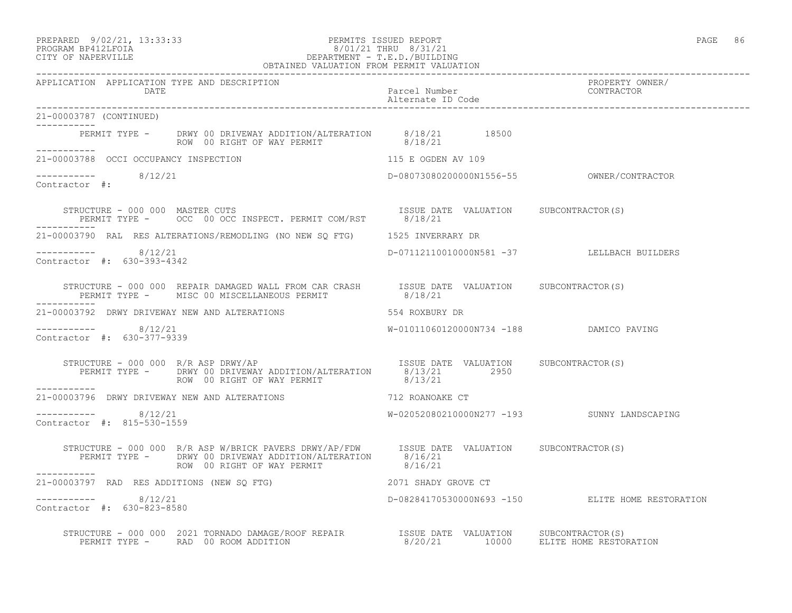### PREPARED 9/02/21, 13:33:33 PERMITS ISSUED REPORT<br>PROGRAM BP412LFOIA PAGE 86 8/01/21 THRU 8/31/21 PROGRAM BP412LFOIA 8/01/21 THRU 8/31/21 CITY OF NAPERVILLE CITY OF NAPERVILLE DEPARTMENT - T.E.D./BUILDING

|                                                      | OBTAINED VALUATION FROM PERMIT VALUATION                                                                                                                                                                              |                                            |                                                  |
|------------------------------------------------------|-----------------------------------------------------------------------------------------------------------------------------------------------------------------------------------------------------------------------|--------------------------------------------|--------------------------------------------------|
| APPLICATION APPLICATION TYPE AND DESCRIPTION<br>DATE |                                                                                                                                                                                                                       | Parcel Number<br>Alternate ID Code         | PROPERTY OWNER/<br>CONTRACTOR                    |
| 21-00003787 (CONTINUED)                              |                                                                                                                                                                                                                       |                                            |                                                  |
| ------------                                         | PERMIT TYPE - DRWY 00 DRIVEWAY ADDITION/ALTERATION 8/18/21 18500<br>ROW 00 RIGHT OF WAY PERMIT 8/18/21                                                                                                                |                                            |                                                  |
|                                                      | 21-00003788 OCCI OCCUPANCY INSPECTION 115 E OGDEN AV 109                                                                                                                                                              |                                            |                                                  |
| $--------- 8/12/21$<br>Contractor #:                 |                                                                                                                                                                                                                       |                                            |                                                  |
|                                                      |                                                                                                                                                                                                                       |                                            |                                                  |
|                                                      | 21-00003790 RAL RES ALTERATIONS/REMODLING (NO NEW SQ FTG) 1525 INVERRARY DR                                                                                                                                           |                                            |                                                  |
| $--------- 8/12/21$<br>Contractor #: 630-393-4342    |                                                                                                                                                                                                                       | D-07112110010000N581 -37 LELLBACH BUILDERS |                                                  |
|                                                      | STRUCTURE - 000 000 REPAIR DAMAGED WALL FROM CAR CRASH ISSUE DATE VALUATION SUBCONTRACTOR(S)<br>PERMIT TYPE - MISC 00 MISCELLANEOUS PERMIT 8/18/21                                                                    | 8/18/21                                    |                                                  |
|                                                      | 21-00003792 DRWY DRIVEWAY NEW AND ALTERATIONS                                                                                                                                                                         | 554 ROXBURY DR                             |                                                  |
| -----------    8/12/21<br>Contractor #: 630-377-9339 |                                                                                                                                                                                                                       | W-01011060120000N734 -188 DAMICO PAVING    |                                                  |
|                                                      | STRUCTURE - 000 000 R/R ASP DRWY/AP<br>PERMIT TYPE - DRWY 00 DRIVEWAY ADDITION/ALTERATION 8/13/21 2950<br>ROW 00 RIGHT OF WAY PERMIT                                                                                  | 8/13/21                                    |                                                  |
| -----------                                          | 21-00003796 DRWY DRIVEWAY NEW AND ALTERATIONS 712 ROANOAKE CT                                                                                                                                                         |                                            |                                                  |
| ---------- 8/12/21<br>Contractor #: 815-530-1559     |                                                                                                                                                                                                                       |                                            |                                                  |
|                                                      | STRUCTURE - 000 000 R/R ASP W/BRICK PAVERS DRWY/AP/FDW ISSUE DATE VALUATION SUBCONTRACTOR(S)<br>PERMIT TYPE - DRWY 00 DRIVEWAY ADDITION/ALTERATION 8/16/21<br>ROW 00 RIGHT OF WAY PERMIT 8/16/21                      |                                            |                                                  |
|                                                      | 21-00003797 RAD RES ADDITIONS (NEW SQ FTG) 2071 SHADY GROVE CT                                                                                                                                                        |                                            |                                                  |
| -----------    8/12/21<br>Contractor #: 630-823-8580 |                                                                                                                                                                                                                       |                                            | D-08284170530000N693 -150 ELITE HOME RESTORATION |
|                                                      | STRUCTURE - 000 000 2021 TORNADO DAMAGE/ROOF REPAIR           ISSUE DATE VALUATION     SUBCONTRACTOR(S)<br>PERMIT TYPE -     RAD 00 ROOM ADDITION                        8/20/21      10000    ELITE HOME RESTORATION |                                            |                                                  |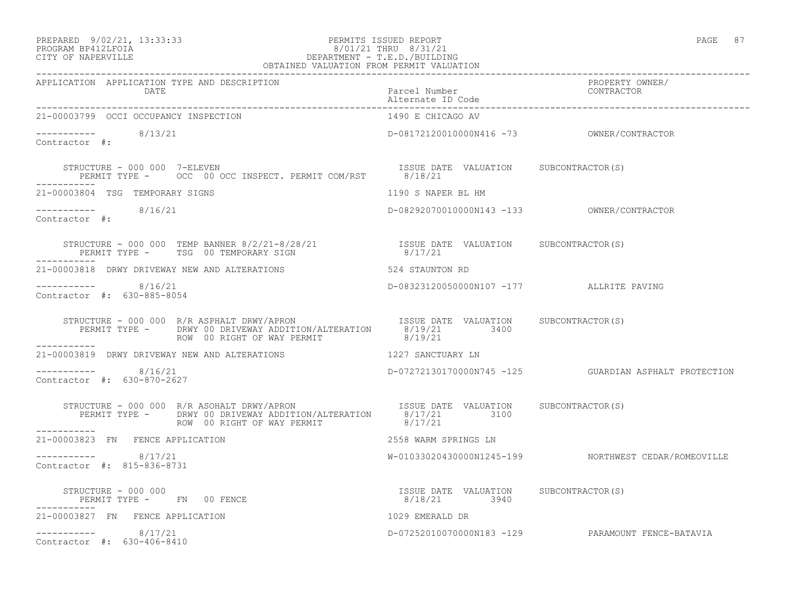## PREPARED 9/02/21, 13:33:33 PERMITS ISSUED REPORT PAGE 87<br>PROGRAM BP412LFOIA PAGE 87 PROGRAM BP412LFOIA 8/01/21 THRU 8/31/21 CITY OF NAPERVILLE DEPARTMENT - T.E.D./BUILDING

| OBTAINED VALUATION FROM PERMIT VALUATION                                                                                                                                                                 |                                                       |                                                        |
|----------------------------------------------------------------------------------------------------------------------------------------------------------------------------------------------------------|-------------------------------------------------------|--------------------------------------------------------|
| APPLICATION APPLICATION TYPE AND DESCRIPTION<br>DATE Parcel Number<br>Alternate ID Code<br>21-00003799 OCCI OCCURNYCY INCREASES:                                                                         |                                                       | PROPERTY OWNER/<br>CONTRACTOR                          |
| 21-00003799 OCCI OCCUPANCY INSPECTION                                                                                                                                                                    | 1490 E CHICAGO AV                                     |                                                        |
| $--------$ 8/13/21<br>Contractor #:                                                                                                                                                                      |                                                       |                                                        |
| STRUCTURE - 000 000 7-ELEVEN                                   ISSUE DATE VALUATION     SUBCONTRACTOR(S)<br>PERMIT TYPE -     OCC 00 OCC INSPECT. PERMIT COM/RST       8/18/21<br>-----------            |                                                       |                                                        |
| 21-00003804 TSG TEMPORARY SIGNS                                                                                                                                                                          | 1190 S NAPER BL HM                                    |                                                        |
| $--------- 8/16/21$<br>Contractor #:                                                                                                                                                                     |                                                       |                                                        |
| STRUCTURE - 000 000 TEMP BANNER 8/2/21-8/28/21                 ISSUE DATE VALUATION     SUBCONTRACTOR(S)<br>PERMIT TYPE -      TSG 00 TEMPORARY SIGN                         8/17/21<br>------------     |                                                       |                                                        |
| 21-00003818 DRWY DRIVEWAY NEW AND ALTERATIONS                                                                                                                                                            | 524 STAUNTON RD                                       |                                                        |
| $--------- 8/16/21$<br>Contractor #: 630-885-8054                                                                                                                                                        | D-08323120050000N107 -177 ALLRITE PAVING              |                                                        |
| STRUCTURE - 000 000 R/R ASPHALT DRWY/APRON ISSUE DATE VALUATION SUBCONTRACTOR(S)<br>PERMIT TYPE - DRWY 00 DRIVEWAY ADDITION/ALTERATION 8/19/21 3400<br>ROW 00 RIGHT OF WAY PERMIT 8/19/21<br>___________ |                                                       |                                                        |
| 21-00003819 DRWY DRIVEWAY NEW AND ALTERATIONS                                                                                                                                                            | 1227 SANCTUARY LN                                     |                                                        |
| $--------- 8/16/21$<br>Contractor #: 630-870-2627                                                                                                                                                        |                                                       | D-07272130170000N745 -125  GUARDIAN ASPHALT PROTECTION |
| STRUCTURE - 000 000 R/R ASOHALT DRWY/APRON ISSUE DATE VALUATION SUBCONTRACTOR(S)<br>PERMIT TYPE - DRWY 00 DRIVEWAY ADDITION/ALTERATION 8/17/21 3100<br>--------<br>------------                          |                                                       |                                                        |
| 21-00003823 FN FENCE APPLICATION                                                                                                                                                                         | 2558 WARM SPRINGS LN                                  |                                                        |
| $--------- 8/17/21$<br>Contractor #: 815-836-8731                                                                                                                                                        |                                                       | W-01033020430000N1245-199 NORTHWEST CEDAR/ROMEOVILLE   |
| STRUCTURE - 000 000<br>PERMIT TYPE - FN 00 FENCE                                                                                                                                                         | ISSUE DATE VALUATION SUBCONTRACTOR(S)<br>8/18/21 3940 |                                                        |
| 21-00003827 FN FENCE APPLICATION                                                                                                                                                                         | 1029 EMERALD DR                                       |                                                        |
| $--------- 8/17/21$<br>Contractor #: 630-406-8410                                                                                                                                                        |                                                       | D-07252010070000N183 -129 PARAMOUNT FENCE-BATAVIA      |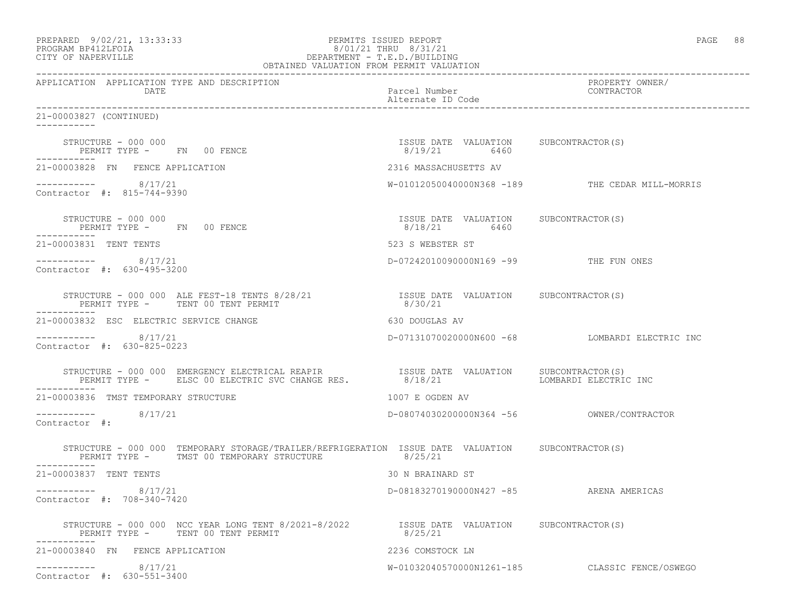| PROGRAM BP412LFOIA<br>DEPARTMENT - 1.8.8.7.2001<br>OBTAINED VALUATION FROM PERMIT VALUATION<br>CITY OF NAPERVILLE                                                                    | 8/01/21 THRU 8/31/21                                  |                                                 |
|--------------------------------------------------------------------------------------------------------------------------------------------------------------------------------------|-------------------------------------------------------|-------------------------------------------------|
| APPLICATION APPLICATION TYPE AND DESCRIPTION<br>DATE                                                                                                                                 | Parcel Number<br>Alternate ID Code                    | PROPERTY OWNER/<br>CONTRACTOR                   |
| 21-00003827 (CONTINUED)<br>-----------                                                                                                                                               |                                                       |                                                 |
| STRUCTURE - 000 000<br>PERMIT TYPE - FN 00 FENCE                                                                                                                                     | ISSUE DATE VALUATION SUBCONTRACTOR(S)<br>8/19/21 6460 |                                                 |
| 21-00003828 FN FENCE APPLICATION                                                                                                                                                     | 2316 MASSACHUSETTS AV                                 |                                                 |
| $--------- 8/17/21$<br>Contractor #: 815-744-9390                                                                                                                                    |                                                       | W-01012050040000N368 -189 THE CEDAR MILL-MORRIS |
| STRUCTURE - 000 000<br>PERMIT TYPE - FN 00 FENCE                                                                                                                                     | ISSUE DATE VALUATION SUBCONTRACTOR(S)<br>8/18/21 6460 |                                                 |
| 21-00003831 TENT TENTS                                                                                                                                                               | 523 S WEBSTER ST                                      |                                                 |
| -----------    8/17/21<br>Contractor #: 630-495-3200                                                                                                                                 | D-07242010090000N169 -99 THE FUN ONES                 |                                                 |
| STRUCTURE - 000 000 ALE FEST-18 TENTS 8/28/21 [SSUE DATE VALUATION SUBCONTRACTOR(S)<br>PERMIT TYPE - TENT 00 TENT PERMIT<br>-----------                                              | 8/30/21                                               |                                                 |
| 21-00003832 ESC ELECTRIC SERVICE CHANGE                                                                                                                                              | 630 DOUGLAS AV                                        |                                                 |
| $--------- 8/17/21$<br>Contractor #: 630-825-0223                                                                                                                                    |                                                       | D-07131070020000N600 -68 LOMBARDI ELECTRIC INC  |
| STRUCTURE - 000 000 EMERGENCY ELECTRICAL REAPIR <a>&gt; STRUCTURE <a> STRUCTURE <a> SUBCONTRACTOR(S)</a> SUBCONTRACTOR(S)<br/>PERMIT TYPE - ELSC 00 ELECTRIC SVC CHANGE RES.</a></a> | 8/18/21                                               | LOMBARDI ELECTRIC INC                           |
| 21-00003836 TMST TEMPORARY STRUCTURE                                                                                                                                                 | 1007 E OGDEN AV                                       |                                                 |
| $--------- 8/17/21$<br>Contractor #:                                                                                                                                                 |                                                       |                                                 |
| STRUCTURE - 000 000 TEMPORARY STORAGE/TRAILER/REFRIGERATION ISSUE DATE VALUATION SUBCONTRACTOR(S)<br>PERMIT TYPE - TMST 00 TEMPORARY STRUCTURE<br>------------                       | 8/25/21                                               |                                                 |
| 21-00003837 TENT TENTS                                                                                                                                                               | 30 N BRAINARD ST                                      |                                                 |
| 8/17/21<br>------------<br>Contractor #: 708-340-7420                                                                                                                                | D-08183270190000N427 -85 ARENA AMERICAS               |                                                 |
| STRUCTURE - 000 000 NCC YEAR LONG TENT 8/2021-8/2022 [SSUE DATE VALUATION SUBCONTRACTOR(S)<br>PERMIT TYPE - TENT 00 TENT PERMIT                                                      | 8/25/21                                               |                                                 |
| 21-00003840 FN FENCE APPLICATION                                                                                                                                                     | 2236 COMSTOCK LN                                      |                                                 |
| 8/17/21<br>------------<br>Contractor #: 630-551-3400                                                                                                                                | W-01032040570000N1261-185                             | CLASSIC FENCE/OSWEGO                            |

PREPARED 9/02/21, 13:33:33 PERMITS ISSUED REPORT PAGE 88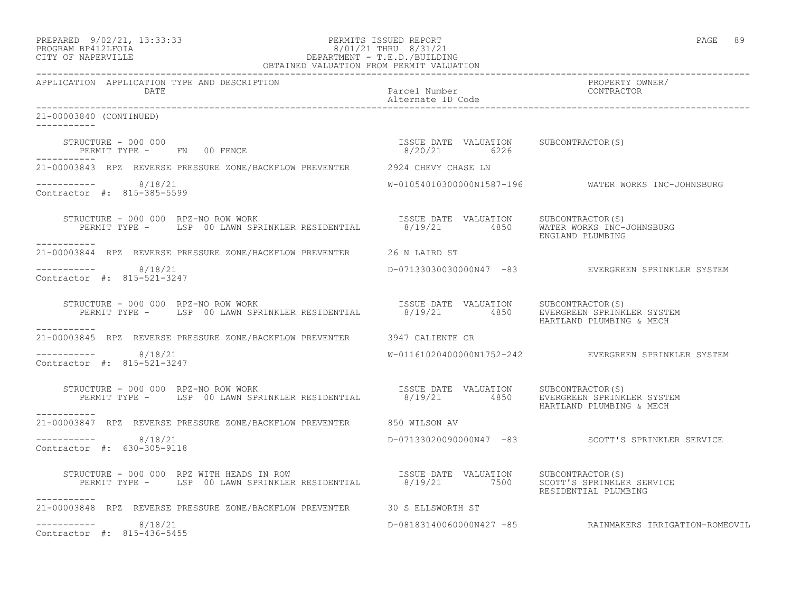| PREPARED            | $9/02/21$ , $13:33:33$ |
|---------------------|------------------------|
| DDOCDAM DD410T DOTA |                        |

### PREPARED 9/02/21, 13:33:33 PERMITS ISSUED REPORT PAGE 89 PROGRAM BP412LFOIA 8/01/21 THRU 8/31/21 CITY OF NAPERVILLE CITY OF NAPERVILLE

| OBTAINED VALUATION FROM PERMIT VALUATION                                                                                                                                                                                                                                                                                                                   |                                    |                                                         |  |
|------------------------------------------------------------------------------------------------------------------------------------------------------------------------------------------------------------------------------------------------------------------------------------------------------------------------------------------------------------|------------------------------------|---------------------------------------------------------|--|
| APPLICATION APPLICATION TYPE AND DESCRIPTION<br>DATE                                                                                                                                                                                                                                                                                                       | Parcel Number<br>Alternate ID Code | PROPERTY OWNER/<br>CONTRACTOR                           |  |
| 21-00003840 (CONTINUED)<br>------------                                                                                                                                                                                                                                                                                                                    |                                    |                                                         |  |
| $\begin{array}{cccccccc} \texttt{STRUCTURE} & - & 000 & 000 & \texttt{FN} & 00 & \texttt{FENCE} & \texttt{SUTE} & \texttt{SUTE} & \texttt{DATE} & \texttt{VALUATION} & \texttt{SUBCONTRACTOR(S)} \\ \texttt{PERMIT TYPE} & - & \texttt{FN} & 00 & \texttt{FENCE} & \texttt{SUTE} & 00 & \texttt{SUTE} & \texttt{SUTE} & 00 & \texttt{SUTE} \\ \end{array}$ |                                    |                                                         |  |
| 21-00003843 RPZ REVERSE PRESSURE ZONE/BACKFLOW PREVENTER 2924 CHEVY CHASE LN                                                                                                                                                                                                                                                                               |                                    |                                                         |  |
| $--------- 8/18/21$<br>Contractor #: 815-385-5599                                                                                                                                                                                                                                                                                                          |                                    | W-01054010300000N1587-196 WATER WORKS INC-JOHNSBURG     |  |
| STRUCTURE - 000 000 RPZ-NO ROW WORK                                  ISSUE DATE VALUATION     SUBCONTRACTOR(S)<br>PERMIT TYPE -     LSP 00 LAWN SPRINKLER RESIDENTIAL        8/19/21        4850    WATER WORKS INC-JOHNSBURG<br>-----------                                                                                                               |                                    | ENGLAND PLUMBING                                        |  |
| 21-00003844 RPZ REVERSE PRESSURE ZONE/BACKFLOW PREVENTER 26 N LAIRD ST                                                                                                                                                                                                                                                                                     |                                    |                                                         |  |
| $--------- 8/18/21$<br>Contractor #: 815-521-3247                                                                                                                                                                                                                                                                                                          |                                    | D-07133030030000N47 -83 EVERGREEN SPRINKLER SYSTEM      |  |
| STRUCTURE - 000 000 RPZ-NO ROW WORK<br>PERMIT TYPE - LSP 00 LAWN SPRINKLER RESIDENTIAL 8/19/21 4850 EVERGREEN PRINKLER SYSTEM                                                                                                                                                                                                                              |                                    | HARTLAND PLUMBING & MECH                                |  |
| 21-00003845 RPZ REVERSE PRESSURE ZONE/BACKFLOW PREVENTER 3947 CALIENTE CR                                                                                                                                                                                                                                                                                  |                                    |                                                         |  |
| -----------    8/18/21<br>Contractor #: 815-521-3247                                                                                                                                                                                                                                                                                                       |                                    | W-01161020400000N1752-242 EVERGREEN SPRINKLER SYSTEM    |  |
| TRUCTURE - 000 000 RPZ-NO ROW WORK<br>PERMIT TYPE - LSP 00 LAWN SPRINKLER RESIDENTIAL 8/19/21 4850 EVERGREEN SPRINKLER SYSTEM<br>STRUCTURE - 000 000 RPZ-NO ROW WORK                                                                                                                                                                                       |                                    | HARTLAND PLUMBING & MECH                                |  |
| 21-00003847 RPZ REVERSE PRESSURE ZONE/BACKFLOW PREVENTER 650 WILSON AV                                                                                                                                                                                                                                                                                     |                                    |                                                         |  |
| ----------- 8/18/21<br>Contractor #: 630-305-9118                                                                                                                                                                                                                                                                                                          |                                    | D-07133020090000N47 -83 SCOTT'S SPRINKLER SERVICE       |  |
| STRUCTURE - 000 000 RPZ WITH HEADS IN ROW TSSUE DATE VALUATION SUBCONTRACTOR(S)<br>PERMIT TYPE - LSP 00 LAWN SPRINKLER RESIDENTIAL 8/19/21 7500 SCOTT'S SPRINKLER SERVICE<br>-----------                                                                                                                                                                   |                                    | RESIDENTIAL PLUMBING                                    |  |
| 21-00003848 RPZ REVERSE PRESSURE ZONE/BACKFLOW PREVENTER 30 S ELLSWORTH ST                                                                                                                                                                                                                                                                                 |                                    |                                                         |  |
| $--------- 8/18/21$<br>Contractor #: 815-436-5455                                                                                                                                                                                                                                                                                                          |                                    | D-08183140060000N427 -85 RAINMAKERS IRRIGATION-ROMEOVIL |  |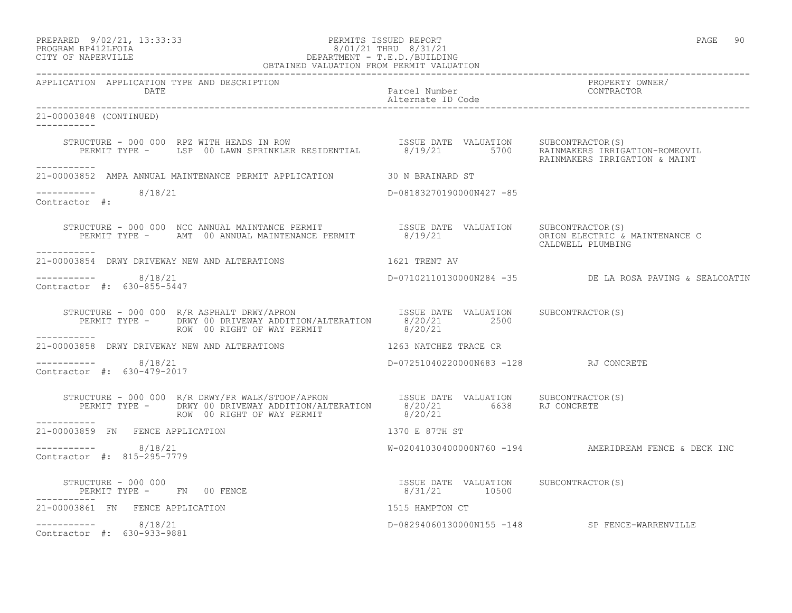### PREPARED 9/02/21, 13:33:33 PERMITS ISSUED REPORT PAGE 90 PROGRAM BP412LFOIA 8/01/21 THRU 8/31/21 CITY OF NAPERVILLE DEPARTMENT - T.E.D./BUILDING

| OBTAINED VALUATION FROM PERMIT VALUATION                                                                                                                                                                                                                                                                                                                                            |                                       |                                                         |
|-------------------------------------------------------------------------------------------------------------------------------------------------------------------------------------------------------------------------------------------------------------------------------------------------------------------------------------------------------------------------------------|---------------------------------------|---------------------------------------------------------|
| APPLICATION APPLICATION TYPE AND DESCRIPTION<br>DATE                                                                                                                                                                                                                                                                                                                                | Parcel Number<br>Alternate ID Code    | PROPERTY OWNER/<br>CONTRACTOR                           |
| 21-00003848 (CONTINUED)                                                                                                                                                                                                                                                                                                                                                             |                                       |                                                         |
| STRUCTURE - 000 000 RPZ WITH HEADS IN ROW [ISSUE DATE VALUATION SUBCONTRACTOR(S)<br>PERMIT TYPE - LSP 00 LAWN SPRINKLER RESIDENTIAL 8/19/21 5700 RAINMAKERS IRRIGATION-ROMEOVIL                                                                                                                                                                                                     |                                       | RAINMAKERS IRRIGATION & MAINT                           |
| -----------<br>21-00003852 AMPA ANNUAL MAINTENANCE PERMIT APPLICATION 30 N BRAINARD ST                                                                                                                                                                                                                                                                                              |                                       |                                                         |
| $--------- 8/18/21$<br>Contractor #:                                                                                                                                                                                                                                                                                                                                                | D-08183270190000N427 -85              |                                                         |
| STRUCTURE - 000 000 NCC ANNUAL MAINTANCE PERMIT<br>PERMIT TYPE - AMT 00 ANNUAL MAINTENANCE PERMIT 8/19/21 CRION ELECTRIC & MAINTENANCE C<br>------------                                                                                                                                                                                                                            |                                       | CALDWELL PLUMBING                                       |
| 21-00003854 DRWY DRIVEWAY NEW AND ALTERATIONS                                                                                                                                                                                                                                                                                                                                       | 1621 TRENT AV                         |                                                         |
| -----------    8/18/21<br>Contractor $\#: 630 - 855 - 5447$                                                                                                                                                                                                                                                                                                                         |                                       | D-07102110130000N284 -35 DE LA ROSA PAVING & SEALCOATIN |
| ROW 00 RIGHT OF WAY PERMIT 8/20/21                                                                                                                                                                                                                                                                                                                                                  |                                       |                                                         |
| ___________<br>21-00003858 DRWY DRIVEWAY NEW AND ALTERATIONS 1263 NATCHEZ TRACE CR                                                                                                                                                                                                                                                                                                  |                                       |                                                         |
| $--------- 8/18/21$<br>Contractor #: 630-479-2017                                                                                                                                                                                                                                                                                                                                   | D-07251040220000N683 -128 RJ CONCRETE |                                                         |
| $\begin{array}{cccc} \texttt{STRUCTURE} - 000 000 & \texttt{R/R DRWY/PR WALK/STOOP/APRON} & \texttt{ISSUE DATE} & \texttt{VALUATION} & \texttt{SUBCONTRACTOR(S)} \\ \texttt{PERMIT TYPE} - & \texttt{DRWY 00 DRIVEWAY ADDITION/ALTERATION} & 8/20/21 & 6638 & \texttt{RJ CONCRETE} \\ \texttt{ROW} & 00 RIGHT OF WAY PERMIT & 8/20/21 & 6638 & \texttt{RJ CONCRETE} \\ \end{array}$ |                                       |                                                         |
| 21-00003859 FN FENCE APPLICATION                                                                                                                                                                                                                                                                                                                                                    | 1370 E 87TH ST                        |                                                         |
| $--------- 8/18/21$<br>Contractor #: 815-295-7779                                                                                                                                                                                                                                                                                                                                   |                                       | $W-02041030400000N760 -194$ AMERIDREAM FENCE & DECK INC |
| $\begin{array}{cccccccccc} \texttt{STRUCTURE} & - & 000 & 000 & & & & & & \\ \texttt{PERMIT TYPE} & - & \texttt{FN} & 00 & \texttt{FENCE} & & & & & & \\ \texttt{PERMIT TYPE} & - & \texttt{FN} & 00 & \texttt{FENCE} & & & & & \\ \end{array}$<br>PERMIT TYPE - FN 00 FENCE<br>___________                                                                                         |                                       |                                                         |
| 21-00003861 FN FENCE APPLICATION                                                                                                                                                                                                                                                                                                                                                    | 1515 HAMPTON CT                       |                                                         |
| $--------- 8/18/21$<br>Contractor #: 630-933-9881                                                                                                                                                                                                                                                                                                                                   |                                       | D-08294060130000N155 -148 SP FENCE-WARRENVILLE          |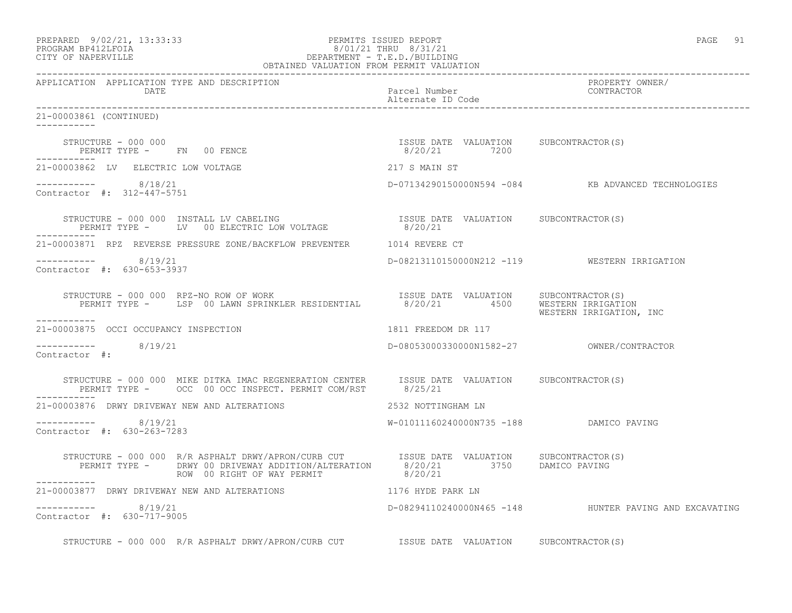| PREPARED            | $9/02/21$ , 13:33:33 |
|---------------------|----------------------|
| DDACDAM BDA12T FATA |                      |

#### PERMITS ISSUED REPORT FOR THE PAGE 91 PAGE 91 PAGE 91 PROGRAM BP412LFOIA 8/01/21 THRU 8/31/21 CITY OF NAPERVILLE DEPARTMENT - T.E.D./BUILDING OBTAINED VALUATION FROM PERMIT VALUATION

------------------------------------------------------------------------------------------------------------------------------------ APPLICATION APPLICATION TYPE AND DESCRIPTION PROPERTY OWNER/ DATE CONTRACTOR CONTRACTOR DESCRIPTION OF PARTICULAR PARTICULAR POSTAGE IN CONTRACTOR CONTRACTOR ON A PARTICULAR CONTRACTOR OF CONTRACTOR CONTRACTOR OF CONTRACTOR OF CONTRACTOR CONTRACTOR CONTRACTOR OF CONTRACTOR OF CONTRA Alternate ID Code ------------------------------------------------------------------------------------------------------------------------------------ 21-00003861 (CONTINUED) ----------- STRUCTURE - 000 000 ISSUE DATE VALUATION SUBCONTRACTOR(S) PERMIT TYPE - FN 00 FENCE ----------- 21-00003862 LV ELECTRIC LOW VOLTAGE 217 S MAIN ST ----------- 8/18/21 D-07134290150000N594 -084 KB ADVANCED TECHNOLOGIES Contractor #: 312-447-5751 STRUCTURE - 000 000 INSTALL LV CABELING ISSUE DATE VALUATION SUBCONTRACTOR(S) PERMIT TYPE - LV 00 ELECTRIC LOW VOLTAGE 8/20/21 ----------- 21-00003871 RPZ REVERSE PRESSURE ZONE/BACKFLOW PREVENTER 1014 REVERE CT ----------- 8/19/21 D-08213110150000N212 -119 WESTERN IRRIGATION Contractor #: 630-653-3937 STRUCTURE - 000 000 RPZ-NO ROW OF WORK ISSUE DATE VALUATION SUBCONTRACTOR(S) PERMIT TYPE - LSP 00 LAWN SPRINKLER RESIDENTIAL 8/20/21 4500 WESTERN IRRIGATION WESTERN IRRIGATION, INC ----------- 21-00003875 OCCI OCCUPANCY INSPECTION 1811 FREEDOM DR 117  $--------- 8/19/21$ D-08053000330000N1582-27 OWNER/CONTRACTOR Contractor #: STRUCTURE - 000 000 MIKE DITKA IMAC REGENERATION CENTER ISSUE DATE VALUATION SUBCONTRACTOR(S)<br>PERMIT TYPE - OCC 00 OCC INSPECT. PERMIT COM/RST 8/25/21 PERMIT TYPE - 0CC 00 OCC INSPECT. PERMIT COM/RST ----------- 21-00003876 DRWY DRIVEWAY NEW AND ALTERATIONS 2532 NOTTINGHAM LN ----------- 8/19/21 W-01011160240000N735 -188 DAMICO PAVING Contractor #: 630-263-7283 STRUCTURE - 000 000 R/R ASPHALT DRWY/APRON/CURB CUT ISSUE DATE VALUATION SUBCONTRACTOR(S) PERMIT TYPE - DRWY 00 DRIVEWAY ADDITION/ALTERATION 8/20/21 3750 DAMICO PAVING ROW 00 RIGHT OF WAY PERMIT 8/20/21 ----------- 21-00003877 DRWY DRIVEWAY NEW AND ALTERATIONS 1176 HYDE PARK LN  $--------- 8/19/21$ D-08294110240000N465 -148 HUNTER PAVING AND EXCAVATING Contractor #: 630-717-9005

STRUCTURE - 000 000 R/R ASPHALT DRWY/APRON/CURB CUT ISSUE DATE VALUATION SUBCONTRACTOR(S)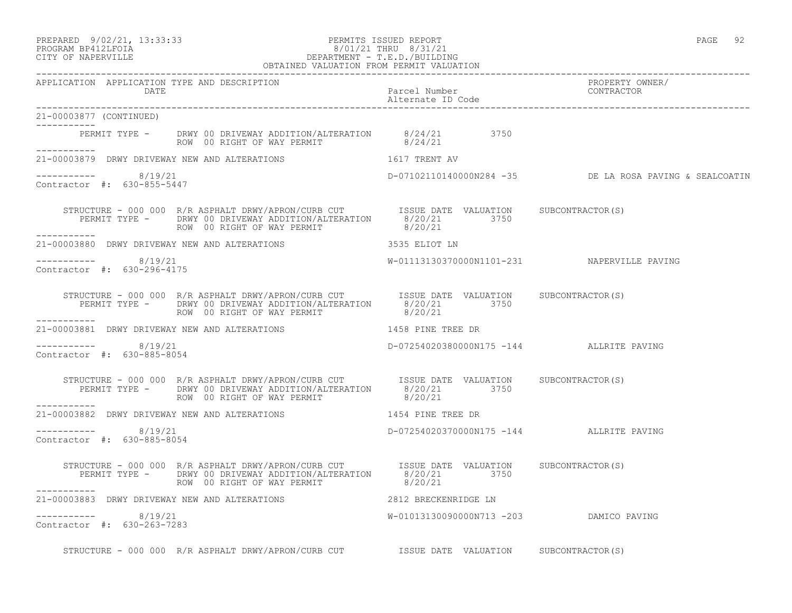PREPARED 9/02/21, 13:33:33 PERMITS ISSUED REPORT PAGE 92

21-00003877 (CONTINUED) -----------

 $--------- 8/19/21$ 

Contractor #: 630-855-5447

Contractor #: 630-296-4175

-----------

-----------

# PROGRAM BP412LFOIA 8/01/21 THRU 8/31/21 CITY OF NAPERVILLE DEPARTMENT - T.E.D./BUILDING

 OBTAINED VALUATION FROM PERMIT VALUATION ------------------------------------------------------------------------------------------------------------------------------------ APPLICATION APPLICATION TYPE AND DESCRIPTION PROPERTY OWNER/ DATE Parcel Number CONTRACTOR Alternate ID Code ------------------------------------------------------------------------------------------------------------------------------------ PERMIT TYPE - DRWY 00 DRIVEWAY ADDITION/ALTERATION 8/24/21 3750 ROW 00 RIGHT OF WAY PERMIT 8/24/21 21-00003879 DRWY DRIVEWAY NEW AND ALTERATIONS 1617 TRENT AV D-07102110140000N284 -35 DE LA ROSA PAVING & SEALCOATIN STRUCTURE - 000 000 R/R ASPHALT DRWY/APRON/CURB CUT ISSUE DATE VALUATION SUBCONTRACTOR(S) PERMIT TYPE - DRWY 00 DRIVEWAY ADDITION/ALTERATION 8/20/21 3750 ROW 00 RIGHT OF WAY PERMIT 8/20/21 21-00003880 DRWY DRIVEWAY NEW AND ALTERATIONS 3535 ELIOT LN ----------- 8/19/21 W-01113130370000N1101-231 NAPERVILLE PAVING STRUCTURE - 000 000 R/R ASPHALT DRWY/APRON/CURB CUT ISSUE DATE VALUATION SUBCONTRACTOR(S)

D-07254020370000N175 -144 ALLRITE PAVING

 PERMIT TYPE - DRWY 00 DRIVEWAY ADDITION/ALTERATION 8/20/21 3750 ROW 00 RIGHT OF WAY PERMIT 8/20/21 ----------- 21-00003881 DRWY DRIVEWAY NEW AND ALTERATIONS 1458 PINE TREE DR  $--------- 8/19/21$ D-07254020380000N175 -144 ALLRITE PAVING Contractor #: 630-885-8054

 STRUCTURE - 000 000 R/R ASPHALT DRWY/APRON/CURB CUT ISSUE DATE VALUATION SUBCONTRACTOR(S) PERMIT TYPE - DRWY 00 DRIVEWAY ADDITION/ALTERATION 8/20/21 3750 ROW 00 RIGHT OF WAY PERMIT 8/20/21 -----------

21-00003882 DRWY DRIVEWAY NEW AND ALTERATIONS 1454 PINE TREE DR  $--------- 8/19/21$ 

Contractor #: 630-885-8054

 STRUCTURE - 000 000 R/R ASPHALT DRWY/APRON/CURB CUT ISSUE DATE VALUATION SUBCONTRACTOR(S) PERMIT TYPE - DRWY 00 DRIVEWAY ADDITION/ALTERATION 8/20/21 3750 ROW 00 RIGHT OF WAY PERMIT 8/20/21 ----------- 21-00003883 DRWY DRIVEWAY NEW AND ALTERATIONS 2812 BRECKENRIDGE LN ----------- 8/19/21 W-01013130090000N713 -203 DAMICO PAVING Contractor #: 630-263-7283

STRUCTURE - 000 000 R/R ASPHALT DRWY/APRON/CURB CUT **ISSUE DATE VALUATION** SUBCONTRACTOR(S)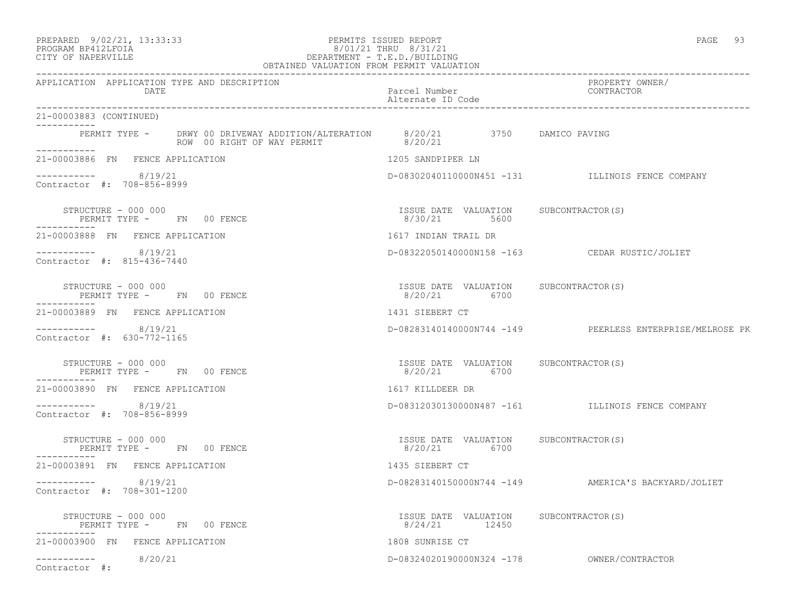### PREPARED 9/02/21, 13:33:33 PERMITS ISSUED REPORT PAGE 93 PROGRAM BP412LFOIA 8/01/21 THRU 8/31/21 CITY OF NAPERVILLE DEPARTMENT - T.E.D./BUILDING

|                              |                                                      | OBTAINED VALUATION FROM PERMIT VALUATION                                                                            |                                    |               |                                                          |
|------------------------------|------------------------------------------------------|---------------------------------------------------------------------------------------------------------------------|------------------------------------|---------------|----------------------------------------------------------|
|                              | DATE                                                 | APPLICATION APPLICATION TYPE AND DESCRIPTION                                                                        | Parcel Number<br>Alternate ID Code |               | PROPERTY OWNER/<br>CONTRACTOR                            |
| 21-00003883 (CONTINUED)      |                                                      |                                                                                                                     |                                    |               |                                                          |
| ___________                  |                                                      | PERMIT TYPE - DRWY 00 DRIVEWAY ADDITION/ALTERATION 8/20/21 3750 DAMICO PAVING<br>ROW 00 RIGHT OF WAY PERMIT 8/20/21 |                                    |               |                                                          |
|                              | 21-00003886 FN FENCE APPLICATION                     |                                                                                                                     | 1205 SANDPIPER LN                  |               |                                                          |
|                              | $--------- 8/19/21$<br>Contractor #: 708-856-8999    |                                                                                                                     |                                    |               | D-08302040110000N451 -131 ILLINOIS FENCE COMPANY         |
|                              | STRUCTURE - 000 000                                  | PERMIT TYPE - FN 00 FENCE                                                                                           | 8/30/21 5600                       |               | ISSUE DATE VALUATION SUBCONTRACTOR(S)                    |
|                              | 21-00003888 FN FENCE APPLICATION                     |                                                                                                                     | 1617 INDIAN TRAIL DR               |               |                                                          |
|                              | $--------$ 8/19/21<br>Contractor #: 815-436-7440     |                                                                                                                     |                                    |               | D-08322050140000N158 -163 CEDAR RUSTIC/JOLIET            |
|                              | STRUCTURE - 000 000                                  | PERMIT TYPE - FN 00 FENCE                                                                                           | 8/20/21 6700                       |               | ISSUE DATE VALUATION SUBCONTRACTOR(S)                    |
|                              | 21-00003889 FN FENCE APPLICATION                     |                                                                                                                     | 1431 SIEBERT CT                    |               |                                                          |
|                              | -----------    8/19/21<br>Contractor #: 630-772-1165 |                                                                                                                     |                                    |               | D-08283140140000N744 -149 PEERLESS ENTERPRISE/MELROSE PK |
|                              | STRUCTURE - 000 000                                  | PERMIT TYPE - FN 00 FENCE                                                                                           | 8/20/21 6700                       |               | ISSUE DATE VALUATION SUBCONTRACTOR(S)                    |
|                              | 21-00003890 FN FENCE APPLICATION                     |                                                                                                                     | 1617 KILLDEER DR                   |               |                                                          |
|                              | $--------- 8/19/21$<br>Contractor #: 708-856-8999    |                                                                                                                     |                                    |               | D-08312030130000N487 -161 ILLINOIS FENCE COMPANY         |
|                              | STRUCTURE - 000 000                                  | PERMIT TYPE - FN 00 FENCE                                                                                           | 8/20/21 6700                       |               | ISSUE DATE VALUATION SUBCONTRACTOR(S)                    |
|                              | 21-00003891 FN FENCE APPLICATION                     |                                                                                                                     | 1435 SIEBERT CT                    |               |                                                          |
|                              | $--------- 8/19/21$<br>Contractor #: 708-301-1200    |                                                                                                                     |                                    |               | D-08283140150000N744 -149 AMERICA'S BACKYARD/JOLIET      |
|                              | STRUCTURE - 000 000                                  | PERMIT TYPE - FN 00 FENCE                                                                                           |                                    | 8/24/21 12450 | ISSUE DATE VALUATION SUBCONTRACTOR(S)                    |
|                              | 21-00003900 FN FENCE APPLICATION                     |                                                                                                                     | 1808 SUNRISE CT                    |               |                                                          |
| ___________<br>Contractor #: | 8/20/21                                              |                                                                                                                     |                                    |               | D-08324020190000N324 -178 OWNER/CONTRACTOR               |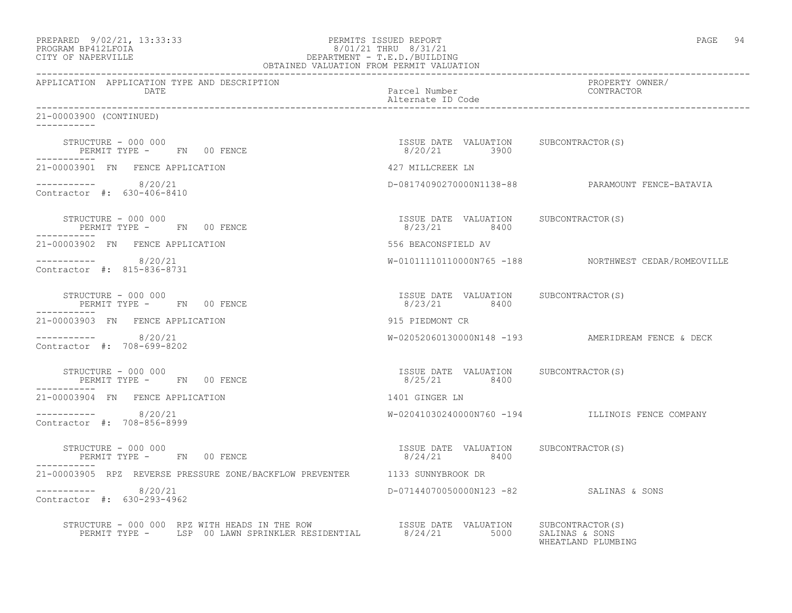| PREPARED | 9/02/21, 13:33:33 |  |
|----------|-------------------|--|
| -------  |                   |  |

## PREPARED 9/02/21, 13:33:33 PERMITS ISSUED REPORT<br>PROGRAM BP412LFOIA PAGE 94 8/01/21 THRU 8/31/21 PROGRAM BP412LFOIA 8/01/21 THRU 8/31/21 CITY OF NAPERVILLE DEPARTMENT - T.E.D./BUILDING

| OBTAINED VALUATION FROM PERMIT VALUATION                                                                                                                                                                                                                                                                                                                                                                                                                                            |                                                       |                                                      |
|-------------------------------------------------------------------------------------------------------------------------------------------------------------------------------------------------------------------------------------------------------------------------------------------------------------------------------------------------------------------------------------------------------------------------------------------------------------------------------------|-------------------------------------------------------|------------------------------------------------------|
| APPLICATION APPLICATION TYPE AND DESCRIPTION<br>DATE                                                                                                                                                                                                                                                                                                                                                                                                                                | Parcel Number<br>Alternate ID Code                    | PROPERTY OWNER/<br>CONTRACTOR                        |
| 21-00003900 (CONTINUED)                                                                                                                                                                                                                                                                                                                                                                                                                                                             |                                                       |                                                      |
| STRUCTURE - 000 000<br>PERMIT TYPE -       FN     00 FENCE                                                                                                                                                                                                                                                                                                                                                                                                                          | ISSUE DATE VALUATION SUBCONTRACTOR(S)<br>8/20/21 3900 |                                                      |
| 21-00003901 FN FENCE APPLICATION                                                                                                                                                                                                                                                                                                                                                                                                                                                    | 427 MILLCREEK LN                                      |                                                      |
| $--------- 8/20/21$<br>Contractor #: 630-406-8410                                                                                                                                                                                                                                                                                                                                                                                                                                   |                                                       | D-08174090270000N1138-88 PARAMOUNT FENCE-BATAVIA     |
| STRUCTURE - 000 000<br>PERMIT TYPE - FN 00 FENCE<br>-----------                                                                                                                                                                                                                                                                                                                                                                                                                     | ISSUE DATE VALUATION SUBCONTRACTOR(S)<br>8/23/21 8400 |                                                      |
| 21-00003902 FN FENCE APPLICATION                                                                                                                                                                                                                                                                                                                                                                                                                                                    | 556 BEACONSFIELD AV                                   |                                                      |
| $--------- 8/20/21$<br>Contractor #: 815-836-8731                                                                                                                                                                                                                                                                                                                                                                                                                                   |                                                       | W-01011110110000N765 -188 NORTHWEST CEDAR/ROMEOVILLE |
| STRUCTURE - 000 000<br>PERMIT TYPE - FN 00 FENCE                                                                                                                                                                                                                                                                                                                                                                                                                                    | ISSUE DATE VALUATION SUBCONTRACTOR(S)<br>8/23/21 8400 |                                                      |
| 21-00003903 FN FENCE APPLICATION                                                                                                                                                                                                                                                                                                                                                                                                                                                    | 915 PIEDMONT CR                                       |                                                      |
| $--------- 8/20/21$<br>Contractor #: 708-699-8202                                                                                                                                                                                                                                                                                                                                                                                                                                   |                                                       | W-02052060130000N148 -193 AMERIDREAM FENCE & DECK    |
| STRUCTURE - 000 000<br>PERMIT TYPE - FN 00 FENCE<br>___________                                                                                                                                                                                                                                                                                                                                                                                                                     | ISSUE DATE VALUATION SUBCONTRACTOR(S)<br>8/25/21 8400 |                                                      |
| 21-00003904 FN FENCE APPLICATION                                                                                                                                                                                                                                                                                                                                                                                                                                                    | 1401 GINGER LN                                        |                                                      |
| $--------- 8/20/21$<br>Contractor #: 708-856-8999                                                                                                                                                                                                                                                                                                                                                                                                                                   |                                                       | W-02041030240000N760 -194 ILLINOIS FENCE COMPANY     |
| STRUCTURE - 000 000<br>PERMIT TYPE - FN 00 FENCE                                                                                                                                                                                                                                                                                                                                                                                                                                    | ISSUE DATE VALUATION SUBCONTRACTOR(S)<br>8/24/21 8400 |                                                      |
| 21-00003905 RPZ REVERSE PRESSURE ZONE/BACKFLOW PREVENTER 1133 SUNNYBROOK DR                                                                                                                                                                                                                                                                                                                                                                                                         |                                                       |                                                      |
| $--------- 8/20/21$<br>Contractor #: 630-293-4962                                                                                                                                                                                                                                                                                                                                                                                                                                   | D-07144070050000N123 -82 SALINAS & SONS               |                                                      |
| $\begin{tabular}{llllll} \multicolumn{2}{l}{{\small\tt STRUCTURE ~ 000 ~ 000 ~ RPZ~ WITH HEADS IN THE~ROW} & \multicolumn{2}{l}{\small\tt ISSUE} & \multicolumn{2}{l}{\small\tt ISSUE} & \multicolumn{2}{l}{\small\tt NALUATION} & \multicolumn{2}{l}{\small\tt SUBCONTRACTOR(S)} \\ & \multicolumn{2}{l}{\small\tt PERMIT TYPE ~ -} & \multicolumn{2}{l}{\small\tt LSP ~ 00 LAMN SPRINKLER RESIDENTIAL} & \multicolumn{2}{l}{\small\tt S/24/21} & \multicolumn{2}{l}{\small\tt S0$ |                                                       | WHEATLAND PLUMBING                                   |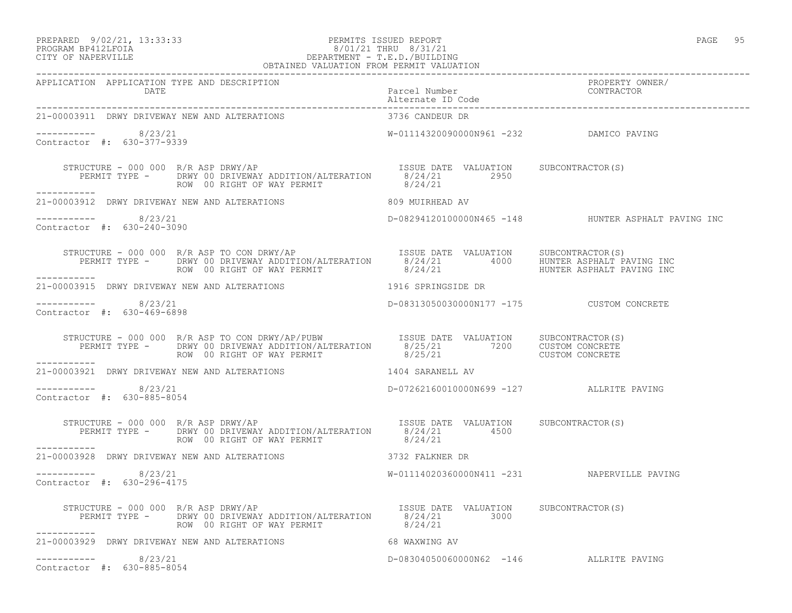### PREPARED 9/02/21, 13:33:33 PERMITS ISSUED REPORT<br>PROGRAM BP412LFOIA PAGE 95 PROGRAM BP412LFOIA  $8/01/21$  THRU  $8/31/21$ <br>CITY OF NAPERVILLE DEPARTMENT - T.E.D./BUILDIN DEPARTMENT - T.E.D./BUILDING OBTAINED VALUATION FROM PERMIT VALUATION

| 21-00003911 DRWY DRIVEWAY NEW AND ALTERATIONS                                                                                                                                                                                  | 3736 CANDEUR DR                             |                                                     |
|--------------------------------------------------------------------------------------------------------------------------------------------------------------------------------------------------------------------------------|---------------------------------------------|-----------------------------------------------------|
| $--------- 8/23/21$<br>Contractor #: 630-377-9339                                                                                                                                                                              | W-01114320090000N961 -232 DAMICO PAVING     |                                                     |
| STRUCTURE - 000 000 R/R ASP DRWY/AP<br>PERMIT TYPE - DRWY 00 DRIVEWAY ADDITION/ALTERATION 8/24/21 2950<br>ROW 00 RIGHT OF WAY PERMIT<br>-----------                                                                            | 8/24/21                                     |                                                     |
| 21-00003912 DRWY DRIVEWAY NEW AND ALTERATIONS 809 MUIRHEAD AV                                                                                                                                                                  |                                             |                                                     |
| $--------- 8/23/21$<br>Contractor #: 630-240-3090                                                                                                                                                                              |                                             | D-08294120100000N465 -148 HUNTER ASPHALT PAVING INC |
| STRUCTURE - 000 000 R/R ASP TO CON DRWY/AP<br>PERMIT TYPE - DRWY 00 DRIVEWAY ADDITION/ALTERATION 8/24/21 4000 HUNTER ASPHALT PAVING INC<br>------ ROW 00 RIGHT OF WAY PERMIT 8/24/21 HUNTER ASPHALT PAVING INC<br>------------ |                                             |                                                     |
| 21-00003915 DRWY DRIVEWAY NEW AND ALTERATIONS 1916 SPRINGSIDE DR                                                                                                                                                               |                                             |                                                     |
| $--------- 8/23/21$<br>Contractor #: 630-469-6898                                                                                                                                                                              | D-08313050030000N177 -175 CUSTOM CONCRETE   |                                                     |
| STRUCTURE - 000 000 R/R ASP TO CON DRWY/AP/PUBW ISSUE DATE VALUATION SUBCONTRACTOR(S)<br>PERMIT TYPE - DRWY 00 DRIVEWAY ADDITION/ALTERATION 8/25/21 7200 CUSTOM CONCRETE<br>ROW 00 RIGHT OF WAY PERMIT 8/25/21 CUSTOM CONCRETE |                                             |                                                     |
| ___________<br>21-00003921 DRWY DRIVEWAY NEW AND ALTERATIONS                                                                                                                                                                   | 1404 SARANELL AV                            |                                                     |
| $--------- 8/23/21$<br>Contractor #: 630-885-8054                                                                                                                                                                              | D-07262160010000N699 -127 ALLRITE PAVING    |                                                     |
| STRUCTURE - 000 000 R/R ASP DRWY/AP<br>PERMIT TYPE - DRWY 00 DRIVEWAY ADDITION/ALTERATION 8/24/21 4500<br>ROW 00 RIGHT OF WAY PERMIT AND 8/24/21 4500<br>___________                                                           |                                             |                                                     |
| 21-00003928 DRWY DRIVEWAY NEW AND ALTERATIONS 3732 FALKNER DR                                                                                                                                                                  |                                             |                                                     |
| $--------- 8/23/21$<br>Contractor #: 630-296-4175                                                                                                                                                                              | W-01114020360000N411 -231 NAPERVILLE PAVING |                                                     |
| STRUCTURE - 000 000 R/R ASP DRWY/AP<br>PERMIT TYPE - DRWY 00 DRIVEWAY ADDITION/ALTERATION 8/24/21 3000<br>ROW 00 RIGHT OF WAY PERMIT 8/24/21<br>------<br>STRUCTURE - 000 000 R/R ASP DRWY/AP<br>-----------                   |                                             |                                                     |
| 21-00003929 DRWY DRIVEWAY NEW AND ALTERATIONS                                                                                                                                                                                  | 68 WAXWING AV                               |                                                     |
| $--------- 8/23/21$<br>Contractor #: 630-885-8054                                                                                                                                                                              | D-08304050060000N62 -146 ALLRITE PAVING     |                                                     |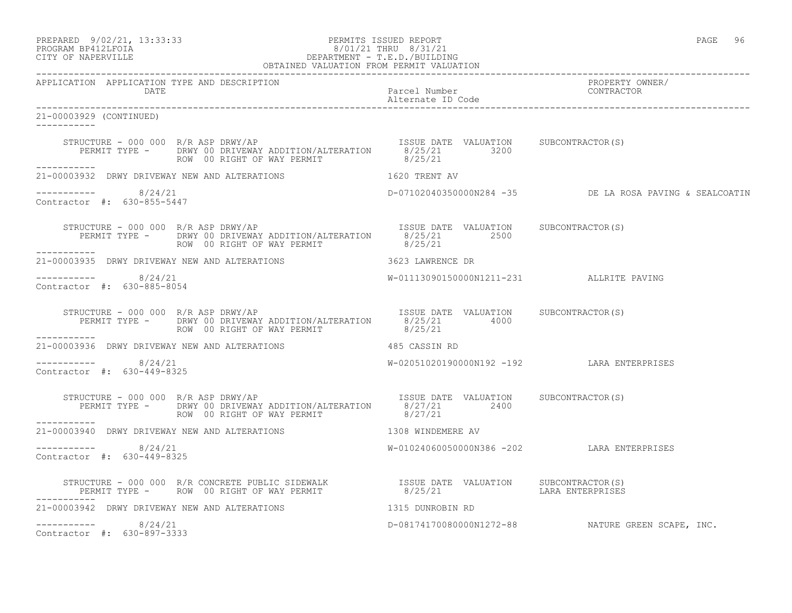PREPARED 9/02/21, 13:33:33 PERMITS ISSUED REPORT PAGE 96

# PROGRAM BP412LFOIA 8/01/21 THRU 8/31/21 CITY OF NAPERVILLE DEPARTMENT - T.E.D./BUILDING

| OBTAINED VALUATION FROM PERMIT VALUATION                    |                                                                                                                                                                                                              |                                            |                                                         |
|-------------------------------------------------------------|--------------------------------------------------------------------------------------------------------------------------------------------------------------------------------------------------------------|--------------------------------------------|---------------------------------------------------------|
| APPLICATION APPLICATION TYPE AND DESCRIPTION<br>DATE        |                                                                                                                                                                                                              | Parcel Number                              | PROPERTY OWNER/<br>CONTRACTOR                           |
| 21-00003929 (CONTINUED)                                     |                                                                                                                                                                                                              |                                            |                                                         |
| ------------                                                | STRUCTURE - 000 000 R/R ASP DRWY/AP<br>PERMIT TYPE - DRWY 00 DRIVEWAY ADDITION/ALTERATION 8/25/21 3200<br>ROW 00 RIGHT OF WAY PERMIT 8/25/21                                                                 |                                            |                                                         |
|                                                             | 21-00003932 DRWY DRIVEWAY NEW AND ALTERATIONS $1620$ TRENT AV                                                                                                                                                |                                            |                                                         |
| $--------- 8/24/21$<br>Contractor #: 630-855-5447           |                                                                                                                                                                                                              |                                            | D-07102040350000N284 -35 DE LA ROSA PAVING & SEALCOATIN |
|                                                             | PERMIT TYPE - DRWY 00 DRIVEWAY ADDITION/ALTERATION 8/25/21 2500<br>ROW 00 RIGHT OF WAY PERMIT                                                                                                                | 8/25/21                                    |                                                         |
|                                                             | 21-00003935 DRWY DRIVEWAY NEW AND ALTERATIONS 3623 LAWRENCE DR                                                                                                                                               |                                            |                                                         |
| -----------    8/24/21<br>Contractor $\#: 630 - 885 - 8054$ |                                                                                                                                                                                                              | W-01113090150000N1211-231 ALLRITE PAVING   |                                                         |
| STRUCTURE - 000 000 $R/R$ ASP DRWY/AP                       | RUCTURE - 000 000 R/R ASP DRWY/AP<br>PERMIT TYPE - DRWY 00 DRIVEWAY ADDITION/ALTERATION 8/25/21 4000<br>ROW 00 RIGHT OF WAY PERMIT 8/25/21                                                                   |                                            |                                                         |
| ___________                                                 | 21-00003936 DRWY DRIVEWAY NEW AND ALTERATIONS 485 CASSIN RD                                                                                                                                                  |                                            |                                                         |
| $--------- 8/24/21$<br>Contractor #: 630-449-8325           |                                                                                                                                                                                                              | W-02051020190000N192 -192 LARA ENTERPRISES |                                                         |
|                                                             | STRUCTURE - 000 000 R/R ASP DRWY/AP<br>PERMIT TYPE - DRWY 00 DRIVEWAY ADDITION/ALTERATION 8/27/21 2400<br>ROW 00 RIGHT OF WAY PERMIT 8/27/21 2400                                                            |                                            |                                                         |
| ------------                                                | 21-00003940 DRWY DRIVEWAY NEW AND ALTERATIONS 1308 WINDEMERE AV                                                                                                                                              |                                            |                                                         |
| $--------- 8/24/21$<br>Contractor #: 630-449-8325           |                                                                                                                                                                                                              | W-01024060050000N386 -202 LARA ENTERPRISES |                                                         |
| ------------                                                | STRUCTURE – 000 000 R/R CONCRETE PUBLIC SIDEWALK               ISSUE DATE VALUATION    SUBCONTRACTOR(S)<br>PERMIT TYPE –    ROW 00 RIGHT OF WAY PERMIT                8/25/21               LARA ENTERPRISES |                                            |                                                         |
|                                                             | 21-00003942 DRWY DRIVEWAY NEW AND ALTERATIONS 4315 DUNROBIN RD                                                                                                                                               |                                            |                                                         |
| $--------- 8/24/21$<br>Contractor #: 630-897-3333           |                                                                                                                                                                                                              |                                            | D-08174170080000N1272-88 NATURE GREEN SCAPE, INC.       |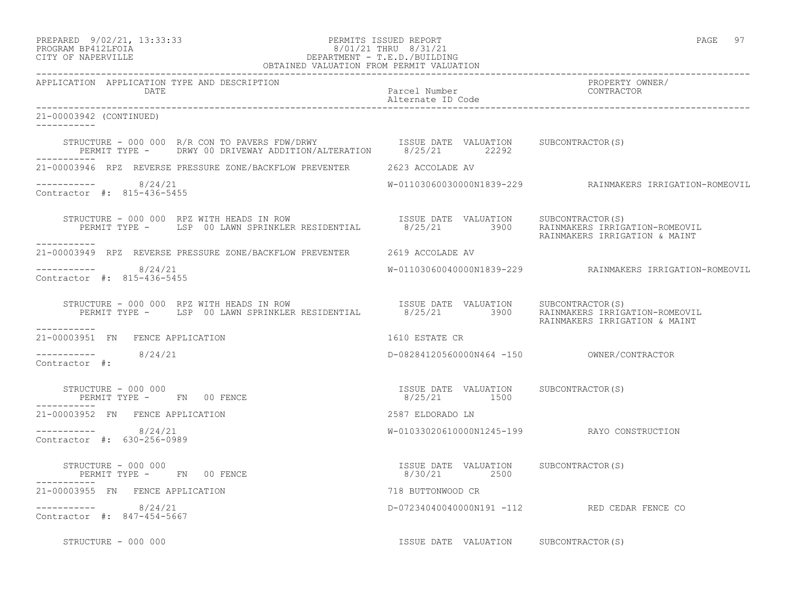### PREPARED 9/02/21, 13:33:33 PERMITS ISSUED REPORT PAGE 97 PROGRAM BP412LFOIA 8/01/21 THRU 8/31/21 CITY OF NAPERVILLE DEPARTMENT - T.E.D./BUILDING

| OBTAINED VALUATION FROM PERMIT VALUATION                                                                                                                                       |                                                        |                                                          |
|--------------------------------------------------------------------------------------------------------------------------------------------------------------------------------|--------------------------------------------------------|----------------------------------------------------------|
| APPLICATION APPLICATION TYPE AND DESCRIPTION<br>DATE                                                                                                                           | Parcel Number<br>Alternate ID Code                     | PROPERTY OWNER/<br>CONTRACTOR                            |
| 21-00003942 (CONTINUED)<br>___________                                                                                                                                         |                                                        |                                                          |
| STRUCTURE - 000 000 R/R CON TO PAVERS FDW/DRWY ISSUE DATE VALUATION SUBCONTRACTOR(S)<br>PERMIT TYPE - DRWY 00 DRIVEWAY ADDITION/ALTERATION 8/25/21 22292                       |                                                        |                                                          |
| 21-00003946 RPZ REVERSE PRESSURE ZONE/BACKFLOW PREVENTER 2623 ACCOLADE AV                                                                                                      |                                                        |                                                          |
| $--------- 8/24/21$<br>Contractor #: 815-436-5455                                                                                                                              |                                                        | W-01103060030000N1839-229 RAINMAKERS IRRIGATION-ROMEOVIL |
| STRUCTURE - 000 000 RPZ WITH HEADS IN ROW SESUE DATE VALUATION SUBCONTRACTOR(S)<br>PERMIT TYPE - LSP 00 LAWN SPRINKLER RESIDENTIAL 8/25/21 3900 RAINMAKERS IRRIGATION-ROMEOVIL |                                                        | RAINMAKERS IRRIGATION & MAINT                            |
| 21-00003949 RPZ REVERSE PRESSURE ZONE/BACKFLOW PREVENTER 2619 ACCOLADE AV                                                                                                      |                                                        |                                                          |
| -----------     8/24/21<br>Contractor #: 815-436-5455                                                                                                                          |                                                        | W-01103060040000N1839-229 RAINMAKERS IRRIGATION-ROMEOVIL |
| STRUCTURE - 000 000 RPZ WITH HEADS IN ROW [SSUE DATE VALUATION SUBCONTRACTOR(S)<br>PERMIT TYPE - LSP 00 LAWN SPRINKLER RESIDENTIAL 8/25/21 3900 RAINMAKERS IRRIGATION-ROMEOVIL |                                                        | RAINMAKERS IRRIGATION & MAINT                            |
| -----------<br>21-00003951 FN FENCE APPLICATION                                                                                                                                | 1610 ESTATE CR                                         |                                                          |
| $--------$ 8/24/21<br>Contractor #:                                                                                                                                            |                                                        |                                                          |
|                                                                                                                                                                                |                                                        |                                                          |
| 21-00003952 FN FENCE APPLICATION                                                                                                                                               | 2587 ELDORADO LN                                       |                                                          |
| $--------- 8/24/21$<br>Contractor #: 630-256-0989                                                                                                                              |                                                        | W-01033020610000N1245-199 RAYO CONSTRUCTION              |
| STRUCTURE - 000 000<br>PERMIT TYPE - FN 00 FENCE                                                                                                                               | ISSUE DATE VALUATION SUBCONTRACTOR (S)<br>8/30/21 2500 |                                                          |
| 21-00003955 FN FENCE APPLICATION                                                                                                                                               | 718 BUTTONWOOD CR                                      |                                                          |
| $--------- 8/24/21$<br>Contractor #: 847-454-5667                                                                                                                              |                                                        | D-07234040040000N191 -112 RED CEDAR FENCE CO             |
| STRUCTURE - 000 000                                                                                                                                                            | ISSUE DATE VALUATION SUBCONTRACTOR(S)                  |                                                          |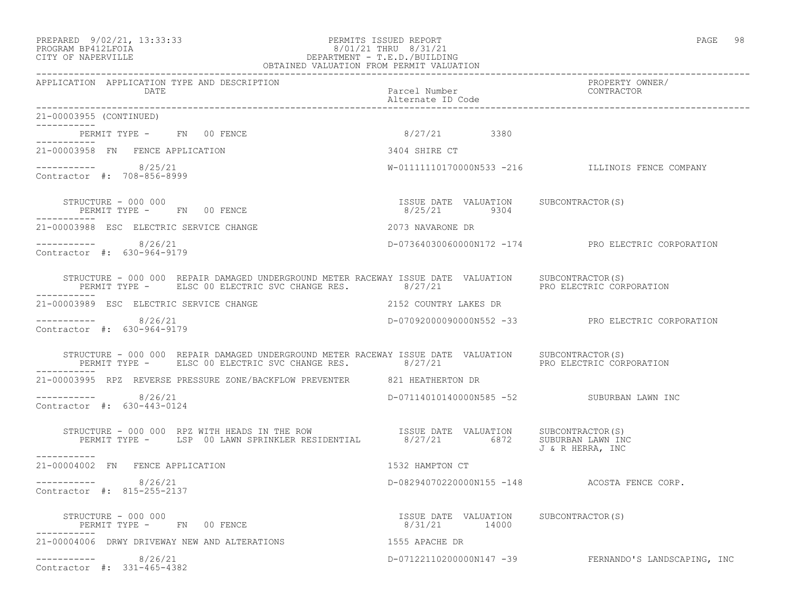21-00003955 (CONTINUED)

 $--------- 8/25/21$ 

Contractor #: 708-856-8999

-----------

-----------

-----------

#### PREPARED 9/02/21, 13:33:33 PERMITS ISSUED REPORT PAGE 98 PROGRAM BP412LFOIA 8/01/21 THRU 8/31/21 CITY OF NAPERVILLE DEPARTMENT - T.E.D./BUILDING OBTAINED VALUATION FROM PERMIT VALUATION

------------------------------------------------------------------------------------------------------------------------------------ APPLICATION APPLICATION TYPE AND DESCRIPTION PROPERTY OWNER/ DATE Parcel Number Alternate ID Code ------------------------------------------------------------------------------------------------------------------------------------ PERMIT TYPE - FN 00 FENCE 6 8/27/21 3380 21-00003958 FN FENCE APPLICATION 3404 SHIRE CT W-01111110170000N533 -216 ILLINOIS FENCE COMPANY STRUCTURE - 000 000 ISSUE DATE VALUATION SUBCONTRACTOR(S) PERMIT TYPE - FN 00 FENCE 19304 21-00003988 ESC ELECTRIC SERVICE CHANGE 2073 NAVARONE DR

----------- 8/26/21 D-07364030060000N172 -174 PRO ELECTRIC CORPORATION Contractor #: 630-964-9179

STRUCTURE - 000 000 REPAIR DAMAGED UNDERGROUND METER RACEWAY ISSUE DATE VALUATION SUBCONTRACTOR(S)<br>PERMIT TYPE - ELSC 00 ELECTRIC SVC CHANGE RES. 8/27/21 PRO ELECTRIC CORPORATION PERMIT TYPE - ELSC 00 ELECTRIC SVC CHANGE RES. 8/27/21 ----------- 21-00003989 ESC ELECTRIC SERVICE CHANGE 2152 COUNTRY LAKES DR

----------- 8/26/21 D-07092000090000N552 -33 PRO ELECTRIC CORPORATION Contractor #: 630-964-9179

STRUCTURE - 000 000 REPAIR DAMAGED UNDERGROUND METER RACEWAY ISSUE DATE VALUATION SUBCONTRACTOR(S)<br>PERMIT TYPE - ELSC 00 ELECTRIC SVC CHANGE RES. 8/27/21 PRO ELECTRIC CORPORATION PERMIT TYPE - ELSC 00 ELECTRIC SVC CHANGE RES. 8/27/21 ----------- 21-00003995 RPZ REVERSE PRESSURE ZONE/BACKFLOW PREVENTER 821 HEATHERTON DR

----------- 8/26/21 D-07114010140000N585 -52 SUBURBAN LAWN INC Contractor #: 630-443-0124

 STRUCTURE - 000 000 RPZ WITH HEADS IN THE ROW ISSUE DATE VALUATION SUBCONTRACTOR(S) PERMIT TYPE - LSP 00 LAWN SPRINKLER RESIDENTIAL 8/27/21 6872 SUBURBAN LAWN INC J & R HERRA, INC ----------- 21-00004002 FN FENCE APPLICATION 1532 HAMPTON CT

\_\_\_\_\_\_\_\_\_\_\_ ----------- 8/26/21 D-08294070220000N155 -148 ACOSTA FENCE CORP. Contractor #: 815-255-2137

 STRUCTURE - 000 000 ISSUE DATE VALUATION SUBCONTRACTOR(S) PERMIT TYPE - FN 00 FENCE ----------- 21-00004006 DRWY DRIVEWAY NEW AND ALTERATIONS 1555 APACHE DR ----------- 8/26/21 D-07122110200000N147 -39 FERNANDO'S LANDSCAPING, INC Contractor #: 331-465-4382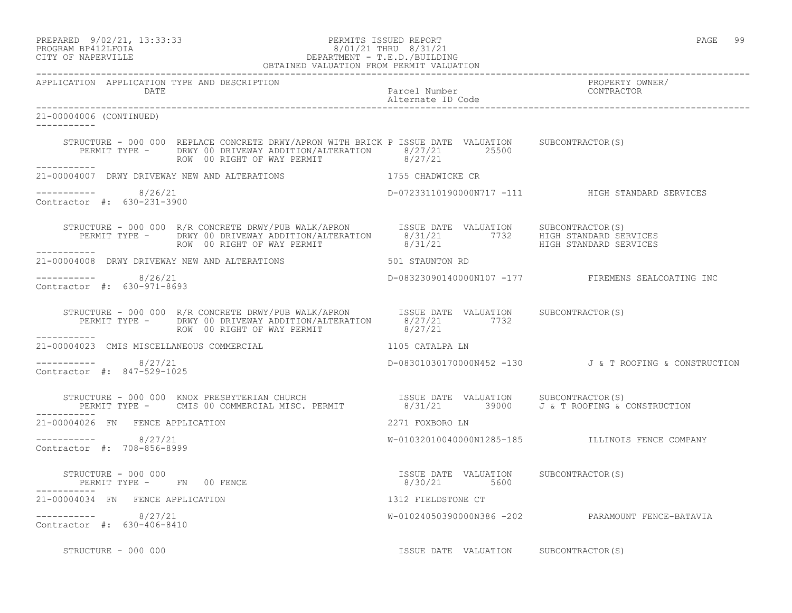### PREPARED 9/02/21, 13:33:33 PERMITS ISSUED REPORT PAGE 99 PROGRAM BP412LFOIA 8/01/21 THRU 8/31/21 CITY OF NAPERVILLE DEPARTMENT - T.E.D./BUILDING

|                                                      | OBTAINED VALUATION FROM PERMIT VALUATION                                                                                                                                                                                            |                                       |                                                        |
|------------------------------------------------------|-------------------------------------------------------------------------------------------------------------------------------------------------------------------------------------------------------------------------------------|---------------------------------------|--------------------------------------------------------|
| APPLICATION APPLICATION TYPE AND DESCRIPTION<br>DATE | Parcel Number<br>Parcel Number<br>Alternate ID Code                                                                                                                                                                                 |                                       | PROPERTY OWNER/<br>CONTRACTOR                          |
| 21-00004006 (CONTINUED)<br>------------              |                                                                                                                                                                                                                                     |                                       |                                                        |
|                                                      | STRUCTURE - 000 000 REPLACE CONCRETE DRWY/APRON WITH BRICK P ISSUE DATE VALUATION SUBCONTRACTOR(S)<br>PERMIT TYPE - DRWY 00 DRIVEWAY ADDITION/ALTERATION 8/27/21 25500<br>ROW 00 RIGHT OF WAY PERMIT                                | 8/27/21                               |                                                        |
|                                                      | 21-00004007 DRWY DRIVEWAY NEW AND ALTERATIONS THE RESERVE OF THE SCHADWICKE CR                                                                                                                                                      |                                       |                                                        |
| -----------    8/26/21<br>Contractor #: 630-231-3900 |                                                                                                                                                                                                                                     |                                       | D-07233110190000N717 -111 HIGH STANDARD SERVICES       |
|                                                      | STRUCTURE - 000 000 R/R CONCRETE DRWY/PUB WALK/APRON      ISSUE DATE VALUATION    SUBCONTRACTOR(S)<br>PERMIT TYPE -     DRWY 00 DRIVEWAY ADDITION/ALTERATION      8/31/21          7732     HIGH STANDARD SERVICES<br>HIGH STANDARD |                                       |                                                        |
|                                                      | 21-00004008 DRWY DRIVEWAY NEW AND ALTERATIONS 501 STAUNTON RD                                                                                                                                                                       |                                       |                                                        |
| -----------    8/26/21<br>Contractor #: 630-971-8693 |                                                                                                                                                                                                                                     |                                       | D-08323090140000N107 -177 FIREMENS SEALCOATING INC     |
|                                                      | STRUCTURE - 000 000 R/R CONCRETE DRWY/PUB WALK/APRON ISSUE DATE VALUATION SUBCONTRACTOR(S)<br>PERMIT TYPE - DRWY 00 DRIVEWAY ADDITION/ALTERATION 8/27/21 7732<br>ROW 00 RIGHT OF WAY PERMIT                                         | 8/27/21                               |                                                        |
| 21-00004023 CMIS MISCELLANEOUS COMMERCIAL            | 1105 CATALPA LN                                                                                                                                                                                                                     |                                       |                                                        |
| ----------- 8/27/21<br>Contractor #: 847-529-1025    |                                                                                                                                                                                                                                     |                                       | D-08301030170000N452 -130 J & T ROOFING & CONSTRUCTION |
| ____________                                         | STRUCTURE - 000 000 KNOX PRESBYTERIAN CHURCH<br>PERMIT TYPE - CMIS 00 COMMERCIAL MISC. PERMIT              8/31/21        39000    J & T ROOFING & CONSTRUCTION                                                                     |                                       |                                                        |
| 21-00004026 FN FENCE APPLICATION                     |                                                                                                                                                                                                                                     | 2271 FOXBORO LN                       |                                                        |
| $--------- 8/27/21$<br>Contractor #: 708-856-8999    |                                                                                                                                                                                                                                     |                                       | W-01032010040000N1285-185 ILLINOIS FENCE COMPANY       |
|                                                      |                                                                                                                                                                                                                                     |                                       |                                                        |
| 21-00004034 FN FENCE APPLICATION                     |                                                                                                                                                                                                                                     | 1312 FIELDSTONE CT                    |                                                        |
| $--------- 8/27/21$<br>Contractor #: 630-406-8410    |                                                                                                                                                                                                                                     |                                       | W-01024050390000N386 -202 PARAMOUNT FENCE-BATAVIA      |
| STRUCTURE - 000 000                                  |                                                                                                                                                                                                                                     | ISSUE DATE VALUATION SUBCONTRACTOR(S) |                                                        |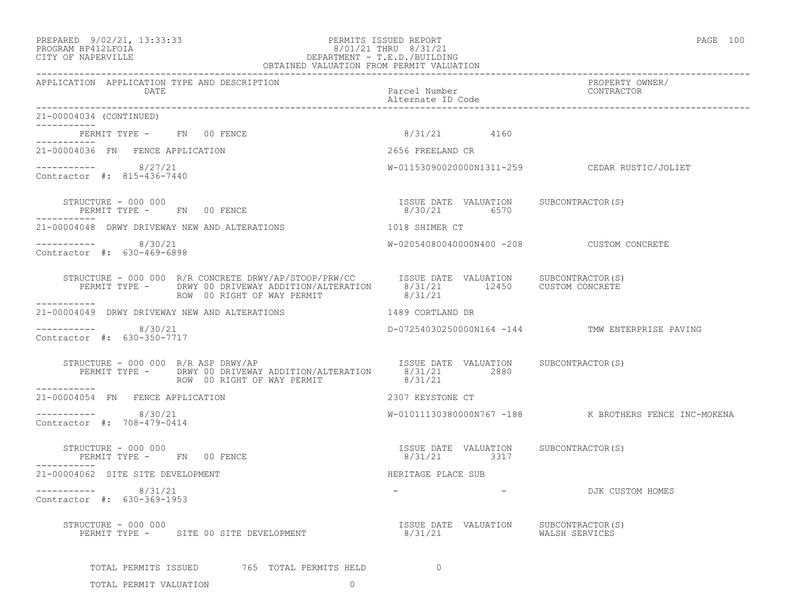### PREPARED 9/02/21, 13:33:33 PERMITS ISSUED REPORT PAGE 100 PROGRAM BP412LFOIA 8/01/21 THRU 8/31/21 CITY OF NAPERVILLE DEPARTMENT - T.E.D./BUILDING

| OBTAINED VALUATION FROM PERMIT VALUATION                                                                                                                                                                                                                                                              |                                                       |                                                       |  |
|-------------------------------------------------------------------------------------------------------------------------------------------------------------------------------------------------------------------------------------------------------------------------------------------------------|-------------------------------------------------------|-------------------------------------------------------|--|
| APPLICATION APPLICATION TYPE AND DESCRIPTION<br>DATE                                                                                                                                                                                                                                                  | Parcel Number<br>Alternate ID Code                    | PROPERTY OWNER/<br>CONTRACTOR                         |  |
| 21-00004034 (CONTINUED)                                                                                                                                                                                                                                                                               |                                                       |                                                       |  |
| PERMIT TYPE - FN 00 FENCE<br>-----------                                                                                                                                                                                                                                                              | 8/31/21 4160                                          |                                                       |  |
| 21-00004036 FN FENCE APPLICATION                                                                                                                                                                                                                                                                      | 2656 FREELAND CR                                      |                                                       |  |
| $--------- 8/27/21$<br>Contractor #: 815-436-7440                                                                                                                                                                                                                                                     | W-01153090020000N1311-259 CEDAR RUSTIC/JOLIET         |                                                       |  |
| $\begin{array}{cccc} \texttt{STRUCTURE} & - & 000 & 000 \\ \texttt{PERMIT TYPE} & - & \texttt{FN} & 00 & \texttt{FENCE} \\ \end{array} \qquad \begin{array}{cccc} \texttt{TSSUE} & \texttt{DATE} & \texttt{VALUATION} & \texttt{SUBCONTRACTOR(S)} \\ \texttt{8/30/21} & \texttt{6570} \\ \end{array}$ |                                                       |                                                       |  |
| 21-00004048 DRWY DRIVEWAY NEW AND ALTERATIONS THE RESERVED ON SHIMER CT                                                                                                                                                                                                                               |                                                       |                                                       |  |
| $--------- 8/30/21$<br>Contractor #: 630-469-6898                                                                                                                                                                                                                                                     | W-02054080040000N400 -208 CUSTOM CONCRETE             |                                                       |  |
| STRUCTURE - 000 000 R/R CONCRETE DRWY/AP/STOOP/PRW/CC  ISSUE DATE VALUATION SUBCONTRACTOR(S)<br>PERMIT TYPE - DRWY 00 DRIVEWAY ADDITION/ALTERATION 8/31/21 12450 CUSTOM CONCRETE<br>ROW 00 RIGHT OF WAY PERMIT 8/31/21                                                                                |                                                       |                                                       |  |
| 21-00004049 DRWY DRIVEWAY NEW AND ALTERATIONS                                                                                                                                                                                                                                                         | 1489 CORTLAND DR                                      |                                                       |  |
| ----------    8/30/21<br>Contractor #: 630-350-7717                                                                                                                                                                                                                                                   |                                                       | D-07254030250000N164 -144 TMW ENTERPRISE PAVING       |  |
| STRUCTURE - 000 000 R/R ASP DRWY/AP<br>STRUCTURE - 000 000 R/R ASP DRWY/AP<br>STRUCTURE - 000 000 R/R ASP DRWY/AP<br>PERMIT TYPE - DRWY 00 DRIVEWAY ADDITION/ALTERATION 8/31/21 2880<br>ROW 00 RIGHT OF WAY PERMIT                                                                                    | 8/31/21                                               |                                                       |  |
| 21-00004054 FN FENCE APPLICATION                                                                                                                                                                                                                                                                      | 2307 KEYSTONE CT                                      |                                                       |  |
| $--------- 8/30/21$<br>Contractor #: 708-479-0414                                                                                                                                                                                                                                                     |                                                       | W-01011130380000N767 -188 K BROTHERS FENCE INC-MOKENA |  |
| $STRUCTURE - 000 000$<br>PERMIT TYPE - FN 00 FENCE                                                                                                                                                                                                                                                    | ISSUE DATE VALUATION SUBCONTRACTOR(S)<br>8/31/21 3317 |                                                       |  |
| 21-00004062 SITE SITE DEVELOPMENT                                                                                                                                                                                                                                                                     | HERITAGE PLACE SUB                                    |                                                       |  |
| -----------    8/31/21<br>Contractor #: 630-369-1953                                                                                                                                                                                                                                                  | the company of the company of the                     | DJK CUSTOM HOMES                                      |  |
| STRUCTURE - 000 000                                                                                                                                                                                                                                                                                   |                                                       |                                                       |  |
| TOTAL PERMITS ISSUED 565 TOTAL PERMITS HELD                                                                                                                                                                                                                                                           | $\Omega$                                              |                                                       |  |

TOTAL PERMIT VALUATION 0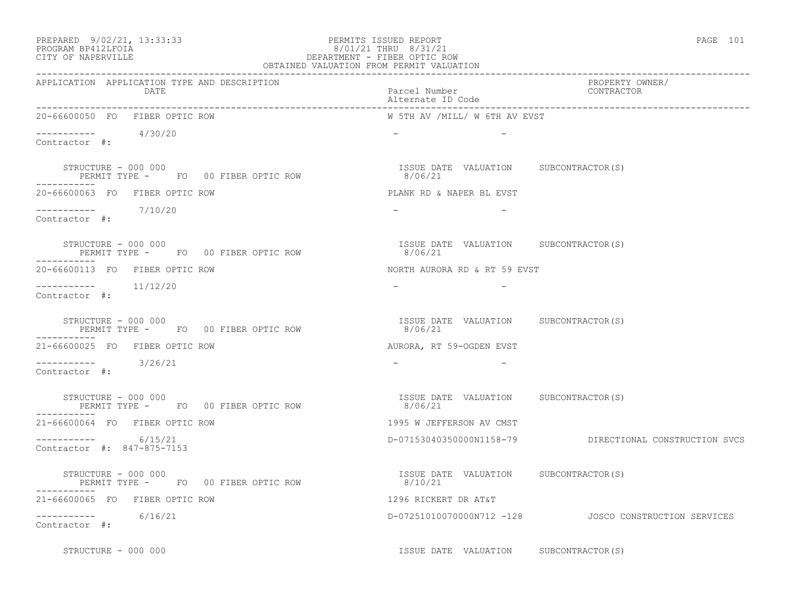### PREPARED 9/02/21, 13:33:33 PERMITS ISSUED REPORT PAGE 101 PROGRAM BP412LFOIA 8/01/21 THRU 8/31/21 CITY OF NAPERVILLE DEPARTMENT - FIBER OPTIC ROW

| OBTAINED VALUATION FROM PERMIT VALUATION                                   |                                                  |                                                          |  |
|----------------------------------------------------------------------------|--------------------------------------------------|----------------------------------------------------------|--|
| APPLICATION APPLICATION TYPE AND DESCRIPTION<br>DATE                       | Parcel Number<br>Alternate ID Code               | PROPERTY OWNER/<br>CONTRACTOR                            |  |
| 20-66600050 FO FIBER OPTIC ROW                                             | W 5TH AV /MILL/ W 6TH AV EVST                    |                                                          |  |
| $--------- 4/30/20$<br>Contractor #:                                       |                                                  |                                                          |  |
| STRUCTURE - 000 000<br>PERMIT TYPE - FO 00 FIBER OPTIC ROW                 | ISSUE DATE VALUATION SUBCONTRACTOR(S)<br>8/06/21 |                                                          |  |
| 20-66600063 FO FIBER OPTIC ROW                                             | PLANK RD & NAPER BL EVST                         |                                                          |  |
| $--------- 7/10/20$<br>Contractor #:                                       | $ -$<br>$\sim$ $-$                               |                                                          |  |
| STRUCTURE - 000 000<br>PERMIT TYPE - FO 00 FIBER OPTIC ROW                 | ISSUE DATE VALUATION SUBCONTRACTOR(S)<br>8/06/21 |                                                          |  |
| 20-66600113 FO FIBER OPTIC ROW                                             | NORTH AURORA RD & RT 59 EVST                     |                                                          |  |
| Contractor #:                                                              |                                                  |                                                          |  |
| STRUCTURE - 000 000<br>PERMIT TYPE - FO 00 FIBER OPTIC ROW                 | ISSUE DATE VALUATION SUBCONTRACTOR(S)<br>8/06/21 |                                                          |  |
| 21-66600025 FO FIBER OPTIC ROW                                             | AURORA, RT 59-OGDEN EVST                         |                                                          |  |
| $---------$ 3/26/21<br>Contractor #:                                       |                                                  |                                                          |  |
| STRUCTURE - 000 000<br>PERMIT TYPE - FO 00 FIBER OPTIC ROW<br>------------ | ISSUE DATE VALUATION SUBCONTRACTOR(S)<br>8/06/21 |                                                          |  |
| 21-66600064 FO FIBER OPTIC ROW                                             | 1995 W JEFFERSON AV CMST                         |                                                          |  |
| $--------- 6/15/21$<br>Contractor #: 847-875-7153                          |                                                  | D-07153040350000N1158-79 DIRECTIONAL CONSTRUCTION SVCS   |  |
| STRUCTURE - 000 000<br>PERMIT TYPE - FO 00 FIBER OPTIC ROW                 | ISSUE DATE VALUATION SUBCONTRACTOR(S)<br>8/10/21 |                                                          |  |
| 21-66600065 FO FIBER OPTIC ROW                                             | 1296 RICKERT DR AT&T                             |                                                          |  |
| $--------- 6/16/21$<br>Contractor #:                                       |                                                  | D-07251010070000N712 -128    JOSCO CONSTRUCTION SERVICES |  |
| STRUCTURE - 000 000                                                        | ISSUE DATE VALUATION SUBCONTRACTOR(S)            |                                                          |  |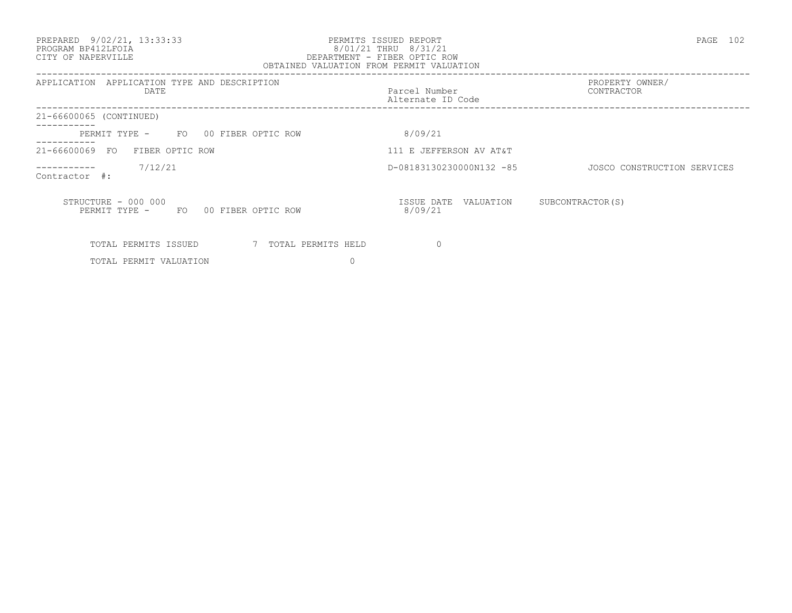#### PREPARED 9/02/21, 13:33:33 PERMITS ISSUED REPORT PAGE 102 PROGRAM BP412LFOIA 8/01/21 THRU 8/31/21 CITY OF NAPERVILLE DEPARTMENT - FIBER OPTIC ROW OBTAINED VALUATION FROM PERMIT VALUATION

| APPLICATION TYPE AND DESCRIPTION<br>APPLICATION<br><b>DATE</b>   | Parcel Number<br>Alternate ID Code | PROPERTY OWNER/<br>CONTRACTOR |
|------------------------------------------------------------------|------------------------------------|-------------------------------|
| 21-66600065 (CONTINUED)                                          |                                    |                               |
| FO 00 FIBER OPTIC ROW<br>PERMIT TYPE -                           | 8/09/21                            |                               |
| 21-66600069<br>FIBER OPTIC ROW<br>FO                             | 111 E JEFFERSON AV AT&T            |                               |
| 7/12/21<br>Contractor #:                                         | D-08183130230000N132 -85           | JOSCO CONSTRUCTION SERVICES   |
| STRUCTURE - 000 000<br>PERMIT TYPE -<br>FO<br>00 FIBER OPTIC ROW | ISSUE DATE<br>VALUATION<br>8/09/21 | SUBCONTRACTOR (S)             |
| TOTAL PERMITS ISSUED<br>7 TOTAL PERMITS HELD                     |                                    |                               |
| TOTAL PERMIT VALUATION                                           |                                    |                               |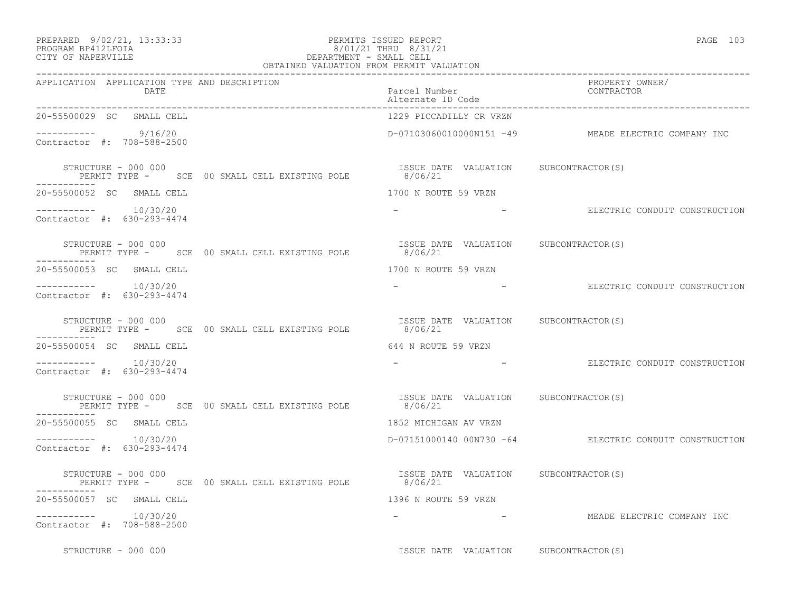### PREPARED 9/02/21, 13:33:33 PERMITS ISSUED REPORT PAGE 103 PROGRAM BP412LFOIA 8/01/21 THRU 8/31/21 PREPARED 9/02/21, 13:33:33 PERMITS ISSUED REPOR<br>PROGRAM BP412LFOIA 8/01/21 THRU 8/31/<br>CITY OF NAPERVILLE DEPARTMENT - SMALL CELL

| OBTAINED VALUATION FROM PERMIT VALUATION                                            |                                                  |                                                          |  |
|-------------------------------------------------------------------------------------|--------------------------------------------------|----------------------------------------------------------|--|
| APPLICATION APPLICATION TYPE AND DESCRIPTION<br>DATE                                | Parcel Number<br>Alternate ID Code               | PROPERTY OWNER/<br>CONTRACTOR                            |  |
| 20-55500029 SC SMALL CELL                                                           | 1229 PICCADILLY CR VRZN                          |                                                          |  |
| ---------- 9/16/20<br>Contractor #: 708-588-2500                                    |                                                  | D-07103060010000N151 -49 MEADE ELECTRIC COMPANY INC      |  |
| STRUCTURE - 000 000<br>PERMIT TYPE - SCE 00 SMALL CELL EXISTING POLE 8/06/21        | ISSUE DATE VALUATION SUBCONTRACTOR(S)            |                                                          |  |
| 20-55500052 SC SMALL CELL                                                           | 1700 N ROUTE 59 VRZN                             |                                                          |  |
| $--------- 10/30/20$<br>Contractor #: 630-293-4474                                  |                                                  | - THE ELECTRIC CONDUIT CONSTRUCTION                      |  |
| STRUCTURE - 000 000<br>PERMIT TYPE - SCE 00 SMALL CELL EXISTING POLE<br>----------- | ISSUE DATE VALUATION SUBCONTRACTOR(S)<br>8/06/21 |                                                          |  |
| 20-55500053 SC SMALL CELL                                                           | 1700 N ROUTE 59 VRZN                             |                                                          |  |
| ----------    10/30/20<br>Contractor #: 630-293-4474                                | and the company of the company                   | ELECTRIC CONDUIT CONSTRUCTION                            |  |
| STRUCTURE - 000 000<br>PERMIT TYPE - SCE 00 SMALL CELL EXISTING POLE                | ISSUE DATE VALUATION SUBCONTRACTOR(S)<br>8/06/21 |                                                          |  |
| 20-55500054 SC SMALL CELL                                                           | 644 N ROUTE 59 VRZN                              |                                                          |  |
| Contractor #: 630-293-4474                                                          |                                                  | ELECTRIC CONDUIT CONSTRUCTION                            |  |
| STRUCTURE - 000 000<br>PERMIT TYPE - SCE 00 SMALL CELL EXISTING POLE 8/06/21        | ISSUE DATE VALUATION SUBCONTRACTOR(S)            |                                                          |  |
| -----------<br>20-55500055 SC SMALL CELL                                            | 1852 MICHIGAN AV VRZN                            |                                                          |  |
| $--------- 10/30/20$<br>Contractor #: 630-293-4474                                  |                                                  | D-07151000140 00N730 -64 ELECTRIC CONDUIT CONSTRUCTION   |  |
| STRUCTURE - 000 000<br>PERMIT TYPE - SCE 00 SMALL CELL EXISTING POLE 8/06/21        | ISSUE DATE VALUATION SUBCONTRACTOR (S)           |                                                          |  |
| 20-55500057 SC SMALL CELL                                                           | 1396 N ROUTE 59 VRZN                             |                                                          |  |
| Contractor #: 708-588-2500                                                          |                                                  | -                             MEADE ELECTRIC COMPANY INC |  |
| STRUCTURE - 000 000                                                                 | ISSUE DATE VALUATION SUBCONTRACTOR(S)            |                                                          |  |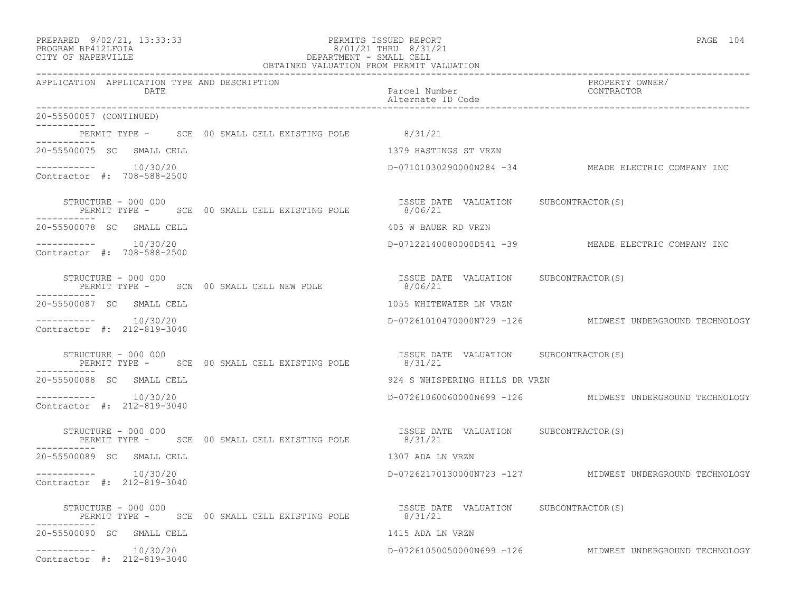| PREPARED | $9/02/21$ , | 13:33:33 |
|----------|-------------|----------|
|----------|-------------|----------|

### PREPARED 9/02/21, 13:33:33 PERMITS ISSUED REPORT<br>PROGRAM BP412LFOIA PAGE 104 PROGRAM BP412LFOIA 8/01/21 THRU 8/31/21 CITY OF NAPERVILLE CITY OF NAPERVILLE DEPARTMENT - SMALL CELL

| OBTAINED VALUATION FROM PERMIT VALUATION                                     |                                                                     |  |  |
|------------------------------------------------------------------------------|---------------------------------------------------------------------|--|--|
| APPLICATION APPLICATION TYPE AND DESCRIPTION<br>DATE                         | PROPERTY OWNER/<br>Parcel Number<br>CONTRACTOR<br>Alternate ID Code |  |  |
| 20-55500057 (CONTINUED)                                                      |                                                                     |  |  |
| PERMIT TYPE - SCE 00 SMALL CELL EXISTING POLE 8/31/21                        |                                                                     |  |  |
| 20-55500075 SC SMALL CELL                                                    | 1379 HASTINGS ST VRZN                                               |  |  |
| $--------- 10/30/20$<br>Contractor #: 708-588-2500                           | D-07101030290000N284 -34 MEADE ELECTRIC COMPANY INC                 |  |  |
| STRUCTURE - 000 000<br>PERMIT TYPE - SCE 00 SMALL CELL EXISTING POLE 8/06/21 | ISSUE DATE VALUATION SUBCONTRACTOR(S)                               |  |  |
| 20-55500078 SC SMALL CELL                                                    | 405 W BAUER RD VRZN                                                 |  |  |
| $--------- 10/30/20$<br>Contractor #: 708-588-2500                           | D-07122140080000D541 -39 MEADE ELECTRIC COMPANY INC                 |  |  |
| ------------                                                                 |                                                                     |  |  |
| 20-55500087 SC SMALL CELL                                                    | 1055 WHITEWATER LN VRZN                                             |  |  |
| $--------- 10/30/20$<br>Contractor #: 212-819-3040                           | D-07261010470000N729 -126 MIDWEST UNDERGROUND TECHNOLOGY            |  |  |
| STRUCTURE - 000 000<br>PERMIT TYPE - SCE 00 SMALL CELL EXISTING POLE 8/31/21 | ISSUE DATE VALUATION SUBCONTRACTOR(S)                               |  |  |
| 20-55500088 SC SMALL CELL                                                    | 924 S WHISPERING HILLS DR VRZN                                      |  |  |
| ----------    10/30/20<br>Contractor #: 212-819-3040                         | D-07261060060000N699 -126 MIDWEST UNDERGROUND TECHNOLOGY            |  |  |
| STRUCTURE - 000 000<br>PERMIT TYPE - SCE 00 SMALL CELL EXISTING POLE 8/31/21 | ISSUE DATE VALUATION SUBCONTRACTOR(S)                               |  |  |
| 20-55500089 SC SMALL CELL                                                    | 1307 ADA LN VRZN                                                    |  |  |
| $--------- 10/30/20$<br>Contractor #: 212-819-3040                           | D-07262170130000N723 -127 MIDWEST UNDERGROUND TECHNOLOGY            |  |  |
| STRUCTURE - 000 000<br>PERMIT TYPE - SCE 00 SMALL CELL EXISTING POLE 8/31/21 | ISSUE DATE VALUATION SUBCONTRACTOR(S)                               |  |  |
| 20-55500090 SC SMALL CELL                                                    | 1415 ADA LN VRZN                                                    |  |  |
| $--------- 10/30/20$<br>Contractor #: 212-819-3040                           | D-07261050050000N699 -126 MIDWEST UNDERGROUND TECHNOLOGY            |  |  |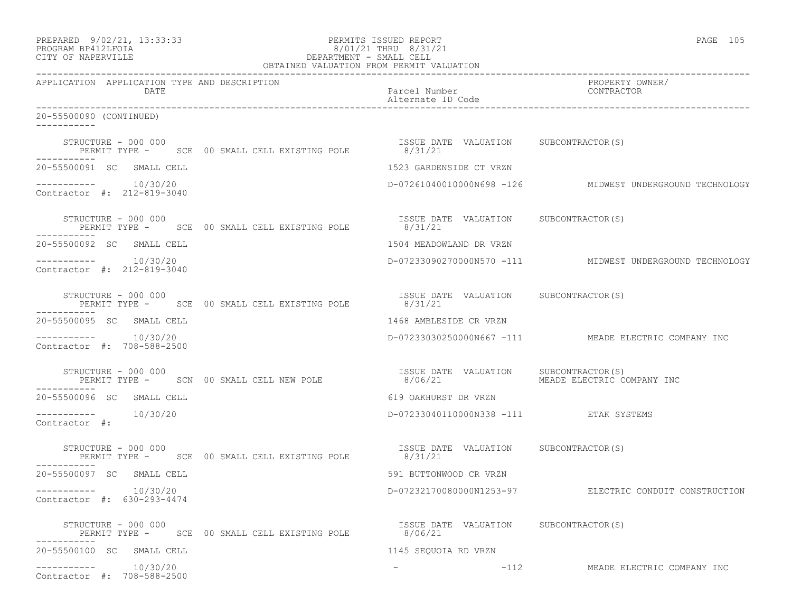| PREPARED 9/02/21, 13:33:33<br>PROGRAM BP412LFOIA<br>8/01/21 THRU 8/31/21<br>DEPARTMENT - SMALL CELL<br>OBTAINED VALUATION FROM PERMIT VALUATION<br>CITY OF NAPERVILLE | PERMITS ISSUED REPORT<br>8/01/21 THRU 8/31/21    | PAGE 105                                                 |
|-----------------------------------------------------------------------------------------------------------------------------------------------------------------------|--------------------------------------------------|----------------------------------------------------------|
| APPLICATION APPLICATION TYPE AND DESCRIPTION<br>DATE                                                                                                                  | Parcel Number<br>Alternate ID Code               | PROPERTY OWNER/<br>CONTRACTOR                            |
| 20-55500090 (CONTINUED)                                                                                                                                               |                                                  |                                                          |
| STRUCTURE - 000 000<br>RUCTURE - 000 000<br>PERMIT TYPE -     SCE  00 SMALL CELL EXISTING POLE                8/31/21<br>-----------                                  | ISSUE DATE VALUATION SUBCONTRACTOR(S)            |                                                          |
| 20-55500091 SC SMALL CELL                                                                                                                                             | 1523 GARDENSIDE CT VRZN                          |                                                          |
| $--------- 10/30/20$<br>Contractor #: 212-819-3040                                                                                                                    |                                                  | D-07261040010000N698 -126 MIDWEST UNDERGROUND TECHNOLOGY |
| STRUCTURE - 000 000<br>PERMIT TYPE - SCE 00 SMALL CELL EXISTING POLE 8/31/21                                                                                          | ISSUE DATE VALUATION SUBCONTRACTOR(S)            |                                                          |
| 20-55500092 SC SMALL CELL                                                                                                                                             | 1504 MEADOWLAND DR VRZN                          |                                                          |
| $--------- 10/30/20$<br>Contractor #: 212-819-3040                                                                                                                    |                                                  | D-07233090270000N570 -111 MIDWEST UNDERGROUND TECHNOLOGY |
| STRUCTURE - 000 000<br>PERMIT TYPE - SCE 00 SMALL CELL EXISTING POLE 8/31/21<br>-----------                                                                           | ISSUE DATE VALUATION SUBCONTRACTOR(S)            |                                                          |
| 20-55500095 SC SMALL CELL                                                                                                                                             | 1468 AMBLESIDE CR VRZN                           |                                                          |
| $--------- 10/30/20$<br>Contractor #: 708-588-2500                                                                                                                    |                                                  | D-07233030250000N667 -111 MEADE ELECTRIC COMPANY INC     |
| STRUCTURE - 000 000<br>PERMIT TYPE -     SCN 00 SMALL CELL NEW POLE                    8/06/21                MEADE ELECTRIC COMPANY INC<br>-----------               |                                                  |                                                          |
| 20-55500096 SC SMALL CELL                                                                                                                                             | 619 OAKHURST DR VRZN                             |                                                          |
| $--------- 10/30/20$<br>Contractor #:                                                                                                                                 | D-07233040110000N338 -111 ETAK SYSTEMS           |                                                          |
| STRUCTURE - 000 000<br>PERMIT TYPE - SCE 00 SMALL CELL EXISTING POLE 8/31/21                                                                                          | ISSUE DATE VALUATION SUBCONTRACTOR(S)            |                                                          |
| 20-55500097 SC SMALL CELL                                                                                                                                             | 591 BUTTONWOOD CR VRZN                           |                                                          |
| 10/30/20<br>Contractor #: 630-293-4474                                                                                                                                |                                                  | D-07232170080000N1253-97 ELECTRIC CONDUIT CONSTRUCTION   |
| STRUCTURE - 000 000<br>PERMIT TYPE - SCE 00 SMALL CELL EXISTING POLE                                                                                                  | ISSUE DATE VALUATION SUBCONTRACTOR(S)<br>8/06/21 |                                                          |
| 20-55500100 SC SMALL CELL                                                                                                                                             | 1145 SEQUOIA RD VRZN                             |                                                          |
| 10/30/20<br>Contractor #: 708-588-2500                                                                                                                                | $-112$                                           | MEADE ELECTRIC COMPANY INC                               |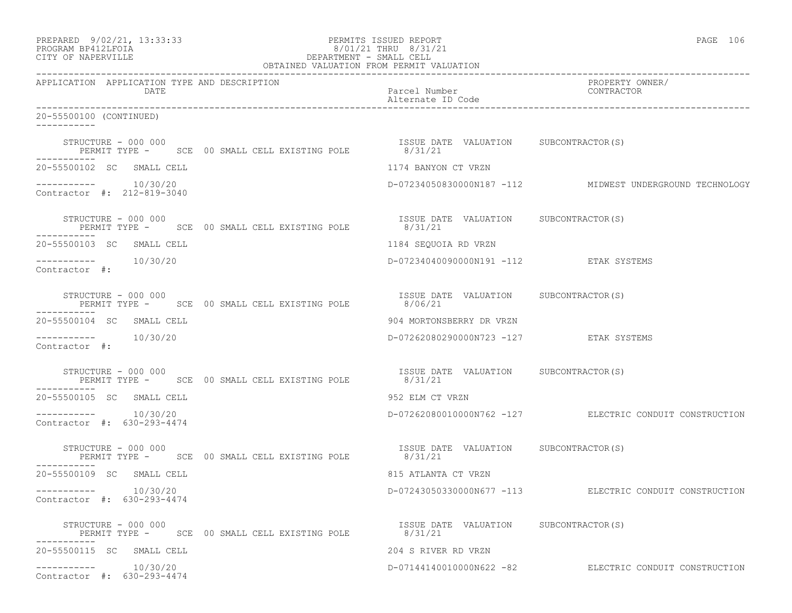| PREPARED 9/02/21, 13:33:33<br>PROGRAM BP412LFOIA<br>CITY OF NAPERVILLE |                     |          |  | 2001/21 THRU 8/31/21<br>DEPARTMENT - SMALL CELL<br>OBTAINED VALUATION FROM PERMIT VALUATION | PERMITS ISSUED REPORT | PAGE 106                           |  |                                                          |  |
|------------------------------------------------------------------------|---------------------|----------|--|---------------------------------------------------------------------------------------------|-----------------------|------------------------------------|--|----------------------------------------------------------|--|
| APPLICATION APPLICATION TYPE AND DESCRIPTION                           |                     | DATE     |  |                                                                                             |                       | Parcel Number<br>Alternate ID Code |  | PROPERTY OWNER/<br>CONTRACTOR                            |  |
| 20-55500100 (CONTINUED)                                                |                     |          |  |                                                                                             |                       |                                    |  |                                                          |  |
| -----------                                                            | STRUCTURE - 000 000 |          |  | PERMIT TYPE - SCE 00 SMALL CELL EXISTING POLE 8/31/21                                       |                       |                                    |  | ISSUE DATE VALUATION SUBCONTRACTOR(S)                    |  |
| 20-55500102 SC SMALL CELL                                              |                     |          |  |                                                                                             |                       | 1174 BANYON CT VRZN                |  |                                                          |  |
| $--------- 10/30/20$<br>Contractor #: 212-819-3040                     |                     |          |  |                                                                                             |                       |                                    |  | D-07234050830000N187 -112 MIDWEST UNDERGROUND TECHNOLOGY |  |
| STRUCTURE - 000 000<br>------------                                    |                     |          |  | PERMIT TYPE - SCE 00 SMALL CELL EXISTING POLE 8/31/21                                       |                       |                                    |  | ISSUE DATE VALUATION SUBCONTRACTOR(S)                    |  |
| 20-55500103 SC SMALL CELL                                              |                     |          |  |                                                                                             |                       | 1184 SEOUOIA RD VRZN               |  |                                                          |  |
| $--------- 10/30/20$<br>Contractor #:                                  |                     |          |  |                                                                                             |                       |                                    |  | D-07234040090000N191 -112 ETAK SYSTEMS                   |  |
|                                                                        | STRUCTURE - 000 000 |          |  | PERMIT TYPE - SCE 00 SMALL CELL EXISTING POLE                                               |                       | 8/06/21                            |  | ISSUE DATE VALUATION SUBCONTRACTOR(S)                    |  |
| 20-55500104 SC SMALL CELL                                              |                     |          |  |                                                                                             |                       | 904 MORTONSBERRY DR VRZN           |  |                                                          |  |
| $--------- 10/30/20$<br>Contractor #:                                  |                     |          |  |                                                                                             |                       |                                    |  | D-07262080290000N723 -127 ETAK SYSTEMS                   |  |
|                                                                        |                     |          |  | STRUCTURE - 000 000<br>PERMIT TYPE - SCE 00 SMALL CELL EXISTING POLE 6/31/21 21             |                       |                                    |  |                                                          |  |
| 20-55500105 SC SMALL CELL                                              |                     |          |  |                                                                                             |                       | 952 ELM CT VRZN                    |  |                                                          |  |
| $--------- 10/30/20$<br>Contractor #: 630-293-4474                     |                     |          |  |                                                                                             |                       |                                    |  | D-07262080010000N762 -127 ELECTRIC CONDUIT CONSTRUCTION  |  |
| STRUCTURE - 000 000                                                    |                     |          |  | PERMIT TYPE - SCE 00 SMALL CELL EXISTING POLE 8/31/21                                       |                       |                                    |  | ISSUE DATE VALUATION SUBCONTRACTOR(S)                    |  |
| 20-55500109 SC SMALL CELL                                              |                     |          |  |                                                                                             |                       | 815 ATLANTA CT VRZN                |  |                                                          |  |
| ------------<br>Contractor #: 630-293-4474                             |                     | 10/30/20 |  |                                                                                             |                       |                                    |  | D-07243050330000N677 -113 ELECTRIC CONDUIT CONSTRUCTION  |  |
| -----------                                                            | STRUCTURE - 000 000 |          |  | PERMIT TYPE - SCE 00 SMALL CELL EXISTING POLE                                               |                       | 8/31/21                            |  | ISSUE DATE VALUATION SUBCONTRACTOR(S)                    |  |
| 20-55500115 SC SMALL CELL                                              |                     |          |  |                                                                                             |                       | 204 S RIVER RD VRZN                |  |                                                          |  |
| ------------<br>Contractor #: 630-293-4474                             |                     | 10/30/20 |  |                                                                                             |                       |                                    |  | D-07144140010000N622 -82 ELECTRIC CONDUIT CONSTRUCTION   |  |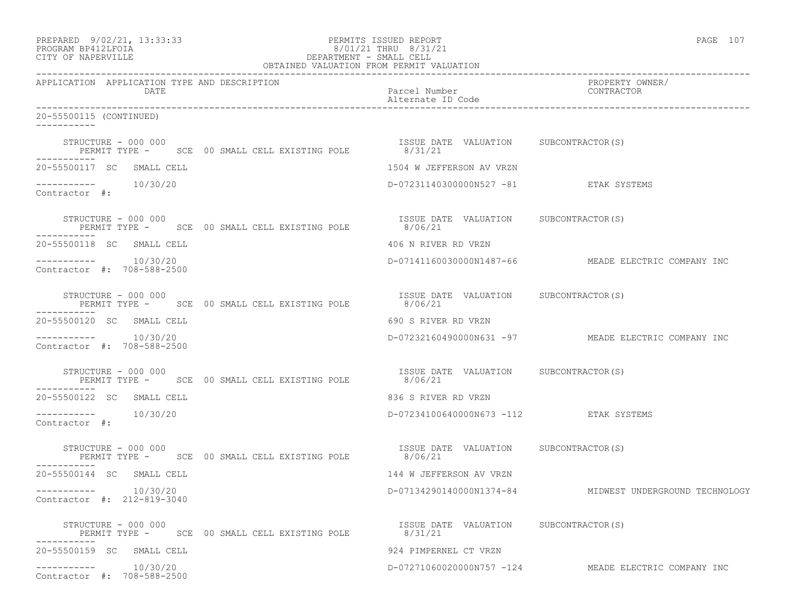| PERMITS ISSUED REPORT<br>PERMITS ISSUED REPORT<br>PROGRAM BP412LFOIA<br>CITY OF NAPERVILLE<br>CITY OF NAPERVILLE<br>PERMIT - SMALL CELL<br>OBTAINED VALUATION FROM PERMIT VALUATION                                                                                                                                                                                                                                                                                                                    |                                                  |                                                         |  |  |
|--------------------------------------------------------------------------------------------------------------------------------------------------------------------------------------------------------------------------------------------------------------------------------------------------------------------------------------------------------------------------------------------------------------------------------------------------------------------------------------------------------|--------------------------------------------------|---------------------------------------------------------|--|--|
| APPLICATION APPLICATION TYPE AND DESCRIPTION<br>DATE                                                                                                                                                                                                                                                                                                                                                                                                                                                   | Parcel Number<br>Alternate ID Code               | PROPERTY OWNER/<br>CONTRACTOR                           |  |  |
| 20-55500115 (CONTINUED)                                                                                                                                                                                                                                                                                                                                                                                                                                                                                |                                                  |                                                         |  |  |
| STRUCTURE - 000 000<br>PERMIT TYPE - SCE 00 SMALL CELL EXISTING POLE 8/31/21<br>-----------                                                                                                                                                                                                                                                                                                                                                                                                            | ISSUE DATE VALUATION SUBCONTRACTOR(S)            |                                                         |  |  |
| 20-55500117 SC SMALL CELL                                                                                                                                                                                                                                                                                                                                                                                                                                                                              | 1504 W JEFFERSON AV VRZN                         |                                                         |  |  |
| $--------- 10/30/20$<br>Contractor #:                                                                                                                                                                                                                                                                                                                                                                                                                                                                  | D-07231140300000N527 -81 ETAK SYSTEMS            |                                                         |  |  |
| STRUCTURE - 000 000<br>PERMIT TYPE -      SCE  00 SMALL CELL EXISTING POLE              8/06/21                                                                                                                                                                                                                                                                                                                                                                                                        |                                                  |                                                         |  |  |
| 20-55500118 SC SMALL CELL                                                                                                                                                                                                                                                                                                                                                                                                                                                                              | 406 N RIVER RD VRZN                              |                                                         |  |  |
| $--------- 10/30/20$<br>Contractor #: 708-588-2500                                                                                                                                                                                                                                                                                                                                                                                                                                                     |                                                  | D-07141160030000N1487-66 MEADE ELECTRIC COMPANY INC     |  |  |
| $\begin{tabular}{lllllllll} \texttt{STRUCTURE} & - & 000 & 000 & & & & & \\ & & & & & & \\ \texttt{PERMIT TYPE} & - & & & & \\ & & & & & \\ \texttt{PERMIT TYPE} & - & & & \\ \end{tabular} \begin{tabular}{lllllllll} \texttt{CELL EXISTING POLE} & & & & & \\ \texttt{SOLE} & & & & 8/06/21 & & \\ \texttt{SIO6/21} & & & & \\ \end{tabular} \begin{tabular}{lllllllllll} \texttt{LURITION} & & & & & \\ \texttt{SUECONTION} & & & & \\ \texttt{SUDCONTRACTOR(S)} & & & \\ \$<br>STRUCTURE – 000 000 |                                                  |                                                         |  |  |
| 20-55500120 SC SMALL CELL                                                                                                                                                                                                                                                                                                                                                                                                                                                                              | 690 S RIVER RD VRZN                              |                                                         |  |  |
| $--------- 10/30/20$<br>Contractor #: 708-588-2500                                                                                                                                                                                                                                                                                                                                                                                                                                                     |                                                  | D-07232160490000N631 -97 MEADE ELECTRIC COMPANY INC     |  |  |
| STRUCTURE - 000 000<br>PERMIT TYPE -      SCE  00 SMALL CELL EXISTING POLE              8/06/21                                                                                                                                                                                                                                                                                                                                                                                                        | ISSUE DATE VALUATION SUBCONTRACTOR(S)            |                                                         |  |  |
| 20-55500122 SC SMALL CELL                                                                                                                                                                                                                                                                                                                                                                                                                                                                              | 836 S RIVER RD VRZN                              |                                                         |  |  |
| Contractor #:                                                                                                                                                                                                                                                                                                                                                                                                                                                                                          | D-07234100640000N673 -112 ETAK SYSTEMS           |                                                         |  |  |
| STRUCTURE - 000 000<br>PERMIT TYPE - SCE 00 SMALL CELL EXISTING POLE 8/06/21                                                                                                                                                                                                                                                                                                                                                                                                                           | ISSUE DATE VALUATION SUBCONTRACTOR(S)            |                                                         |  |  |
| 20-55500144 SC SMALL CELL                                                                                                                                                                                                                                                                                                                                                                                                                                                                              | 144 W JEFFERSON AV VRZN                          |                                                         |  |  |
| $--------- 10/30/20$<br>Contractor #: 212-819-3040                                                                                                                                                                                                                                                                                                                                                                                                                                                     |                                                  | D-07134290140000N1374-84 MIDWEST UNDERGROUND TECHNOLOGY |  |  |
| STRUCTURE - 000 000<br>PERMIT TYPE - SCE 00 SMALL CELL EXISTING POLE                                                                                                                                                                                                                                                                                                                                                                                                                                   | ISSUE DATE VALUATION SUBCONTRACTOR(S)<br>8/31/21 |                                                         |  |  |
| 20-55500159 SC SMALL CELL                                                                                                                                                                                                                                                                                                                                                                                                                                                                              | 924 PIMPERNEL CT VRZN                            |                                                         |  |  |
| $--------- 10/30/20$<br>Contractor #: 708-588-2500                                                                                                                                                                                                                                                                                                                                                                                                                                                     |                                                  | D-07271060020000N757 -124 MEADE ELECTRIC COMPANY INC    |  |  |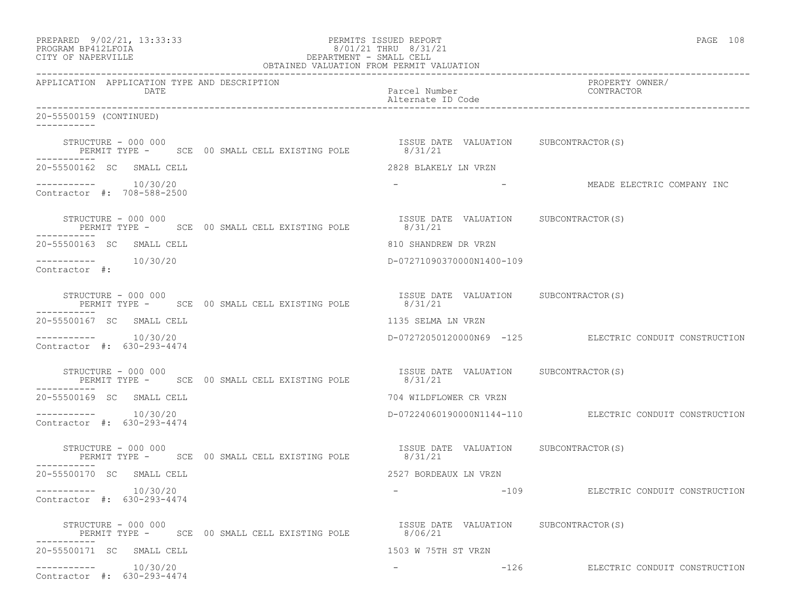| PREPARED 9/02/21, 13:33:33<br>PROGRAM BP412LFOIA<br>8/01/21 THRU 8/31/21<br>DEPARTMENT - SMALL CELL<br>OBTAINED VALUATION FROM PERMIT VALUATION<br>CITY OF NAPERVILLE | PERMITS ISSUED REPORT<br>8/01/21 THRU 8/31/21 | PAGE 108                                                |  |
|-----------------------------------------------------------------------------------------------------------------------------------------------------------------------|-----------------------------------------------|---------------------------------------------------------|--|
| APPLICATION APPLICATION TYPE AND DESCRIPTION<br>DATE                                                                                                                  | Parcel Number<br>Alternate ID Code            | ------<br>PROPERTY OWNER/<br>CONTRACT                   |  |
| 20-55500159 (CONTINUED)                                                                                                                                               |                                               |                                                         |  |
| STRUCTURE - 000 000<br>PERMIT TYPE - SCE 00 SMALL CELL EXISTING POLE 8/31/21<br>-----------                                                                           | ISSUE DATE VALUATION SUBCONTRACTOR(S)         |                                                         |  |
| 20-55500162 SC SMALL CELL                                                                                                                                             | 2828 BLAKELY LN VRZN                          |                                                         |  |
| Contractor #: 708-588-2500                                                                                                                                            |                                               | - ANNEADE ELECTRIC COMPANY INC                          |  |
| STRUCTURE - 000 000<br>PERMIT TYPE - SCE 00 SMALL CELL EXISTING POLE 8/31/21                                                                                          | ISSUE DATE VALUATION SUBCONTRACTOR(S)         |                                                         |  |
| 20-55500163 SC SMALL CELL                                                                                                                                             | 810 SHANDREW DR VRZN                          |                                                         |  |
| Contractor #:                                                                                                                                                         | D-07271090370000N1400-109                     |                                                         |  |
| STRUCTURE - 000 000<br>PERMIT TYPE - SCE 00 SMALL CELL EXISTING POLE 8/31/21<br>-----------                                                                           | ISSUE DATE VALUATION SUBCONTRACTOR(S)         |                                                         |  |
| 20-55500167 SC SMALL CELL                                                                                                                                             | 1135 SELMA LN VRZN                            |                                                         |  |
| $--------- 10/30/20$<br>Contractor #: 630-293-4474                                                                                                                    |                                               | D-07272050120000N69 -125 ELECTRIC CONDUIT CONSTRUCTION  |  |
| STRUCTURE - 000 000<br>PERMIT TYPE - SCE 00 SMALL CELL EXISTING POLE 6/31/21                                                                                          |                                               |                                                         |  |
| 20-55500169 SC SMALL CELL                                                                                                                                             | 704 WILDFLOWER CR VRZN                        |                                                         |  |
| $--------- 10/30/20$<br>Contractor #: 630-293-4474                                                                                                                    |                                               | D-07224060190000N1144-110 ELECTRIC CONDUIT CONSTRUCTION |  |
| STRUCTURE - 000 000<br>PERMIT TYPE - SCE 00 SMALL CELL EXISTING POLE 8/31/21                                                                                          | ISSUE DATE VALUATION SUBCONTRACTOR(S)         |                                                         |  |
| 20-55500170 SC SMALL CELL                                                                                                                                             | 2527 BORDEAUX LN VRZN                         |                                                         |  |
| 10/30/20<br>-----------<br>Contractor #: 630-293-4474                                                                                                                 |                                               | -109 ELECTRIC CONDUIT CONSTRUCTION                      |  |
| STRUCTURE - 000 000<br>PERMIT TYPE - SCE 00 SMALL CELL EXISTING POLE 8/06/21                                                                                          | ISSUE DATE VALUATION SUBCONTRACTOR(S)         |                                                         |  |
| 20-55500171 SC SMALL CELL                                                                                                                                             | 1503 W 75TH ST VRZN                           |                                                         |  |
| 10/30/20<br>Contractor #: 630-293-4474                                                                                                                                | $-126$                                        | ELECTRIC CONDUIT CONSTRUCTION                           |  |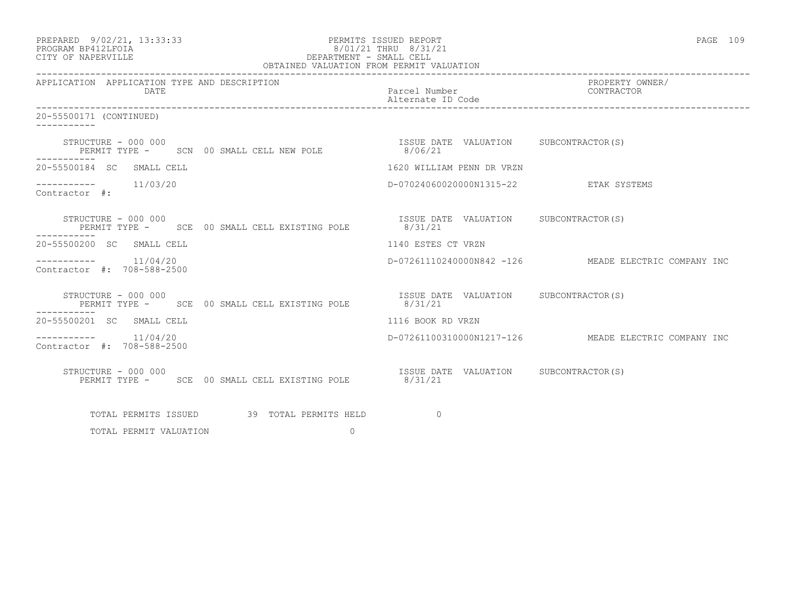| PREPARED 9/02/21, 13:33:33<br>PROGRAM BP412LFOIA<br>CITY OF NAPERVILLE                                          | PERMITS ISSUED REPORT<br>8/01/21 THRU 8/31/21<br>/1/21 DEPARTMENT - SMALL CELL<br>DEPARTMENT - SMALL CELL<br>- ---- -----------------------<br>OBTAINED VALUATION FROM PERMIT VALUATION |                                                      |  |  |  |
|-----------------------------------------------------------------------------------------------------------------|-----------------------------------------------------------------------------------------------------------------------------------------------------------------------------------------|------------------------------------------------------|--|--|--|
| APPLICATION APPLICATION TYPE AND DESCRIPTION<br><b>DATE</b>                                                     | Parcel Number<br>Alternate ID Code                                                                                                                                                      | PROPERTY OWNER/<br>CONTRACTOR                        |  |  |  |
| 20-55500171 (CONTINUED)                                                                                         |                                                                                                                                                                                         |                                                      |  |  |  |
| STRUCTURE - 000 000<br>PERMIT TYPE - SCN 00 SMALL CELL NEW POLE 1SSUE DATE VALUATION SUBCONTRACTOR(S)<br>------ |                                                                                                                                                                                         |                                                      |  |  |  |
| 20-55500184 SC SMALL CELL                                                                                       | 1620 WILLIAM PENN DR VRZN                                                                                                                                                               |                                                      |  |  |  |
| $--------- 11/03/20$<br>Contractor #:                                                                           | D-07024060020000N1315-22 ETAK SYSTEMS                                                                                                                                                   |                                                      |  |  |  |
| STRUCTURE – 000 000<br>PERMIT TYPE - SCE 00 SMALL CELL EXISTING POLE                                            | ISSUE DATE VALUATION SUBCONTRACTOR(S)<br>8/31/21                                                                                                                                        |                                                      |  |  |  |
| 20-55500200 SC SMALL CELL                                                                                       | 1140 ESTES CT VRZN                                                                                                                                                                      |                                                      |  |  |  |
| $--------- 11/04/20$<br>Contractor #: 708-588-2500                                                              |                                                                                                                                                                                         | D-07261110240000N842 -126 MEADE ELECTRIC COMPANY INC |  |  |  |
| STRUCTURE - 000 000<br>PERMIT TYPE - SCE 00 SMALL CELL EXISTING POLE 8/31/21<br>----------                      | ISSUE DATE VALUATION SUBCONTRACTOR(S)                                                                                                                                                   |                                                      |  |  |  |
| 20-55500201 SC SMALL CELL                                                                                       | 1116 BOOK RD VRZN                                                                                                                                                                       |                                                      |  |  |  |
| 11/04/20<br>-----------<br>Contractor #: 708-588-2500                                                           |                                                                                                                                                                                         | D-07261100310000N1217-126 MEADE ELECTRIC COMPANY INC |  |  |  |
| STRUCTURE - 000 000<br>PERMIT TYPE - SCE 00 SMALL CELL EXISTING POLE 8/31/21                                    | ISSUE DATE VALUATION SUBCONTRACTOR(S)                                                                                                                                                   |                                                      |  |  |  |
| TOTAL PERMITS ISSUED 39 TOTAL PERMITS HELD                                                                      | $\overline{a}$                                                                                                                                                                          |                                                      |  |  |  |
| $\Omega$<br>TOTAL PERMIT VALUATION                                                                              |                                                                                                                                                                                         |                                                      |  |  |  |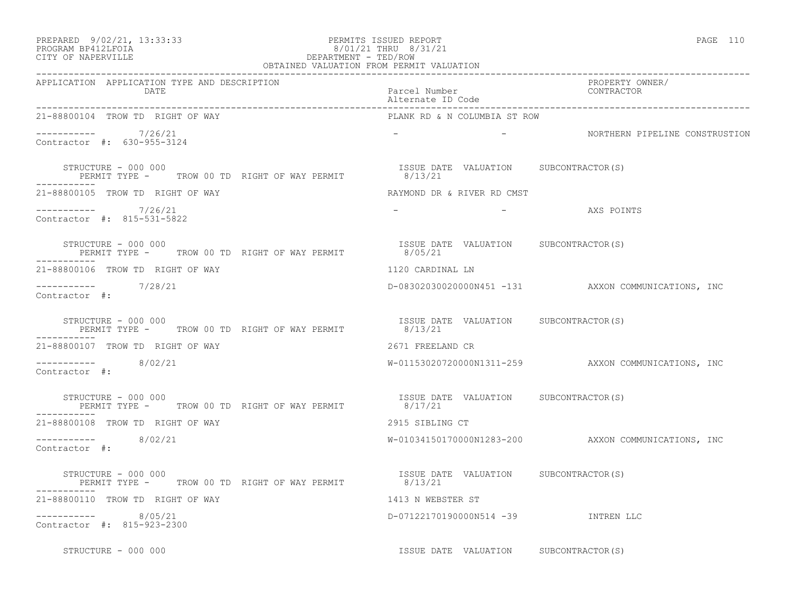## PREPARED 9/02/21, 13:33:33 PERMITS ISSUED REPORT<br>PROGRAM BP412LFOIA PAGE 110 PROGRAM BP412LFOIA 8/01/21 THRU 8/31/21 CITY OF NAPERVILLE CITY OF NAPERVILLE **Example 20** and the contract of the DEPARTMENT - TED/ROW

|                                                                                    | OBTAINED VALUATION FROM PERMIT VALUATION          |                                                     |  |
|------------------------------------------------------------------------------------|---------------------------------------------------|-----------------------------------------------------|--|
| APPLICATION APPLICATION TYPE AND DESCRIPTION<br><b>DATE</b>                        | Parcel Number<br>Alternate ID Code                | PROPERTY OWNER/<br>CONTRACTOR                       |  |
| 21-88800104 TROW TD RIGHT OF WAY                                                   | PLANK RD & N COLUMBIA ST ROW                      |                                                     |  |
| ----------- 7/26/21<br>Contractor #: 630-955-3124                                  |                                                   | - THORTHERN PIPELINE CONSTRUSTION                   |  |
| STRUCTURE - 000 000<br>PERMIT TYPE - TROW 00 TD RIGHT OF WAY PERMIT 8/13/21        | ISSUE DATE VALUATION SUBCONTRACTOR(S)             |                                                     |  |
| 21-88800105 TROW TD RIGHT OF WAY                                                   | RAYMOND DR & RIVER RD CMST                        |                                                     |  |
| $--------- 7/26/21$<br>Contractor #: 815-531-5822                                  | $\sim$ $-$                                        | - The Communication of AXS POINTS                   |  |
| STRUCTURE - 000 000<br>PERMIT TYPE - TROW 00 TD RIGHT OF WAY PERMIT<br>----------- | ISSUE DATE VALUATION SUBCONTRACTOR(S)<br>8/05/21  |                                                     |  |
| 21-88800106 TROW TD RIGHT OF WAY                                                   | 1120 CARDINAL LN                                  |                                                     |  |
| ----------- 7/28/21<br>Contractor #:                                               |                                                   | D-08302030020000N451 -131 AXXON COMMUNICATIONS, INC |  |
| STRUCTURE - 000 000<br>PERMIT TYPE - TROW 00 TD RIGHT OF WAY PERMIT                | ISSUE DATE VALUATION SUBCONTRACTOR(S)<br>8/13/21  |                                                     |  |
| 21-88800107 TROW TD RIGHT OF WAY                                                   | 2671 FREELAND CR                                  |                                                     |  |
| $--------- 8/02/21$<br>Contractor #:                                               |                                                   | W-01153020720000N1311-259 AXXON COMMUNICATIONS, INC |  |
| STRUCTURE - 000 000<br>PERMIT TYPE - TROW 00 TD RIGHT OF WAY PERMIT 8/17/21        | ISSUE DATE VALUATION SUBCONTRACTOR(S)             |                                                     |  |
| 21-88800108 TROW TD RIGHT OF WAY                                                   | 2915 SIBLING CT                                   |                                                     |  |
| $--------$ 8/02/21<br>Contractor #:                                                |                                                   | W-01034150170000N1283-200 AXXON COMMUNICATIONS, INC |  |
| STRUCTURE – 000 000<br>PERMIT TYPE - TROW 00 TD RIGHT OF WAY PERMIT                | ISSUE DATE VALUATION SUBCONTRACTOR (S)<br>8/13/21 |                                                     |  |
| 21-88800110 TROW TD RIGHT OF WAY                                                   | 1413 N WEBSTER ST                                 |                                                     |  |
| $--------- 8/05/21$<br>Contractor #: 815-923-2300                                  | D-07122170190000N514 -39 INTREN LLC               |                                                     |  |
| STRUCTURE - 000 000                                                                | ISSUE DATE VALUATION SUBCONTRACTOR(S)             |                                                     |  |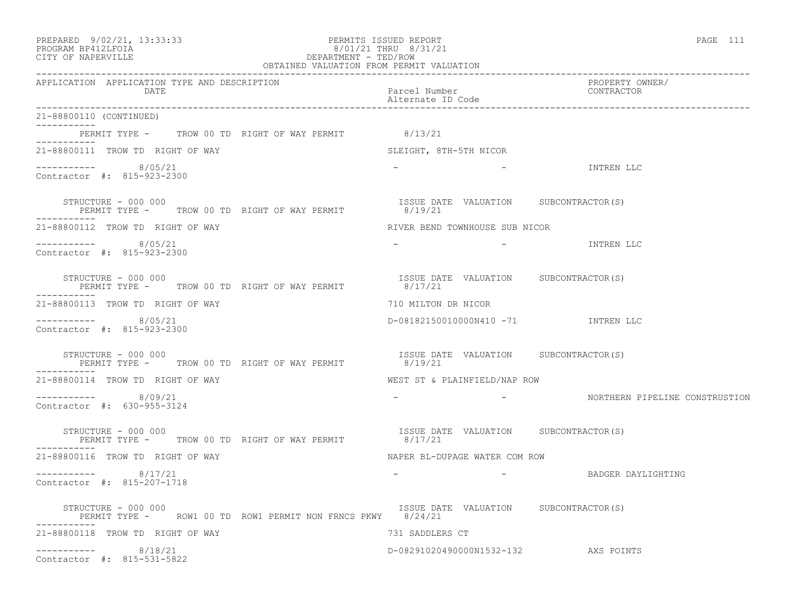| PREPARED 9/02/21, 13:33:33<br>PERMITS ISSUED REPORT<br>PROGRAM BP412LFOIA 8/01/21 THRU 8/31/21<br>CITY OF NAPERVILLE CITY OF NAPERVILLE OF NAPERVILLE | PAGE 111                                                                                  |
|-------------------------------------------------------------------------------------------------------------------------------------------------------|-------------------------------------------------------------------------------------------|
| APPLICATION APPLICATION TYPE AND DESCRIPTION<br>DATE                                                                                                  | PROPERTY OWNER/<br>Parcel Number<br>Alternate ID Code<br>CONTRACTOR                       |
| 21-88800110 (CONTINUED)                                                                                                                               |                                                                                           |
| PERMIT TYPE - TROW 00 TD RIGHT OF WAY PERMIT 8/13/21<br>-----------                                                                                   |                                                                                           |
| 21-88800111 TROW TD RIGHT OF WAY <b>SLEIGHT, STH-5TH NICOR</b>                                                                                        |                                                                                           |
| $--------- 8/05/21$<br>Contractor #: 815-923-2300                                                                                                     | - TNTREN LLC                                                                              |
| STRUCTURE - 000 000<br>PERMIT TYPE - TROW 00 TD RIGHT OF WAY PERMIT                                                                                   | ISSUE DATE VALUATION SUBCONTRACTOR(S)<br>8/19/21                                          |
| 21-88800112 TROW TD RIGHT OF WAY                                                                                                                      | RIVER BEND TOWNHOUSE SUB NICOR                                                            |
| $--------- 8/05/21$<br>Contractor #: 815-923-2300                                                                                                     | - TNTREN LLC<br><b>Contract Contract State</b>                                            |
|                                                                                                                                                       | STRUCTURE – 000 000<br>PERMIT TYPE – TROW 00 TD RIGHT OF WAY PERMIT – 18/17/21<br>B/17/21 |
| 21-88800113 TROW TD RIGHT OF WAY                                                                                                                      | 710 MILTON DR NICOR                                                                       |
| $--------- 8/05/21$<br>Contractor #: 815-923-2300                                                                                                     | D-08182150010000N410 -71 INTREN LLC                                                       |
| STRUCTURE - 000 000<br>PERMIT TYPE - TROW 00 TD RIGHT OF WAY PERMIT 6/19/21                                                                           | ISSUE DATE VALUATION SUBCONTRACTOR(S)                                                     |
| 21-88800114 TROW TD RIGHT OF WAY                                                                                                                      | WEST ST & PLAINFIELD/NAP ROW                                                              |
| $--------- 8/09/21$<br>Contractor #: 630-955-3124                                                                                                     | <b>Contract Contract</b>                                                                  |
| STRUCTURE - 000 000<br>PERMIT TYPE - TROW 00 TD RIGHT OF WAY PERMIT $8/17/21$<br>$- - - - - - - - - - -$                                              | ISSUE DATE VALUATION SUBCONTRACTOR(S)                                                     |
| 21-88800116 TROW TD RIGHT OF WAY                                                                                                                      | NAPER BL-DUPAGE WATER COM ROW                                                             |
| $--------- 8/17/21$<br>Contractor #: 815-207-1718                                                                                                     | - BADGER DAYLIGHTING                                                                      |
| STRUCTURE - 000 000<br>PERMIT TYPE - ROW1 00 TD ROW1 PERMIT NON FRNCS PKWY 8/24/21                                                                    | ISSUE DATE VALUATION SUBCONTRACTOR(S)                                                     |
| 21-88800118 TROW TD RIGHT OF WAY                                                                                                                      | 731 SADDLERS CT                                                                           |
| 8/18/21<br>------------<br>Contractor #: 815-531-5822                                                                                                 | D-08291020490000N1532-132<br>AXS POINTS                                                   |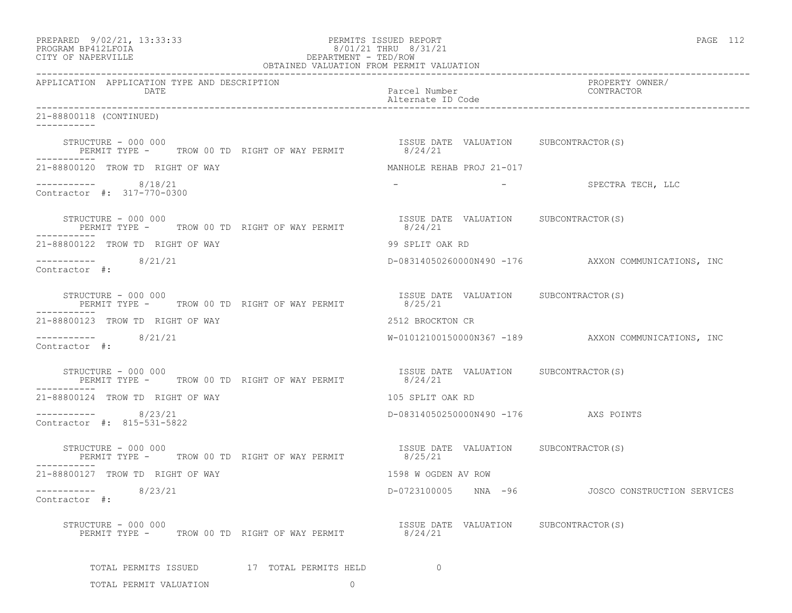| PREPARED 9/02/21, 13:33:33<br>201/21 THRU 8/31/21<br>BEPARTMENT - TED/ROW<br>OBTAINED VALUATION FROM PERMIT VALUATION<br>PROGRAM BP412LFOIA<br>CITY OF NAPERVILLE | PERMITS ISSUED REPORT                            | PAGE 112                                              |  |  |
|-------------------------------------------------------------------------------------------------------------------------------------------------------------------|--------------------------------------------------|-------------------------------------------------------|--|--|
| APPLICATION APPLICATION TYPE AND DESCRIPTION<br>DATE                                                                                                              | Parcel Number                                    | PROPERTY OWNER/<br>CONTRACTOR                         |  |  |
| 21-88800118 (CONTINUED)                                                                                                                                           |                                                  |                                                       |  |  |
| STRUCTURE - 000 000<br>PERMIT TYPE - TROW 00 TD RIGHT OF WAY PERMIT 8/24/21<br>-----------                                                                        | ISSUE DATE VALUATION SUBCONTRACTOR(S)            |                                                       |  |  |
| 21-88800120 TROW TD RIGHT OF WAY                                                                                                                                  | MANHOLE REHAB PROJ 21-017                        |                                                       |  |  |
| $--------- 8/18/21$<br>Contractor #: 317-770-0300                                                                                                                 |                                                  | - SPECTRA TECH, LLC                                   |  |  |
| STRUCTURE – 000 000<br>PERMIT TYPE - TROW 00 TD RIGHT OF WAY PERMIT                                                                                               | ISSUE DATE VALUATION SUBCONTRACTOR(S)<br>8/24/21 |                                                       |  |  |
| 21-88800122 TROW TD RIGHT OF WAY                                                                                                                                  | 99 SPLIT OAK RD                                  |                                                       |  |  |
| $--------$ 8/21/21<br>Contractor #:                                                                                                                               |                                                  | D-08314050260000N490 -176 AXXON COMMUNICATIONS, INC   |  |  |
| STRUCTURE - 000 000<br>PERMIT TYPE - TROW 00 TD RIGHT OF WAY PERMIT                                                                                               | ISSUE DATE VALUATION SUBCONTRACTOR(S)<br>8/25/21 |                                                       |  |  |
| 21-88800123 TROW TD RIGHT OF WAY                                                                                                                                  | 2512 BROCKTON CR                                 |                                                       |  |  |
| $--------$ 8/21/21<br>Contractor #:                                                                                                                               |                                                  | $W-01012100150000N367 -189$ AXXON COMMUNICATIONS, INC |  |  |
| STRUCTURE - 000 000<br>PERMIT TYPE - TROW 00 TD RIGHT OF WAY PERMIT $8/24/21$<br>-----------                                                                      | ISSUE DATE VALUATION SUBCONTRACTOR(S)            |                                                       |  |  |
| 21-88800124 TROW TD RIGHT OF WAY                                                                                                                                  | 105 SPLIT OAK RD                                 |                                                       |  |  |
| $--------- 8/23/21$<br>Contractor #: 815-531-5822                                                                                                                 | D-08314050250000N490 -176 AXS POINTS             |                                                       |  |  |
| STRUCTURE - 000 000<br>PERMIT TYPE - TROW 00 TD RIGHT OF WAY PERMIT 8/25/21                                                                                       | ISSUE DATE VALUATION SUBCONTRACTOR (S)           |                                                       |  |  |
| 21-88800127 TROW TD RIGHT OF WAY                                                                                                                                  | 1598 W OGDEN AV ROW                              |                                                       |  |  |
| 8/23/21<br>-----------<br>Contractor #:                                                                                                                           | D-0723100005 NNA -96                             | JOSCO CONSTRUCTION SERVICES                           |  |  |
| STRUCTURE - 000 000<br>PERMIT TYPE - TROW 00 TD RIGHT OF WAY PERMIT                                                                                               | ISSUE DATE VALUATION SUBCONTRACTOR(S)<br>8/24/21 |                                                       |  |  |
| TOTAL PERMITS ISSUED 17 TOTAL PERMITS HELD                                                                                                                        | $\circ$                                          |                                                       |  |  |
| $\circ$<br>TOTAL PERMIT VALUATION                                                                                                                                 |                                                  |                                                       |  |  |